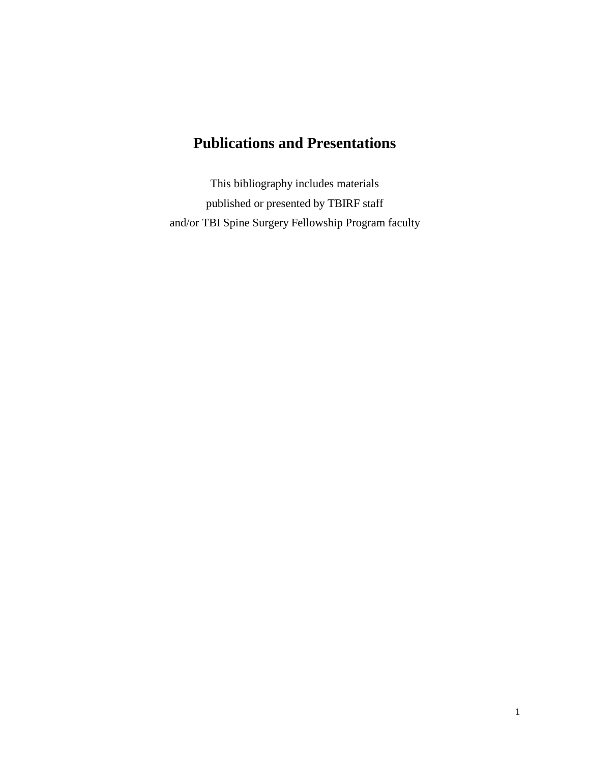# **Publications and Presentations**

This bibliography includes materials published or presented by TBIRF staff and/or TBI Spine Surgery Fellowship Program faculty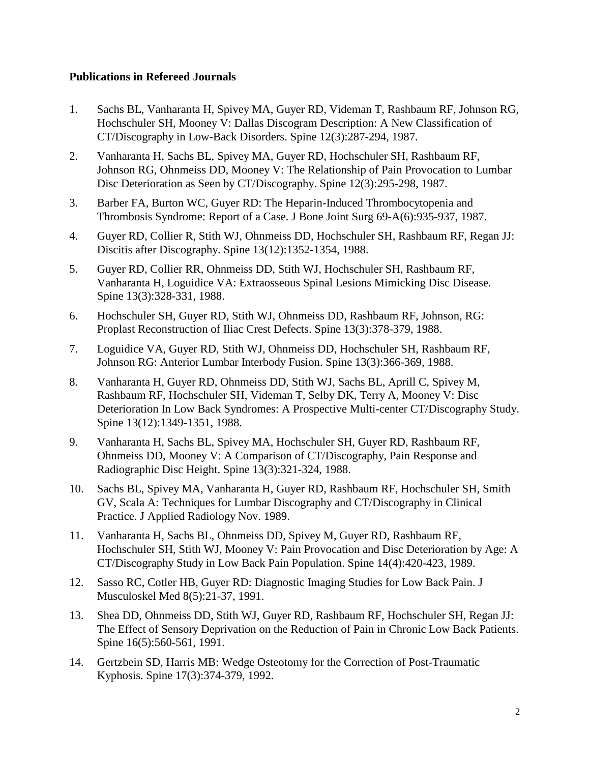## **Publications in Refereed Journals**

- 1. Sachs BL, Vanharanta H, Spivey MA, Guyer RD, Videman T, Rashbaum RF, Johnson RG, Hochschuler SH, Mooney V: Dallas Discogram Description: A New Classification of CT/Discography in Low-Back Disorders. Spine 12(3):287-294, 1987.
- 2. Vanharanta H, Sachs BL, Spivey MA, Guyer RD, Hochschuler SH, Rashbaum RF, Johnson RG, Ohnmeiss DD, Mooney V: The Relationship of Pain Provocation to Lumbar Disc Deterioration as Seen by CT/Discography. Spine 12(3):295-298, 1987.
- 3. Barber FA, Burton WC, Guyer RD: The Heparin-Induced Thrombocytopenia and Thrombosis Syndrome: Report of a Case. J Bone Joint Surg 69-A(6):935-937, 1987.
- 4. Guyer RD, Collier R, Stith WJ, Ohnmeiss DD, Hochschuler SH, Rashbaum RF, Regan JJ: Discitis after Discography. Spine 13(12):1352-1354, 1988.
- 5. Guyer RD, Collier RR, Ohnmeiss DD, Stith WJ, Hochschuler SH, Rashbaum RF, Vanharanta H, Loguidice VA: Extraosseous Spinal Lesions Mimicking Disc Disease. Spine 13(3):328-331, 1988.
- 6. Hochschuler SH, Guyer RD, Stith WJ, Ohnmeiss DD, Rashbaum RF, Johnson, RG: Proplast Reconstruction of Iliac Crest Defects. Spine 13(3):378-379, 1988.
- 7. Loguidice VA, Guyer RD, Stith WJ, Ohnmeiss DD, Hochschuler SH, Rashbaum RF, Johnson RG: Anterior Lumbar Interbody Fusion. Spine 13(3):366-369, 1988.
- 8. Vanharanta H, Guyer RD, Ohnmeiss DD, Stith WJ, Sachs BL, Aprill C, Spivey M, Rashbaum RF, Hochschuler SH, Videman T, Selby DK, Terry A, Mooney V: Disc Deterioration In Low Back Syndromes: A Prospective Multi-center CT/Discography Study. Spine 13(12):1349-1351, 1988.
- 9. Vanharanta H, Sachs BL, Spivey MA, Hochschuler SH, Guyer RD, Rashbaum RF, Ohnmeiss DD, Mooney V: A Comparison of CT/Discography, Pain Response and Radiographic Disc Height. Spine 13(3):321-324, 1988.
- 10. Sachs BL, Spivey MA, Vanharanta H, Guyer RD, Rashbaum RF, Hochschuler SH, Smith GV, Scala A: Techniques for Lumbar Discography and CT/Discography in Clinical Practice. J Applied Radiology Nov. 1989.
- 11. Vanharanta H, Sachs BL, Ohnmeiss DD, Spivey M, Guyer RD, Rashbaum RF, Hochschuler SH, Stith WJ, Mooney V: Pain Provocation and Disc Deterioration by Age: A CT/Discography Study in Low Back Pain Population. Spine 14(4):420-423, 1989.
- 12. Sasso RC, Cotler HB, Guyer RD: Diagnostic Imaging Studies for Low Back Pain. J Musculoskel Med 8(5):21-37, 1991.
- 13. Shea DD, Ohnmeiss DD, Stith WJ, Guyer RD, Rashbaum RF, Hochschuler SH, Regan JJ: The Effect of Sensory Deprivation on the Reduction of Pain in Chronic Low Back Patients. Spine 16(5):560-561, 1991.
- 14. Gertzbein SD, Harris MB: Wedge Osteotomy for the Correction of Post-Traumatic Kyphosis. Spine 17(3):374-379, 1992.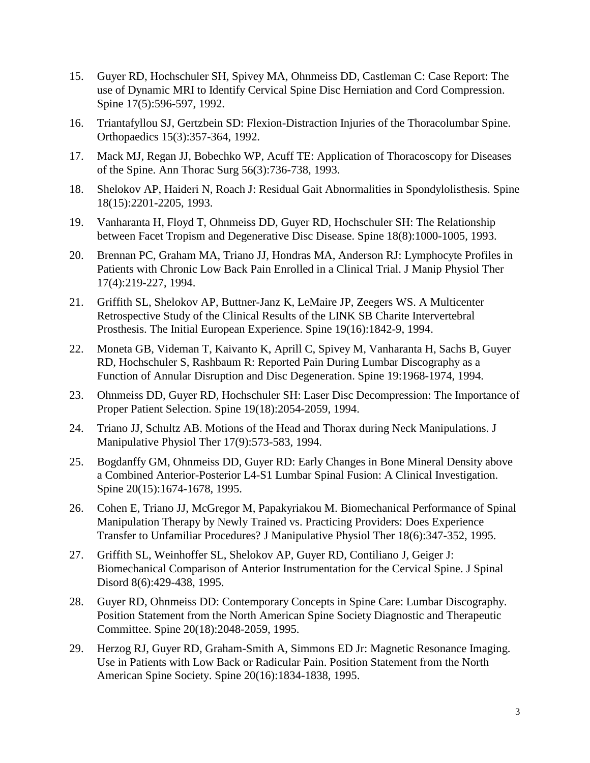- 15. Guyer RD, Hochschuler SH, Spivey MA, Ohnmeiss DD, Castleman C: Case Report: The use of Dynamic MRI to Identify Cervical Spine Disc Herniation and Cord Compression. Spine 17(5):596-597, 1992.
- 16. Triantafyllou SJ, Gertzbein SD: Flexion-Distraction Injuries of the Thoracolumbar Spine. Orthopaedics 15(3):357-364, 1992.
- 17. [Mack MJ, Regan JJ, Bobechko WP, Acuff TE:](http://www.ncbi.nlm.nih.gov/entrez/query.fcgi?cmd=Retrieve&db=PubMed&list_uids=8379783&dopt=Abstract) Application of Thoracoscopy for Diseases of the Spine. Ann Thorac Surg 56(3):736-738, 1993.
- 18. Shelokov AP, Haideri N, Roach J: Residual Gait Abnormalities in Spondylolisthesis. Spine 18(15):2201-2205, 1993.
- 19. Vanharanta H, Floyd T, Ohnmeiss DD, Guyer RD, Hochschuler SH: The Relationship between Facet Tropism and Degenerative Disc Disease. Spine 18(8):1000-1005, 1993.
- 20. [Brennan PC, Graham MA, Triano JJ, Hondras MA, Anderson RJ:](http://www.ncbi.nlm.nih.gov/entrez/query.fcgi?cmd=Retrieve&db=PubMed&list_uids=8046277&dopt=Abstract) Lymphocyte Profiles in Patients with Chronic Low Back Pain Enrolled in a Clinical Trial. J Manip Physiol Ther 17(4):219-227, 1994.
- 21. [Griffith SL, Shelokov AP, Buttner-Janz K, LeMaire JP, Zeegers WS.](http://www.ncbi.nlm.nih.gov/entrez/query.fcgi?cmd=Retrieve&db=PubMed&list_uids=7973983&dopt=Abstract) A Multicenter Retrospective Study of the Clinical Results of the LINK SB Charite Intervertebral Prosthesis. The Initial European Experience. Spine 19(16):1842-9, 1994.
- 22. Moneta GB, Videman T, Kaivanto K, Aprill C, Spivey M, Vanharanta H, Sachs B, Guyer RD, Hochschuler S, Rashbaum R: Reported Pain During Lumbar Discography as a Function of Annular Disruption and Disc Degeneration. Spine 19:1968-1974, 1994.
- 23. Ohnmeiss DD, Guyer RD, Hochschuler SH: Laser Disc Decompression: The Importance of Proper Patient Selection. Spine 19(18):2054-2059, 1994.
- 24. [Triano JJ, Schultz AB.](http://www.ncbi.nlm.nih.gov/entrez/query.fcgi?cmd=Retrieve&db=PubMed&list_uids=7884326&dopt=Abstract) Motions of the Head and Thorax during Neck Manipulations. J Manipulative Physiol Ther 17(9):573-583, 1994.
- 25. Bogdanffy GM, Ohnmeiss DD, Guyer RD: Early Changes in Bone Mineral Density above a Combined Anterior-Posterior L4-S1 Lumbar Spinal Fusion: A Clinical Investigation. Spine 20(15):1674-1678, 1995.
- 26. [Cohen E, Triano JJ, McGregor M, Papakyriakou M.](http://www.ncbi.nlm.nih.gov/entrez/query.fcgi?cmd=Retrieve&db=PubMed&list_uids=7595108&dopt=Abstract) Biomechanical Performance of Spinal Manipulation Therapy by Newly Trained vs. Practicing Providers: Does Experience Transfer to Unfamiliar Procedures? J Manipulative Physiol Ther 18(6):347-352, 1995.
- 27. Griffith SL, Weinhoffer SL, Shelokov AP, Guyer RD, Contiliano J, Geiger J: Biomechanical Comparison of Anterior Instrumentation for the Cervical Spine. J Spinal Disord 8(6):429-438, 1995.
- 28. Guyer RD, Ohnmeiss DD: Contemporary Concepts in Spine Care: Lumbar Discography. Position Statement from the North American Spine Society Diagnostic and Therapeutic Committee. Spine 20(18):2048-2059, 1995.
- 29. [Herzog RJ, Guyer RD, Graham-Smith A, Simmons ED Jr:](http://www.ncbi.nlm.nih.gov/entrez/query.fcgi?cmd=Retrieve&db=PubMed&list_uids=7502142&dopt=Abstract) Magnetic Resonance Imaging. Use in Patients with Low Back or Radicular Pain. Position Statement from the North American Spine Society. Spine 20(16):1834-1838, 1995.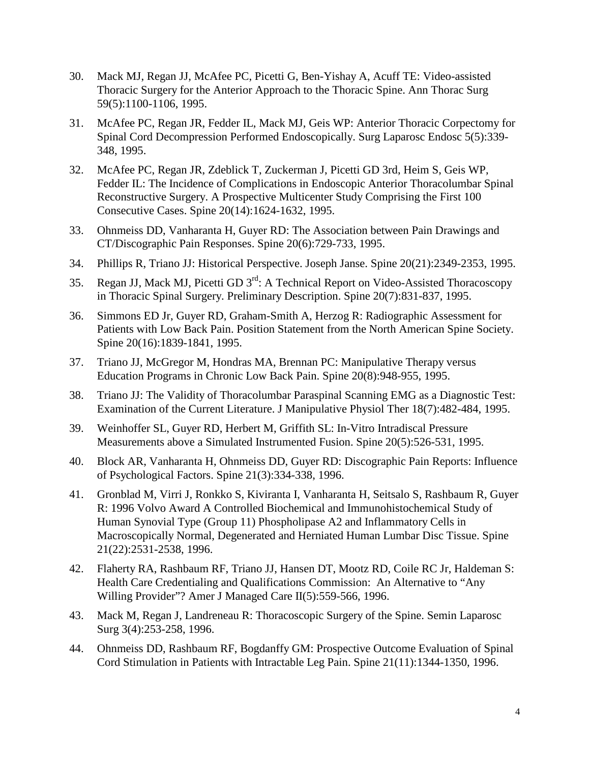- 30. [Mack MJ, Regan JJ, McAfee PC, Picetti G, Ben-Yishay A, Acuff TE:](http://www.ncbi.nlm.nih.gov/entrez/query.fcgi?cmd=Retrieve&db=PubMed&list_uids=7733704&dopt=Abstract) Video-assisted Thoracic Surgery for the Anterior Approach to the Thoracic Spine. Ann Thorac Surg 59(5):1100-1106, 1995.
- 31. [McAfee PC, Regan JR, Fedder IL, Mack MJ, Geis WP:](http://www.ncbi.nlm.nih.gov/entrez/query.fcgi?cmd=Retrieve&db=PubMed&list_uids=8845976&dopt=Abstract) Anterior Thoracic Corpectomy for Spinal Cord Decompression Performed Endoscopically. Surg Laparosc Endosc 5(5):339- 348, 1995.
- 32. [McAfee PC, Regan JR, Zdeblick T, Zuckerman J, Picetti GD 3rd, Heim S, Geis WP,](http://www.ncbi.nlm.nih.gov/entrez/query.fcgi?cmd=Retrieve&db=PubMed&list_uids=7570179&dopt=Abstract)  [Fedder IL:](http://www.ncbi.nlm.nih.gov/entrez/query.fcgi?cmd=Retrieve&db=PubMed&list_uids=7570179&dopt=Abstract) The Incidence of Complications in Endoscopic Anterior Thoracolumbar Spinal Reconstructive Surgery. A Prospective Multicenter Study Comprising the First 100 Consecutive Cases. Spine 20(14):1624-1632, 1995.
- 33. Ohnmeiss DD, Vanharanta H, Guyer RD: The Association between Pain Drawings and CT/Discographic Pain Responses. Spine 20(6):729-733, 1995.
- 34. [Phillips R, Triano JJ:](http://www.ncbi.nlm.nih.gov/entrez/query.fcgi?cmd=Retrieve&db=PubMed&list_uids=8553126&dopt=Abstract) Historical Perspective. Joseph Janse. Spine 20(21):2349-2353, 1995.
- 35. Regan JJ, Mack MJ, Picetti GD 3<sup>rd</sup>: A Technical Report on Video-Assisted Thoracoscopy in Thoracic Spinal Surgery. Preliminary Description. Spine 20(7):831-837, 1995.
- 36. [Simmons ED Jr, Guyer RD, Graham-Smith A, Herzog R:](http://www.ncbi.nlm.nih.gov/entrez/query.fcgi?cmd=Retrieve&db=PubMed&list_uids=7502143&dopt=Abstract) Radiographic Assessment for Patients with Low Back Pain. Position Statement from the North American Spine Society. Spine 20(16):1839-1841, 1995.
- 37. [Triano JJ, McGregor M, Hondras MA, Brennan PC:](http://www.ncbi.nlm.nih.gov/entrez/query.fcgi?cmd=Retrieve&db=PubMed&list_uids=7644961&dopt=Abstract) Manipulative Therapy versus Education Programs in Chronic Low Back Pain. Spine 20(8):948-955, 1995.
- 38. [Triano JJ:](http://www.ncbi.nlm.nih.gov/entrez/query.fcgi?cmd=Retrieve&db=PubMed&list_uids=8568432&dopt=Abstract) The Validity of Thoracolumbar Paraspinal Scanning EMG as a Diagnostic Test: Examination of the Current Literature. J Manipulative Physiol Ther 18(7):482-484, 1995.
- 39. Weinhoffer SL, Guyer RD, Herbert M, Griffith SL: In-Vitro Intradiscal Pressure Measurements above a Simulated Instrumented Fusion. Spine 20(5):526-531, 1995.
- 40. Block AR, Vanharanta H, Ohnmeiss DD, Guyer RD: Discographic Pain Reports: Influence of Psychological Factors. Spine 21(3):334-338, 1996.
- 41. Gronblad M, Virri J, Ronkko S, Kiviranta I, Vanharanta H, Seitsalo S, Rashbaum R, Guyer R: 1996 Volvo Award A Controlled Biochemical and Immunohistochemical Study of Human Synovial Type (Group 11) Phospholipase A2 and Inflammatory Cells in Macroscopically Normal, Degenerated and Herniated Human Lumbar Disc Tissue. Spine 21(22):2531-2538, 1996.
- 42. Flaherty RA, Rashbaum RF, Triano JJ, Hansen DT, Mootz RD, Coile RC Jr, Haldeman S: Health Care Credentialing and Qualifications Commission: An Alternative to "Any Willing Provider"? Amer J Managed Care II(5):559-566, 1996.
- 43. [Mack M, Regan J, Landreneau R:](http://www.ncbi.nlm.nih.gov/entrez/query.fcgi?cmd=Retrieve&db=PubMed&list_uids=10401129&dopt=Abstract) Thoracoscopic Surgery of the Spine. Semin Laparosc Surg 3(4):253-258, 1996.
- 44. Ohnmeiss DD, Rashbaum RF, Bogdanffy GM: Prospective Outcome Evaluation of Spinal Cord Stimulation in Patients with Intractable Leg Pain. Spine 21(11):1344-1350, 1996.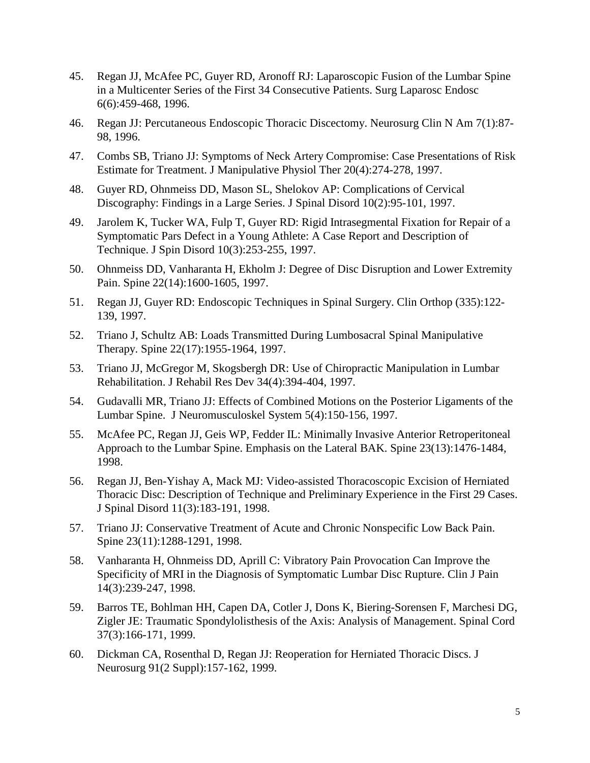- 45. Regan JJ, McAfee PC, Guyer RD, Aronoff RJ: Laparoscopic Fusion of the Lumbar Spine in a Multicenter Series of the First 34 Consecutive Patients. Surg Laparosc Endosc 6(6):459-468, 1996.
- 46. [Regan JJ:](http://www.ncbi.nlm.nih.gov/entrez/query.fcgi?cmd=Retrieve&db=PubMed&list_uids=8835149&dopt=Abstract) Percutaneous Endoscopic Thoracic Discectomy. Neurosurg Clin N Am 7(1):87- 98, 1996.
- 47. [Combs SB, Triano JJ:](http://www.ncbi.nlm.nih.gov/entrez/query.fcgi?cmd=Retrieve&db=PubMed&list_uids=9168413&dopt=Abstract) Symptoms of Neck Artery Compromise: Case Presentations of Risk Estimate for Treatment. J Manipulative Physiol Ther 20(4):274-278, 1997.
- 48. Guyer RD, Ohnmeiss DD, Mason SL, Shelokov AP: Complications of Cervical Discography: Findings in a Large Series. J Spinal Disord 10(2):95-101, 1997.
- 49. Jarolem K, Tucker WA, Fulp T, Guyer RD: Rigid Intrasegmental Fixation for Repair of a Symptomatic Pars Defect in a Young Athlete: A Case Report and Description of Technique. J Spin Disord 10(3):253-255, 1997.
- 50. Ohnmeiss DD, Vanharanta H, Ekholm J: Degree of Disc Disruption and Lower Extremity Pain. Spine 22(14):1600-1605, 1997.
- 51. Regan JJ, Guyer RD: Endoscopic Techniques in Spinal Surgery. Clin Orthop (335):122- 139, 1997.
- 52. [Triano J, Schultz AB:](http://www.ncbi.nlm.nih.gov/entrez/query.fcgi?cmd=Retrieve&db=PubMed&list_uids=9306523&dopt=Abstract) Loads Transmitted During Lumbosacral Spinal Manipulative Therapy. Spine 22(17):1955-1964, 1997.
- 53. [Triano JJ, McGregor M, Skogsbergh DR:](http://www.ncbi.nlm.nih.gov/entrez/query.fcgi?cmd=Retrieve&db=PubMed&list_uids=9323643&dopt=Abstract) Use of Chiropractic Manipulation in Lumbar Rehabilitation. J Rehabil Res Dev 34(4):394-404, 1997.
- 54. Gudavalli MR, Triano JJ: Effects of Combined Motions on the Posterior Ligaments of the Lumbar Spine. J Neuromusculoskel System 5(4):150-156, 1997.
- 55. [McAfee PC, Regan JJ, Geis WP, Fedder IL:](http://www.ncbi.nlm.nih.gov/entrez/query.fcgi?cmd=Retrieve&db=PubMed&list_uids=9670400&dopt=Abstract) Minimally Invasive Anterior Retroperitoneal Approach to the Lumbar Spine. Emphasis on the Lateral BAK. Spine 23(13):1476-1484, 1998.
- 56. [Regan JJ, Ben-Yishay A, Mack MJ:](http://www.ncbi.nlm.nih.gov/entrez/query.fcgi?cmd=Retrieve&db=PubMed&list_uids=9657540&dopt=Abstract) Video-assisted Thoracoscopic Excision of Herniated Thoracic Disc: Description of Technique and Preliminary Experience in the First 29 Cases. J Spinal Disord 11(3):183-191, 1998.
- 57. [Triano JJ:](http://www.ncbi.nlm.nih.gov/entrez/query.fcgi?cmd=Retrieve&db=PubMed&list_uids=9636984&dopt=Abstract) Conservative Treatment of Acute and Chronic Nonspecific Low Back Pain. Spine 23(11):1288-1291, 1998.
- 58. Vanharanta H, Ohnmeiss DD, Aprill C: Vibratory Pain Provocation Can Improve the Specificity of MRI in the Diagnosis of Symptomatic Lumbar Disc Rupture. Clin J Pain 14(3):239-247, 1998.
- 59. [Barros TE, Bohlman HH, Capen DA, Cotler J, Dons K, Biering-Sorensen F, Marchesi DG,](http://www.ncbi.nlm.nih.gov/entrez/query.fcgi?cmd=Retrieve&db=PubMed&list_uids=10213325&dopt=Abstract)  [Zigler JE:](http://www.ncbi.nlm.nih.gov/entrez/query.fcgi?cmd=Retrieve&db=PubMed&list_uids=10213325&dopt=Abstract) Traumatic Spondylolisthesis of the Axis: Analysis of Management. Spinal Cord 37(3):166-171, 1999.
- 60. [Dickman CA, Rosenthal D, Regan JJ:](http://www.ncbi.nlm.nih.gov/entrez/query.fcgi?cmd=Retrieve&db=PubMed&list_uids=10505498&dopt=Abstract) Reoperation for Herniated Thoracic Discs. J Neurosurg 91(2 Suppl):157-162, 1999.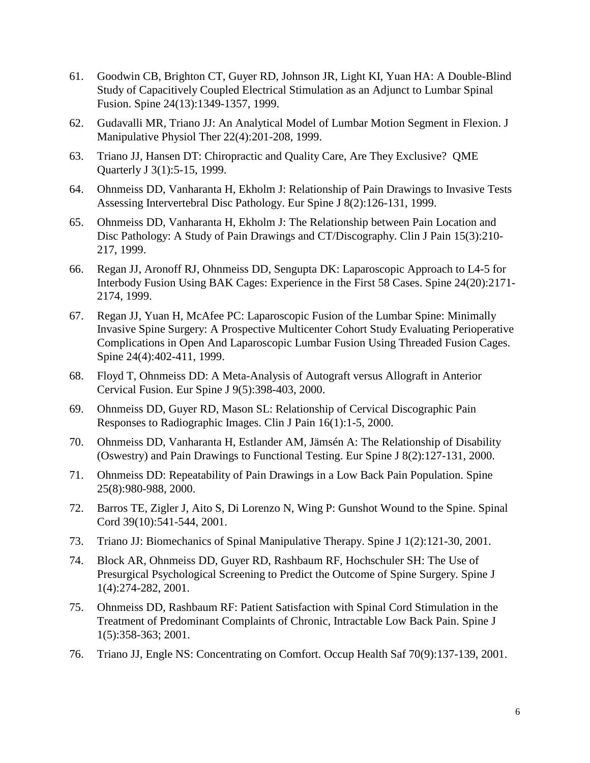- 61. Goodwin CB, Brighton CT, Guyer RD, Johnson JR, Light KI, Yuan HA: A Double-Blind Study of Capacitively Coupled Electrical Stimulation as an Adjunct to Lumbar Spinal Fusion. Spine 24(13):1349-1357, 1999.
- 62. [Gudavalli MR, Triano JJ:](http://www.ncbi.nlm.nih.gov/entrez/query.fcgi?cmd=Retrieve&db=PubMed&list_uids=10367755&dopt=Abstract) An Analytical Model of Lumbar Motion Segment in Flexion. J Manipulative Physiol Ther 22(4):201-208, 1999.
- 63. Triano JJ, Hansen DT: Chiropractic and Quality Care, Are They Exclusive? QME Quarterly J 3(1):5-15, 1999.
- 64. Ohnmeiss DD, Vanharanta H, Ekholm J: Relationship of Pain Drawings to Invasive Tests Assessing Intervertebral Disc Pathology. Eur Spine J 8(2):126-131, 1999.
- 65. Ohnmeiss DD, Vanharanta H, Ekholm J: The Relationship between Pain Location and Disc Pathology: A Study of Pain Drawings and CT/Discography. Clin J Pain 15(3):210- 217, 1999.
- 66. Regan JJ, Aronoff RJ, Ohnmeiss DD, Sengupta DK: Laparoscopic Approach to L4-5 for Interbody Fusion Using BAK Cages: Experience in the First 58 Cases. Spine 24(20):2171- 2174, 1999.
- 67. Regan JJ, Yuan H, McAfee PC: Laparoscopic Fusion of the Lumbar Spine: Minimally Invasive Spine Surgery: A Prospective Multicenter Cohort Study Evaluating Perioperative Complications in Open And Laparoscopic Lumbar Fusion Using Threaded Fusion Cages. Spine 24(4):402-411, 1999.
- 68. Floyd T, Ohnmeiss DD: A Meta-Analysis of Autograft versus Allograft in Anterior Cervical Fusion. Eur Spine J 9(5):398-403, 2000.
- 69. Ohnmeiss DD, Guyer RD, Mason SL: Relationship of Cervical Discographic Pain Responses to Radiographic Images. Clin J Pain 16(1):1-5, 2000.
- 70. Ohnmeiss DD, Vanharanta H, Estlander AM, Jämsén A: The Relationship of Disability (Oswestry) and Pain Drawings to Functional Testing. Eur Spine J 8(2):127-131, 2000.
- 71. Ohnmeiss DD: Repeatability of Pain Drawings in a Low Back Pain Population. Spine 25(8):980-988, 2000.
- 72. Barros TE, Zigler J, Aito S, Di Lorenzo N, Wing P: Gunshot Wound to the Spine. Spinal Cord 39(10):541-544, 2001.
- 73. [Triano JJ:](http://www.ncbi.nlm.nih.gov/entrez/query.fcgi?cmd=Retrieve&db=PubMed&list_uids=14588392&dopt=Abstract) Biomechanics of Spinal Manipulative Therapy. Spine J 1(2):121-30, 2001.
- 74. Block AR, Ohnmeiss DD, Guyer RD, Rashbaum RF, Hochschuler SH: The Use of Presurgical Psychological Screening to Predict the Outcome of Spine Surgery. Spine J 1(4):274-282, 2001.
- 75. Ohnmeiss DD, Rashbaum RF: Patient Satisfaction with Spinal Cord Stimulation in the Treatment of Predominant Complaints of Chronic, Intractable Low Back Pain. Spine J 1(5):358-363; 2001.
- 76. [Triano JJ, Engle NS:](http://www.ncbi.nlm.nih.gov/entrez/query.fcgi?cmd=Retrieve&db=PubMed&list_uids=11582687&dopt=Abstract) Concentrating on Comfort. Occup Health Saf 70(9):137-139, 2001.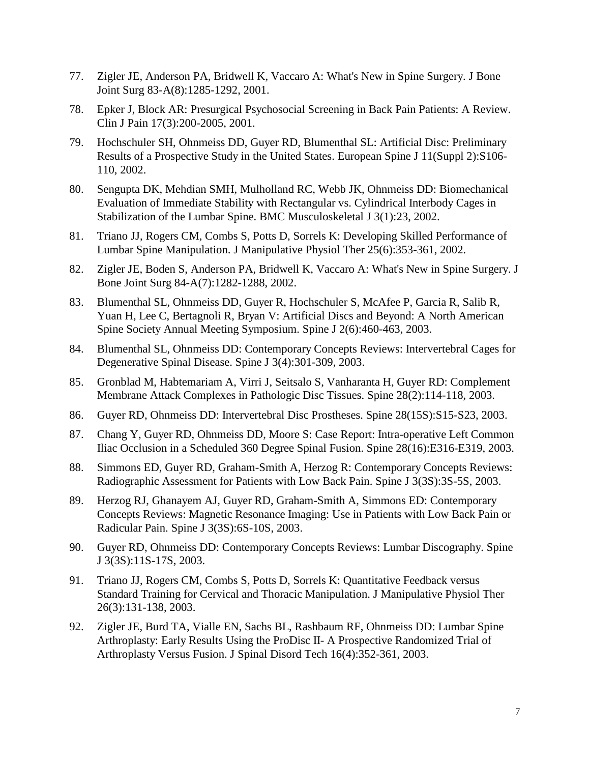- 77. [Zigler JE, Anderson PA, Bridwell K, Vaccaro A:](http://www.ncbi.nlm.nih.gov/entrez/query.fcgi?cmd=Retrieve&db=PubMed&list_uids=11507151&dopt=Abstract) What's New in Spine Surgery. J Bone Joint Surg 83-A(8):1285-1292, 2001.
- 78. Epker J, Block AR: Presurgical Psychosocial Screening in Back Pain Patients: A Review. Clin J Pain 17(3):200-2005, 2001.
- 79. Hochschuler SH, Ohnmeiss DD, Guyer RD, Blumenthal SL: Artificial Disc: Preliminary Results of a Prospective Study in the United States. European Spine J 11(Suppl 2):S106- 110, 2002.
- 80. Sengupta DK, Mehdian SMH, Mulholland RC, Webb JK, Ohnmeiss DD: Biomechanical Evaluation of Immediate Stability with Rectangular vs. Cylindrical Interbody Cages in Stabilization of the Lumbar Spine. BMC Musculoskeletal J 3(1):23, 2002.
- 81. [Triano JJ, Rogers CM, Combs S, Potts D, Sorrels K:](http://www.ncbi.nlm.nih.gov/entrez/query.fcgi?cmd=Retrieve&db=PubMed&list_uids=12183693&dopt=Abstract) Developing Skilled Performance of Lumbar Spine Manipulation. J Manipulative Physiol Ther 25(6):353-361, 2002.
- 82. [Zigler JE, Boden S, Anderson PA, Bridwell K, Vaccaro A:](http://www.ncbi.nlm.nih.gov/entrez/query.fcgi?cmd=Retrieve&db=PubMed&list_uids=12107338&dopt=Abstract) What's New in Spine Surgery. J Bone Joint Surg 84-A(7):1282-1288, 2002.
- 83. Blumenthal SL, Ohnmeiss DD, Guyer R, Hochschuler S, McAfee P, Garcia R, Salib R, Yuan H, Lee C, Bertagnoli R, Bryan V: Artificial Discs and Beyond: A North American Spine Society Annual Meeting Symposium. Spine J 2(6):460-463, 2003.
- 84. Blumenthal SL, Ohnmeiss DD: Contemporary Concepts Reviews: Intervertebral Cages for Degenerative Spinal Disease. Spine J 3(4):301-309, 2003.
- 85. [Gronblad M, Habtemariam A, Virri J, Seitsalo S, Vanharanta H, Guyer RD:](http://www.ncbi.nlm.nih.gov/entrez/query.fcgi?cmd=Retrieve&db=PubMed&list_uids=12544925&dopt=Abstract) Complement Membrane Attack Complexes in Pathologic Disc Tissues. Spine 28(2):114-118, 2003.
- 86. Guyer RD, Ohnmeiss DD: Intervertebral Disc Prostheses. Spine 28(15S):S15-S23, 2003.
- 87. Chang Y, Guyer RD, Ohnmeiss DD, Moore S: Case Report: Intra-operative Left Common Iliac Occlusion in a Scheduled 360 Degree Spinal Fusion. Spine 28(16):E316-E319, 2003.
- 88. Simmons ED, Guyer RD, Graham-Smith A, Herzog R: Contemporary Concepts Reviews: Radiographic Assessment for Patients with Low Back Pain. Spine J 3(3S):3S-5S, 2003.
- 89. Herzog RJ, Ghanayem AJ, Guyer RD, Graham-Smith A, Simmons ED: Contemporary Concepts Reviews: Magnetic Resonance Imaging: Use in Patients with Low Back Pain or Radicular Pain. Spine J 3(3S):6S-10S, 2003.
- 90. Guyer RD, Ohnmeiss DD: Contemporary Concepts Reviews: Lumbar Discography. Spine J 3(3S):11S-17S, 2003.
- 91. [Triano JJ, Rogers CM, Combs S, Potts D, Sorrels K:](http://www.ncbi.nlm.nih.gov/entrez/query.fcgi?cmd=Retrieve&db=PubMed&list_uids=12704305&dopt=Abstract) Quantitative Feedback versus Standard Training for Cervical and Thoracic Manipulation. J Manipulative Physiol Ther 26(3):131-138, 2003.
- 92. Zigler JE, Burd TA, Vialle EN, Sachs BL, Rashbaum RF, Ohnmeiss DD: Lumbar Spine Arthroplasty: Early Results Using the ProDisc II- A Prospective Randomized Trial of Arthroplasty Versus Fusion. J Spinal Disord Tech 16(4):352-361, 2003.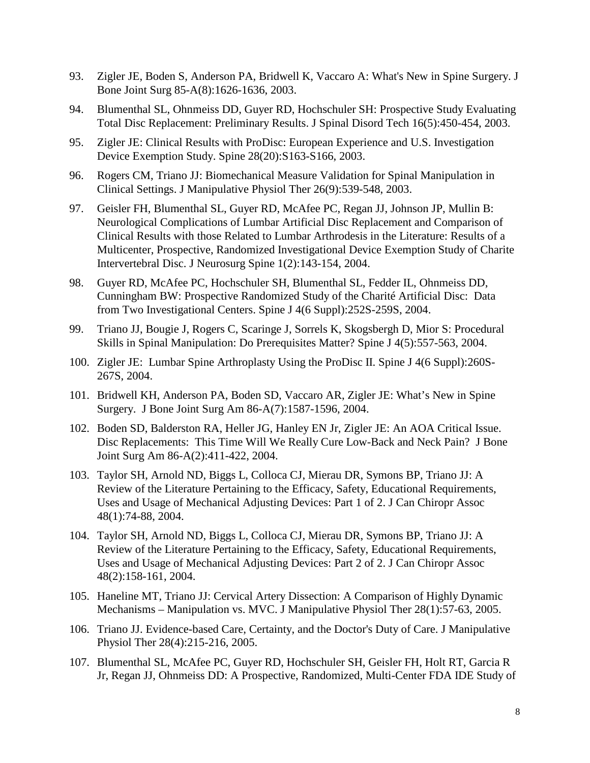- 93. [Zigler JE, Boden S, Anderson PA, Bridwell K, Vaccaro A:](http://www.ncbi.nlm.nih.gov/entrez/query.fcgi?cmd=Retrieve&db=PubMed&list_uids=12107338&dopt=Abstract) What's New in Spine Surgery. J Bone Joint Surg 85-A(8):1626-1636, 2003.
- 94. Blumenthal SL, Ohnmeiss DD, Guyer RD, Hochschuler SH: Prospective Study Evaluating Total Disc Replacement: Preliminary Results. J Spinal Disord Tech 16(5):450-454, 2003.
- 95. Zigler JE: Clinical Results with ProDisc: European Experience and U.S. Investigation Device Exemption Study. Spine 28(20):S163-S166, 2003.
- 96. Rogers CM, Triano JJ: Biomechanical Measure Validation for Spinal Manipulation in Clinical Settings. J Manipulative Physiol Ther 26(9):539-548, 2003.
- 97. Geisler FH, Blumenthal SL, Guyer RD, McAfee PC, Regan JJ, Johnson JP, Mullin B: Neurological Complications of Lumbar Artificial Disc Replacement and Comparison of Clinical Results with those Related to Lumbar Arthrodesis in the Literature: Results of a Multicenter, Prospective, Randomized Investigational Device Exemption Study of Charite Intervertebral Disc. J Neurosurg Spine 1(2):143-154, 2004.
- 98. Guyer RD, McAfee PC, Hochschuler SH, Blumenthal SL, Fedder IL, Ohnmeiss DD, Cunningham BW: Prospective Randomized Study of the Charité Artificial Disc: Data from Two Investigational Centers. Spine J 4(6 Suppl):252S-259S, 2004.
- 99. Triano JJ, Bougie J, Rogers C, Scaringe J, Sorrels K, Skogsbergh D, Mior S: Procedural Skills in Spinal Manipulation: Do Prerequisites Matter? Spine J 4(5):557-563, 2004.
- 100. Zigler JE: Lumbar Spine Arthroplasty Using the ProDisc II. Spine J 4(6 Suppl):260S-267S, 2004.
- 101. Bridwell KH, Anderson PA, Boden SD, Vaccaro AR, Zigler JE: What's New in Spine Surgery. J Bone Joint Surg Am 86-A(7):1587-1596, 2004.
- 102. Boden SD, Balderston RA, Heller JG, Hanley EN Jr, Zigler JE: An AOA Critical Issue. Disc Replacements: This Time Will We Really Cure Low-Back and Neck Pain? J Bone Joint Surg Am 86-A(2):411-422, 2004.
- 103. Taylor SH, Arnold ND, Biggs L, Colloca CJ, Mierau DR, Symons BP, Triano JJ: A Review of the Literature Pertaining to the Efficacy, Safety, Educational Requirements, Uses and Usage of Mechanical Adjusting Devices: Part 1 of 2. J Can Chiropr Assoc 48(1):74-88, 2004.
- 104. Taylor SH, Arnold ND, Biggs L, Colloca CJ, Mierau DR, Symons BP, Triano JJ: A Review of the Literature Pertaining to the Efficacy, Safety, Educational Requirements, Uses and Usage of Mechanical Adjusting Devices: Part 2 of 2. J Can Chiropr Assoc 48(2):158-161, 2004.
- 105. Haneline MT, Triano JJ: Cervical Artery Dissection: A Comparison of Highly Dynamic Mechanisms – Manipulation vs. MVC. J Manipulative Physiol Ther 28(1):57-63, 2005.
- 106. Triano JJ. Evidence-based Care, Certainty, and the Doctor's Duty of Care. J Manipulative Physiol Ther 28(4):215-216, 2005.
- 107. Blumenthal SL, McAfee PC, Guyer RD, Hochschuler SH, Geisler FH, Holt RT, Garcia R Jr, Regan JJ, Ohnmeiss DD: A Prospective, Randomized, Multi-Center FDA IDE Study of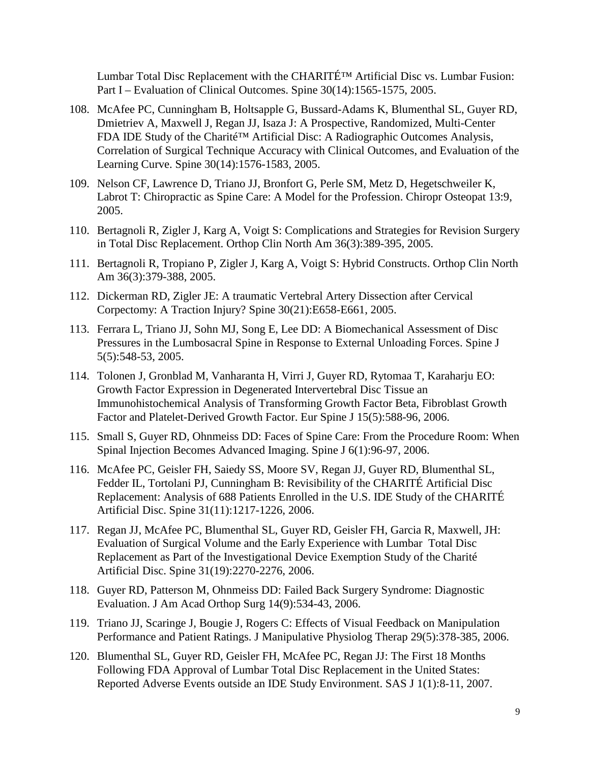Lumbar Total Disc Replacement with the CHARITÉ™ Artificial Disc vs. Lumbar Fusion: Part I – Evaluation of Clinical Outcomes. Spine 30(14):1565-1575, 2005.

- 108. McAfee PC, Cunningham B, Holtsapple G, Bussard-Adams K, Blumenthal SL, Guyer RD, Dmietriev A, Maxwell J, Regan JJ, Isaza J: A Prospective, Randomized, Multi-Center FDA IDE Study of the Charité™ Artificial Disc: A Radiographic Outcomes Analysis, Correlation of Surgical Technique Accuracy with Clinical Outcomes, and Evaluation of the Learning Curve. Spine 30(14):1576-1583, 2005.
- 109. Nelson CF, Lawrence D, Triano JJ, Bronfort G, Perle SM, Metz D, Hegetschweiler K, Labrot T: Chiropractic as Spine Care: A Model for the Profession. Chiropr Osteopat 13:9, 2005.
- 110. [Bertagnoli R,](http://www.ncbi.nlm.nih.gov/entrez/query.fcgi?db=pubmed&cmd=Search&term=%22Bertagnoli+R%22%5BAuthor%5D) [Zigler J,](http://www.ncbi.nlm.nih.gov/entrez/query.fcgi?db=pubmed&cmd=Search&term=%22Zigler+J%22%5BAuthor%5D) [Karg A,](http://www.ncbi.nlm.nih.gov/entrez/query.fcgi?db=pubmed&cmd=Search&term=%22Karg+A%22%5BAuthor%5D) [Voigt S:](http://www.ncbi.nlm.nih.gov/entrez/query.fcgi?db=pubmed&cmd=Search&term=%22Voigt+S%22%5BAuthor%5D) Complications and Strategies for Revision Surgery in Total Disc Replacement. Orthop Clin North Am 36(3):389-395, 2005.
- 111. [Bertagnoli R, Tropiano P, Zigler J, Karg A, Voigt S:](http://www.ncbi.nlm.nih.gov/entrez/query.fcgi?cmd=Retrieve&db=pubmed&dopt=Abstract&list_uids=15950698&query_hl=13) Hybrid Constructs. Orthop Clin North Am 36(3):379-388, 2005.
- 112. [Dickerman RD, Zigler JE: A](http://www.ncbi.nlm.nih.gov/entrez/query.fcgi?cmd=Retrieve&db=pubmed&dopt=Abstract&list_uids=16261105&query_hl=9&itool=pubmed_docsum) traumatic Vertebral Artery Dissection after Cervical Corpectomy: A Traction Injury? Spine 30(21):E658-E661, 2005.
- 113. Ferrara L, Triano JJ, Sohn MJ, Song E, Lee DD: A Biomechanical Assessment of Disc Pressures in the Lumbosacral Spine in Response to External Unloading Forces. Spine J 5(5):548-53, 2005.
- 114. [Tolonen J,](http://www.ncbi.nlm.nih.gov/entrez/query.fcgi?db=pubmed&cmd=Search&term=%22Tolonen+J%22%5BAuthor%5D) [Gronblad M,](http://www.ncbi.nlm.nih.gov/entrez/query.fcgi?db=pubmed&cmd=Search&term=%22Gronblad+M%22%5BAuthor%5D) [Vanharanta H,](http://www.ncbi.nlm.nih.gov/entrez/query.fcgi?db=pubmed&cmd=Search&term=%22Vanharanta+H%22%5BAuthor%5D) [Virri J,](http://www.ncbi.nlm.nih.gov/entrez/query.fcgi?db=pubmed&cmd=Search&term=%22Virri+J%22%5BAuthor%5D) [Guyer RD,](http://www.ncbi.nlm.nih.gov/entrez/query.fcgi?db=pubmed&cmd=Search&term=%22Guyer+RD%22%5BAuthor%5D) [Rytomaa T,](http://www.ncbi.nlm.nih.gov/entrez/query.fcgi?db=pubmed&cmd=Search&term=%22Rytomaa+T%22%5BAuthor%5D) [Karaharju EO:](http://www.ncbi.nlm.nih.gov/entrez/query.fcgi?db=pubmed&cmd=Search&term=%22Karaharju+EO%22%5BAuthor%5D) Growth Factor Expression in Degenerated Intervertebral Disc Tissue an Immunohistochemical Analysis of Transforming Growth Factor Beta, Fibroblast Growth Factor and Platelet-Derived Growth Factor. Eur Spine J 15(5):588-96, 2006.
- 115. Small S, Guyer RD, Ohnmeiss DD: Faces of Spine Care: From the Procedure Room: When Spinal Injection Becomes Advanced Imaging. Spine J 6(1):96-97, 2006.
- 116. McAfee PC, Geisler FH, Saiedy SS, Moore SV, Regan JJ, Guyer RD, Blumenthal SL, Fedder IL, Tortolani PJ, Cunningham B: Revisibility of the CHARITÉ Artificial Disc Replacement: Analysis of 688 Patients Enrolled in the U.S. IDE Study of the CHARITÉ Artificial Disc. Spine 31(11):1217-1226, 2006.
- 117. Regan JJ, McAfee PC, Blumenthal SL, Guyer RD, Geisler FH, Garcia R, Maxwell, JH: Evaluation of Surgical Volume and the Early Experience with Lumbar Total Disc Replacement as Part of the Investigational Device Exemption Study of the Charité Artificial Disc. Spine 31(19):2270-2276, 2006.
- 118. Guyer RD, Patterson M, Ohnmeiss DD: Failed Back Surgery Syndrome: Diagnostic Evaluation. J Am Acad Orthop Surg 14(9):534-43, 2006.
- 119. Triano JJ, Scaringe J, Bougie J, Rogers C: Effects of Visual Feedback on Manipulation Performance and Patient Ratings. J Manipulative Physiolog Therap 29(5):378-385, 2006.
- 120. Blumenthal SL, Guyer RD, Geisler FH, McAfee PC, Regan JJ: The First 18 Months Following FDA Approval of Lumbar Total Disc Replacement in the United States: Reported Adverse Events outside an IDE Study Environment. SAS J 1(1):8-11, 2007.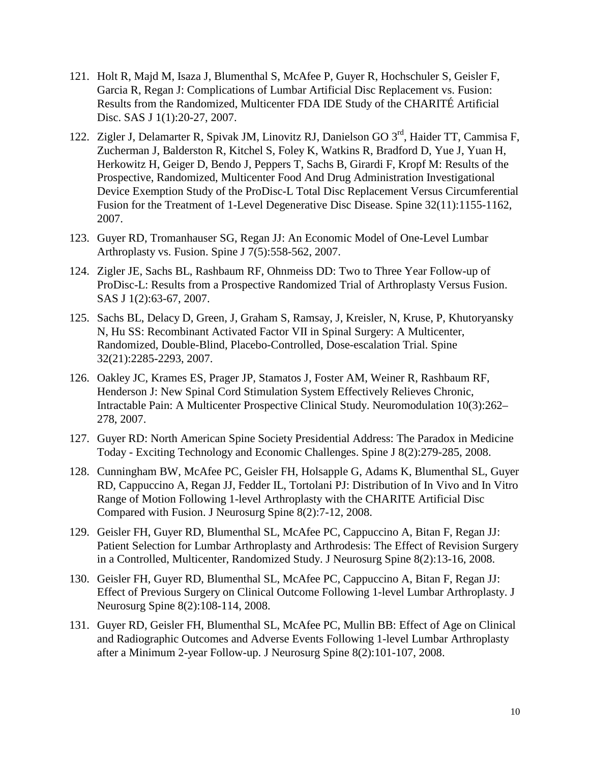- 121. Holt R, Majd M, Isaza J, Blumenthal S, McAfee P, Guyer R, Hochschuler S, Geisler F, Garcia R, Regan J: Complications of Lumbar Artificial Disc Replacement vs. Fusion: Results from the Randomized, Multicenter FDA IDE Study of the CHARITÉ Artificial Disc. SAS J 1(1):20-27, 2007.
- 122. Zigler J, Delamarter R, Spivak JM, Linovitz RJ, Danielson GO 3<sup>rd</sup>, Haider TT, Cammisa F, Zucherman J, Balderston R, Kitchel S, Foley K, Watkins R, Bradford D, Yue J, Yuan H, Herkowitz H, Geiger D, Bendo J, Peppers T, Sachs B, Girardi F, Kropf M: Results of the Prospective, Randomized, Multicenter Food And Drug Administration Investigational Device Exemption Study of the ProDisc-L Total Disc Replacement Versus Circumferential Fusion for the Treatment of 1-Level Degenerative Disc Disease. Spine 32(11):1155-1162, 2007.
- 123. Guyer RD, Tromanhauser SG, Regan JJ: An Economic Model of One-Level Lumbar Arthroplasty vs. Fusion. Spine J 7(5):558-562, 2007.
- 124. Zigler JE, Sachs BL, Rashbaum RF, Ohnmeiss DD: Two to Three Year Follow-up of ProDisc-L: Results from a Prospective Randomized Trial of Arthroplasty Versus Fusion. SAS J 1(2):63-67, 2007.
- 125. Sachs BL, Delacy D, Green, J, Graham S, Ramsay, J, Kreisler, N, Kruse, P, Khutoryansky N, Hu SS: Recombinant Activated Factor VII in Spinal Surgery: A Multicenter, Randomized, Double-Blind, Placebo-Controlled, Dose-escalation Trial. Spine 32(21):2285-2293, 2007.
- 126. Oakley JC, Krames ES, Prager JP, Stamatos J, Foster AM, Weiner R, Rashbaum RF, Henderson J: New Spinal Cord Stimulation System Effectively Relieves Chronic, Intractable Pain: A Multicenter Prospective Clinical Study. Neuromodulation 10(3):262– 278, 2007.
- 127. Guyer RD: North American Spine Society Presidential Address: The Paradox in Medicine Today - Exciting Technology and Economic Challenges. Spine J 8(2):279-285, 2008.
- 128. Cunningham BW, McAfee PC, Geisler FH, Holsapple G, Adams K, Blumenthal SL, Guyer RD, Cappuccino A, Regan JJ, Fedder IL, Tortolani PJ: Distribution of In Vivo and In Vitro Range of Motion Following 1-level Arthroplasty with the CHARITE Artificial Disc Compared with Fusion. J Neurosurg Spine 8(2):7-12, 2008.
- 129. Geisler FH, Guyer RD, Blumenthal SL, McAfee PC, Cappuccino A, Bitan F, Regan JJ: Patient Selection for Lumbar Arthroplasty and Arthrodesis: The Effect of Revision Surgery in a Controlled, Multicenter, Randomized Study. J Neurosurg Spine 8(2):13-16, 2008.
- 130. Geisler FH, Guyer RD, Blumenthal SL, McAfee PC, Cappuccino A, Bitan F, Regan JJ: Effect of Previous Surgery on Clinical Outcome Following 1-level Lumbar Arthroplasty. J Neurosurg Spine 8(2):108-114, 2008.
- 131. Guyer RD, Geisler FH, Blumenthal SL, McAfee PC, Mullin BB: Effect of Age on Clinical and Radiographic Outcomes and Adverse Events Following 1-level Lumbar Arthroplasty after a Minimum 2-year Follow-up. J Neurosurg Spine 8(2):101-107, 2008.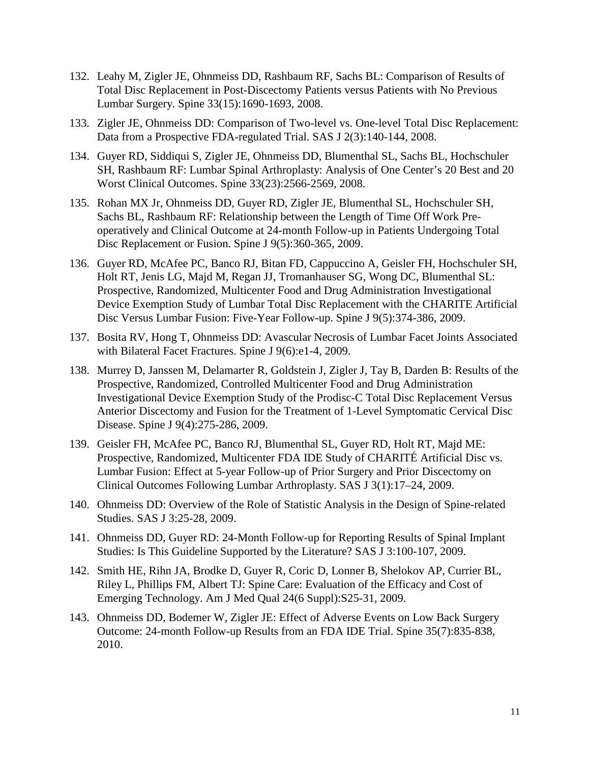- 132. Leahy M, Zigler JE, Ohnmeiss DD, Rashbaum RF, Sachs BL: Comparison of Results of Total Disc Replacement in Post-Discectomy Patients versus Patients with No Previous Lumbar Surgery. Spine 33(15):1690-1693, 2008.
- 133. Zigler JE, Ohnmeiss DD: Comparison of Two-level vs. One-level Total Disc Replacement: Data from a Prospective FDA-regulated Trial. SAS J 2(3):140-144, 2008.
- 134. Guyer RD, Siddiqui S, Zigler JE, Ohnmeiss DD, Blumenthal SL, Sachs BL, Hochschuler SH, Rashbaum RF: Lumbar Spinal Arthroplasty: Analysis of One Center's 20 Best and 20 Worst Clinical Outcomes. Spine 33(23):2566-2569, 2008.
- 135. Rohan MX Jr, Ohnmeiss DD, Guyer RD, Zigler JE, Blumenthal SL, Hochschuler SH, Sachs BL, Rashbaum RF: Relationship between the Length of Time Off Work Preoperatively and Clinical Outcome at 24-month Follow-up in Patients Undergoing Total Disc Replacement or Fusion. Spine J 9(5):360-365, 2009.
- 136. Guyer RD, McAfee PC, Banco RJ, Bitan FD, Cappuccino A, Geisler FH, Hochschuler SH, Holt RT, Jenis LG, Majd M, Regan JJ, Tromanhauser SG, Wong DC, Blumenthal SL: Prospective, Randomized, Multicenter Food and Drug Administration Investigational Device Exemption Study of Lumbar Total Disc Replacement with the CHARITE Artificial Disc Versus Lumbar Fusion: Five-Year Follow-up. Spine J 9(5):374-386, 2009.
- 137. Bosita RV, Hong T, Ohnmeiss DD: Avascular Necrosis of Lumbar Facet Joints Associated with Bilateral Facet Fractures. Spine J 9(6):e1-4, 2009.
- 138. Murrey D, Janssen M, Delamarter R, Goldstein J, Zigler J, Tay B, Darden B: Results of the Prospective, Randomized, Controlled Multicenter Food and Drug Administration Investigational Device Exemption Study of the Prodisc-C Total Disc Replacement Versus Anterior Discectomy and Fusion for the Treatment of 1-Level Symptomatic Cervical Disc Disease. Spine J 9(4):275-286, 2009.
- 139. Geisler FH, McAfee PC, Banco RJ, Blumenthal SL, Guyer RD, Holt RT, Majd ME: Prospective, Randomized, Multicenter FDA IDE Study of CHARITÉ Artificial Disc vs. Lumbar Fusion: Effect at 5-year Follow-up of Prior Surgery and Prior Discectomy on Clinical Outcomes Following Lumbar Arthroplasty. SAS J 3(1):17–24, 2009.
- 140. Ohnmeiss DD: Overview of the Role of Statistic Analysis in the Design of Spine-related Studies. SAS J 3:25-28, 2009.
- 141. Ohnmeiss DD, Guyer RD: 24-Month Follow-up for Reporting Results of Spinal Implant Studies: Is This Guideline Supported by the Literature? SAS J 3:100-107, 2009.
- 142. Smith HE, Rihn JA, Brodke D, Guyer R, Coric D, Lonner B, Shelokov AP, Currier BL, Riley L, Phillips FM, Albert TJ: Spine Care: Evaluation of the Efficacy and Cost of Emerging Technology. Am J Med Qual 24(6 Suppl):S25-31, 2009.
- 143. Ohnmeiss DD, Bodemer W, Zigler JE: Effect of Adverse Events on Low Back Surgery Outcome: 24-month Follow-up Results from an FDA IDE Trial. Spine 35(7):835-838, 2010.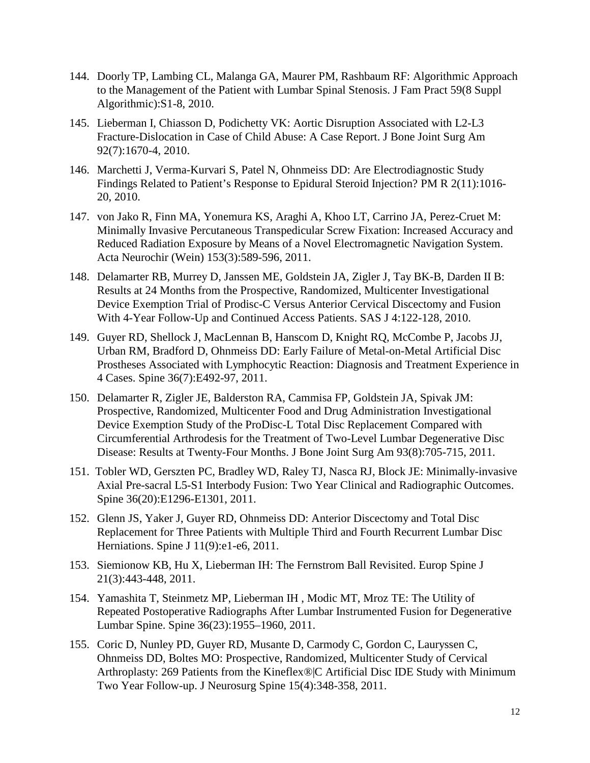- 144. Doorly TP, Lambing CL, Malanga GA, Maurer PM, Rashbaum RF: Algorithmic Approach to the Management of the Patient with Lumbar Spinal Stenosis. J Fam Pract 59(8 Suppl Algorithmic):S1-8, 2010.
- 145. Lieberman I, Chiasson D, Podichetty VK: Aortic Disruption Associated with L2-L3 Fracture-Dislocation in Case of Child Abuse: A Case Report. J Bone Joint Surg Am 92(7):1670-4, 2010.
- 146. Marchetti J, Verma-Kurvari S, Patel N, Ohnmeiss DD: Are Electrodiagnostic Study Findings Related to Patient's Response to Epidural Steroid Injection? PM R 2(11):1016- 20, 2010.
- 147. von Jako R, Finn MA, Yonemura KS, Araghi A, Khoo LT, Carrino JA, Perez-Cruet M: Minimally Invasive Percutaneous Transpedicular Screw Fixation: Increased Accuracy and Reduced Radiation Exposure by Means of a Novel Electromagnetic Navigation System. Acta Neurochir (Wein) 153(3):589-596, 2011.
- 148. Delamarter RB, Murrey D, Janssen ME, Goldstein JA, Zigler J, Tay BK-B, Darden II B: Results at 24 Months from the Prospective, Randomized, Multicenter Investigational Device Exemption Trial of Prodisc-C Versus Anterior Cervical Discectomy and Fusion With 4-Year Follow-Up and Continued Access Patients. SAS J 4:122-128, 2010.
- 149. Guyer RD, Shellock J, MacLennan B, Hanscom D, Knight RQ, McCombe P, Jacobs JJ, Urban RM, Bradford D, Ohnmeiss DD: Early Failure of Metal-on-Metal Artificial Disc Prostheses Associated with Lymphocytic Reaction: Diagnosis and Treatment Experience in 4 Cases. Spine 36(7):E492-97, 2011.
- 150. Delamarter R, Zigler JE, Balderston RA, Cammisa FP, Goldstein JA, Spivak JM: Prospective, Randomized, Multicenter Food and Drug Administration Investigational Device Exemption Study of the ProDisc-L Total Disc Replacement Compared with Circumferential Arthrodesis for the Treatment of Two-Level Lumbar Degenerative Disc Disease: Results at Twenty-Four Months. J Bone Joint Surg Am 93(8):705-715, 2011.
- 151. Tobler WD, Gerszten PC, Bradley WD, Raley TJ, Nasca RJ, Block JE: Minimally-invasive Axial Pre-sacral L5-S1 Interbody Fusion: Two Year Clinical and Radiographic Outcomes. Spine 36(20):E1296-E1301, 2011.
- 152. Glenn JS, Yaker J, Guyer RD, Ohnmeiss DD: Anterior Discectomy and Total Disc Replacement for Three Patients with Multiple Third and Fourth Recurrent Lumbar Disc Herniations. Spine J 11(9):e1-e6, 2011.
- 153. Siemionow KB, Hu X, Lieberman IH: The Fernstrom Ball Revisited. Europ Spine J 21(3):443-448, 2011.
- 154. Yamashita T, Steinmetz MP, Lieberman IH , Modic MT, Mroz TE: The Utility of Repeated Postoperative Radiographs After Lumbar Instrumented Fusion for Degenerative Lumbar Spine. Spine 36(23):1955–1960, 2011.
- 155. Coric D, Nunley PD, Guyer RD, Musante D, Carmody C, Gordon C, Lauryssen C, Ohnmeiss DD, Boltes MO: Prospective, Randomized, Multicenter Study of Cervical Arthroplasty: 269 Patients from the Kineflex®|C Artificial Disc IDE Study with Minimum Two Year Follow-up. J Neurosurg Spine 15(4):348-358, 2011.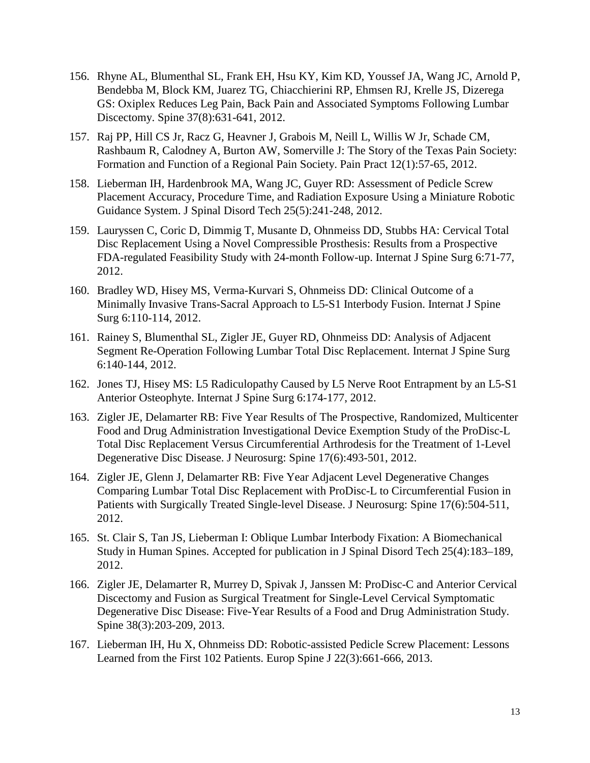- 156. Rhyne AL, Blumenthal SL, Frank EH, Hsu KY, Kim KD, Youssef JA, Wang JC, Arnold P, Bendebba M, Block KM, Juarez TG, Chiacchierini RP, Ehmsen RJ, Krelle JS, Dizerega GS: Oxiplex Reduces Leg Pain, Back Pain and Associated Symptoms Following Lumbar Discectomy. Spine 37(8):631-641, 2012.
- 157. Raj PP, Hill CS Jr, Racz G, Heavner J, Grabois M, Neill L, Willis W Jr, Schade CM, Rashbaum R, Calodney A, Burton AW, Somerville J: The Story of the Texas Pain Society: Formation and Function of a Regional Pain Society. Pain Pract 12(1):57-65, 2012.
- 158. Lieberman IH, Hardenbrook MA, Wang JC, Guyer RD: Assessment of Pedicle Screw Placement Accuracy, Procedure Time, and Radiation Exposure Using a Miniature Robotic Guidance System. J Spinal Disord Tech 25(5):241-248, 2012.
- 159. Lauryssen C, Coric D, Dimmig T, Musante D, Ohnmeiss DD, Stubbs HA: Cervical Total Disc Replacement Using a Novel Compressible Prosthesis: Results from a Prospective FDA-regulated Feasibility Study with 24-month Follow-up. Internat J Spine Surg 6:71-77, 2012.
- 160. Bradley WD, Hisey MS, Verma-Kurvari S, Ohnmeiss DD: Clinical Outcome of a Minimally Invasive Trans-Sacral Approach to L5-S1 Interbody Fusion. Internat J Spine Surg 6:110-114, 2012.
- 161. Rainey S, Blumenthal SL, Zigler JE, Guyer RD, Ohnmeiss DD: Analysis of Adjacent Segment Re-Operation Following Lumbar Total Disc Replacement. Internat J Spine Surg 6:140-144, 2012.
- 162. Jones TJ, Hisey MS: L5 Radiculopathy Caused by L5 Nerve Root Entrapment by an L5-S1 Anterior Osteophyte. Internat J Spine Surg 6:174-177, 2012.
- 163. Zigler JE, Delamarter RB: Five Year Results of The Prospective, Randomized, Multicenter Food and Drug Administration Investigational Device Exemption Study of the ProDisc-L Total Disc Replacement Versus Circumferential Arthrodesis for the Treatment of 1-Level Degenerative Disc Disease. J Neurosurg: Spine 17(6):493-501, 2012.
- 164. Zigler JE, Glenn J, Delamarter RB: Five Year Adjacent Level Degenerative Changes Comparing Lumbar Total Disc Replacement with ProDisc-L to Circumferential Fusion in Patients with Surgically Treated Single-level Disease. J Neurosurg: Spine 17(6):504-511, 2012.
- 165. St. Clair S, Tan JS, Lieberman I: Oblique Lumbar Interbody Fixation: A Biomechanical Study in Human Spines. Accepted for publication in J Spinal Disord Tech 25(4):183–189, 2012.
- 166. Zigler JE, Delamarter R, Murrey D, Spivak J, Janssen M: ProDisc-C and Anterior Cervical Discectomy and Fusion as Surgical Treatment for Single-Level Cervical Symptomatic Degenerative Disc Disease: Five-Year Results of a Food and Drug Administration Study. Spine 38(3):203-209, 2013.
- 167. Lieberman IH, Hu X, Ohnmeiss DD: Robotic-assisted Pedicle Screw Placement: Lessons Learned from the First 102 Patients. Europ Spine J 22(3):661-666, 2013.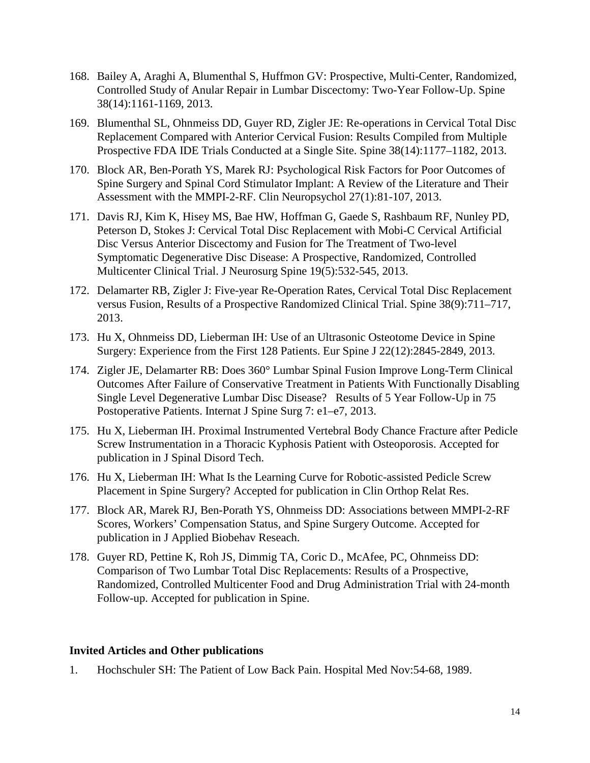- 168. Bailey A, Araghi A, Blumenthal S, Huffmon GV: Prospective, Multi-Center, Randomized, Controlled Study of Anular Repair in Lumbar Discectomy: Two-Year Follow-Up. Spine 38(14):1161-1169, 2013.
- 169. Blumenthal SL, Ohnmeiss DD, Guyer RD, Zigler JE: Re-operations in Cervical Total Disc Replacement Compared with Anterior Cervical Fusion: Results Compiled from Multiple Prospective FDA IDE Trials Conducted at a Single Site. Spine 38(14):1177–1182, 2013.
- 170. Block AR, Ben-Porath YS, Marek RJ: Psychological Risk Factors for Poor Outcomes of Spine Surgery and Spinal Cord Stimulator Implant: A Review of the Literature and Their Assessment with the MMPI-2-RF. Clin Neuropsychol 27(1):81-107, 2013.
- 171. Davis RJ, Kim K, Hisey MS, Bae HW, Hoffman G, Gaede S, Rashbaum RF, Nunley PD, Peterson D, Stokes J: Cervical Total Disc Replacement with Mobi-C Cervical Artificial Disc Versus Anterior Discectomy and Fusion for The Treatment of Two-level Symptomatic Degenerative Disc Disease: A Prospective, Randomized, Controlled Multicenter Clinical Trial. J Neurosurg Spine 19(5):532-545, 2013.
- 172. Delamarter RB, Zigler J: Five-year Re-Operation Rates, Cervical Total Disc Replacement versus Fusion, Results of a Prospective Randomized Clinical Trial. Spine 38(9):711–717, 2013.
- 173. Hu X, Ohnmeiss DD, Lieberman IH: Use of an Ultrasonic Osteotome Device in Spine Surgery: Experience from the First 128 Patients. Eur Spine J 22(12):2845-2849, 2013.
- 174. Zigler JE, Delamarter RB: Does 360° Lumbar Spinal Fusion Improve Long-Term Clinical Outcomes After Failure of Conservative Treatment in Patients With Functionally Disabling Single Level Degenerative Lumbar Disc Disease? Results of 5 Year Follow-Up in 75 Postoperative Patients. Internat J Spine Surg 7: e1–e7, 2013.
- 175. Hu X, Lieberman IH. Proximal Instrumented Vertebral Body Chance Fracture after Pedicle Screw Instrumentation in a Thoracic Kyphosis Patient with Osteoporosis. Accepted for publication in J Spinal Disord Tech.
- 176. Hu X, Lieberman IH: What Is the Learning Curve for Robotic-assisted Pedicle Screw Placement in Spine Surgery? Accepted for publication in Clin Orthop Relat Res.
- 177. Block AR, Marek RJ, Ben-Porath YS, Ohnmeiss DD: Associations between MMPI-2-RF Scores, Workers' Compensation Status, and Spine Surgery Outcome. Accepted for publication in J Applied Biobehav Reseach.
- 178. Guyer RD, Pettine K, Roh JS, Dimmig TA, Coric D., McAfee, PC, Ohnmeiss DD: Comparison of Two Lumbar Total Disc Replacements: Results of a Prospective, Randomized, Controlled Multicenter Food and Drug Administration Trial with 24-month Follow-up. Accepted for publication in Spine.

### **Invited Articles and Other publications**

1. Hochschuler SH: The Patient of Low Back Pain. Hospital Med Nov:54-68, 1989.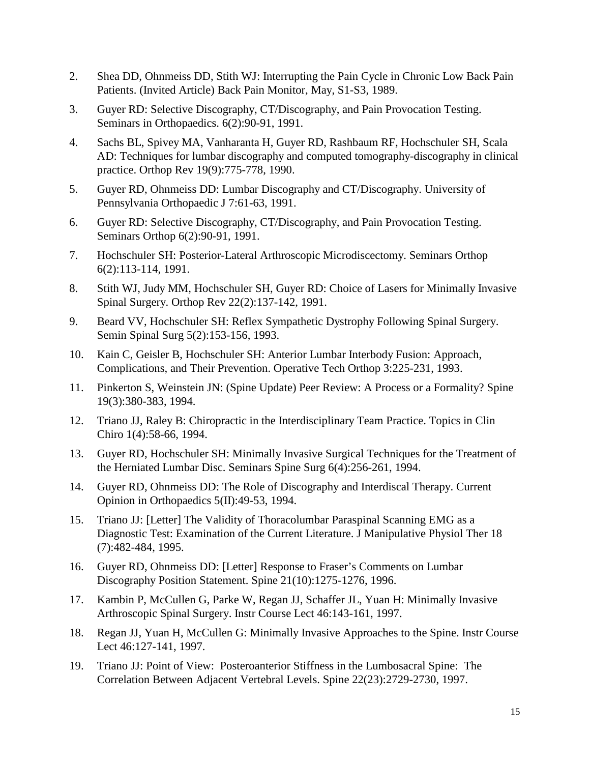- 2. Shea DD, Ohnmeiss DD, Stith WJ: Interrupting the Pain Cycle in Chronic Low Back Pain Patients. (Invited Article) Back Pain Monitor, May, S1-S3, 1989.
- 3. Guyer RD: Selective Discography, CT/Discography, and Pain Provocation Testing. Seminars in Orthopaedics. 6(2):90-91, 1991.
- 4. Sachs BL, Spivey MA, Vanharanta H, Guyer RD, Rashbaum RF, Hochschuler SH, Scala AD: Techniques for lumbar discography and computed tomography-discography in clinical practice. Orthop Rev 19(9):775-778, 1990.
- 5. Guyer RD, Ohnmeiss DD: Lumbar Discography and CT/Discography. University of Pennsylvania Orthopaedic J 7:61-63, 1991.
- 6. Guyer RD: Selective Discography, CT/Discography, and Pain Provocation Testing. Seminars Orthop 6(2):90-91, 1991.
- 7. Hochschuler SH: Posterior-Lateral Arthroscopic Microdiscectomy. Seminars Orthop 6(2):113-114, 1991.
- 8. Stith WJ, Judy MM, Hochschuler SH, Guyer RD: Choice of Lasers for Minimally Invasive Spinal Surgery. Orthop Rev 22(2):137-142, 1991.
- 9. Beard VV, Hochschuler SH: Reflex Sympathetic Dystrophy Following Spinal Surgery. Semin Spinal Surg 5(2):153-156, 1993.
- 10. Kain C, Geisler B, Hochschuler SH: Anterior Lumbar Interbody Fusion: Approach, Complications, and Their Prevention. Operative Tech Orthop 3:225-231, 1993.
- 11. Pinkerton S, Weinstein JN: (Spine Update) Peer Review: A Process or a Formality? Spine 19(3):380-383, 1994.
- 12. Triano JJ, Raley B: Chiropractic in the Interdisciplinary Team Practice. Topics in Clin Chiro 1(4):58-66, 1994.
- 13. Guyer RD, Hochschuler SH: Minimally Invasive Surgical Techniques for the Treatment of the Herniated Lumbar Disc. Seminars Spine Surg 6(4):256-261, 1994.
- 14. Guyer RD, Ohnmeiss DD: The Role of Discography and Interdiscal Therapy. Current Opinion in Orthopaedics 5(II):49-53, 1994.
- 15. Triano JJ: [Letter] The Validity of Thoracolumbar Paraspinal Scanning EMG as a Diagnostic Test: Examination of the Current Literature. J Manipulative Physiol Ther 18 (7):482-484, 1995.
- 16. Guyer RD, Ohnmeiss DD: [Letter] Response to Fraser's Comments on Lumbar Discography Position Statement. Spine 21(10):1275-1276, 1996.
- 17. [Kambin P, McCullen G, Parke W, Regan JJ, Schaffer JL, Yuan H:](http://www.ncbi.nlm.nih.gov/entrez/query.fcgi?cmd=Retrieve&db=PubMed&list_uids=9143957&dopt=Abstract) Minimally Invasive Arthroscopic Spinal Surgery. Instr Course Lect 46:143-161, 1997.
- 18. [Regan JJ, Yuan H, McCullen G:](http://www.ncbi.nlm.nih.gov/entrez/query.fcgi?cmd=Retrieve&db=PubMed&list_uids=9143956&dopt=Abstract) Minimally Invasive Approaches to the Spine. Instr Course Lect 46:127-141, 1997.
- 19. Triano JJ: Point of View: Posteroanterior Stiffness in the Lumbosacral Spine: The Correlation Between Adjacent Vertebral Levels. Spine 22(23):2729-2730, 1997.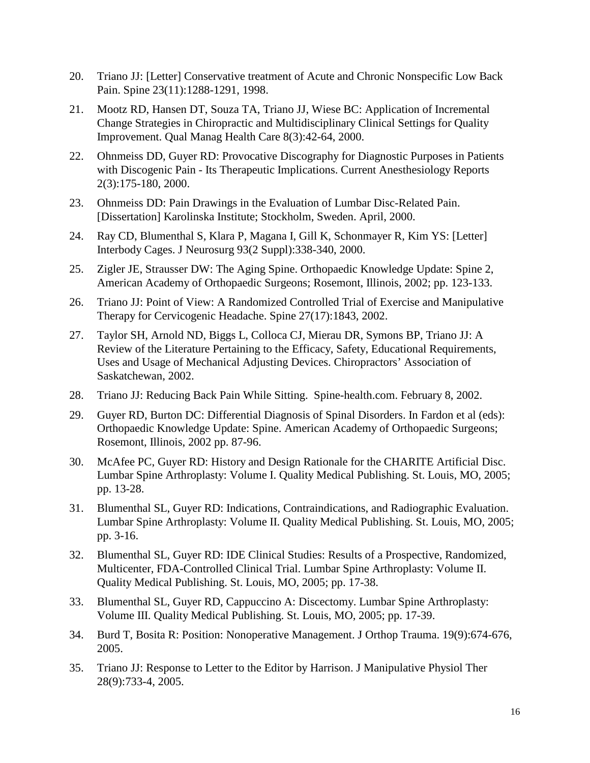- 20. Triano JJ: [Letter] Conservative treatment of Acute and Chronic Nonspecific Low Back Pain. Spine 23(11):1288-1291, 1998.
- 21. [Mootz RD, Hansen DT, Souza TA, Triano JJ, Wiese BC:](http://www.ncbi.nlm.nih.gov/entrez/query.fcgi?cmd=Retrieve&db=PubMed&list_uids=10947384&dopt=Abstract) Application of Incremental Change Strategies in Chiropractic and Multidisciplinary Clinical Settings for Quality Improvement. Qual Manag Health Care 8(3):42-64, 2000.
- 22. Ohnmeiss DD, Guyer RD: Provocative Discography for Diagnostic Purposes in Patients with Discogenic Pain - Its Therapeutic Implications. Current Anesthesiology Reports 2(3):175-180, 2000.
- 23. Ohnmeiss DD: Pain Drawings in the Evaluation of Lumbar Disc-Related Pain. [Dissertation] Karolinska Institute; Stockholm, Sweden. April, 2000.
- 24. [Ray CD, Blumenthal S, Klara P, Magana I, Gill K, Schonmayer R, Kim YS: \[](http://www.ncbi.nlm.nih.gov/entrez/query.fcgi?cmd=Retrieve&db=PubMed&list_uids=11012075&dopt=Abstract)Letter] Interbody Cages. J Neurosurg 93(2 Suppl):338-340, 2000.
- 25. Zigler JE, Strausser DW: The Aging Spine. Orthopaedic Knowledge Update: Spine 2, American Academy of Orthopaedic Surgeons; Rosemont, Illinois, 2002; pp. 123-133.
- 26. Triano JJ: Point of View: A Randomized Controlled Trial of Exercise and Manipulative Therapy for Cervicogenic Headache. Spine 27(17):1843, 2002.
- 27. Taylor SH, Arnold ND, Biggs L, Colloca CJ, Mierau DR, Symons BP, Triano JJ: A Review of the Literature Pertaining to the Efficacy, Safety, Educational Requirements, Uses and Usage of Mechanical Adjusting Devices. Chiropractors' Association of Saskatchewan, 2002.
- 28. Triano JJ: Reducing Back Pain While Sitting. Spine-health.com. February 8, 2002.
- 29. Guyer RD, Burton DC: Differential Diagnosis of Spinal Disorders. In Fardon et al (eds): Orthopaedic Knowledge Update: Spine. American Academy of Orthopaedic Surgeons; Rosemont, Illinois, 2002 pp. 87-96.
- 30. McAfee PC, Guyer RD: History and Design Rationale for the CHARITE Artificial Disc. Lumbar Spine Arthroplasty: Volume I. Quality Medical Publishing. St. Louis, MO, 2005; pp. 13-28.
- 31. Blumenthal SL, Guyer RD: Indications, Contraindications, and Radiographic Evaluation. Lumbar Spine Arthroplasty: Volume II. Quality Medical Publishing. St. Louis, MO, 2005; pp. 3-16.
- 32. Blumenthal SL, Guyer RD: IDE Clinical Studies: Results of a Prospective, Randomized, Multicenter, FDA-Controlled Clinical Trial. Lumbar Spine Arthroplasty: Volume II. Quality Medical Publishing. St. Louis, MO, 2005; pp. 17-38.
- 33. Blumenthal SL, Guyer RD, Cappuccino A: Discectomy. Lumbar Spine Arthroplasty: Volume III. Quality Medical Publishing. St. Louis, MO, 2005; pp. 17-39.
- 34. [Burd T, Bosita R:](http://www.ncbi.nlm.nih.gov/entrez/query.fcgi?cmd=Retrieve&db=pubmed&dopt=Abstract&list_uids=16247317&query_hl=30) Position: Nonoperative Management. J Orthop Trauma. 19(9):674-676, 2005.
- 35. Triano JJ: Response to Letter to the Editor by Harrison. J Manipulative Physiol Ther 28(9):733-4, 2005.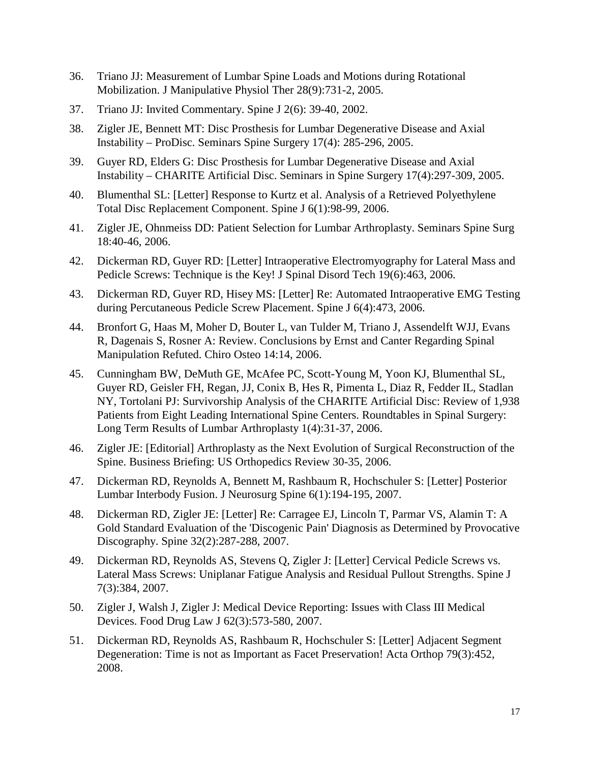- 36. Triano JJ: Measurement of Lumbar Spine Loads and Motions during Rotational Mobilization. J Manipulative Physiol Ther 28(9):731-2, 2005.
- 37. Triano JJ: Invited Commentary. Spine J 2(6): 39-40, 2002.
- 38. Zigler JE, Bennett MT: Disc Prosthesis for Lumbar Degenerative Disease and Axial Instability – ProDisc. Seminars Spine Surgery 17(4): 285-296, 2005.
- 39. Guyer RD, Elders G: Disc Prosthesis for Lumbar Degenerative Disease and Axial Instability – CHARITE Artificial Disc. Seminars in Spine Surgery 17(4):297-309, 2005.
- 40. Blumenthal SL: [Letter] Response to Kurtz et al. Analysis of a Retrieved Polyethylene Total Disc Replacement Component. Spine J 6(1):98-99, 2006.
- 41. Zigler JE, Ohnmeiss DD: Patient Selection for Lumbar Arthroplasty. Seminars Spine Surg 18:40-46, 2006.
- 42. Dickerman RD, Guyer RD: [Letter] Intraoperative Electromyography for Lateral Mass and Pedicle Screws: Technique is the Key! J Spinal Disord Tech 19(6):463, 2006.
- 43. Dickerman RD, Guyer RD, Hisey MS: [Letter] Re: Automated Intraoperative EMG Testing during Percutaneous Pedicle Screw Placement. Spine J 6(4):473, 2006.
- 44. Bronfort G, Haas M, Moher D, Bouter L, van Tulder M, Triano J, Assendelft WJJ, Evans R, Dagenais S, Rosner A: Review. Conclusions by Ernst and Canter Regarding Spinal Manipulation Refuted. Chiro Osteo 14:14, 2006.
- 45. Cunningham BW, DeMuth GE, McAfee PC, Scott-Young M, Yoon KJ, Blumenthal SL, Guyer RD, Geisler FH, Regan, JJ, Conix B, Hes R, Pimenta L, Diaz R, Fedder IL, Stadlan NY, Tortolani PJ: Survivorship Analysis of the CHARITE Artificial Disc: Review of 1,938 Patients from Eight Leading International Spine Centers. Roundtables in Spinal Surgery: Long Term Results of Lumbar Arthroplasty 1(4):31-37, 2006.
- 46. Zigler JE: [Editorial] Arthroplasty as the Next Evolution of Surgical Reconstruction of the Spine. Business Briefing: US Orthopedics Review 30-35, 2006.
- 47. Dickerman RD, Reynolds A, Bennett M, Rashbaum R, Hochschuler S: [Letter] Posterior Lumbar Interbody Fusion. J Neurosurg Spine 6(1):194-195, 2007.
- 48. Dickerman RD, Zigler JE: [Letter] Re: Carragee EJ, Lincoln T, Parmar VS, Alamin T: A Gold Standard Evaluation of the 'Discogenic Pain' Diagnosis as Determined by Provocative Discography. Spine 32(2):287-288, 2007.
- 49. [Dickerman RD,](http://www.ncbi.nlm.nih.gov/sites/?Db=pubmed&Cmd=Search&Term=%22Dickerman%20RD%22%5BAuthor%5D&itool=EntrezSystem2.PEntrez.Pubmed.Pubmed_ResultsPanel.Pubmed_RVAbstractPlus) [Reynolds AS,](http://www.ncbi.nlm.nih.gov/sites/?Db=pubmed&Cmd=Search&Term=%22Reynolds%20AS%22%5BAuthor%5D&itool=EntrezSystem2.PEntrez.Pubmed.Pubmed_ResultsPanel.Pubmed_RVAbstractPlus) [Stevens Q,](http://www.ncbi.nlm.nih.gov/sites/?Db=pubmed&Cmd=Search&Term=%22Stevens%20Q%22%5BAuthor%5D&itool=EntrezSystem2.PEntrez.Pubmed.Pubmed_ResultsPanel.Pubmed_RVAbstractPlus) [Zigler J:](http://www.ncbi.nlm.nih.gov/sites/?Db=pubmed&Cmd=Search&Term=%22Zigler%20J%22%5BAuthor%5D&itool=EntrezSystem2.PEntrez.Pubmed.Pubmed_ResultsPanel.Pubmed_RVAbstractPlus) [Letter] Cervical Pedicle Screws vs. Lateral Mass Screws: Uniplanar Fatigue Analysis and Residual Pullout Strengths. Spine J 7(3):384, 2007.
- 50. Zigler J, Walsh J, Zigler J: Medical Device Reporting: Issues with Class III Medical Devices. Food Drug Law J 62(3):573-580, 2007.
- 51. Dickerman RD, Reynolds AS, Rashbaum R, Hochschuler S: [Letter] Adjacent Segment Degeneration: Time is not as Important as Facet Preservation! Acta Orthop 79(3):452, 2008.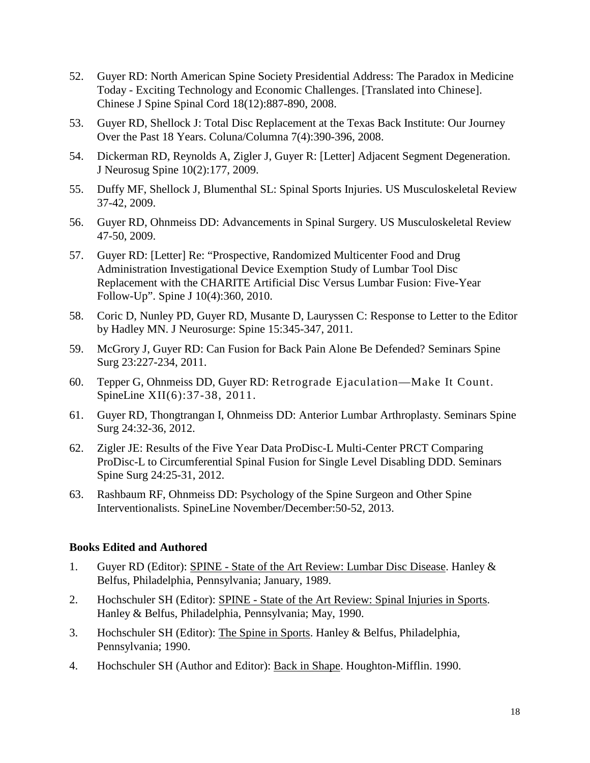- 52. Guyer RD: North American Spine Society Presidential Address: The Paradox in Medicine Today - Exciting Technology and Economic Challenges. [Translated into Chinese]. Chinese J Spine Spinal Cord 18(12):887-890, 2008.
- 53. Guyer RD, Shellock J: Total Disc Replacement at the Texas Back Institute: Our Journey Over the Past 18 Years. Coluna/Columna 7(4):390-396, 2008.
- 54. Dickerman RD, Reynolds A, Zigler J, Guyer R: [Letter] Adjacent Segment Degeneration. J Neurosug Spine 10(2):177, 2009.
- 55. Duffy MF, Shellock J, Blumenthal SL: Spinal Sports Injuries. US Musculoskeletal Review 37-42, 2009.
- 56. Guyer RD, Ohnmeiss DD: Advancements in Spinal Surgery. US Musculoskeletal Review 47-50, 2009.
- 57. Guyer RD: [Letter] Re: "Prospective, Randomized Multicenter Food and Drug Administration Investigational Device Exemption Study of Lumbar Tool Disc Replacement with the CHARITE Artificial Disc Versus Lumbar Fusion: Five-Year Follow-Up". Spine J 10(4):360, 2010.
- 58. Coric D, Nunley PD, Guyer RD, Musante D, Lauryssen C: Response to Letter to the Editor by Hadley MN. J Neurosurge: Spine 15:345-347, 2011.
- 59. McGrory J, Guyer RD: Can Fusion for Back Pain Alone Be Defended? Seminars Spine Surg 23:227-234, 2011.
- 60. Tepper G, Ohnmeiss DD, Guyer RD: Retrograde Ejaculation—Make It Count. SpineLine XII(6):37-38, 2011.
- 61. Guyer RD, Thongtrangan I, Ohnmeiss DD: Anterior Lumbar Arthroplasty. Seminars Spine Surg 24:32-36, 2012.
- 62. Zigler JE: Results of the Five Year Data ProDisc-L Multi-Center PRCT Comparing ProDisc-L to Circumferential Spinal Fusion for Single Level Disabling DDD. Seminars Spine Surg 24:25-31, 2012.
- 63. Rashbaum RF, Ohnmeiss DD: Psychology of the Spine Surgeon and Other Spine Interventionalists. SpineLine November/December:50-52, 2013.

### **Books Edited and Authored**

- 1. Guyer RD (Editor): SPINE State of the Art Review: Lumbar Disc Disease. Hanley & Belfus, Philadelphia, Pennsylvania; January, 1989.
- 2. Hochschuler SH (Editor): SPINE State of the Art Review: Spinal Injuries in Sports. Hanley & Belfus, Philadelphia, Pennsylvania; May, 1990.
- 3. Hochschuler SH (Editor): The Spine in Sports. Hanley & Belfus, Philadelphia, Pennsylvania; 1990.
- 4. Hochschuler SH (Author and Editor): Back in Shape. Houghton-Mifflin. 1990.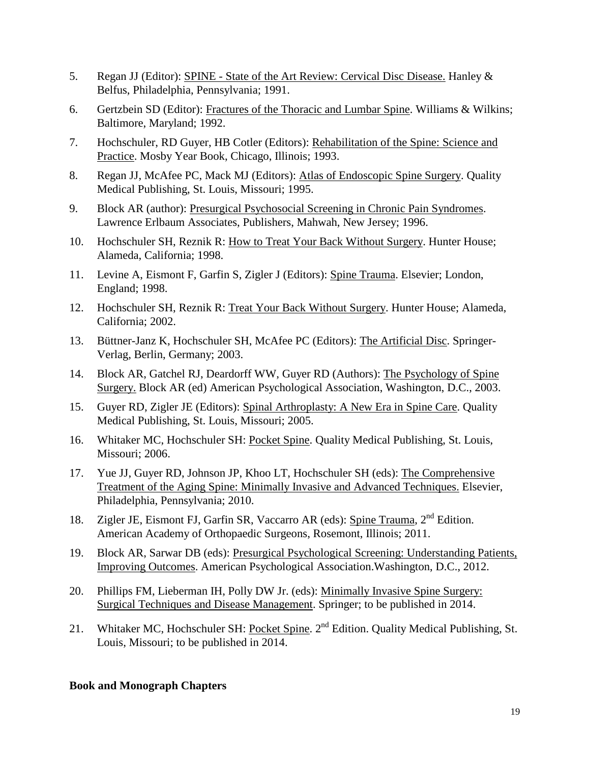- 5. Regan JJ (Editor): SPINE State of the Art Review: Cervical Disc Disease. Hanley & Belfus, Philadelphia, Pennsylvania; 1991.
- 6. Gertzbein SD (Editor): Fractures of the Thoracic and Lumbar Spine. Williams & Wilkins; Baltimore, Maryland; 1992.
- 7. Hochschuler, RD Guyer, HB Cotler (Editors): Rehabilitation of the Spine: Science and Practice. Mosby Year Book, Chicago, Illinois; 1993.
- 8. Regan JJ, McAfee PC, Mack MJ (Editors): Atlas of Endoscopic Spine Surgery. Quality Medical Publishing, St. Louis, Missouri; 1995.
- 9. Block AR (author): Presurgical Psychosocial Screening in Chronic Pain Syndromes. Lawrence Erlbaum Associates, Publishers, Mahwah, New Jersey; 1996.
- 10. Hochschuler SH, Reznik R: How to Treat Your Back Without Surgery. Hunter House; Alameda, California; 1998.
- 11. Levine A, Eismont F, Garfin S, Zigler J (Editors): Spine Trauma. Elsevier; London, England; 1998.
- 12. Hochschuler SH, Reznik R: Treat Your Back Without Surgery. Hunter House; Alameda, California; 2002.
- 13. Büttner-Janz K, Hochschuler SH, McAfee PC (Editors): The Artificial Disc. Springer-Verlag, Berlin, Germany; 2003.
- 14. Block AR, Gatchel RJ, Deardorff WW, Guyer RD (Authors): The Psychology of Spine Surgery. Block AR (ed) American Psychological Association, Washington, D.C., 2003.
- 15. Guyer RD, Zigler JE (Editors): Spinal Arthroplasty: A New Era in Spine Care. Quality Medical Publishing, St. Louis, Missouri; 2005.
- 16. Whitaker MC, Hochschuler SH: Pocket Spine. Quality Medical Publishing, St. Louis, Missouri; 2006.
- 17. Yue JJ, Guyer RD, Johnson JP, Khoo LT, Hochschuler SH (eds): The Comprehensive Treatment of the Aging Spine: Minimally Invasive and Advanced Techniques. Elsevier, Philadelphia, Pennsylvania; 2010.
- 18. Zigler JE, Eismont FJ, Garfin SR, Vaccarro AR (eds): Spine Trauma, 2<sup>nd</sup> Edition. American Academy of Orthopaedic Surgeons, Rosemont, Illinois; 2011.
- 19. Block AR, Sarwar DB (eds): Presurgical Psychological Screening: Understanding Patients, Improving Outcomes. American Psychological Association.Washington, D.C., 2012.
- 20. Phillips FM, Lieberman IH, Polly DW Jr. (eds): Minimally Invasive Spine Surgery: Surgical Techniques and Disease Management. Springer; to be published in 2014.
- 21. Whitaker MC, Hochschuler SH: Pocket Spine. 2<sup>nd</sup> Edition. Quality Medical Publishing, St. Louis, Missouri; to be published in 2014.

### **Book and Monograph Chapters**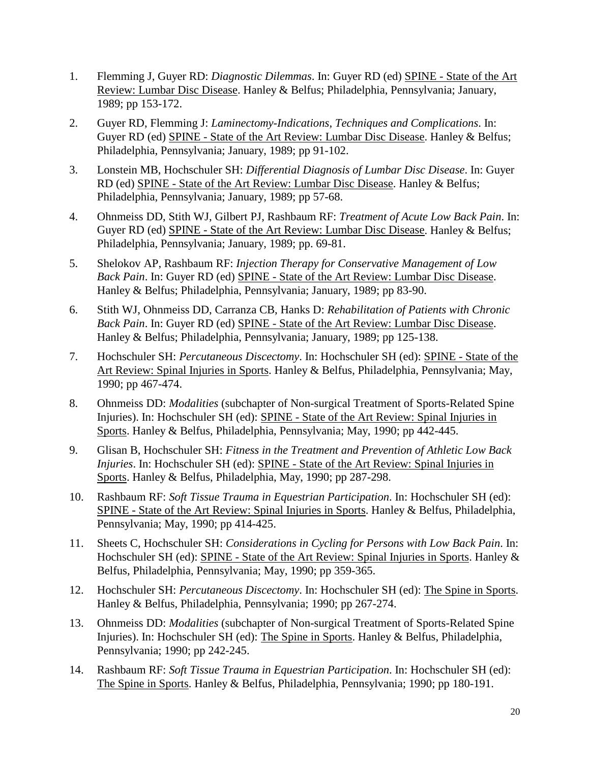- 1. Flemming J, Guyer RD: *Diagnostic Dilemmas*. In: Guyer RD (ed) SPINE State of the Art Review: Lumbar Disc Disease. Hanley & Belfus; Philadelphia, Pennsylvania; January, 1989; pp 153-172.
- 2. Guyer RD, Flemming J: *Laminectomy-Indications, Techniques and Complications*. In: Guyer RD (ed) SPINE - State of the Art Review: Lumbar Disc Disease. Hanley & Belfus; Philadelphia, Pennsylvania; January, 1989; pp 91-102.
- 3. Lonstein MB, Hochschuler SH: *Differential Diagnosis of Lumbar Disc Disease*. In: Guyer RD (ed) SPINE - State of the Art Review: Lumbar Disc Disease. Hanley & Belfus; Philadelphia, Pennsylvania; January, 1989; pp 57-68.
- 4. Ohnmeiss DD, Stith WJ, Gilbert PJ, Rashbaum RF: *Treatment of Acute Low Back Pain*. In: Guyer RD (ed) SPINE - State of the Art Review: Lumbar Disc Disease. Hanley & Belfus; Philadelphia, Pennsylvania; January, 1989; pp. 69-81.
- 5. Shelokov AP, Rashbaum RF: *Injection Therapy for Conservative Management of Low Back Pain*. In: Guyer RD (ed) SPINE - State of the Art Review: Lumbar Disc Disease. Hanley & Belfus; Philadelphia, Pennsylvania; January, 1989; pp 83-90.
- 6. Stith WJ, Ohnmeiss DD, Carranza CB, Hanks D: *Rehabilitation of Patients with Chronic Back Pain*. In: Guyer RD (ed) SPINE - State of the Art Review: Lumbar Disc Disease. Hanley & Belfus; Philadelphia, Pennsylvania; January, 1989; pp 125-138.
- 7. Hochschuler SH: *Percutaneous Discectomy*. In: Hochschuler SH (ed): SPINE State of the Art Review: Spinal Injuries in Sports. Hanley & Belfus, Philadelphia, Pennsylvania; May, 1990; pp 467-474.
- 8. Ohnmeiss DD: *Modalities* (subchapter of Non-surgical Treatment of Sports-Related Spine Injuries). In: Hochschuler SH (ed): SPINE - State of the Art Review: Spinal Injuries in Sports. Hanley & Belfus, Philadelphia, Pennsylvania; May, 1990; pp 442-445.
- 9. Glisan B, Hochschuler SH: *Fitness in the Treatment and Prevention of Athletic Low Back Injuries*. In: Hochschuler SH (ed): SPINE - State of the Art Review: Spinal Injuries in Sports. Hanley & Belfus, Philadelphia, May, 1990; pp 287-298.
- 10. Rashbaum RF: *Soft Tissue Trauma in Equestrian Participation*. In: Hochschuler SH (ed): SPINE - State of the Art Review: Spinal Injuries in Sports. Hanley & Belfus, Philadelphia, Pennsylvania; May, 1990; pp 414-425.
- 11. Sheets C, Hochschuler SH: *Considerations in Cycling for Persons with Low Back Pain*. In: Hochschuler SH (ed): SPINE - State of the Art Review: Spinal Injuries in Sports. Hanley & Belfus, Philadelphia, Pennsylvania; May, 1990; pp 359-365.
- 12. Hochschuler SH: *Percutaneous Discectomy*. In: Hochschuler SH (ed): The Spine in Sports. Hanley & Belfus, Philadelphia, Pennsylvania; 1990; pp 267-274.
- 13. Ohnmeiss DD: *Modalities* (subchapter of Non-surgical Treatment of Sports-Related Spine Injuries). In: Hochschuler SH (ed): The Spine in Sports. Hanley & Belfus, Philadelphia, Pennsylvania; 1990; pp 242-245.
- 14. Rashbaum RF: *Soft Tissue Trauma in Equestrian Participation*. In: Hochschuler SH (ed): The Spine in Sports. Hanley & Belfus, Philadelphia, Pennsylvania; 1990; pp 180-191.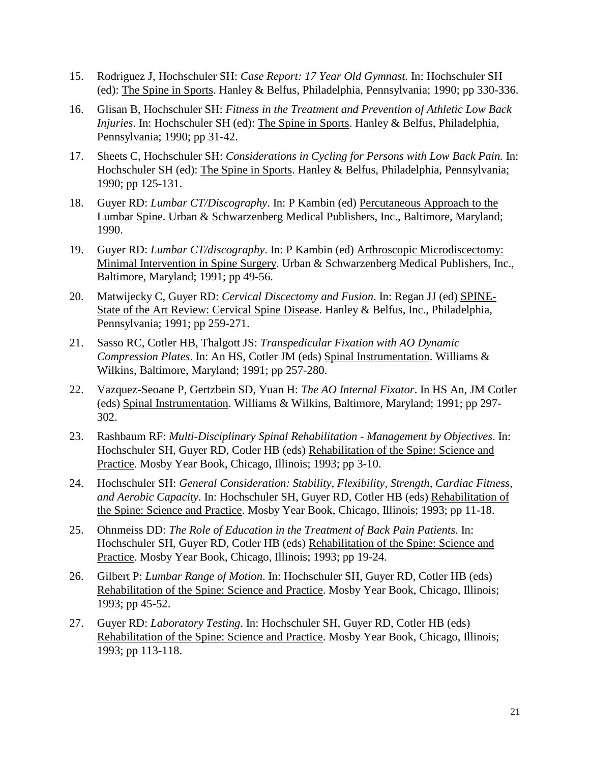- 15. Rodriguez J, Hochschuler SH: *Case Report: 17 Year Old Gymnast.* In: Hochschuler SH (ed): The Spine in Sports. Hanley & Belfus, Philadelphia, Pennsylvania; 1990; pp 330-336.
- 16. Glisan B, Hochschuler SH: *Fitness in the Treatment and Prevention of Athletic Low Back Injuries*. In: Hochschuler SH (ed): The Spine in Sports. Hanley & Belfus, Philadelphia, Pennsylvania; 1990; pp 31-42.
- 17. Sheets C, Hochschuler SH: *Considerations in Cycling for Persons with Low Back Pain.* In: Hochschuler SH (ed): The Spine in Sports. Hanley & Belfus, Philadelphia, Pennsylvania; 1990; pp 125-131.
- 18. Guyer RD: *Lumbar CT/Discography*. In: P Kambin (ed) Percutaneous Approach to the Lumbar Spine. Urban & Schwarzenberg Medical Publishers, Inc., Baltimore, Maryland; 1990.
- 19. Guyer RD: *Lumbar CT/discography*. In: P Kambin (ed) Arthroscopic Microdiscectomy: Minimal Intervention in Spine Surgery. Urban & Schwarzenberg Medical Publishers, Inc., Baltimore, Maryland; 1991; pp 49-56.
- 20. Matwijecky C, Guyer RD: *Cervical Discectomy and Fusion*. In: Regan JJ (ed) SPINE-State of the Art Review: Cervical Spine Disease. Hanley & Belfus, Inc., Philadelphia, Pennsylvania; 1991; pp 259-271.
- 21. Sasso RC, Cotler HB, Thalgott JS: *Transpedicular Fixation with AO Dynamic Compression Plates*. In: An HS, Cotler JM (eds) Spinal Instrumentation. Williams & Wilkins, Baltimore, Maryland; 1991; pp 257-280.
- 22. Vazquez-Seoane P, Gertzbein SD, Yuan H: *The AO Internal Fixator*. In HS An, JM Cotler (eds) Spinal Instrumentation. Williams & Wilkins, Baltimore, Maryland; 1991; pp 297- 302.
- 23. Rashbaum RF: *Multi-Disciplinary Spinal Rehabilitation - Management by Objectives*. In: Hochschuler SH, Guyer RD, Cotler HB (eds) Rehabilitation of the Spine: Science and Practice. Mosby Year Book, Chicago, Illinois; 1993; pp 3-10.
- 24. Hochschuler SH: *General Consideration: Stability, Flexibility, Strength, Cardiac Fitness, and Aerobic Capacity*. In: Hochschuler SH, Guyer RD, Cotler HB (eds) Rehabilitation of the Spine: Science and Practice. Mosby Year Book, Chicago, Illinois; 1993; pp 11-18.
- 25. Ohnmeiss DD: *The Role of Education in the Treatment of Back Pain Patients*. In: Hochschuler SH, Guyer RD, Cotler HB (eds) Rehabilitation of the Spine: Science and Practice. Mosby Year Book, Chicago, Illinois; 1993; pp 19-24.
- 26. Gilbert P: *Lumbar Range of Motion*. In: Hochschuler SH, Guyer RD, Cotler HB (eds) Rehabilitation of the Spine: Science and Practice. Mosby Year Book, Chicago, Illinois; 1993; pp 45-52.
- 27. Guyer RD: *Laboratory Testing*. In: Hochschuler SH, Guyer RD, Cotler HB (eds) Rehabilitation of the Spine: Science and Practice. Mosby Year Book, Chicago, Illinois; 1993; pp 113-118.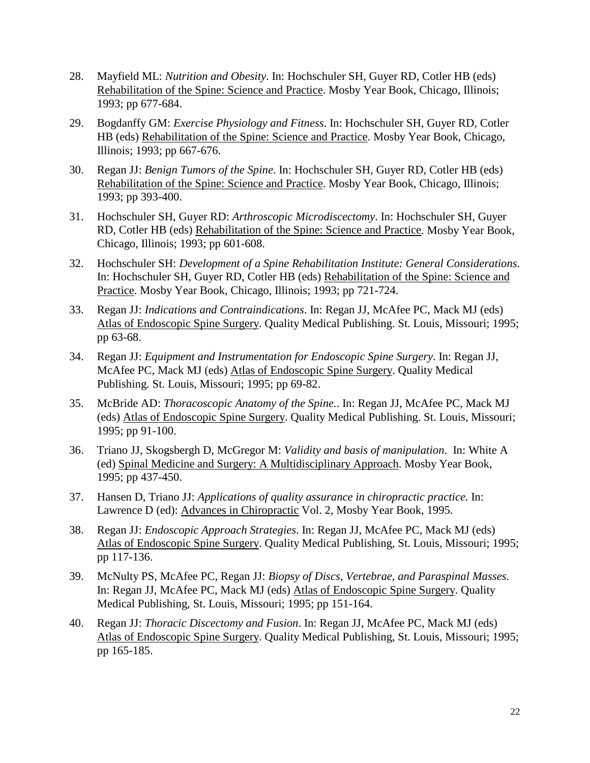- 28. Mayfield ML: *Nutrition and Obesity*. In: Hochschuler SH, Guyer RD, Cotler HB (eds) Rehabilitation of the Spine: Science and Practice. Mosby Year Book, Chicago, Illinois; 1993; pp 677-684.
- 29. Bogdanffy GM: *Exercise Physiology and Fitness*. In: Hochschuler SH, Guyer RD, Cotler HB (eds) Rehabilitation of the Spine: Science and Practice. Mosby Year Book, Chicago, Illinois; 1993; pp 667-676.
- 30. Regan JJ: *Benign Tumors of the Spine*. In: Hochschuler SH, Guyer RD, Cotler HB (eds) Rehabilitation of the Spine: Science and Practice. Mosby Year Book, Chicago, Illinois; 1993; pp 393-400.
- 31. Hochschuler SH, Guyer RD: *Arthroscopic Microdiscectomy*. In: Hochschuler SH, Guyer RD, Cotler HB (eds) Rehabilitation of the Spine: Science and Practice. Mosby Year Book, Chicago, Illinois; 1993; pp 601-608.
- 32. Hochschuler SH: *Development of a Spine Rehabilitation Institute: General Considerations*. In: Hochschuler SH, Guyer RD, Cotler HB (eds) Rehabilitation of the Spine: Science and Practice. Mosby Year Book, Chicago, Illinois; 1993; pp 721-724.
- 33. Regan JJ: *Indications and Contraindications*. In: Regan JJ, McAfee PC, Mack MJ (eds) Atlas of Endoscopic Spine Surgery. Quality Medical Publishing. St. Louis, Missouri; 1995; pp 63-68.
- 34. Regan JJ: *Equipment and Instrumentation for Endoscopic Spine Surgery*. In: Regan JJ, McAfee PC, Mack MJ (eds) Atlas of Endoscopic Spine Surgery. Quality Medical Publishing. St. Louis, Missouri; 1995; pp 69-82.
- 35. McBride AD: *Thoracoscopic Anatomy of the Spine.*. In: Regan JJ, McAfee PC, Mack MJ (eds) Atlas of Endoscopic Spine Surgery. Quality Medical Publishing. St. Louis, Missouri; 1995; pp 91-100.
- 36. Triano JJ, Skogsbergh D, McGregor M: *Validity and basis of manipulation*. In: White A (ed) Spinal Medicine and Surgery: A Multidisciplinary Approach. Mosby Year Book, 1995; pp 437-450.
- 37. Hansen D, Triano JJ: *Applications of quality assurance in chiropractic practice.* In: Lawrence D (ed): Advances in Chiropractic Vol. 2, Mosby Year Book, 1995.
- 38. Regan JJ: *Endoscopic Approach Strategies*. In: Regan JJ, McAfee PC, Mack MJ (eds) Atlas of Endoscopic Spine Surgery. Quality Medical Publishing, St. Louis, Missouri; 1995; pp 117-136.
- 39. McNulty PS, McAfee PC, Regan JJ: *Biopsy of Discs, Vertebrae, and Paraspinal Masses*. In: Regan JJ, McAfee PC, Mack MJ (eds) Atlas of Endoscopic Spine Surgery. Quality Medical Publishing, St. Louis, Missouri; 1995; pp 151-164.
- 40. Regan JJ: *Thoracic Discectomy and Fusion*. In: Regan JJ, McAfee PC, Mack MJ (eds) Atlas of Endoscopic Spine Surgery. Quality Medical Publishing, St. Louis, Missouri; 1995; pp 165-185.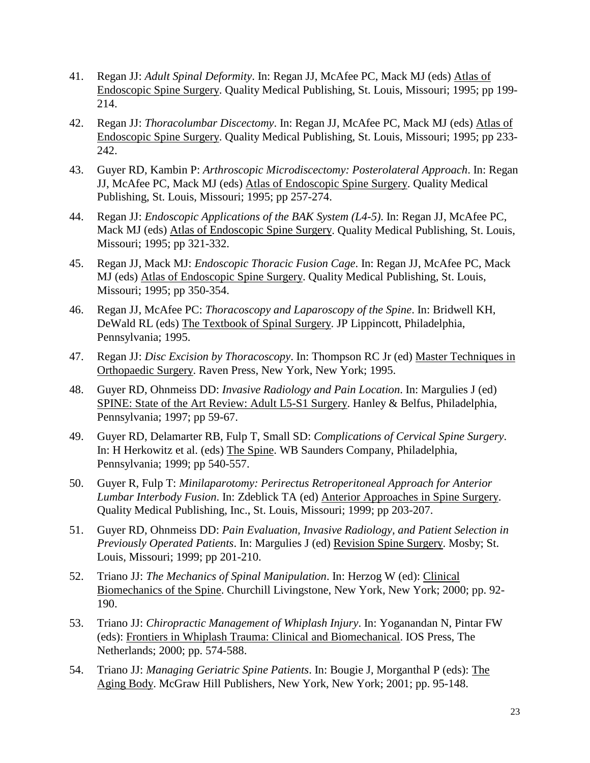- 41. Regan JJ: *Adult Spinal Deformity*. In: Regan JJ, McAfee PC, Mack MJ (eds) Atlas of Endoscopic Spine Surgery. Quality Medical Publishing, St. Louis, Missouri; 1995; pp 199- 214.
- 42. Regan JJ: *Thoracolumbar Discectomy*. In: Regan JJ, McAfee PC, Mack MJ (eds) Atlas of Endoscopic Spine Surgery. Quality Medical Publishing, St. Louis, Missouri; 1995; pp 233- 242.
- 43. Guyer RD, Kambin P: *Arthroscopic Microdiscectomy: Posterolateral Approach*. In: Regan JJ, McAfee PC, Mack MJ (eds) Atlas of Endoscopic Spine Surgery. Quality Medical Publishing, St. Louis, Missouri; 1995; pp 257-274.
- 44. Regan JJ: *Endoscopic Applications of the BAK System (L4-5)*. In: Regan JJ, McAfee PC, Mack MJ (eds) Atlas of Endoscopic Spine Surgery. Quality Medical Publishing, St. Louis, Missouri; 1995; pp 321-332.
- 45. Regan JJ, Mack MJ: *Endoscopic Thoracic Fusion Cage*. In: Regan JJ, McAfee PC, Mack MJ (eds) Atlas of Endoscopic Spine Surgery. Quality Medical Publishing, St. Louis, Missouri; 1995; pp 350-354.
- 46. Regan JJ, McAfee PC: *Thoracoscopy and Laparoscopy of the Spine*. In: Bridwell KH, DeWald RL (eds) The Textbook of Spinal Surgery. JP Lippincott, Philadelphia, Pennsylvania; 1995.
- 47. Regan JJ: *Disc Excision by Thoracoscopy*. In: Thompson RC Jr (ed) Master Techniques in Orthopaedic Surgery. Raven Press, New York, New York; 1995.
- 48. Guyer RD, Ohnmeiss DD: *Invasive Radiology and Pain Location*. In: Margulies J (ed) SPINE: State of the Art Review: Adult L5-S1 Surgery. Hanley & Belfus, Philadelphia, Pennsylvania; 1997; pp 59-67.
- 49. Guyer RD, Delamarter RB, Fulp T, Small SD: *Complications of Cervical Spine Surgery*. In: H Herkowitz et al. (eds) The Spine. WB Saunders Company, Philadelphia, Pennsylvania; 1999; pp 540-557.
- 50. Guyer R, Fulp T: *Minilaparotomy: Perirectus Retroperitoneal Approach for Anterior Lumbar Interbody Fusion*. In: Zdeblick TA (ed) Anterior Approaches in Spine Surgery. Quality Medical Publishing, Inc., St. Louis, Missouri; 1999; pp 203-207.
- 51. Guyer RD, Ohnmeiss DD: *Pain Evaluation, Invasive Radiology, and Patient Selection in Previously Operated Patients*. In: Margulies J (ed) Revision Spine Surgery. Mosby; St. Louis, Missouri; 1999; pp 201-210.
- 52. Triano JJ: *The Mechanics of Spinal Manipulation*. In: Herzog W (ed): Clinical Biomechanics of the Spine. Churchill Livingstone, New York, New York; 2000; pp. 92- 190.
- 53. Triano JJ: *Chiropractic Management of Whiplash Injury*. In: Yoganandan N, Pintar FW (eds): Frontiers in Whiplash Trauma: Clinical and Biomechanical. IOS Press, The Netherlands; 2000; pp. 574-588.
- 54. Triano JJ: *Managing Geriatric Spine Patients*. In: Bougie J, Morganthal P (eds): The Aging Body. McGraw Hill Publishers, New York, New York; 2001; pp. 95-148.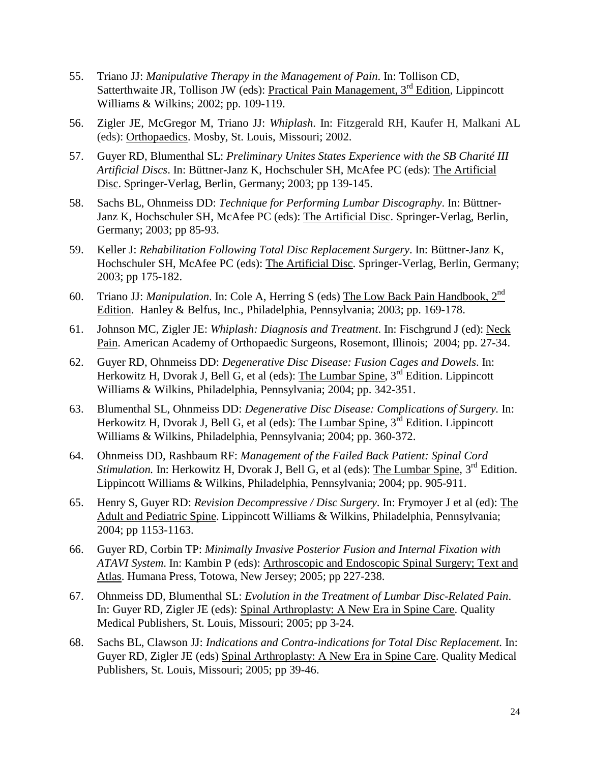- 55. Triano JJ: *Manipulative Therapy in the Management of Pain*. In: Tollison CD, Satterthwaite JR, Tollison JW (eds): Practical Pain Management,  $3<sup>rd</sup>$  Edition, Lippincott Williams & Wilkins; 2002; pp. 109-119.
- 56. Zigler JE, McGregor M, Triano JJ: *Whiplash*. In: Fitzgerald RH, Kaufer H, Malkani AL (eds): Orthopaedics. Mosby, St. Louis, Missouri; 2002.
- 57. Guyer RD, Blumenthal SL: *Preliminary Unites States Experience with the SB Charité III Artificial Discs*. In: Büttner-Janz K, Hochschuler SH, McAfee PC (eds): The Artificial Disc. Springer-Verlag, Berlin, Germany; 2003; pp 139-145.
- 58. Sachs BL, Ohnmeiss DD: *Technique for Performing Lumbar Discography*. In: Büttner-Janz K, Hochschuler SH, McAfee PC (eds): The Artificial Disc. Springer-Verlag, Berlin, Germany; 2003; pp 85-93.
- 59. Keller J: *Rehabilitation Following Total Disc Replacement Surgery*. In: Büttner-Janz K, Hochschuler SH, McAfee PC (eds): The Artificial Disc. Springer-Verlag, Berlin, Germany; 2003; pp 175-182.
- 60. Triano JJ: *Manipulation*. In: Cole A, Herring S (eds) The Low Back Pain Handbook, 2nd Edition. Hanley & Belfus, Inc., Philadelphia, Pennsylvania; 2003; pp. 169-178.
- 61. Johnson MC, Zigler JE: *Whiplash: Diagnosis and Treatment*. In: Fischgrund J (ed): Neck Pain. American Academy of Orthopaedic Surgeons, Rosemont, Illinois; 2004; pp. 27-34.
- 62. Guyer RD, Ohnmeiss DD: *Degenerative Disc Disease: Fusion Cages and Dowels*. In: Herkowitz H, Dvorak J, Bell G, et al (eds): The Lumbar Spine, 3<sup>rd</sup> Edition. Lippincott Williams & Wilkins, Philadelphia, Pennsylvania; 2004; pp. 342-351.
- 63. Blumenthal SL, Ohnmeiss DD: *Degenerative Disc Disease: Complications of Surgery.* In: Herkowitz H, Dvorak J, Bell G, et al (eds): The Lumbar Spine, 3<sup>rd</sup> Edition. Lippincott Williams & Wilkins, Philadelphia, Pennsylvania; 2004; pp. 360-372.
- 64. Ohnmeiss DD, Rashbaum RF: *Management of the Failed Back Patient: Spinal Cord Stimulation.* In: Herkowitz H, Dvorak J, Bell G, et al (eds): The Lumbar Spine, 3<sup>rd</sup> Edition. Lippincott Williams & Wilkins, Philadelphia, Pennsylvania; 2004; pp. 905-911.
- 65. Henry S, Guyer RD: *Revision Decompressive / Disc Surgery*. In: Frymoyer J et al (ed): The Adult and Pediatric Spine. Lippincott Williams & Wilkins, Philadelphia, Pennsylvania; 2004; pp 1153-1163.
- 66. Guyer RD, Corbin TP: *Minimally Invasive Posterior Fusion and Internal Fixation with ATAVI System*. In: Kambin P (eds): Arthroscopic and Endoscopic Spinal Surgery; Text and Atlas. Humana Press, Totowa, New Jersey; 2005; pp 227-238.
- 67. Ohnmeiss DD, Blumenthal SL: *Evolution in the Treatment of Lumbar Disc-Related Pain*. In: Guyer RD, Zigler JE (eds): Spinal Arthroplasty: A New Era in Spine Care. Quality Medical Publishers, St. Louis, Missouri; 2005; pp 3-24.
- 68. Sachs BL, Clawson JJ: *Indications and Contra-indications for Total Disc Replacement.* In: Guyer RD, Zigler JE (eds) Spinal Arthroplasty: A New Era in Spine Care. Quality Medical Publishers, St. Louis, Missouri; 2005; pp 39-46.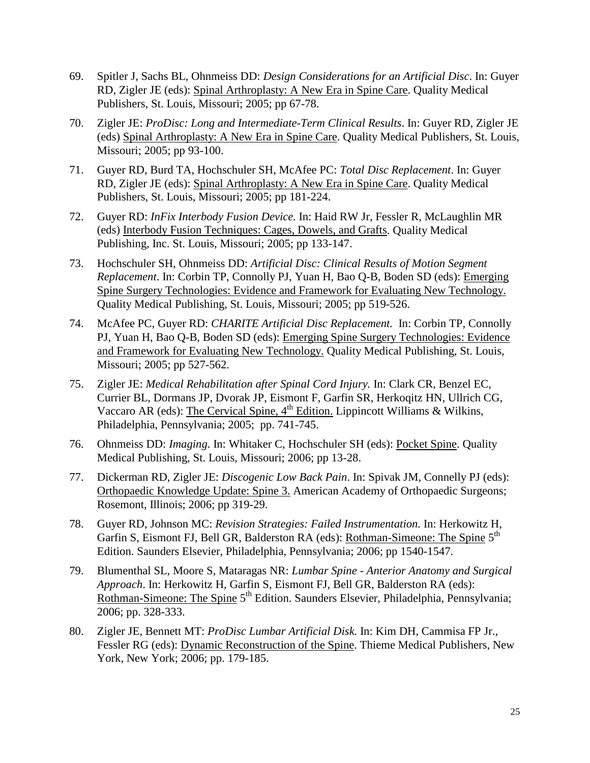- 69. Spitler J, Sachs BL, Ohnmeiss DD: *Design Considerations for an Artificial Disc*. In: Guyer RD, Zigler JE (eds): Spinal Arthroplasty: A New Era in Spine Care. Quality Medical Publishers, St. Louis, Missouri; 2005; pp 67-78.
- 70. Zigler JE: *ProDisc: Long and Intermediate-Term Clinical Results*. In: Guyer RD, Zigler JE (eds) Spinal Arthroplasty: A New Era in Spine Care. Quality Medical Publishers, St. Louis, Missouri; 2005; pp 93-100.
- 71. Guyer RD, Burd TA, Hochschuler SH, McAfee PC: *Total Disc Replacement*. In: Guyer RD, Zigler JE (eds): Spinal Arthroplasty: A New Era in Spine Care. Quality Medical Publishers, St. Louis, Missouri; 2005; pp 181-224.
- 72. Guyer RD: *InFix Interbody Fusion Device.* In: Haid RW Jr, Fessler R, McLaughlin MR (eds) Interbody Fusion Techniques: Cages, Dowels, and Grafts. Quality Medical Publishing, Inc. St. Louis, Missouri; 2005; pp 133-147.
- 73. Hochschuler SH, Ohnmeiss DD: *Artificial Disc: Clinical Results of Motion Segment Replacement*. In: Corbin TP, Connolly PJ, Yuan H, Bao Q-B, Boden SD (eds): Emerging Spine Surgery Technologies: Evidence and Framework for Evaluating New Technology. Quality Medical Publishing, St. Louis, Missouri; 2005; pp 519-526.
- 74. McAfee PC, Guyer RD: *CHARITE Artificial Disc Replacement.* In: Corbin TP, Connolly PJ, Yuan H, Bao Q-B, Boden SD (eds): Emerging Spine Surgery Technologies: Evidence and Framework for Evaluating New Technology. Quality Medical Publishing, St. Louis, Missouri; 2005; pp 527-562.
- 75. Zigler JE: *Medical Rehabilitation after Spinal Cord Injury.* In: Clark CR, Benzel EC, Currier BL, Dormans JP, Dvorak JP, Eismont F, Garfin SR, Herkoqitz HN, Ullrich CG, Vaccaro AR (eds): The Cervical Spine,  $4<sup>th</sup>$  Edition. Lippincott Williams & Wilkins, Philadelphia, Pennsylvania; 2005; pp. 741-745.
- 76. Ohnmeiss DD: *Imaging*. In: Whitaker C, Hochschuler SH (eds): Pocket Spine. Quality Medical Publishing, St. Louis, Missouri; 2006; pp 13-28.
- 77. Dickerman RD, Zigler JE: *Discogenic Low Back Pain*. In: Spivak JM, Connelly PJ (eds): Orthopaedic Knowledge Update: Spine 3. American Academy of Orthopaedic Surgeons; Rosemont, Illinois; 2006; pp 319-29.
- 78. Guyer RD, Johnson MC: *Revision Strategies: Failed Instrumentation.* In: Herkowitz H, Garfin S, Eismont FJ, Bell GR, Balderston RA (eds): Rothman-Simeone: The Spine 5<sup>th</sup> Edition. Saunders Elsevier, Philadelphia, Pennsylvania; 2006; pp 1540-1547.
- 79. Blumenthal SL, Moore S, Mataragas NR: *Lumbar Spine - Anterior Anatomy and Surgical Approach*. In: Herkowitz H, Garfin S, Eismont FJ, Bell GR, Balderston RA (eds): Rothman-Simeone: The Spine 5<sup>th</sup> Edition. Saunders Elsevier, Philadelphia, Pennsylvania; 2006; pp. 328-333.
- 80. Zigler JE, Bennett MT: *ProDisc Lumbar Artificial Disk.* In: Kim DH, [Cammisa](http://www.amazon.co.uk/s/ref=rdr_ext_aut?_encoding=UTF8&index=books&field-author=Frank%20P.%2C%20Jr.%20Cammisa) FP Jr., Fessler RG (eds): Dynamic Reconstruction of the Spine. Thieme Medical Publishers, New York, New York; 2006; pp. 179-185.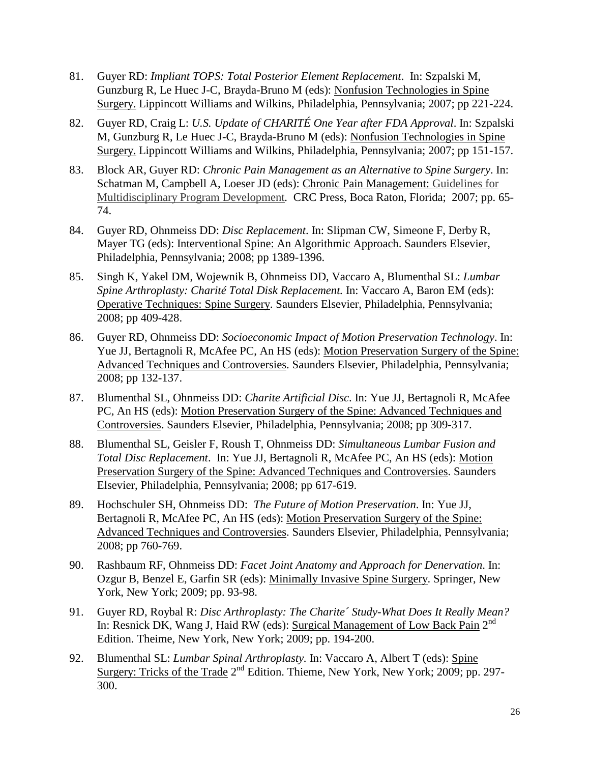- 81. Guyer RD: *Impliant TOPS: Total Posterior Element Replacement*. In: Szpalski M, Gunzburg R, Le Huec J-C, Brayda-Bruno M (eds): Nonfusion Technologies in Spine Surgery. Lippincott Williams and Wilkins, Philadelphia, Pennsylvania; 2007; pp 221-224.
- 82. Guyer RD, Craig L: *U.S. Update of CHARITÉ One Year after FDA Approval*. In: Szpalski M, Gunzburg R, Le Huec J-C, Brayda-Bruno M (eds): Nonfusion Technologies in Spine Surgery. Lippincott Williams and Wilkins, Philadelphia, Pennsylvania; 2007; pp 151-157.
- 83. Block AR, Guyer RD: *Chronic Pain Management as an Alternative to Spine Surgery*. In: Schatman M, Campbell A, Loeser JD (eds): Chronic Pain Management: Guidelines for Multidisciplinary Program Development*.* CRC Press, Boca Raton, Florida; 2007; pp. 65- 74.
- 84. Guyer RD, Ohnmeiss DD: *Disc Replacement*. In: Slipman CW, Simeone F, Derby R, Mayer TG (eds): Interventional Spine: An Algorithmic Approach. Saunders Elsevier, Philadelphia, Pennsylvania; 2008; pp 1389-1396.
- 85. Singh K, Yakel DM, Wojewnik B, Ohnmeiss DD, Vaccaro A, Blumenthal SL: *Lumbar Spine Arthroplasty: Charité Total Disk Replacement.* In: Vaccaro A, Baron EM (eds): Operative Techniques: Spine Surgery. Saunders Elsevier, Philadelphia, Pennsylvania; 2008; pp 409-428.
- 86. Guyer RD, Ohnmeiss DD: *Socioeconomic Impact of Motion Preservation Technology*. In: Yue JJ, Bertagnoli R, McAfee PC, An HS (eds): Motion Preservation Surgery of the Spine: Advanced Techniques and Controversies. Saunders Elsevier, Philadelphia, Pennsylvania; 2008; pp 132-137.
- 87. Blumenthal SL, Ohnmeiss DD: *Charite Artificial Disc*. In: Yue JJ, Bertagnoli R, McAfee PC, An HS (eds): Motion Preservation Surgery of the Spine: Advanced Techniques and Controversies. Saunders Elsevier, Philadelphia, Pennsylvania; 2008; pp 309-317.
- 88. Blumenthal SL, Geisler F, Roush T, Ohnmeiss DD: *Simultaneous Lumbar Fusion and Total Disc Replacement*. In: Yue JJ, Bertagnoli R, McAfee PC, An HS (eds): Motion Preservation Surgery of the Spine: Advanced Techniques and Controversies. Saunders Elsevier, Philadelphia, Pennsylvania; 2008; pp 617-619.
- 89. Hochschuler SH, Ohnmeiss DD: *The Future of Motion Preservation*. In: Yue JJ, Bertagnoli R, McAfee PC, An HS (eds): Motion Preservation Surgery of the Spine: Advanced Techniques and Controversies. Saunders Elsevier, Philadelphia, Pennsylvania; 2008; pp 760-769.
- 90. Rashbaum RF, Ohnmeiss DD: *Facet Joint Anatomy and Approach for Denervation*. In: Ozgur B, Benzel E, Garfin SR (eds): Minimally Invasive Spine Surgery. Springer, New York, New York; 2009; pp. 93-98.
- 91. Guyer RD, Roybal R: *Disc Arthroplasty: The Charite´ Study-What Does It Really Mean?* In: Resnick DK, Wang J, Haid RW (eds): Surgical Management of Low Back Pain 2<sup>nd</sup> Edition. Theime, New York, New York; 2009; pp. 194-200.
- 92. Blumenthal SL: *Lumbar Spinal Arthroplasty.* In: Vaccaro A, Albert T (eds): Spine Surgery: Tricks of the Trade 2<sup>nd</sup> Edition. Thieme, New York, New York; 2009; pp. 297-300.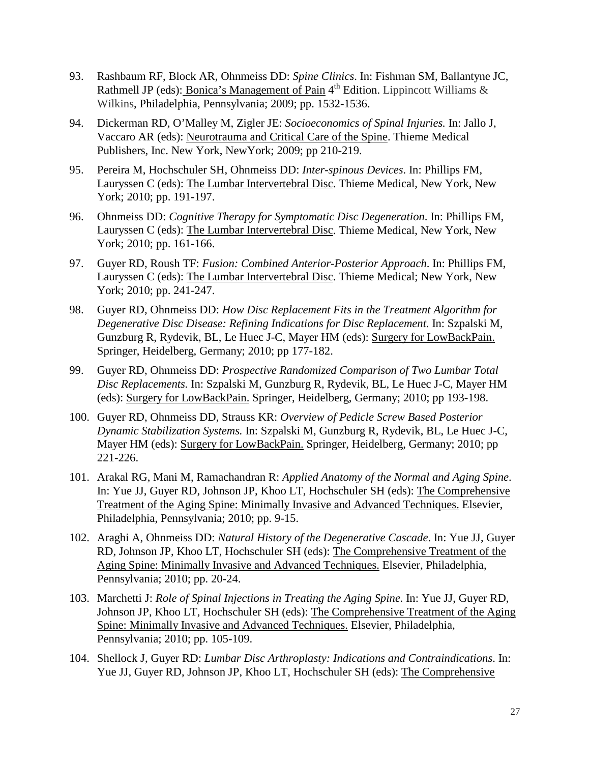- 93. Rashbaum RF, Block AR, Ohnmeiss DD: *Spine Clinics*. In: Fishman SM, Ballantyne JC, Rathmell JP (eds): Bonica's Management of Pain  $4<sup>th</sup>$  Edition. Lippincott Williams & Wilkins, Philadelphia, Pennsylvania; 2009; pp. 1532-1536.
- 94. Dickerman RD, O'Malley M, Zigler JE: *Socioeconomics of Spinal Injuries.* In: Jallo J, Vaccaro AR (eds): Neurotrauma and Critical Care of the Spine. Thieme Medical Publishers, Inc. New York, NewYork; 2009; pp 210-219.
- 95. Pereira M, Hochschuler SH, Ohnmeiss DD: *Inter-spinous Devices*. In: Phillips FM, Lauryssen C (eds): The Lumbar Intervertebral Disc. Thieme Medical, New York, New York; 2010; pp. 191-197.
- 96. Ohnmeiss DD: *Cognitive Therapy for Symptomatic Disc Degeneration*. In: Phillips FM, Lauryssen C (eds): The Lumbar Intervertebral Disc. Thieme Medical, New York, New York; 2010; pp. 161-166.
- 97. Guyer RD, Roush TF: *Fusion: Combined Anterior-Posterior Approach*. In: Phillips FM, Lauryssen C (eds): The Lumbar Intervertebral Disc. Thieme Medical; New York, New York; 2010; pp. 241-247.
- 98. Guyer RD, Ohnmeiss DD: *How Disc Replacement Fits in the Treatment Algorithm for Degenerative Disc Disease: Refining Indications for Disc Replacement.* In: Szpalski M, Gunzburg R, Rydevik, BL, Le Huec J-C, Mayer HM (eds): Surgery for LowBackPain. Springer, Heidelberg, Germany; 2010; pp 177-182.
- 99. Guyer RD, Ohnmeiss DD: *Prospective Randomized Comparison of Two Lumbar Total Disc Replacements.* In: Szpalski M, Gunzburg R, Rydevik, BL, Le Huec J-C, Mayer HM (eds): Surgery for LowBackPain. Springer, Heidelberg, Germany; 2010; pp 193-198.
- 100. Guyer RD, Ohnmeiss DD, Strauss KR: *Overview of Pedicle Screw Based Posterior Dynamic Stabilization Systems.* In: Szpalski M, Gunzburg R, Rydevik, BL, Le Huec J-C, Mayer HM (eds): Surgery for LowBackPain. Springer, Heidelberg, Germany; 2010; pp 221-226.
- 101. Arakal RG, Mani M, Ramachandran R: *Applied Anatomy of the Normal and Aging Spine*. In: Yue JJ, Guyer RD, Johnson JP, Khoo LT, Hochschuler SH (eds): The Comprehensive Treatment of the Aging Spine: Minimally Invasive and Advanced Techniques. Elsevier, Philadelphia, Pennsylvania; 2010; pp. 9-15.
- 102. Araghi A, Ohnmeiss DD: *Natural History of the Degenerative Cascade*. In: Yue JJ, Guyer RD, Johnson JP, Khoo LT, Hochschuler SH (eds): The Comprehensive Treatment of the Aging Spine: Minimally Invasive and Advanced Techniques. Elsevier, Philadelphia, Pennsylvania; 2010; pp. 20-24.
- 103. Marchetti J: *Role of Spinal Injections in Treating the Aging Spine.* In: Yue JJ, Guyer RD, Johnson JP, Khoo LT, Hochschuler SH (eds): The Comprehensive Treatment of the Aging Spine: Minimally Invasive and Advanced Techniques. Elsevier, Philadelphia, Pennsylvania; 2010; pp. 105-109.
- 104. Shellock J, Guyer RD: *Lumbar Disc Arthroplasty: Indications and Contraindications*. In: Yue JJ, Guyer RD, Johnson JP, Khoo LT, Hochschuler SH (eds): The Comprehensive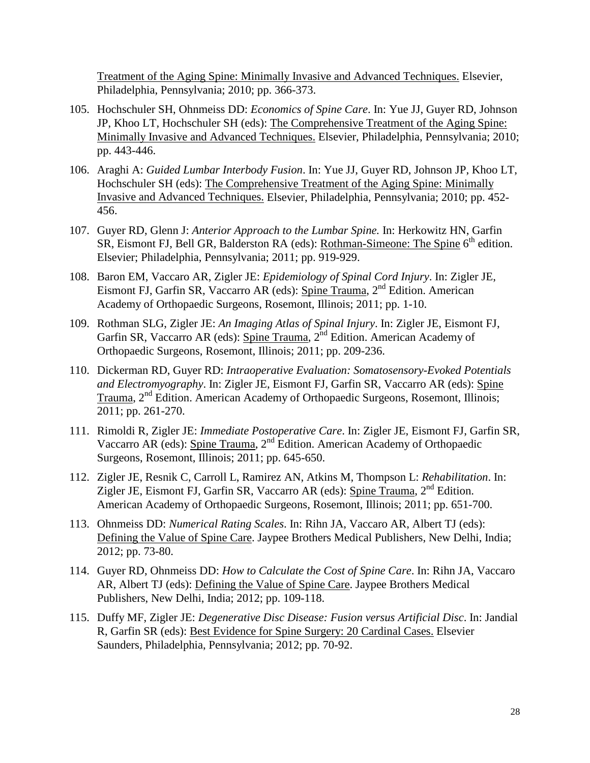Treatment of the Aging Spine: Minimally Invasive and Advanced Techniques. Elsevier, Philadelphia, Pennsylvania; 2010; pp. 366-373.

- 105. Hochschuler SH, Ohnmeiss DD: *Economics of Spine Care*. In: Yue JJ, Guyer RD, Johnson JP, Khoo LT, Hochschuler SH (eds): The Comprehensive Treatment of the Aging Spine: Minimally Invasive and Advanced Techniques. Elsevier, Philadelphia, Pennsylvania; 2010; pp. 443-446.
- 106. Araghi A: *Guided Lumbar Interbody Fusion*. In: Yue JJ, Guyer RD, Johnson JP, Khoo LT, Hochschuler SH (eds): The Comprehensive Treatment of the Aging Spine: Minimally Invasive and Advanced Techniques. Elsevier, Philadelphia, Pennsylvania; 2010; pp. 452- 456.
- 107. Guyer RD, Glenn J: *Anterior Approach to the Lumbar Spine.* In: Herkowitz HN, Garfin SR, Eismont FJ, Bell GR, Balderston RA (eds): Rothman-Simeone: The Spine 6<sup>th</sup> edition. Elsevier; Philadelphia, Pennsylvania; 2011; pp. 919-929.
- 108. Baron EM, Vaccaro AR, Zigler JE: *Epidemiology of Spinal Cord Injury*. In: Zigler JE, Eismont FJ, Garfin SR, Vaccarro AR (eds): Spine Trauma, 2nd Edition. American Academy of Orthopaedic Surgeons, Rosemont, Illinois; 2011; pp. 1-10.
- 109. Rothman SLG, Zigler JE: *An Imaging Atlas of Spinal Injury*. In: Zigler JE, Eismont FJ, Garfin SR, Vaccarro AR (eds): Spine Trauma,  $2<sup>nd</sup>$  Edition. American Academy of Orthopaedic Surgeons, Rosemont, Illinois; 2011; pp. 209-236.
- 110. Dickerman RD, Guyer RD: *Intraoperative Evaluation: Somatosensory-Evoked Potentials and Electromyography*. In: Zigler JE, Eismont FJ, Garfin SR, Vaccarro AR (eds): Spine Trauma, 2<sup>nd</sup> Edition. American Academy of Orthopaedic Surgeons, Rosemont, Illinois; 2011; pp. 261-270.
- 111. Rimoldi R, Zigler JE: *Immediate Postoperative Care*. In: Zigler JE, Eismont FJ, Garfin SR, Vaccarro AR (eds): Spine Trauma, 2nd Edition. American Academy of Orthopaedic Surgeons, Rosemont, Illinois; 2011; pp. 645-650.
- 112. Zigler JE, Resnik C, Carroll L, Ramirez AN, Atkins M, Thompson L: *Rehabilitation*. In: Zigler JE, Eismont FJ, Garfin SR, Vaccarro AR (eds): Spine Trauma, 2<sup>nd</sup> Edition. American Academy of Orthopaedic Surgeons, Rosemont, Illinois; 2011; pp. 651-700.
- 113. Ohnmeiss DD: *Numerical Rating Scales*. In: Rihn JA, Vaccaro AR, Albert TJ (eds): Defining the Value of Spine Care. Jaypee Brothers Medical Publishers, New Delhi, India; 2012; pp. 73-80.
- 114. Guyer RD, Ohnmeiss DD: *How to Calculate the Cost of Spine Care*. In: Rihn JA, Vaccaro AR, Albert TJ (eds): Defining the Value of Spine Care. Jaypee Brothers Medical Publishers, New Delhi, India; 2012; pp. 109-118.
- 115. Duffy MF, Zigler JE: *Degenerative Disc Disease: Fusion versus Artificial Disc*. In: Jandial R, Garfin SR (eds): Best Evidence for Spine Surgery: 20 Cardinal Cases. Elsevier Saunders, Philadelphia, Pennsylvania; 2012; pp. 70-92.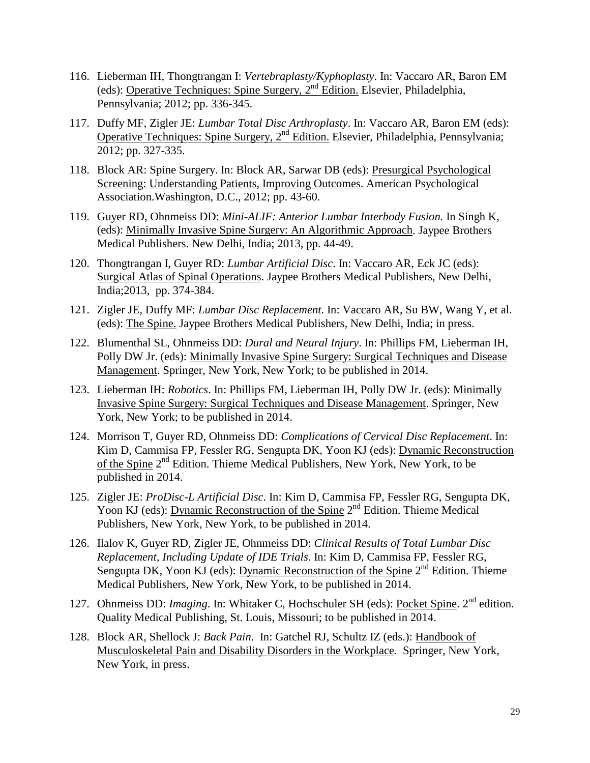- 116. Lieberman IH, Thongtrangan I: *Vertebraplasty/Kyphoplasty*. In: Vaccaro AR, Baron EM (eds): Operative Techniques: Spine Surgery, 2nd Edition. Elsevier, Philadelphia, Pennsylvania; 2012; pp. 336-345.
- 117. Duffy MF, Zigler JE: *Lumbar Total Disc Arthroplasty*. In: Vaccaro AR, Baron EM (eds): Operative Techniques: Spine Surgery,  $2<sup>nd</sup>$  Edition. Elsevier, Philadelphia, Pennsylvania; 2012; pp. 327-335.
- 118. Block AR: Spine Surgery. In: Block AR, Sarwar DB (eds): Presurgical Psychological Screening: Understanding Patients, Improving Outcomes. American Psychological Association.Washington, D.C., 2012; pp. 43-60.
- 119. Guyer RD, Ohnmeiss DD: *Mini-ALIF: Anterior Lumbar Interbody Fusion.* In Singh K, (eds): Minimally Invasive Spine Surgery: An Algorithmic Approach. Jaypee Brothers Medical Publishers. New Delhi, India; 2013, pp. 44-49.
- 120. Thongtrangan I, Guyer RD: *Lumbar Artificial Disc*. In: Vaccaro AR, Eck JC (eds): Surgical Atlas of Spinal Operations. Jaypee Brothers Medical Publishers, New Delhi, India;2013, pp. 374-384.
- 121. Zigler JE, Duffy MF: *Lumbar Disc Replacement.* In: Vaccaro AR, Su BW, Wang Y, et al. (eds): The Spine. Jaypee Brothers Medical Publishers, New Delhi, India; in press.
- 122. Blumenthal SL, Ohnmeiss DD: *Dural and Neural Injury*. In: Phillips FM, Lieberman IH, Polly DW Jr. (eds): Minimally Invasive Spine Surgery: Surgical Techniques and Disease Management. Springer, New York, New York; to be published in 2014.
- 123. Lieberman IH: *Robotics*. In: Phillips FM, Lieberman IH, Polly DW Jr. (eds): Minimally Invasive Spine Surgery: Surgical Techniques and Disease Management. Springer, New York, New York; to be published in 2014.
- 124. Morrison T, Guyer RD, Ohnmeiss DD: *Complications of Cervical Disc Replacement*. In: Kim D, Cammisa FP, Fessler RG, Sengupta DK, Yoon KJ (eds): Dynamic Reconstruction of the Spine 2nd Edition. Thieme Medical Publishers, New York, New York, to be published in 2014.
- 125. Zigler JE: *ProDisc-L Artificial Disc*. In: Kim D, Cammisa FP, Fessler RG, Sengupta DK, Yoon KJ (eds): Dynamic Reconstruction of the Spine 2<sup>nd</sup> Edition. Thieme Medical Publishers, New York, New York, to be published in 2014.
- 126. Ilalov K, Guyer RD, Zigler JE, Ohnmeiss DD: *Clinical Results of Total Lumbar Disc Replacement, Including Update of IDE Trials*. In: Kim D, Cammisa FP, Fessler RG, Sengupta DK, Yoon KJ (eds): Dynamic Reconstruction of the Spine  $2<sup>nd</sup>$  Edition. Thieme Medical Publishers, New York, New York, to be published in 2014.
- 127. Ohnmeiss DD: *Imaging*. In: Whitaker C, Hochschuler SH (eds): Pocket Spine. 2<sup>nd</sup> edition. Quality Medical Publishing, St. Louis, Missouri; to be published in 2014.
- 128. Block AR, Shellock J: *Back Pain*. In: Gatchel RJ, Schultz IZ (eds.): Handbook of Musculoskeletal Pain and Disability Disorders in the Workplace*.* Springer*,* New York, New York, in press.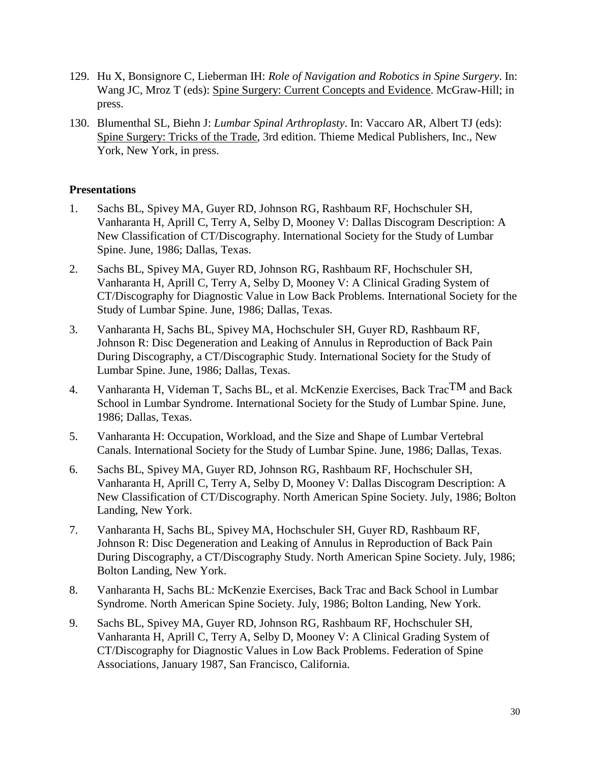- 129. Hu X, Bonsignore C, Lieberman IH: *Role of Navigation and Robotics in Spine Surgery*. In: Wang JC, Mroz T (eds): Spine Surgery: Current Concepts and Evidence. McGraw-Hill; in press.
- 130. Blumenthal SL, Biehn J: *Lumbar Spinal Arthroplasty*. In: Vaccaro AR, Albert TJ (eds): Spine Surgery: Tricks of the Trade, 3rd edition. Thieme Medical Publishers, Inc., New York, New York, in press.

### **Presentations**

- 1. Sachs BL, Spivey MA, Guyer RD, Johnson RG, Rashbaum RF, Hochschuler SH, Vanharanta H, Aprill C, Terry A, Selby D, Mooney V: Dallas Discogram Description: A New Classification of CT/Discography. International Society for the Study of Lumbar Spine. June, 1986; Dallas, Texas.
- 2. Sachs BL, Spivey MA, Guyer RD, Johnson RG, Rashbaum RF, Hochschuler SH, Vanharanta H, Aprill C, Terry A, Selby D, Mooney V: A Clinical Grading System of CT/Discography for Diagnostic Value in Low Back Problems. International Society for the Study of Lumbar Spine. June, 1986; Dallas, Texas.
- 3. Vanharanta H, Sachs BL, Spivey MA, Hochschuler SH, Guyer RD, Rashbaum RF, Johnson R: Disc Degeneration and Leaking of Annulus in Reproduction of Back Pain During Discography, a CT/Discographic Study. International Society for the Study of Lumbar Spine. June, 1986; Dallas, Texas.
- 4. Vanharanta H, Videman T, Sachs BL, et al. McKenzie Exercises, Back Trac $TM$  and Back School in Lumbar Syndrome. International Society for the Study of Lumbar Spine. June, 1986; Dallas, Texas.
- 5. Vanharanta H: Occupation, Workload, and the Size and Shape of Lumbar Vertebral Canals. International Society for the Study of Lumbar Spine. June, 1986; Dallas, Texas.
- 6. Sachs BL, Spivey MA, Guyer RD, Johnson RG, Rashbaum RF, Hochschuler SH, Vanharanta H, Aprill C, Terry A, Selby D, Mooney V: Dallas Discogram Description: A New Classification of CT/Discography. North American Spine Society. July, 1986; Bolton Landing, New York.
- 7. Vanharanta H, Sachs BL, Spivey MA, Hochschuler SH, Guyer RD, Rashbaum RF, Johnson R: Disc Degeneration and Leaking of Annulus in Reproduction of Back Pain During Discography, a CT/Discography Study. North American Spine Society. July, 1986; Bolton Landing, New York.
- 8. Vanharanta H, Sachs BL: McKenzie Exercises, Back Trac and Back School in Lumbar Syndrome. North American Spine Society. July, 1986; Bolton Landing, New York.
- 9. Sachs BL, Spivey MA, Guyer RD, Johnson RG, Rashbaum RF, Hochschuler SH, Vanharanta H, Aprill C, Terry A, Selby D, Mooney V: A Clinical Grading System of CT/Discography for Diagnostic Values in Low Back Problems. Federation of Spine Associations, January 1987, San Francisco, California.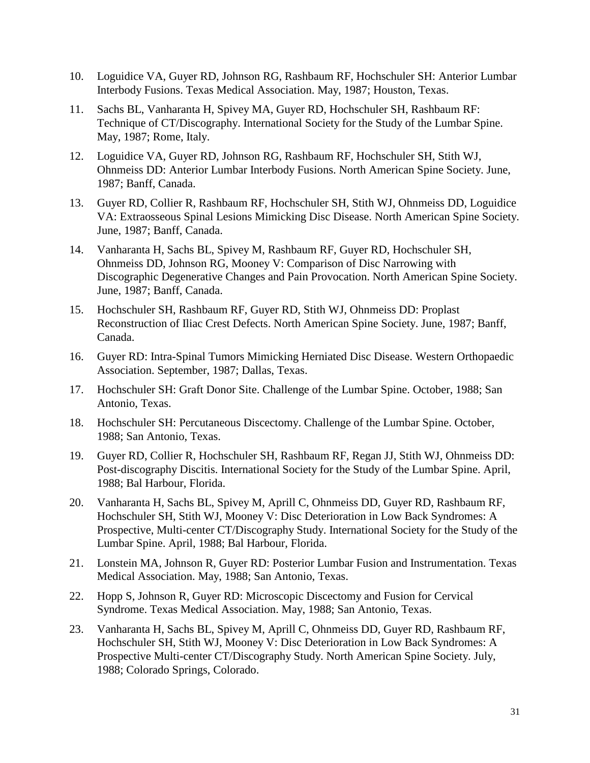- 10. Loguidice VA, Guyer RD, Johnson RG, Rashbaum RF, Hochschuler SH: Anterior Lumbar Interbody Fusions. Texas Medical Association. May, 1987; Houston, Texas.
- 11. Sachs BL, Vanharanta H, Spivey MA, Guyer RD, Hochschuler SH, Rashbaum RF: Technique of CT/Discography. International Society for the Study of the Lumbar Spine. May, 1987; Rome, Italy.
- 12. Loguidice VA, Guyer RD, Johnson RG, Rashbaum RF, Hochschuler SH, Stith WJ, Ohnmeiss DD: Anterior Lumbar Interbody Fusions. North American Spine Society. June, 1987; Banff, Canada.
- 13. Guyer RD, Collier R, Rashbaum RF, Hochschuler SH, Stith WJ, Ohnmeiss DD, Loguidice VA: Extraosseous Spinal Lesions Mimicking Disc Disease. North American Spine Society. June, 1987; Banff, Canada.
- 14. Vanharanta H, Sachs BL, Spivey M, Rashbaum RF, Guyer RD, Hochschuler SH, Ohnmeiss DD, Johnson RG, Mooney V: Comparison of Disc Narrowing with Discographic Degenerative Changes and Pain Provocation. North American Spine Society. June, 1987; Banff, Canada.
- 15. Hochschuler SH, Rashbaum RF, Guyer RD, Stith WJ, Ohnmeiss DD: Proplast Reconstruction of Iliac Crest Defects. North American Spine Society. June, 1987; Banff, Canada.
- 16. Guyer RD: Intra-Spinal Tumors Mimicking Herniated Disc Disease. Western Orthopaedic Association. September, 1987; Dallas, Texas.
- 17. Hochschuler SH: Graft Donor Site. Challenge of the Lumbar Spine. October, 1988; San Antonio, Texas.
- 18. Hochschuler SH: Percutaneous Discectomy. Challenge of the Lumbar Spine. October, 1988; San Antonio, Texas.
- 19. Guyer RD, Collier R, Hochschuler SH, Rashbaum RF, Regan JJ, Stith WJ, Ohnmeiss DD: Post-discography Discitis. International Society for the Study of the Lumbar Spine. April, 1988; Bal Harbour, Florida.
- 20. Vanharanta H, Sachs BL, Spivey M, Aprill C, Ohnmeiss DD, Guyer RD, Rashbaum RF, Hochschuler SH, Stith WJ, Mooney V: Disc Deterioration in Low Back Syndromes: A Prospective, Multi-center CT/Discography Study. International Society for the Study of the Lumbar Spine. April, 1988; Bal Harbour, Florida.
- 21. Lonstein MA, Johnson R, Guyer RD: Posterior Lumbar Fusion and Instrumentation. Texas Medical Association. May, 1988; San Antonio, Texas.
- 22. Hopp S, Johnson R, Guyer RD: Microscopic Discectomy and Fusion for Cervical Syndrome. Texas Medical Association. May, 1988; San Antonio, Texas.
- 23. Vanharanta H, Sachs BL, Spivey M, Aprill C, Ohnmeiss DD, Guyer RD, Rashbaum RF, Hochschuler SH, Stith WJ, Mooney V: Disc Deterioration in Low Back Syndromes: A Prospective Multi-center CT/Discography Study. North American Spine Society. July, 1988; Colorado Springs, Colorado.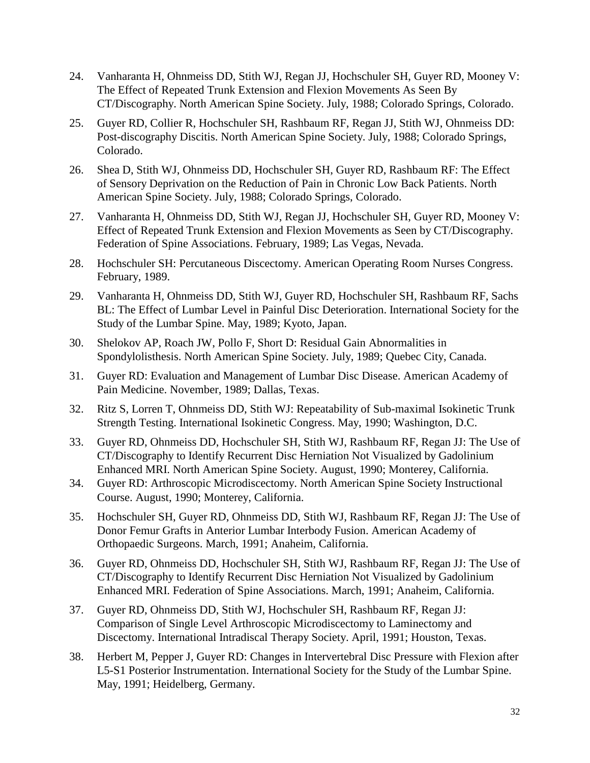- 24. Vanharanta H, Ohnmeiss DD, Stith WJ, Regan JJ, Hochschuler SH, Guyer RD, Mooney V: The Effect of Repeated Trunk Extension and Flexion Movements As Seen By CT/Discography. North American Spine Society. July, 1988; Colorado Springs, Colorado.
- 25. Guyer RD, Collier R, Hochschuler SH, Rashbaum RF, Regan JJ, Stith WJ, Ohnmeiss DD: Post-discography Discitis. North American Spine Society. July, 1988; Colorado Springs, Colorado.
- 26. Shea D, Stith WJ, Ohnmeiss DD, Hochschuler SH, Guyer RD, Rashbaum RF: The Effect of Sensory Deprivation on the Reduction of Pain in Chronic Low Back Patients. North American Spine Society. July, 1988; Colorado Springs, Colorado.
- 27. Vanharanta H, Ohnmeiss DD, Stith WJ, Regan JJ, Hochschuler SH, Guyer RD, Mooney V: Effect of Repeated Trunk Extension and Flexion Movements as Seen by CT/Discography. Federation of Spine Associations. February, 1989; Las Vegas, Nevada.
- 28. Hochschuler SH: Percutaneous Discectomy. American Operating Room Nurses Congress. February, 1989.
- 29. Vanharanta H, Ohnmeiss DD, Stith WJ, Guyer RD, Hochschuler SH, Rashbaum RF, Sachs BL: The Effect of Lumbar Level in Painful Disc Deterioration. International Society for the Study of the Lumbar Spine. May, 1989; Kyoto, Japan.
- 30. Shelokov AP, Roach JW, Pollo F, Short D: Residual Gain Abnormalities in Spondylolisthesis. North American Spine Society. July, 1989; Quebec City, Canada.
- 31. Guyer RD: Evaluation and Management of Lumbar Disc Disease. American Academy of Pain Medicine. November, 1989; Dallas, Texas.
- 32. Ritz S, Lorren T, Ohnmeiss DD, Stith WJ: Repeatability of Sub-maximal Isokinetic Trunk Strength Testing. International Isokinetic Congress. May, 1990; Washington, D.C.
- 33. Guyer RD, Ohnmeiss DD, Hochschuler SH, Stith WJ, Rashbaum RF, Regan JJ: The Use of CT/Discography to Identify Recurrent Disc Herniation Not Visualized by Gadolinium Enhanced MRI. North American Spine Society. August, 1990; Monterey, California.
- 34. Guyer RD: Arthroscopic Microdiscectomy. North American Spine Society Instructional Course. August, 1990; Monterey, California.
- 35. Hochschuler SH, Guyer RD, Ohnmeiss DD, Stith WJ, Rashbaum RF, Regan JJ: The Use of Donor Femur Grafts in Anterior Lumbar Interbody Fusion. American Academy of Orthopaedic Surgeons. March, 1991; Anaheim, California.
- 36. Guyer RD, Ohnmeiss DD, Hochschuler SH, Stith WJ, Rashbaum RF, Regan JJ: The Use of CT/Discography to Identify Recurrent Disc Herniation Not Visualized by Gadolinium Enhanced MRI. Federation of Spine Associations. March, 1991; Anaheim, California.
- 37. Guyer RD, Ohnmeiss DD, Stith WJ, Hochschuler SH, Rashbaum RF, Regan JJ: Comparison of Single Level Arthroscopic Microdiscectomy to Laminectomy and Discectomy. International Intradiscal Therapy Society. April, 1991; Houston, Texas.
- 38. Herbert M, Pepper J, Guyer RD: Changes in Intervertebral Disc Pressure with Flexion after L5-S1 Posterior Instrumentation. International Society for the Study of the Lumbar Spine. May, 1991; Heidelberg, Germany.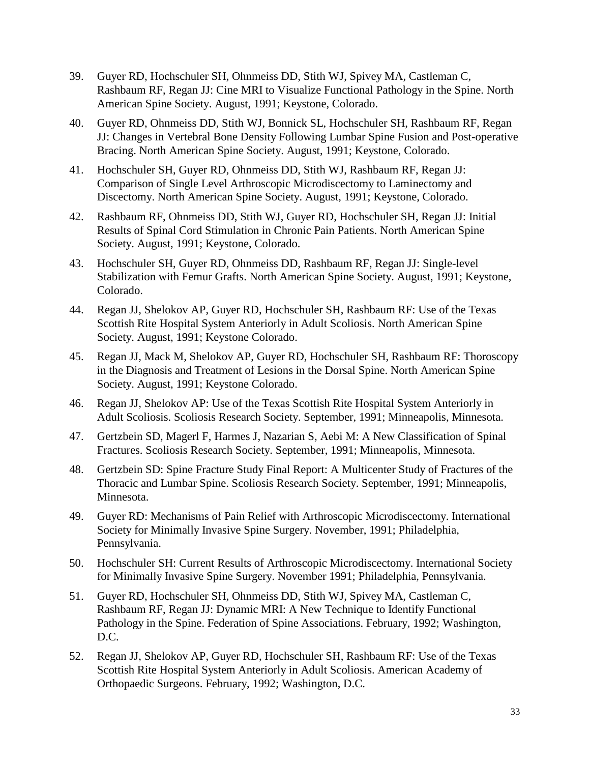- 39. Guyer RD, Hochschuler SH, Ohnmeiss DD, Stith WJ, Spivey MA, Castleman C, Rashbaum RF, Regan JJ: Cine MRI to Visualize Functional Pathology in the Spine. North American Spine Society. August, 1991; Keystone, Colorado.
- 40. Guyer RD, Ohnmeiss DD, Stith WJ, Bonnick SL, Hochschuler SH, Rashbaum RF, Regan JJ: Changes in Vertebral Bone Density Following Lumbar Spine Fusion and Post-operative Bracing. North American Spine Society. August, 1991; Keystone, Colorado.
- 41. Hochschuler SH, Guyer RD, Ohnmeiss DD, Stith WJ, Rashbaum RF, Regan JJ: Comparison of Single Level Arthroscopic Microdiscectomy to Laminectomy and Discectomy. North American Spine Society. August, 1991; Keystone, Colorado.
- 42. Rashbaum RF, Ohnmeiss DD, Stith WJ, Guyer RD, Hochschuler SH, Regan JJ: Initial Results of Spinal Cord Stimulation in Chronic Pain Patients. North American Spine Society. August, 1991; Keystone, Colorado.
- 43. Hochschuler SH, Guyer RD, Ohnmeiss DD, Rashbaum RF, Regan JJ: Single-level Stabilization with Femur Grafts. North American Spine Society. August, 1991; Keystone, Colorado.
- 44. Regan JJ, Shelokov AP, Guyer RD, Hochschuler SH, Rashbaum RF: Use of the Texas Scottish Rite Hospital System Anteriorly in Adult Scoliosis. North American Spine Society. August, 1991; Keystone Colorado.
- 45. Regan JJ, Mack M, Shelokov AP, Guyer RD, Hochschuler SH, Rashbaum RF: Thoroscopy in the Diagnosis and Treatment of Lesions in the Dorsal Spine. North American Spine Society. August, 1991; Keystone Colorado.
- 46. Regan JJ, Shelokov AP: Use of the Texas Scottish Rite Hospital System Anteriorly in Adult Scoliosis. Scoliosis Research Society. September, 1991; Minneapolis, Minnesota.
- 47. Gertzbein SD, Magerl F, Harmes J, Nazarian S, Aebi M: A New Classification of Spinal Fractures. Scoliosis Research Society. September, 1991; Minneapolis, Minnesota.
- 48. Gertzbein SD: Spine Fracture Study Final Report: A Multicenter Study of Fractures of the Thoracic and Lumbar Spine. Scoliosis Research Society. September, 1991; Minneapolis, Minnesota.
- 49. Guyer RD: Mechanisms of Pain Relief with Arthroscopic Microdiscectomy. International Society for Minimally Invasive Spine Surgery. November, 1991; Philadelphia, Pennsylvania.
- 50. Hochschuler SH: Current Results of Arthroscopic Microdiscectomy. International Society for Minimally Invasive Spine Surgery. November 1991; Philadelphia, Pennsylvania.
- 51. Guyer RD, Hochschuler SH, Ohnmeiss DD, Stith WJ, Spivey MA, Castleman C, Rashbaum RF, Regan JJ: Dynamic MRI: A New Technique to Identify Functional Pathology in the Spine. Federation of Spine Associations. February, 1992; Washington, D.C.
- 52. Regan JJ, Shelokov AP, Guyer RD, Hochschuler SH, Rashbaum RF: Use of the Texas Scottish Rite Hospital System Anteriorly in Adult Scoliosis. American Academy of Orthopaedic Surgeons. February, 1992; Washington, D.C.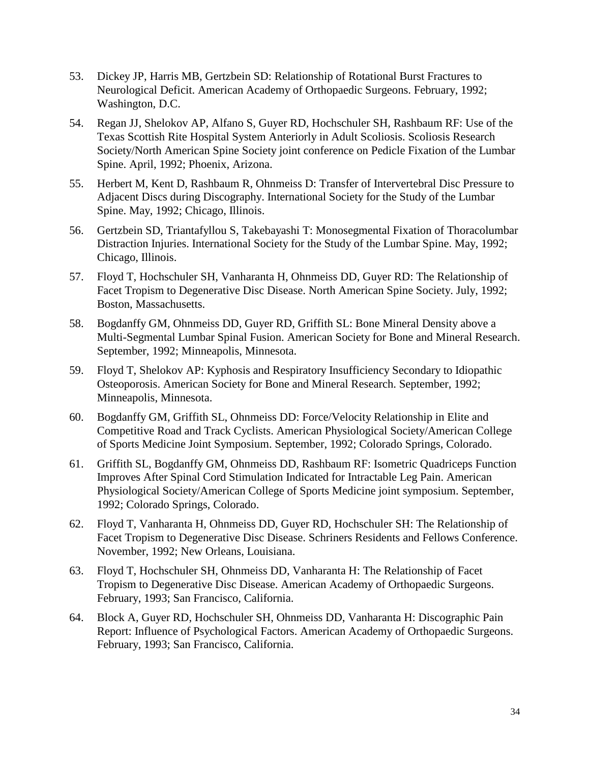- 53. Dickey JP, Harris MB, Gertzbein SD: Relationship of Rotational Burst Fractures to Neurological Deficit. American Academy of Orthopaedic Surgeons. February, 1992; Washington, D.C.
- 54. Regan JJ, Shelokov AP, Alfano S, Guyer RD, Hochschuler SH, Rashbaum RF: Use of the Texas Scottish Rite Hospital System Anteriorly in Adult Scoliosis. Scoliosis Research Society/North American Spine Society joint conference on Pedicle Fixation of the Lumbar Spine. April, 1992; Phoenix, Arizona.
- 55. Herbert M, Kent D, Rashbaum R, Ohnmeiss D: Transfer of Intervertebral Disc Pressure to Adjacent Discs during Discography. International Society for the Study of the Lumbar Spine. May, 1992; Chicago, Illinois.
- 56. Gertzbein SD, Triantafyllou S, Takebayashi T: Monosegmental Fixation of Thoracolumbar Distraction Injuries. International Society for the Study of the Lumbar Spine. May, 1992; Chicago, Illinois.
- 57. Floyd T, Hochschuler SH, Vanharanta H, Ohnmeiss DD, Guyer RD: The Relationship of Facet Tropism to Degenerative Disc Disease. North American Spine Society. July, 1992; Boston, Massachusetts.
- 58. Bogdanffy GM, Ohnmeiss DD, Guyer RD, Griffith SL: Bone Mineral Density above a Multi-Segmental Lumbar Spinal Fusion. American Society for Bone and Mineral Research. September, 1992; Minneapolis, Minnesota.
- 59. Floyd T, Shelokov AP: Kyphosis and Respiratory Insufficiency Secondary to Idiopathic Osteoporosis. American Society for Bone and Mineral Research. September, 1992; Minneapolis, Minnesota.
- 60. Bogdanffy GM, Griffith SL, Ohnmeiss DD: Force/Velocity Relationship in Elite and Competitive Road and Track Cyclists. American Physiological Society/American College of Sports Medicine Joint Symposium. September, 1992; Colorado Springs, Colorado.
- 61. Griffith SL, Bogdanffy GM, Ohnmeiss DD, Rashbaum RF: Isometric Quadriceps Function Improves After Spinal Cord Stimulation Indicated for Intractable Leg Pain. American Physiological Society/American College of Sports Medicine joint symposium. September, 1992; Colorado Springs, Colorado.
- 62. Floyd T, Vanharanta H, Ohnmeiss DD, Guyer RD, Hochschuler SH: The Relationship of Facet Tropism to Degenerative Disc Disease. Schriners Residents and Fellows Conference. November, 1992; New Orleans, Louisiana.
- 63. Floyd T, Hochschuler SH, Ohnmeiss DD, Vanharanta H: The Relationship of Facet Tropism to Degenerative Disc Disease. American Academy of Orthopaedic Surgeons. February, 1993; San Francisco, California.
- 64. Block A, Guyer RD, Hochschuler SH, Ohnmeiss DD, Vanharanta H: Discographic Pain Report: Influence of Psychological Factors. American Academy of Orthopaedic Surgeons. February, 1993; San Francisco, California.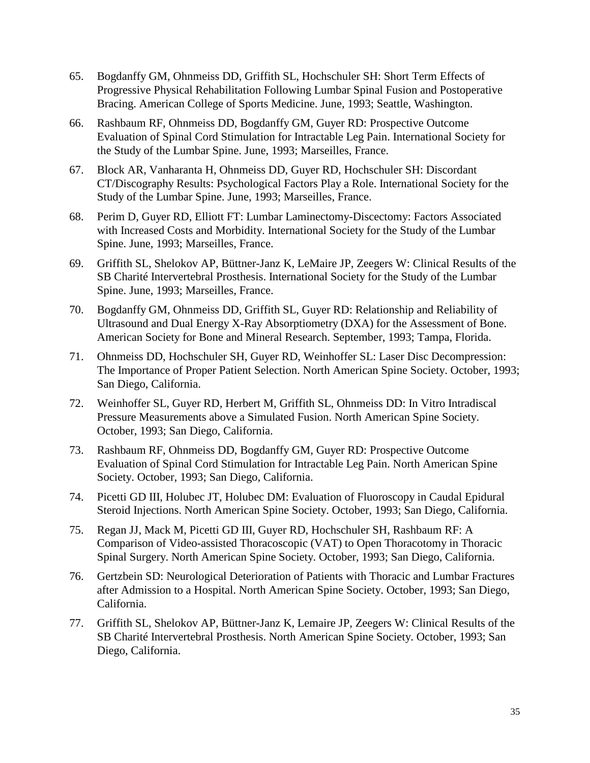- 65. Bogdanffy GM, Ohnmeiss DD, Griffith SL, Hochschuler SH: Short Term Effects of Progressive Physical Rehabilitation Following Lumbar Spinal Fusion and Postoperative Bracing. American College of Sports Medicine. June, 1993; Seattle, Washington.
- 66. Rashbaum RF, Ohnmeiss DD, Bogdanffy GM, Guyer RD: Prospective Outcome Evaluation of Spinal Cord Stimulation for Intractable Leg Pain. International Society for the Study of the Lumbar Spine. June, 1993; Marseilles, France.
- 67. Block AR, Vanharanta H, Ohnmeiss DD, Guyer RD, Hochschuler SH: Discordant CT/Discography Results: Psychological Factors Play a Role. International Society for the Study of the Lumbar Spine. June, 1993; Marseilles, France.
- 68. Perim D, Guyer RD, Elliott FT: Lumbar Laminectomy-Discectomy: Factors Associated with Increased Costs and Morbidity. International Society for the Study of the Lumbar Spine. June, 1993; Marseilles, France.
- 69. Griffith SL, Shelokov AP, Büttner-Janz K, LeMaire JP, Zeegers W: Clinical Results of the SB Charité Intervertebral Prosthesis. International Society for the Study of the Lumbar Spine. June, 1993; Marseilles, France.
- 70. Bogdanffy GM, Ohnmeiss DD, Griffith SL, Guyer RD: Relationship and Reliability of Ultrasound and Dual Energy X-Ray Absorptiometry (DXA) for the Assessment of Bone. American Society for Bone and Mineral Research. September, 1993; Tampa, Florida.
- 71. Ohnmeiss DD, Hochschuler SH, Guyer RD, Weinhoffer SL: Laser Disc Decompression: The Importance of Proper Patient Selection. North American Spine Society. October, 1993; San Diego, California.
- 72. Weinhoffer SL, Guyer RD, Herbert M, Griffith SL, Ohnmeiss DD: In Vitro Intradiscal Pressure Measurements above a Simulated Fusion. North American Spine Society. October, 1993; San Diego, California.
- 73. Rashbaum RF, Ohnmeiss DD, Bogdanffy GM, Guyer RD: Prospective Outcome Evaluation of Spinal Cord Stimulation for Intractable Leg Pain. North American Spine Society. October, 1993; San Diego, California.
- 74. Picetti GD III, Holubec JT, Holubec DM: Evaluation of Fluoroscopy in Caudal Epidural Steroid Injections. North American Spine Society. October, 1993; San Diego, California.
- 75. Regan JJ, Mack M, Picetti GD III, Guyer RD, Hochschuler SH, Rashbaum RF: A Comparison of Video-assisted Thoracoscopic (VAT) to Open Thoracotomy in Thoracic Spinal Surgery. North American Spine Society. October, 1993; San Diego, California.
- 76. Gertzbein SD: Neurological Deterioration of Patients with Thoracic and Lumbar Fractures after Admission to a Hospital. North American Spine Society. October, 1993; San Diego, California.
- 77. Griffith SL, Shelokov AP, Büttner-Janz K, Lemaire JP, Zeegers W: Clinical Results of the SB Charité Intervertebral Prosthesis. North American Spine Society. October, 1993; San Diego, California.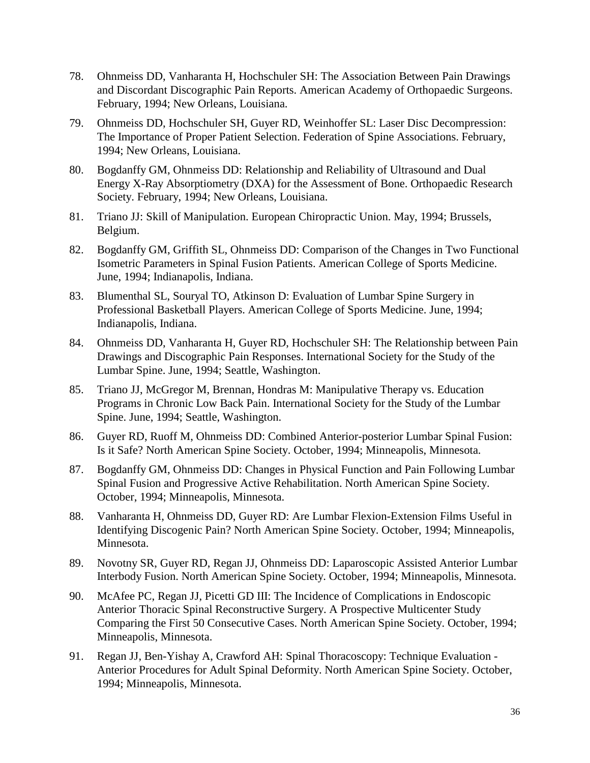- 78. Ohnmeiss DD, Vanharanta H, Hochschuler SH: The Association Between Pain Drawings and Discordant Discographic Pain Reports. American Academy of Orthopaedic Surgeons. February, 1994; New Orleans, Louisiana.
- 79. Ohnmeiss DD, Hochschuler SH, Guyer RD, Weinhoffer SL: Laser Disc Decompression: The Importance of Proper Patient Selection. Federation of Spine Associations. February, 1994; New Orleans, Louisiana.
- 80. Bogdanffy GM, Ohnmeiss DD: Relationship and Reliability of Ultrasound and Dual Energy X-Ray Absorptiometry (DXA) for the Assessment of Bone. Orthopaedic Research Society. February, 1994; New Orleans, Louisiana.
- 81. Triano JJ: Skill of Manipulation. European Chiropractic Union. May, 1994; Brussels, Belgium.
- 82. Bogdanffy GM, Griffith SL, Ohnmeiss DD: Comparison of the Changes in Two Functional Isometric Parameters in Spinal Fusion Patients. American College of Sports Medicine. June, 1994; Indianapolis, Indiana.
- 83. Blumenthal SL, Souryal TO, Atkinson D: Evaluation of Lumbar Spine Surgery in Professional Basketball Players. American College of Sports Medicine. June, 1994; Indianapolis, Indiana.
- 84. Ohnmeiss DD, Vanharanta H, Guyer RD, Hochschuler SH: The Relationship between Pain Drawings and Discographic Pain Responses. International Society for the Study of the Lumbar Spine. June, 1994; Seattle, Washington.
- 85. Triano JJ, McGregor M, Brennan, Hondras M: Manipulative Therapy vs. Education Programs in Chronic Low Back Pain. International Society for the Study of the Lumbar Spine. June, 1994; Seattle, Washington.
- 86. Guyer RD, Ruoff M, Ohnmeiss DD: Combined Anterior-posterior Lumbar Spinal Fusion: Is it Safe? North American Spine Society. October, 1994; Minneapolis, Minnesota.
- 87. Bogdanffy GM, Ohnmeiss DD: Changes in Physical Function and Pain Following Lumbar Spinal Fusion and Progressive Active Rehabilitation. North American Spine Society. October, 1994; Minneapolis, Minnesota.
- 88. Vanharanta H, Ohnmeiss DD, Guyer RD: Are Lumbar Flexion-Extension Films Useful in Identifying Discogenic Pain? North American Spine Society. October, 1994; Minneapolis, Minnesota.
- 89. Novotny SR, Guyer RD, Regan JJ, Ohnmeiss DD: Laparoscopic Assisted Anterior Lumbar Interbody Fusion. North American Spine Society. October, 1994; Minneapolis, Minnesota.
- 90. McAfee PC, Regan JJ, Picetti GD III: The Incidence of Complications in Endoscopic Anterior Thoracic Spinal Reconstructive Surgery. A Prospective Multicenter Study Comparing the First 50 Consecutive Cases. North American Spine Society. October, 1994; Minneapolis, Minnesota.
- 91. Regan JJ, Ben-Yishay A, Crawford AH: Spinal Thoracoscopy: Technique Evaluation Anterior Procedures for Adult Spinal Deformity. North American Spine Society. October, 1994; Minneapolis, Minnesota.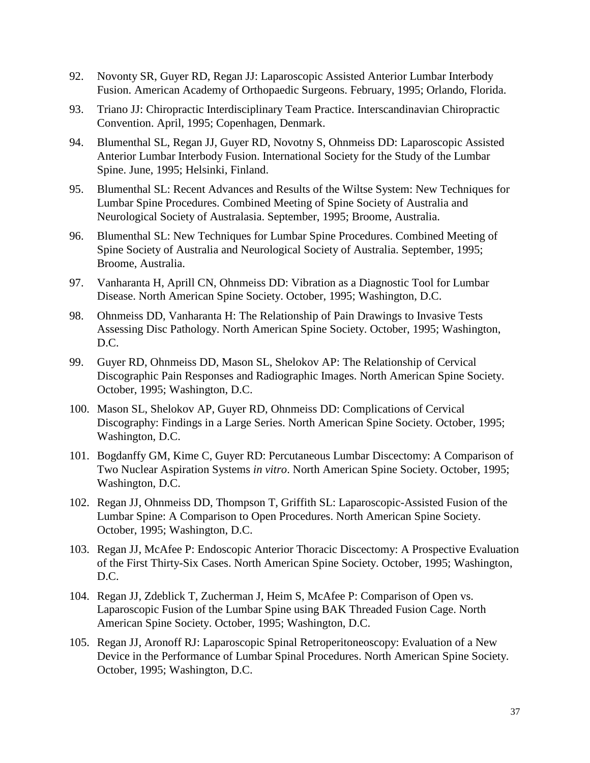- 92. Novonty SR, Guyer RD, Regan JJ: Laparoscopic Assisted Anterior Lumbar Interbody Fusion. American Academy of Orthopaedic Surgeons. February, 1995; Orlando, Florida.
- 93. Triano JJ: Chiropractic Interdisciplinary Team Practice. Interscandinavian Chiropractic Convention. April, 1995; Copenhagen, Denmark.
- 94. Blumenthal SL, Regan JJ, Guyer RD, Novotny S, Ohnmeiss DD: Laparoscopic Assisted Anterior Lumbar Interbody Fusion. International Society for the Study of the Lumbar Spine. June, 1995; Helsinki, Finland.
- 95. Blumenthal SL: Recent Advances and Results of the Wiltse System: New Techniques for Lumbar Spine Procedures. Combined Meeting of Spine Society of Australia and Neurological Society of Australasia. September, 1995; Broome, Australia.
- 96. Blumenthal SL: New Techniques for Lumbar Spine Procedures. Combined Meeting of Spine Society of Australia and Neurological Society of Australia. September, 1995; Broome, Australia.
- 97. Vanharanta H, Aprill CN, Ohnmeiss DD: Vibration as a Diagnostic Tool for Lumbar Disease. North American Spine Society. October, 1995; Washington, D.C.
- 98. Ohnmeiss DD, Vanharanta H: The Relationship of Pain Drawings to Invasive Tests Assessing Disc Pathology. North American Spine Society. October, 1995; Washington, D.C.
- 99. Guyer RD, Ohnmeiss DD, Mason SL, Shelokov AP: The Relationship of Cervical Discographic Pain Responses and Radiographic Images. North American Spine Society. October, 1995; Washington, D.C.
- 100. Mason SL, Shelokov AP, Guyer RD, Ohnmeiss DD: Complications of Cervical Discography: Findings in a Large Series. North American Spine Society. October, 1995; Washington, D.C.
- 101. Bogdanffy GM, Kime C, Guyer RD: Percutaneous Lumbar Discectomy: A Comparison of Two Nuclear Aspiration Systems *in vitro*. North American Spine Society. October, 1995; Washington, D.C.
- 102. Regan JJ, Ohnmeiss DD, Thompson T, Griffith SL: Laparoscopic-Assisted Fusion of the Lumbar Spine: A Comparison to Open Procedures. North American Spine Society. October, 1995; Washington, D.C.
- 103. Regan JJ, McAfee P: Endoscopic Anterior Thoracic Discectomy: A Prospective Evaluation of the First Thirty-Six Cases. North American Spine Society. October, 1995; Washington, D.C.
- 104. Regan JJ, Zdeblick T, Zucherman J, Heim S, McAfee P: Comparison of Open vs. Laparoscopic Fusion of the Lumbar Spine using BAK Threaded Fusion Cage. North American Spine Society. October, 1995; Washington, D.C.
- 105. Regan JJ, Aronoff RJ: Laparoscopic Spinal Retroperitoneoscopy: Evaluation of a New Device in the Performance of Lumbar Spinal Procedures. North American Spine Society. October, 1995; Washington, D.C.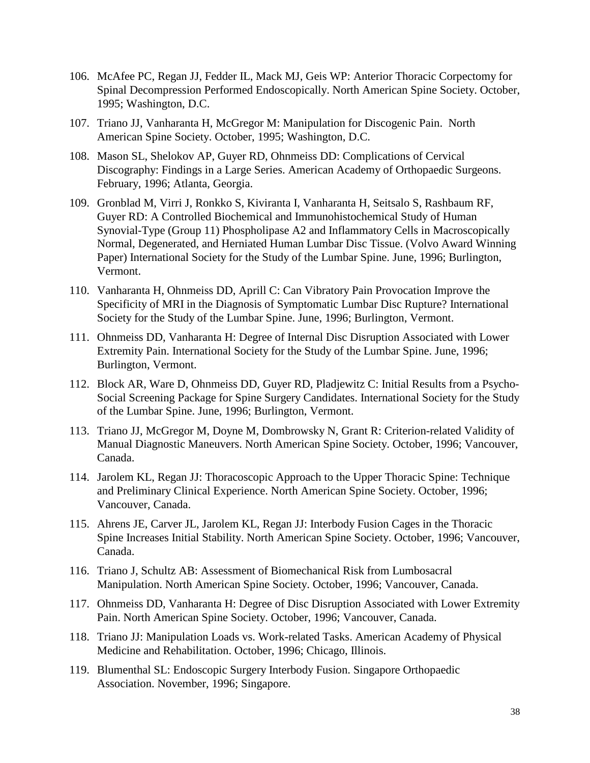- 106. McAfee PC, Regan JJ, Fedder IL, Mack MJ, Geis WP: Anterior Thoracic Corpectomy for Spinal Decompression Performed Endoscopically. North American Spine Society. October, 1995; Washington, D.C.
- 107. Triano JJ, Vanharanta H, McGregor M: Manipulation for Discogenic Pain. North American Spine Society. October, 1995; Washington, D.C.
- 108. Mason SL, Shelokov AP, Guyer RD, Ohnmeiss DD: Complications of Cervical Discography: Findings in a Large Series. American Academy of Orthopaedic Surgeons. February, 1996; Atlanta, Georgia.
- 109. Gronblad M, Virri J, Ronkko S, Kiviranta I, Vanharanta H, Seitsalo S, Rashbaum RF, Guyer RD: A Controlled Biochemical and Immunohistochemical Study of Human Synovial-Type (Group 11) Phospholipase A2 and Inflammatory Cells in Macroscopically Normal, Degenerated, and Herniated Human Lumbar Disc Tissue. (Volvo Award Winning Paper) International Society for the Study of the Lumbar Spine. June, 1996; Burlington, Vermont.
- 110. Vanharanta H, Ohnmeiss DD, Aprill C: Can Vibratory Pain Provocation Improve the Specificity of MRI in the Diagnosis of Symptomatic Lumbar Disc Rupture? International Society for the Study of the Lumbar Spine. June, 1996; Burlington, Vermont.
- 111. Ohnmeiss DD, Vanharanta H: Degree of Internal Disc Disruption Associated with Lower Extremity Pain. International Society for the Study of the Lumbar Spine. June, 1996; Burlington, Vermont.
- 112. Block AR, Ware D, Ohnmeiss DD, Guyer RD, Pladjewitz C: Initial Results from a Psycho-Social Screening Package for Spine Surgery Candidates. International Society for the Study of the Lumbar Spine. June, 1996; Burlington, Vermont.
- 113. Triano JJ, McGregor M, Doyne M, Dombrowsky N, Grant R: Criterion-related Validity of Manual Diagnostic Maneuvers. North American Spine Society. October, 1996; Vancouver, Canada.
- 114. Jarolem KL, Regan JJ: Thoracoscopic Approach to the Upper Thoracic Spine: Technique and Preliminary Clinical Experience. North American Spine Society. October, 1996; Vancouver, Canada.
- 115. Ahrens JE, Carver JL, Jarolem KL, Regan JJ: Interbody Fusion Cages in the Thoracic Spine Increases Initial Stability. North American Spine Society. October, 1996; Vancouver, Canada.
- 116. Triano J, Schultz AB: Assessment of Biomechanical Risk from Lumbosacral Manipulation. North American Spine Society. October, 1996; Vancouver, Canada.
- 117. Ohnmeiss DD, Vanharanta H: Degree of Disc Disruption Associated with Lower Extremity Pain. North American Spine Society. October, 1996; Vancouver, Canada.
- 118. Triano JJ: Manipulation Loads vs. Work-related Tasks. American Academy of Physical Medicine and Rehabilitation. October, 1996; Chicago, Illinois.
- 119. Blumenthal SL: Endoscopic Surgery Interbody Fusion. Singapore Orthopaedic Association. November, 1996; Singapore.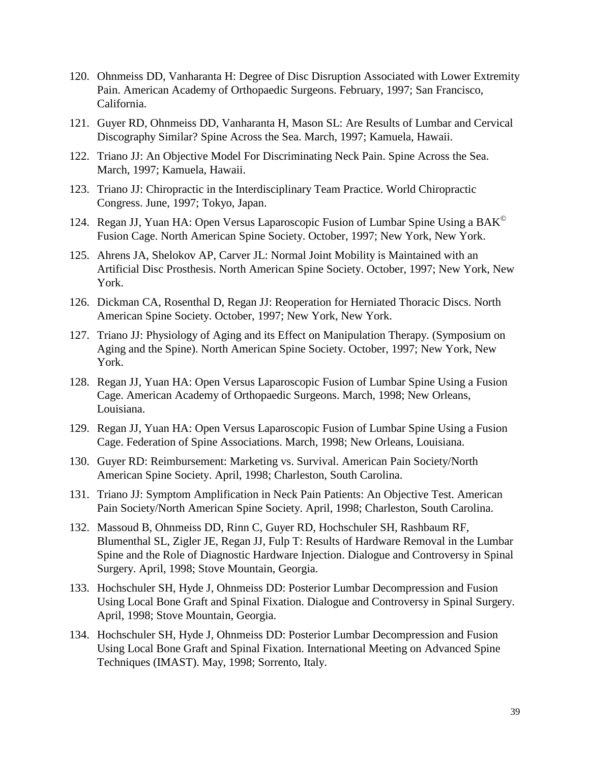- 120. Ohnmeiss DD, Vanharanta H: Degree of Disc Disruption Associated with Lower Extremity Pain. American Academy of Orthopaedic Surgeons. February, 1997; San Francisco, California.
- 121. Guyer RD, Ohnmeiss DD, Vanharanta H, Mason SL: Are Results of Lumbar and Cervical Discography Similar? Spine Across the Sea. March, 1997; Kamuela, Hawaii.
- 122. Triano JJ: An Objective Model For Discriminating Neck Pain. Spine Across the Sea. March, 1997; Kamuela, Hawaii.
- 123. Triano JJ: Chiropractic in the Interdisciplinary Team Practice. World Chiropractic Congress. June, 1997; Tokyo, Japan.
- 124. Regan JJ, Yuan HA: Open Versus Laparoscopic Fusion of Lumbar Spine Using a BAK<sup>©</sup> Fusion Cage. North American Spine Society. October, 1997; New York, New York.
- 125. Ahrens JA, Shelokov AP, Carver JL: Normal Joint Mobility is Maintained with an Artificial Disc Prosthesis. North American Spine Society. October, 1997; New York, New York.
- 126. Dickman CA, Rosenthal D, Regan JJ: Reoperation for Herniated Thoracic Discs. North American Spine Society. October, 1997; New York, New York.
- 127. Triano JJ: Physiology of Aging and its Effect on Manipulation Therapy. (Symposium on Aging and the Spine). North American Spine Society. October, 1997; New York, New York.
- 128. Regan JJ, Yuan HA: Open Versus Laparoscopic Fusion of Lumbar Spine Using a Fusion Cage. American Academy of Orthopaedic Surgeons. March, 1998; New Orleans, Louisiana.
- 129. Regan JJ, Yuan HA: Open Versus Laparoscopic Fusion of Lumbar Spine Using a Fusion Cage. Federation of Spine Associations. March, 1998; New Orleans, Louisiana.
- 130. Guyer RD: Reimbursement: Marketing vs. Survival. American Pain Society/North American Spine Society. April, 1998; Charleston, South Carolina.
- 131. Triano JJ: Symptom Amplification in Neck Pain Patients: An Objective Test. American Pain Society/North American Spine Society. April, 1998; Charleston, South Carolina.
- 132. Massoud B, Ohnmeiss DD, Rinn C, Guyer RD, Hochschuler SH, Rashbaum RF, Blumenthal SL, Zigler JE, Regan JJ, Fulp T: Results of Hardware Removal in the Lumbar Spine and the Role of Diagnostic Hardware Injection. Dialogue and Controversy in Spinal Surgery. April, 1998; Stove Mountain, Georgia.
- 133. Hochschuler SH, Hyde J, Ohnmeiss DD: Posterior Lumbar Decompression and Fusion Using Local Bone Graft and Spinal Fixation. Dialogue and Controversy in Spinal Surgery. April, 1998; Stove Mountain, Georgia.
- 134. Hochschuler SH, Hyde J, Ohnmeiss DD: Posterior Lumbar Decompression and Fusion Using Local Bone Graft and Spinal Fixation. International Meeting on Advanced Spine Techniques (IMAST). May, 1998; Sorrento, Italy.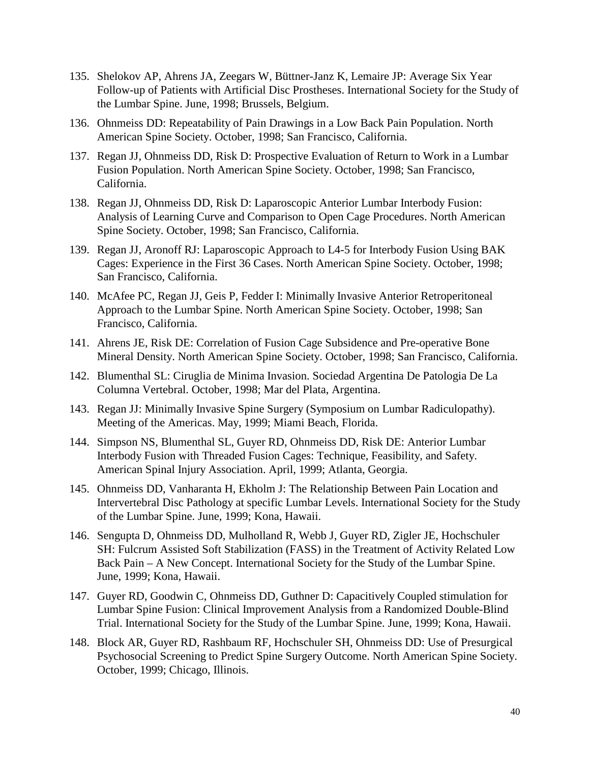- 135. Shelokov AP, Ahrens JA, Zeegars W, Büttner-Janz K, Lemaire JP: Average Six Year Follow-up of Patients with Artificial Disc Prostheses. International Society for the Study of the Lumbar Spine. June, 1998; Brussels, Belgium.
- 136. Ohnmeiss DD: Repeatability of Pain Drawings in a Low Back Pain Population. North American Spine Society. October, 1998; San Francisco, California.
- 137. Regan JJ, Ohnmeiss DD, Risk D: Prospective Evaluation of Return to Work in a Lumbar Fusion Population. North American Spine Society. October, 1998; San Francisco, California.
- 138. Regan JJ, Ohnmeiss DD, Risk D: Laparoscopic Anterior Lumbar Interbody Fusion: Analysis of Learning Curve and Comparison to Open Cage Procedures. North American Spine Society. October, 1998; San Francisco, California.
- 139. Regan JJ, Aronoff RJ: Laparoscopic Approach to L4-5 for Interbody Fusion Using BAK Cages: Experience in the First 36 Cases. North American Spine Society. October, 1998; San Francisco, California.
- 140. McAfee PC, Regan JJ, Geis P, Fedder I: Minimally Invasive Anterior Retroperitoneal Approach to the Lumbar Spine. North American Spine Society. October, 1998; San Francisco, California.
- 141. Ahrens JE, Risk DE: Correlation of Fusion Cage Subsidence and Pre-operative Bone Mineral Density. North American Spine Society. October, 1998; San Francisco, California.
- 142. Blumenthal SL: Ciruglia de Minima Invasion. Sociedad Argentina De Patologia De La Columna Vertebral. October, 1998; Mar del Plata, Argentina.
- 143. Regan JJ: Minimally Invasive Spine Surgery (Symposium on Lumbar Radiculopathy). Meeting of the Americas. May, 1999; Miami Beach, Florida.
- 144. Simpson NS, Blumenthal SL, Guyer RD, Ohnmeiss DD, Risk DE: Anterior Lumbar Interbody Fusion with Threaded Fusion Cages: Technique, Feasibility, and Safety. American Spinal Injury Association. April, 1999; Atlanta, Georgia.
- 145. Ohnmeiss DD, Vanharanta H, Ekholm J: The Relationship Between Pain Location and Intervertebral Disc Pathology at specific Lumbar Levels. International Society for the Study of the Lumbar Spine. June, 1999; Kona, Hawaii.
- 146. Sengupta D, Ohnmeiss DD, Mulholland R, Webb J, Guyer RD, Zigler JE, Hochschuler SH: Fulcrum Assisted Soft Stabilization (FASS) in the Treatment of Activity Related Low Back Pain – A New Concept. International Society for the Study of the Lumbar Spine. June, 1999; Kona, Hawaii.
- 147. Guyer RD, Goodwin C, Ohnmeiss DD, Guthner D: Capacitively Coupled stimulation for Lumbar Spine Fusion: Clinical Improvement Analysis from a Randomized Double-Blind Trial. International Society for the Study of the Lumbar Spine. June, 1999; Kona, Hawaii.
- 148. Block AR, Guyer RD, Rashbaum RF, Hochschuler SH, Ohnmeiss DD: Use of Presurgical Psychosocial Screening to Predict Spine Surgery Outcome. North American Spine Society. October, 1999; Chicago, Illinois.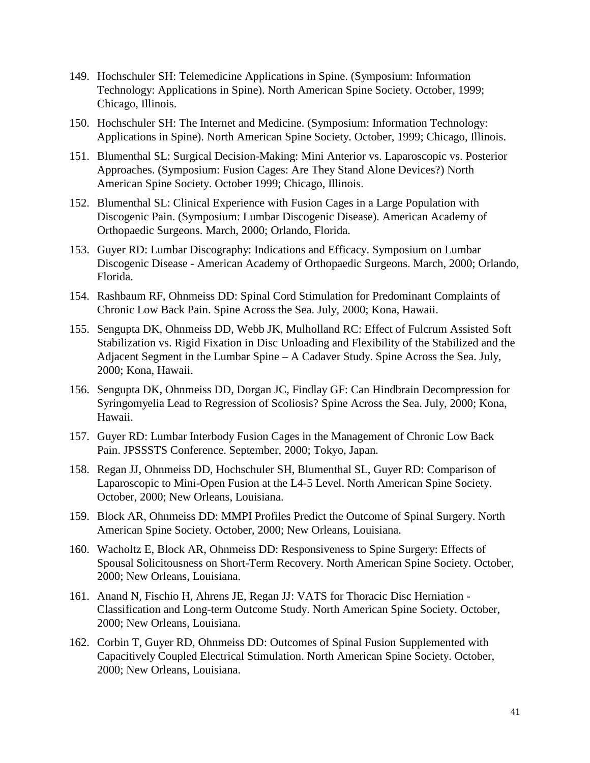- 149. Hochschuler SH: Telemedicine Applications in Spine. (Symposium: Information Technology: Applications in Spine). North American Spine Society. October, 1999; Chicago, Illinois.
- 150. Hochschuler SH: The Internet and Medicine. (Symposium: Information Technology: Applications in Spine). North American Spine Society. October, 1999; Chicago, Illinois.
- 151. Blumenthal SL: Surgical Decision-Making: Mini Anterior vs. Laparoscopic vs. Posterior Approaches. (Symposium: Fusion Cages: Are They Stand Alone Devices?) North American Spine Society. October 1999; Chicago, Illinois.
- 152. Blumenthal SL: Clinical Experience with Fusion Cages in a Large Population with Discogenic Pain. (Symposium: Lumbar Discogenic Disease). American Academy of Orthopaedic Surgeons. March, 2000; Orlando, Florida.
- 153. Guyer RD: Lumbar Discography: Indications and Efficacy. Symposium on Lumbar Discogenic Disease - American Academy of Orthopaedic Surgeons. March, 2000; Orlando, Florida.
- 154. Rashbaum RF, Ohnmeiss DD: Spinal Cord Stimulation for Predominant Complaints of Chronic Low Back Pain. Spine Across the Sea. July, 2000; Kona, Hawaii.
- 155. Sengupta DK, Ohnmeiss DD, Webb JK, Mulholland RC: Effect of Fulcrum Assisted Soft Stabilization vs. Rigid Fixation in Disc Unloading and Flexibility of the Stabilized and the Adjacent Segment in the Lumbar Spine – A Cadaver Study. Spine Across the Sea. July, 2000; Kona, Hawaii.
- 156. Sengupta DK, Ohnmeiss DD, Dorgan JC, Findlay GF: Can Hindbrain Decompression for Syringomyelia Lead to Regression of Scoliosis? Spine Across the Sea. July, 2000; Kona, Hawaii.
- 157. Guyer RD: Lumbar Interbody Fusion Cages in the Management of Chronic Low Back Pain. JPSSSTS Conference. September, 2000; Tokyo, Japan.
- 158. Regan JJ, Ohnmeiss DD, Hochschuler SH, Blumenthal SL, Guyer RD: Comparison of Laparoscopic to Mini-Open Fusion at the L4-5 Level. North American Spine Society. October, 2000; New Orleans, Louisiana.
- 159. Block AR, Ohnmeiss DD: MMPI Profiles Predict the Outcome of Spinal Surgery. North American Spine Society. October, 2000; New Orleans, Louisiana.
- 160. Wacholtz E, Block AR, Ohnmeiss DD: Responsiveness to Spine Surgery: Effects of Spousal Solicitousness on Short-Term Recovery. North American Spine Society. October, 2000; New Orleans, Louisiana.
- 161. Anand N, Fischio H, Ahrens JE, Regan JJ: VATS for Thoracic Disc Herniation Classification and Long-term Outcome Study. North American Spine Society. October, 2000; New Orleans, Louisiana.
- 162. Corbin T, Guyer RD, Ohnmeiss DD: Outcomes of Spinal Fusion Supplemented with Capacitively Coupled Electrical Stimulation. North American Spine Society. October, 2000; New Orleans, Louisiana.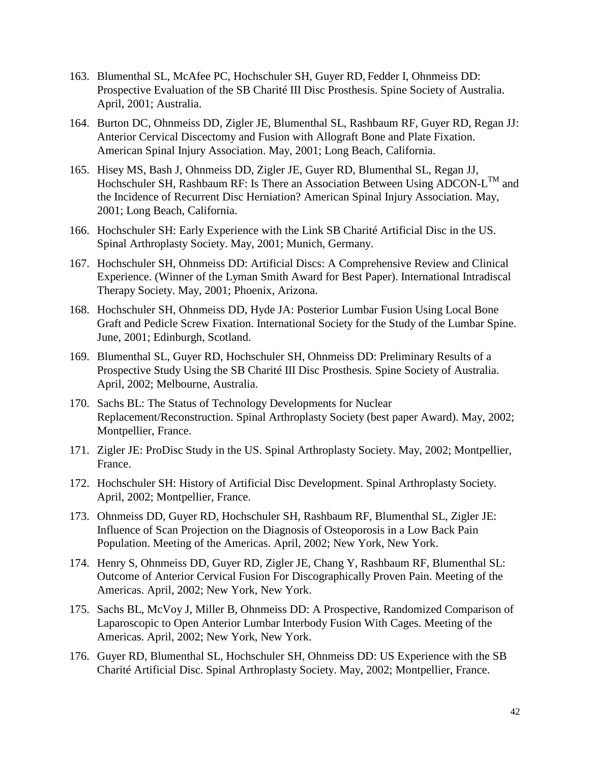- 163. Blumenthal SL, McAfee PC, Hochschuler SH, Guyer RD, Fedder I, Ohnmeiss DD: Prospective Evaluation of the SB Charité III Disc Prosthesis. Spine Society of Australia. April, 2001; Australia.
- 164. Burton DC, Ohnmeiss DD, Zigler JE, Blumenthal SL, Rashbaum RF, Guyer RD, Regan JJ: Anterior Cervical Discectomy and Fusion with Allograft Bone and Plate Fixation. American Spinal Injury Association. May, 2001; Long Beach, California.
- 165. Hisey MS, Bash J, Ohnmeiss DD, Zigler JE, Guyer RD, Blumenthal SL, Regan JJ, Hochschuler SH, Rashbaum RF: Is There an Association Between Using ADCON-L<sup>™</sup> and the Incidence of Recurrent Disc Herniation? American Spinal Injury Association. May, 2001; Long Beach, California.
- 166. Hochschuler SH: Early Experience with the Link SB Charité Artificial Disc in the US. Spinal Arthroplasty Society. May, 2001; Munich, Germany.
- 167. Hochschuler SH, Ohnmeiss DD: Artificial Discs: A Comprehensive Review and Clinical Experience. (Winner of the Lyman Smith Award for Best Paper). International Intradiscal Therapy Society. May, 2001; Phoenix, Arizona.
- 168. Hochschuler SH, Ohnmeiss DD, Hyde JA: Posterior Lumbar Fusion Using Local Bone Graft and Pedicle Screw Fixation. International Society for the Study of the Lumbar Spine. June, 2001; Edinburgh, Scotland.
- 169. Blumenthal SL, Guyer RD, Hochschuler SH, Ohnmeiss DD: Preliminary Results of a Prospective Study Using the SB Charité III Disc Prosthesis. Spine Society of Australia. April, 2002; Melbourne, Australia.
- 170. Sachs BL: The Status of Technology Developments for Nuclear Replacement/Reconstruction. Spinal Arthroplasty Society (best paper Award). May, 2002; Montpellier, France.
- 171. Zigler JE: ProDisc Study in the US. Spinal Arthroplasty Society. May, 2002; Montpellier, France.
- 172. Hochschuler SH: History of Artificial Disc Development. Spinal Arthroplasty Society. April, 2002; Montpellier, France.
- 173. Ohnmeiss DD, Guyer RD, Hochschuler SH, Rashbaum RF, Blumenthal SL, Zigler JE: Influence of Scan Projection on the Diagnosis of Osteoporosis in a Low Back Pain Population. Meeting of the Americas. April, 2002; New York, New York.
- 174. Henry S, Ohnmeiss DD, Guyer RD, Zigler JE, Chang Y, Rashbaum RF, Blumenthal SL: Outcome of Anterior Cervical Fusion For Discographically Proven Pain. Meeting of the Americas. April, 2002; New York, New York.
- 175. Sachs BL, McVoy J, Miller B, Ohnmeiss DD: A Prospective, Randomized Comparison of Laparoscopic to Open Anterior Lumbar Interbody Fusion With Cages. Meeting of the Americas. April, 2002; New York, New York.
- 176. Guyer RD, Blumenthal SL, Hochschuler SH, Ohnmeiss DD: US Experience with the SB Charité Artificial Disc. Spinal Arthroplasty Society. May, 2002; Montpellier, France.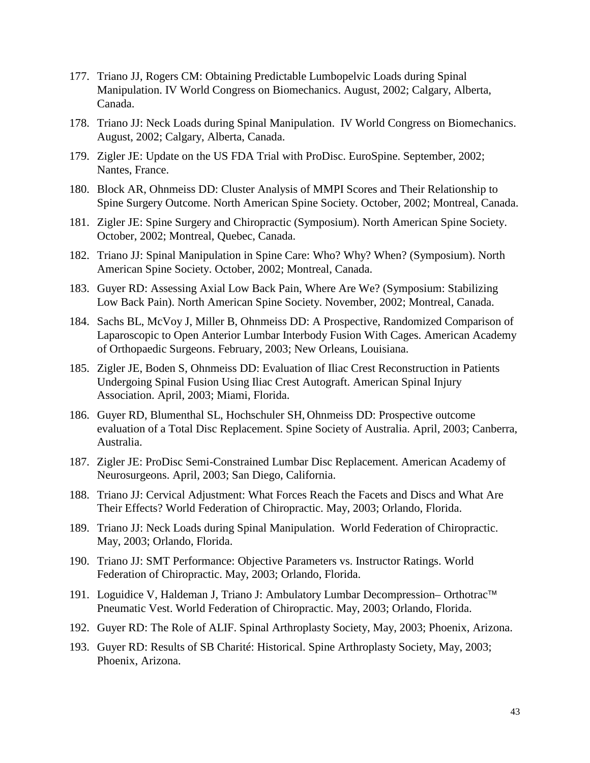- 177. Triano JJ, Rogers CM: Obtaining Predictable Lumbopelvic Loads during Spinal Manipulation. IV World Congress on Biomechanics. August, 2002; Calgary, Alberta, Canada.
- 178. Triano JJ: Neck Loads during Spinal Manipulation. IV World Congress on Biomechanics. August, 2002; Calgary, Alberta, Canada.
- 179. Zigler JE: Update on the US FDA Trial with ProDisc. EuroSpine. September, 2002; Nantes, France.
- 180. Block AR, Ohnmeiss DD: Cluster Analysis of MMPI Scores and Their Relationship to Spine Surgery Outcome. North American Spine Society. October, 2002; Montreal, Canada.
- 181. Zigler JE: Spine Surgery and Chiropractic (Symposium). North American Spine Society. October, 2002; Montreal, Quebec, Canada.
- 182. Triano JJ: Spinal Manipulation in Spine Care: Who? Why? When? (Symposium). North American Spine Society. October, 2002; Montreal, Canada.
- 183. Guyer RD: Assessing Axial Low Back Pain, Where Are We? (Symposium: Stabilizing Low Back Pain). North American Spine Society. November, 2002; Montreal, Canada.
- 184. Sachs BL, McVoy J, Miller B, Ohnmeiss DD: A Prospective, Randomized Comparison of Laparoscopic to Open Anterior Lumbar Interbody Fusion With Cages. American Academy of Orthopaedic Surgeons. February, 2003; New Orleans, Louisiana.
- 185. Zigler JE, Boden S, Ohnmeiss DD: Evaluation of Iliac Crest Reconstruction in Patients Undergoing Spinal Fusion Using Iliac Crest Autograft. American Spinal Injury Association. April, 2003; Miami, Florida.
- 186. Guyer RD, Blumenthal SL, Hochschuler SH, Ohnmeiss DD: Prospective outcome evaluation of a Total Disc Replacement. Spine Society of Australia. April, 2003; Canberra, Australia.
- 187. Zigler JE: ProDisc Semi-Constrained Lumbar Disc Replacement. American Academy of Neurosurgeons. April, 2003; San Diego, California.
- 188. Triano JJ: Cervical Adjustment: What Forces Reach the Facets and Discs and What Are Their Effects? World Federation of Chiropractic. May, 2003; Orlando, Florida.
- 189. Triano JJ: Neck Loads during Spinal Manipulation. World Federation of Chiropractic. May, 2003; Orlando, Florida.
- 190. Triano JJ: SMT Performance: Objective Parameters vs. Instructor Ratings. World Federation of Chiropractic. May, 2003; Orlando, Florida.
- 191. Loguidice V, Haldeman J, Triano J: Ambulatory Lumbar Decompression– Orthotrac™ Pneumatic Vest. World Federation of Chiropractic. May, 2003; Orlando, Florida.
- 192. Guyer RD: The Role of ALIF. Spinal Arthroplasty Society, May, 2003; Phoenix, Arizona.
- 193. Guyer RD: Results of SB Charité: Historical. Spine Arthroplasty Society, May, 2003; Phoenix, Arizona.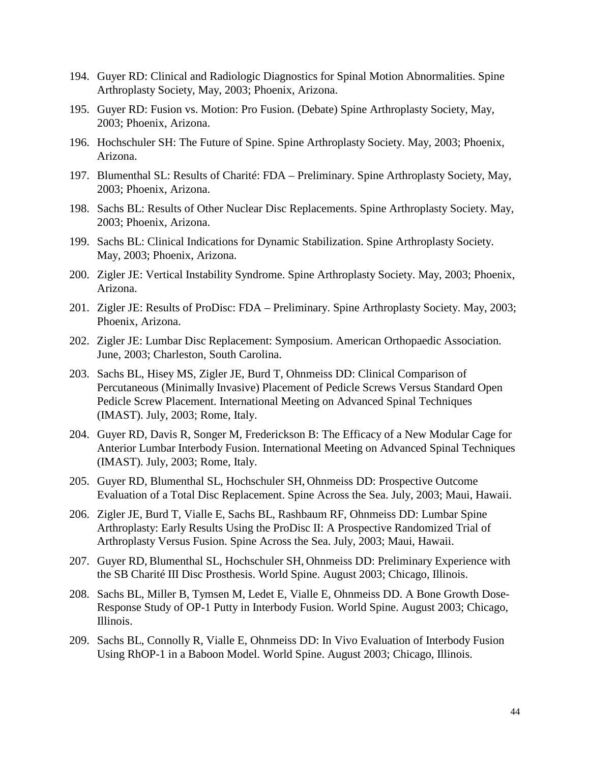- 194. Guyer RD: Clinical and Radiologic Diagnostics for Spinal Motion Abnormalities. Spine Arthroplasty Society, May, 2003; Phoenix, Arizona.
- 195. Guyer RD: Fusion vs. Motion: Pro Fusion. (Debate) Spine Arthroplasty Society, May, 2003; Phoenix, Arizona.
- 196. Hochschuler SH: The Future of Spine. Spine Arthroplasty Society. May, 2003; Phoenix, Arizona.
- 197. Blumenthal SL: Results of Charité: FDA Preliminary. Spine Arthroplasty Society, May, 2003; Phoenix, Arizona.
- 198. Sachs BL: Results of Other Nuclear Disc Replacements. Spine Arthroplasty Society. May, 2003; Phoenix, Arizona.
- 199. Sachs BL: Clinical Indications for Dynamic Stabilization. Spine Arthroplasty Society. May, 2003; Phoenix, Arizona.
- 200. Zigler JE: Vertical Instability Syndrome. Spine Arthroplasty Society. May, 2003; Phoenix, Arizona.
- 201. Zigler JE: Results of ProDisc: FDA Preliminary. Spine Arthroplasty Society. May, 2003; Phoenix, Arizona.
- 202. Zigler JE: Lumbar Disc Replacement: Symposium. American Orthopaedic Association. June, 2003; Charleston, South Carolina.
- 203. Sachs BL, Hisey MS, Zigler JE, Burd T, Ohnmeiss DD: Clinical Comparison of Percutaneous (Minimally Invasive) Placement of Pedicle Screws Versus Standard Open Pedicle Screw Placement. International Meeting on Advanced Spinal Techniques (IMAST). July, 2003; Rome, Italy.
- 204. Guyer RD, Davis R, Songer M, Frederickson B: The Efficacy of a New Modular Cage for Anterior Lumbar Interbody Fusion. International Meeting on Advanced Spinal Techniques (IMAST). July, 2003; Rome, Italy.
- 205. Guyer RD, Blumenthal SL, Hochschuler SH, Ohnmeiss DD: Prospective Outcome Evaluation of a Total Disc Replacement. Spine Across the Sea. July, 2003; Maui, Hawaii.
- 206. Zigler JE, Burd T, Vialle E, Sachs BL, Rashbaum RF, Ohnmeiss DD: Lumbar Spine Arthroplasty: Early Results Using the ProDisc II: A Prospective Randomized Trial of Arthroplasty Versus Fusion. Spine Across the Sea. July, 2003; Maui, Hawaii.
- 207. Guyer RD, Blumenthal SL, Hochschuler SH, Ohnmeiss DD: Preliminary Experience with the SB Charité III Disc Prosthesis. World Spine. August 2003; Chicago, Illinois.
- 208. Sachs BL, Miller B, Tymsen M, Ledet E, Vialle E, Ohnmeiss DD. A Bone Growth Dose-Response Study of OP-1 Putty in Interbody Fusion. World Spine. August 2003; Chicago, Illinois.
- 209. Sachs BL, Connolly R, Vialle E, Ohnmeiss DD: In Vivo Evaluation of Interbody Fusion Using RhOP-1 in a Baboon Model. World Spine. August 2003; Chicago, Illinois.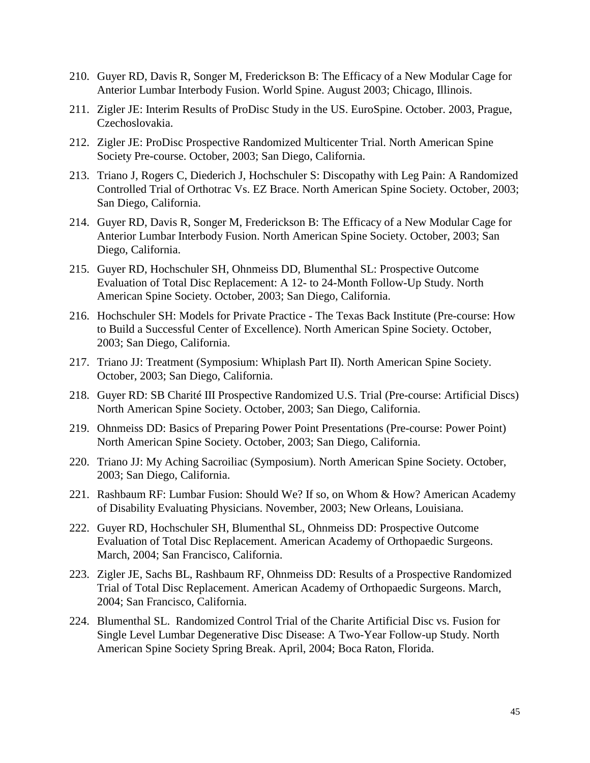- 210. Guyer RD, Davis R, Songer M, Frederickson B: The Efficacy of a New Modular Cage for Anterior Lumbar Interbody Fusion. World Spine. August 2003; Chicago, Illinois.
- 211. Zigler JE: Interim Results of ProDisc Study in the US. EuroSpine. October. 2003, Prague, Czechoslovakia.
- 212. Zigler JE: ProDisc Prospective Randomized Multicenter Trial. North American Spine Society Pre-course. October, 2003; San Diego, California.
- 213. Triano J, Rogers C, Diederich J, Hochschuler S: Discopathy with Leg Pain: A Randomized Controlled Trial of Orthotrac Vs. EZ Brace. North American Spine Society. October, 2003; San Diego, California.
- 214. Guyer RD, Davis R, Songer M, Frederickson B: The Efficacy of a New Modular Cage for Anterior Lumbar Interbody Fusion. North American Spine Society. October, 2003; San Diego, California.
- 215. Guyer RD, Hochschuler SH, Ohnmeiss DD, Blumenthal SL: Prospective Outcome Evaluation of Total Disc Replacement: A 12- to 24-Month Follow-Up Study. North American Spine Society. October, 2003; San Diego, California.
- 216. Hochschuler SH: Models for Private Practice The Texas Back Institute (Pre-course: How to Build a Successful Center of Excellence). North American Spine Society. October, 2003; San Diego, California.
- 217. Triano JJ: Treatment (Symposium: Whiplash Part II). North American Spine Society. October, 2003; San Diego, California.
- 218. Guyer RD: SB Charité III Prospective Randomized U.S. Trial (Pre-course: Artificial Discs) North American Spine Society. October, 2003; San Diego, California.
- 219. Ohnmeiss DD: Basics of Preparing Power Point Presentations (Pre-course: Power Point) North American Spine Society. October, 2003; San Diego, California.
- 220. Triano JJ: My Aching Sacroiliac (Symposium). North American Spine Society. October, 2003; San Diego, California.
- 221. Rashbaum RF: Lumbar Fusion: Should We? If so, on Whom & How? American Academy of Disability Evaluating Physicians. November, 2003; New Orleans, Louisiana.
- 222. Guyer RD, Hochschuler SH, Blumenthal SL, Ohnmeiss DD: Prospective Outcome Evaluation of Total Disc Replacement. American Academy of Orthopaedic Surgeons. March, 2004; San Francisco, California.
- 223. Zigler JE, Sachs BL, Rashbaum RF, Ohnmeiss DD: Results of a Prospective Randomized Trial of Total Disc Replacement. American Academy of Orthopaedic Surgeons. March, 2004; San Francisco, California.
- 224. Blumenthal SL. Randomized Control Trial of the Charite Artificial Disc vs. Fusion for Single Level Lumbar Degenerative Disc Disease: A Two-Year Follow-up Study. North American Spine Society Spring Break. April, 2004; Boca Raton, Florida.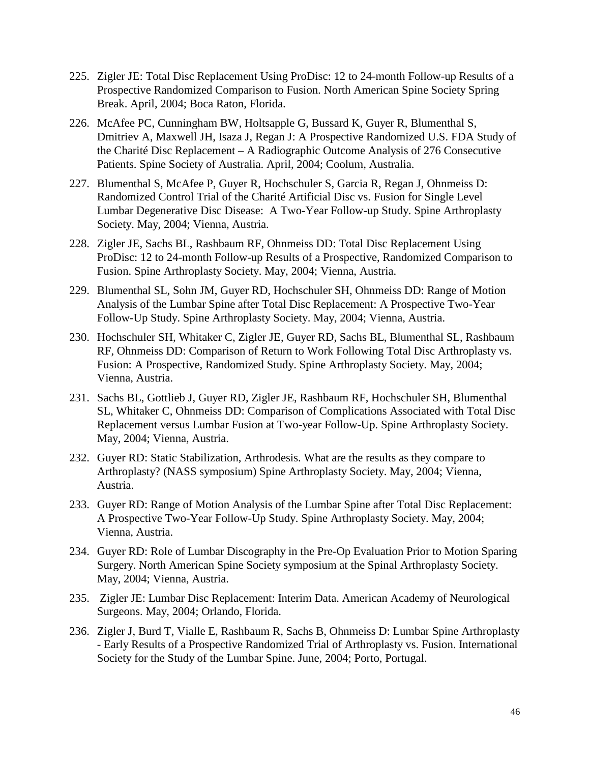- 225. Zigler JE: Total Disc Replacement Using ProDisc: 12 to 24-month Follow-up Results of a Prospective Randomized Comparison to Fusion. North American Spine Society Spring Break. April, 2004; Boca Raton, Florida.
- 226. McAfee PC, Cunningham BW, Holtsapple G, Bussard K, Guyer R, Blumenthal S, Dmitriev A, Maxwell JH, Isaza J, Regan J: A Prospective Randomized U.S. FDA Study of the Charité Disc Replacement – A Radiographic Outcome Analysis of 276 Consecutive Patients. Spine Society of Australia. April, 2004; Coolum, Australia.
- 227. Blumenthal S, McAfee P, Guyer R, Hochschuler S, Garcia R, Regan J, Ohnmeiss D: Randomized Control Trial of the Charité Artificial Disc vs. Fusion for Single Level Lumbar Degenerative Disc Disease: A Two-Year Follow-up Study. Spine Arthroplasty Society. May, 2004; Vienna, Austria.
- 228. Zigler JE, Sachs BL, Rashbaum RF, Ohnmeiss DD: Total Disc Replacement Using ProDisc: 12 to 24-month Follow-up Results of a Prospective, Randomized Comparison to Fusion. Spine Arthroplasty Society. May, 2004; Vienna, Austria.
- 229. Blumenthal SL, Sohn JM, Guyer RD, Hochschuler SH, Ohnmeiss DD: Range of Motion Analysis of the Lumbar Spine after Total Disc Replacement: A Prospective Two-Year Follow-Up Study. Spine Arthroplasty Society. May, 2004; Vienna, Austria.
- 230. Hochschuler SH, Whitaker C, Zigler JE, Guyer RD, Sachs BL, Blumenthal SL, Rashbaum RF, Ohnmeiss DD: Comparison of Return to Work Following Total Disc Arthroplasty vs. Fusion: A Prospective, Randomized Study. Spine Arthroplasty Society. May, 2004; Vienna, Austria.
- 231. Sachs BL, Gottlieb J, Guyer RD, Zigler JE, Rashbaum RF, Hochschuler SH, Blumenthal SL, Whitaker C, Ohnmeiss DD: Comparison of Complications Associated with Total Disc Replacement versus Lumbar Fusion at Two-year Follow-Up. Spine Arthroplasty Society. May, 2004; Vienna, Austria.
- 232. Guyer RD: Static Stabilization, Arthrodesis. What are the results as they compare to Arthroplasty? (NASS symposium) Spine Arthroplasty Society. May, 2004; Vienna, Austria.
- 233. Guyer RD: Range of Motion Analysis of the Lumbar Spine after Total Disc Replacement: A Prospective Two-Year Follow-Up Study. Spine Arthroplasty Society. May, 2004; Vienna, Austria.
- 234. Guyer RD: Role of Lumbar Discography in the Pre-Op Evaluation Prior to Motion Sparing Surgery. North American Spine Society symposium at the Spinal Arthroplasty Society. May, 2004; Vienna, Austria.
- 235. Zigler JE: Lumbar Disc Replacement: Interim Data. American Academy of Neurological Surgeons. May, 2004; Orlando, Florida.
- 236. Zigler J, Burd T, Vialle E, Rashbaum R, Sachs B, Ohnmeiss D: Lumbar Spine Arthroplasty - Early Results of a Prospective Randomized Trial of Arthroplasty vs. Fusion. International Society for the Study of the Lumbar Spine. June, 2004; Porto, Portugal.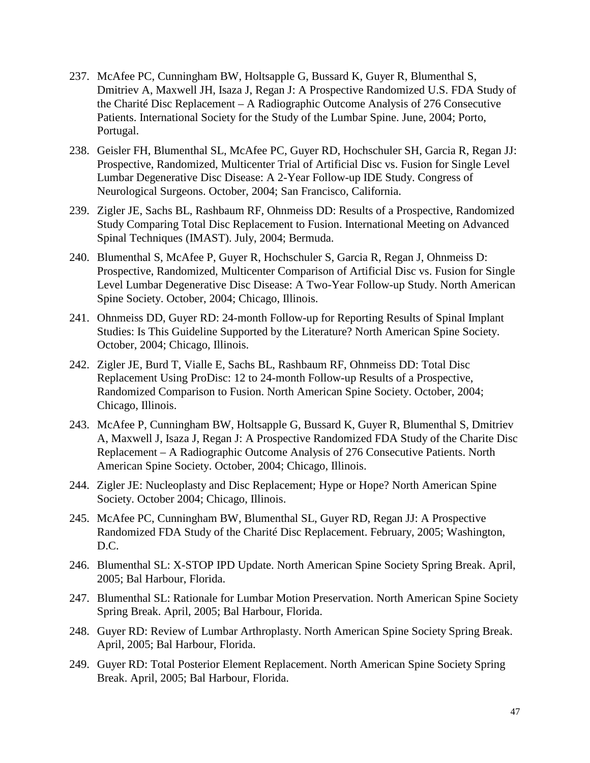- 237. McAfee PC, Cunningham BW, Holtsapple G, Bussard K, Guyer R, Blumenthal S, Dmitriev A, Maxwell JH, Isaza J, Regan J: A Prospective Randomized U.S. FDA Study of the Charité Disc Replacement – A Radiographic Outcome Analysis of 276 Consecutive Patients. International Society for the Study of the Lumbar Spine. June, 2004; Porto, Portugal.
- 238. Geisler FH, Blumenthal SL, McAfee PC, Guyer RD, Hochschuler SH, Garcia R, Regan JJ: Prospective, Randomized, Multicenter Trial of Artificial Disc vs. Fusion for Single Level Lumbar Degenerative Disc Disease: A 2-Year Follow-up IDE Study. Congress of Neurological Surgeons. October, 2004; San Francisco, California.
- 239. Zigler JE, Sachs BL, Rashbaum RF, Ohnmeiss DD: Results of a Prospective, Randomized Study Comparing Total Disc Replacement to Fusion. International Meeting on Advanced Spinal Techniques (IMAST). July, 2004; Bermuda.
- 240. Blumenthal S, McAfee P, Guyer R, Hochschuler S, Garcia R, Regan J, Ohnmeiss D: Prospective, Randomized, Multicenter Comparison of Artificial Disc vs. Fusion for Single Level Lumbar Degenerative Disc Disease: A Two-Year Follow-up Study. North American Spine Society. October, 2004; Chicago, Illinois.
- 241. Ohnmeiss DD, Guyer RD: 24-month Follow-up for Reporting Results of Spinal Implant Studies: Is This Guideline Supported by the Literature? North American Spine Society. October, 2004; Chicago, Illinois.
- 242. Zigler JE, Burd T, Vialle E, Sachs BL, Rashbaum RF, Ohnmeiss DD: Total Disc Replacement Using ProDisc: 12 to 24-month Follow-up Results of a Prospective, Randomized Comparison to Fusion. North American Spine Society. October, 2004; Chicago, Illinois.
- 243. McAfee P, Cunningham BW, Holtsapple G, Bussard K, Guyer R, Blumenthal S, Dmitriev A, Maxwell J, Isaza J, Regan J: A Prospective Randomized FDA Study of the Charite Disc Replacement – A Radiographic Outcome Analysis of 276 Consecutive Patients. North American Spine Society. October, 2004; Chicago, Illinois.
- 244. Zigler JE: Nucleoplasty and Disc Replacement; Hype or Hope? North American Spine Society. October 2004; Chicago, Illinois.
- 245. McAfee PC, Cunningham BW, Blumenthal SL, Guyer RD, Regan JJ: A Prospective Randomized FDA Study of the Charité Disc Replacement. February, 2005; Washington, D.C.
- 246. Blumenthal SL: X-STOP IPD Update. North American Spine Society Spring Break. April, 2005; Bal Harbour, Florida.
- 247. Blumenthal SL: Rationale for Lumbar Motion Preservation. North American Spine Society Spring Break. April, 2005; Bal Harbour, Florida.
- 248. Guyer RD: Review of Lumbar Arthroplasty. North American Spine Society Spring Break. April, 2005; Bal Harbour, Florida.
- 249. Guyer RD: Total Posterior Element Replacement. North American Spine Society Spring Break. April, 2005; Bal Harbour, Florida.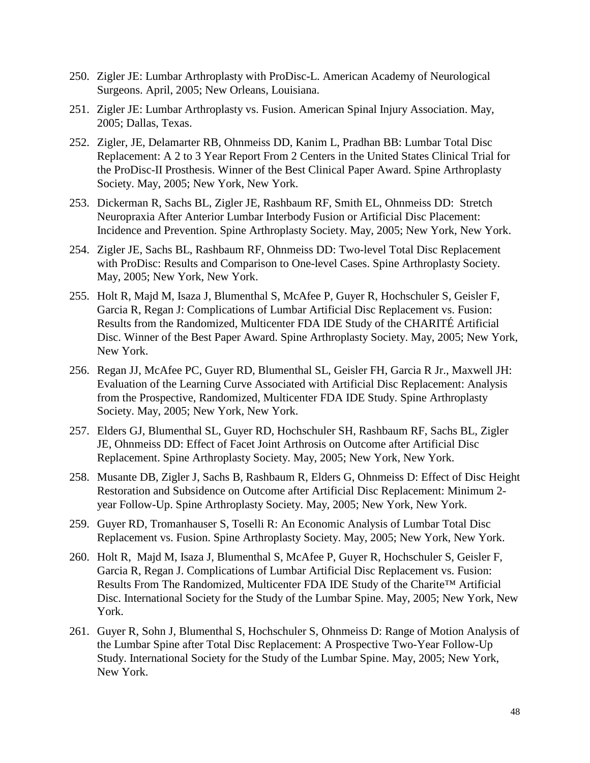- 250. Zigler JE: Lumbar Arthroplasty with ProDisc-L. American Academy of Neurological Surgeons. April, 2005; New Orleans, Louisiana.
- 251. Zigler JE: Lumbar Arthroplasty vs. Fusion. American Spinal Injury Association. May, 2005; Dallas, Texas.
- 252. Zigler, JE, Delamarter RB, Ohnmeiss DD, Kanim L, Pradhan BB: Lumbar Total Disc Replacement: A 2 to 3 Year Report From 2 Centers in the United States Clinical Trial for the ProDisc-II Prosthesis. Winner of the Best Clinical Paper Award. Spine Arthroplasty Society. May, 2005; New York, New York.
- 253. Dickerman R, Sachs BL, Zigler JE, Rashbaum RF, Smith EL, Ohnmeiss DD: Stretch Neuropraxia After Anterior Lumbar Interbody Fusion or Artificial Disc Placement: Incidence and Prevention. Spine Arthroplasty Society. May, 2005; New York, New York.
- 254. Zigler JE, Sachs BL, Rashbaum RF, Ohnmeiss DD: Two-level Total Disc Replacement with ProDisc: Results and Comparison to One-level Cases. Spine Arthroplasty Society. May, 2005; New York, New York.
- 255. Holt R, Majd M, Isaza J, Blumenthal S, McAfee P, Guyer R, Hochschuler S, Geisler F, Garcia R, Regan J: Complications of Lumbar Artificial Disc Replacement vs. Fusion: Results from the Randomized, Multicenter FDA IDE Study of the CHARITÉ Artificial Disc. Winner of the Best Paper Award. Spine Arthroplasty Society. May, 2005; New York, New York.
- 256. Regan JJ, McAfee PC, Guyer RD, Blumenthal SL, Geisler FH, Garcia R Jr., Maxwell JH: Evaluation of the Learning Curve Associated with Artificial Disc Replacement: Analysis from the Prospective, Randomized, Multicenter FDA IDE Study. Spine Arthroplasty Society. May, 2005; New York, New York.
- 257. Elders GJ, Blumenthal SL, Guyer RD, Hochschuler SH, Rashbaum RF, Sachs BL, Zigler JE, Ohnmeiss DD: Effect of Facet Joint Arthrosis on Outcome after Artificial Disc Replacement. Spine Arthroplasty Society. May, 2005; New York, New York.
- 258. Musante DB, Zigler J, Sachs B, Rashbaum R, Elders G, Ohnmeiss D: Effect of Disc Height Restoration and Subsidence on Outcome after Artificial Disc Replacement: Minimum 2 year Follow-Up. Spine Arthroplasty Society. May, 2005; New York, New York.
- 259. Guyer RD, Tromanhauser S, Toselli R: An Economic Analysis of Lumbar Total Disc Replacement vs. Fusion. Spine Arthroplasty Society. May, 2005; New York, New York.
- 260. Holt R, Majd M, Isaza J, Blumenthal S, McAfee P, Guyer R, Hochschuler S, Geisler F, Garcia R, Regan J. Complications of Lumbar Artificial Disc Replacement vs. Fusion: Results From The Randomized, Multicenter FDA IDE Study of the Charite™ Artificial Disc. International Society for the Study of the Lumbar Spine. May, 2005; New York, New York.
- 261. Guyer R, Sohn J, Blumenthal S, Hochschuler S, Ohnmeiss D: Range of Motion Analysis of the Lumbar Spine after Total Disc Replacement: A Prospective Two-Year Follow-Up Study. International Society for the Study of the Lumbar Spine. May, 2005; New York, New York.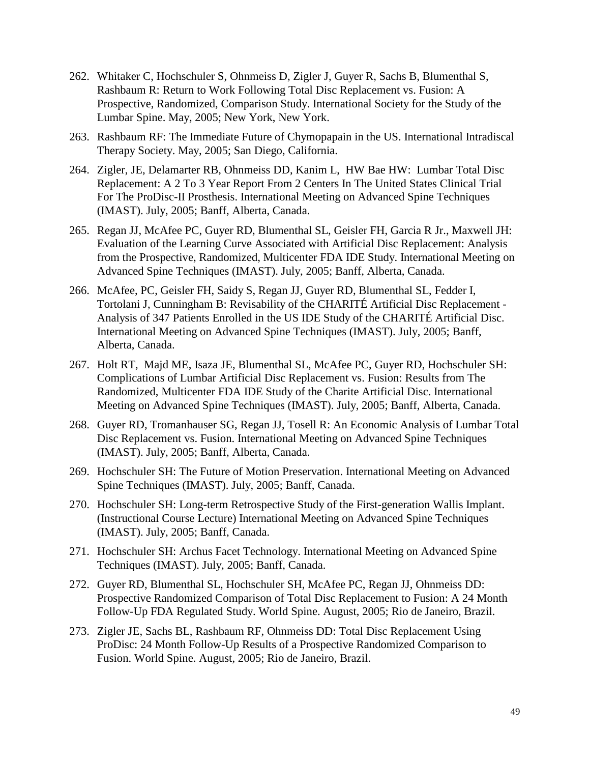- 262. Whitaker C, Hochschuler S, Ohnmeiss D, Zigler J, Guyer R, Sachs B, Blumenthal S, Rashbaum R: Return to Work Following Total Disc Replacement vs. Fusion: A Prospective, Randomized, Comparison Study. International Society for the Study of the Lumbar Spine. May, 2005; New York, New York.
- 263. Rashbaum RF: The Immediate Future of Chymopapain in the US. International Intradiscal Therapy Society. May, 2005; San Diego, California.
- 264. Zigler, JE, Delamarter RB, Ohnmeiss DD, Kanim L, HW Bae HW: Lumbar Total Disc Replacement: A 2 To 3 Year Report From 2 Centers In The United States Clinical Trial For The ProDisc-II Prosthesis. International Meeting on Advanced Spine Techniques (IMAST). July, 2005; Banff, Alberta, Canada.
- 265. Regan JJ, McAfee PC, Guyer RD, Blumenthal SL, Geisler FH, Garcia R Jr., Maxwell JH: Evaluation of the Learning Curve Associated with Artificial Disc Replacement: Analysis from the Prospective, Randomized, Multicenter FDA IDE Study. International Meeting on Advanced Spine Techniques (IMAST). July, 2005; Banff, Alberta, Canada.
- 266. McAfee, PC, Geisler FH, Saidy S, Regan JJ, Guyer RD, Blumenthal SL, Fedder I, Tortolani J, Cunningham B: Revisability of the CHARITÉ Artificial Disc Replacement - Analysis of 347 Patients Enrolled in the US IDE Study of the CHARITÉ Artificial Disc. International Meeting on Advanced Spine Techniques (IMAST). July, 2005; Banff, Alberta, Canada.
- 267. Holt RT, Majd ME, Isaza JE, Blumenthal SL, McAfee PC, Guyer RD, Hochschuler SH: Complications of Lumbar Artificial Disc Replacement vs. Fusion: Results from The Randomized, Multicenter FDA IDE Study of the Charite Artificial Disc. International Meeting on Advanced Spine Techniques (IMAST). July, 2005; Banff, Alberta, Canada.
- 268. Guyer RD, Tromanhauser SG, Regan JJ, Tosell R: An Economic Analysis of Lumbar Total Disc Replacement vs. Fusion. International Meeting on Advanced Spine Techniques (IMAST). July, 2005; Banff, Alberta, Canada.
- 269. Hochschuler SH: The Future of Motion Preservation. International Meeting on Advanced Spine Techniques (IMAST). July, 2005; Banff, Canada.
- 270. Hochschuler SH: Long-term Retrospective Study of the First-generation Wallis Implant. (Instructional Course Lecture) International Meeting on Advanced Spine Techniques (IMAST). July, 2005; Banff, Canada.
- 271. Hochschuler SH: Archus Facet Technology. International Meeting on Advanced Spine Techniques (IMAST). July, 2005; Banff, Canada.
- 272. Guyer RD, Blumenthal SL, Hochschuler SH, McAfee PC, Regan JJ, Ohnmeiss DD: Prospective Randomized Comparison of Total Disc Replacement to Fusion: A 24 Month Follow-Up FDA Regulated Study. World Spine. August, 2005; Rio de Janeiro, Brazil.
- 273. Zigler JE, Sachs BL, Rashbaum RF, Ohnmeiss DD: Total Disc Replacement Using ProDisc: 24 Month Follow-Up Results of a Prospective Randomized Comparison to Fusion. World Spine. August, 2005; Rio de Janeiro, Brazil.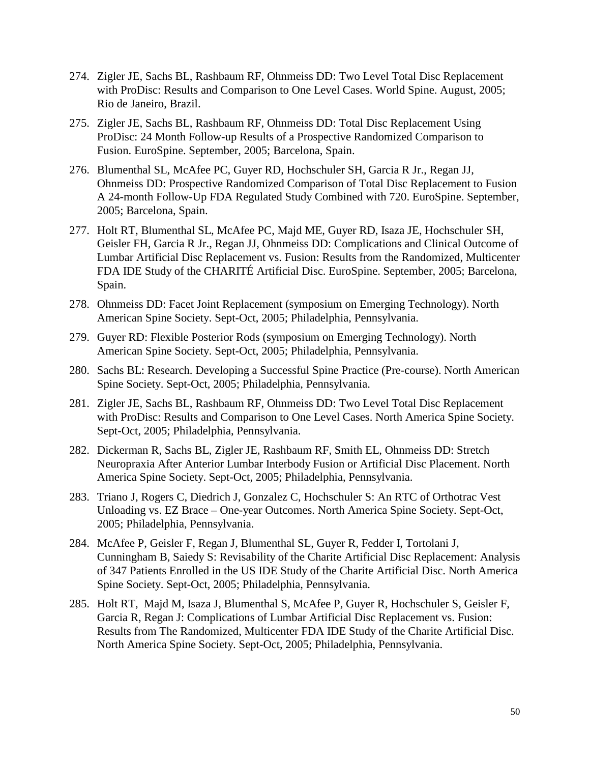- 274. Zigler JE, Sachs BL, Rashbaum RF, Ohnmeiss DD: [Two Level Total Disc Replacement](javascript:openPreviewWindow()  [with ProDisc: Results and Comparison to One Level Cases.](javascript:openPreviewWindow() World Spine. August, 2005; Rio de Janeiro, Brazil.
- 275. Zigler JE, Sachs BL, Rashbaum RF, Ohnmeiss DD: Total Disc Replacement Using ProDisc: 24 Month Follow-up Results of a Prospective Randomized Comparison to Fusion. EuroSpine. September, 2005; Barcelona, Spain.
- 276. Blumenthal SL, McAfee PC, Guyer RD, Hochschuler SH, Garcia R Jr., Regan JJ, Ohnmeiss DD: Prospective Randomized Comparison of Total Disc Replacement to Fusion A 24-month Follow-Up FDA Regulated Study Combined with 720. EuroSpine. September, 2005; Barcelona, Spain.
- 277. Holt RT, Blumenthal SL, McAfee PC, Majd ME, Guyer RD, Isaza JE, Hochschuler SH, Geisler FH, Garcia R Jr., Regan JJ, Ohnmeiss DD: Complications and Clinical Outcome of Lumbar Artificial Disc Replacement vs. Fusion: Results from the Randomized, Multicenter FDA IDE Study of the CHARITÉ Artificial Disc. EuroSpine. September, 2005; Barcelona, Spain.
- 278. Ohnmeiss DD: Facet Joint Replacement (symposium on Emerging Technology). North American Spine Society. Sept-Oct, 2005; Philadelphia, Pennsylvania.
- 279. Guyer RD: Flexible Posterior Rods (symposium on Emerging Technology). North American Spine Society. Sept-Oct, 2005; Philadelphia, Pennsylvania.
- 280. Sachs BL: Research. Developing a Successful Spine Practice (Pre-course). North American Spine Society. Sept-Oct, 2005; Philadelphia, Pennsylvania.
- 281. Zigler JE, Sachs BL, Rashbaum RF, Ohnmeiss DD: [Two Level Total Disc Replacement](javascript:openPreviewWindow()  [with ProDisc: Results and Comparison to One Level Cases.](javascript:openPreviewWindow() North America Spine Society. Sept-Oct, 2005; Philadelphia, Pennsylvania.
- 282. Dickerman R, Sachs BL, Zigler JE, Rashbaum RF, Smith EL, Ohnmeiss DD: [Stretch](javascript:openPreviewWindow()  [Neuropraxia After Anterior Lumbar Interbody Fusion or Artificial Disc Placement.](javascript:openPreviewWindow() North America Spine Society. Sept-Oct, 2005; Philadelphia, Pennsylvania.
- 283. Triano J, Rogers C, Diedrich J, Gonzalez C, Hochschuler S: An RTC of Orthotrac Vest Unloading vs. EZ Brace – One-year Outcomes. North America Spine Society. Sept-Oct, 2005; Philadelphia, Pennsylvania.
- 284. McAfee P, Geisler F, Regan J, Blumenthal SL, Guyer R, Fedder I, Tortolani J, Cunningham B, Saiedy S: Revisability of the Charite Artificial Disc Replacement: Analysis of 347 Patients Enrolled in the US IDE Study of the Charite Artificial Disc. North America Spine Society. Sept-Oct, 2005; Philadelphia, Pennsylvania.
- 285. Holt RT, Majd M, Isaza J, Blumenthal S, McAfee P, Guyer R, Hochschuler S, Geisler F, Garcia R, Regan J: Complications of Lumbar Artificial Disc Replacement vs. Fusion: Results from The Randomized, Multicenter FDA IDE Study of the Charite Artificial Disc. North America Spine Society. Sept-Oct, 2005; Philadelphia, Pennsylvania.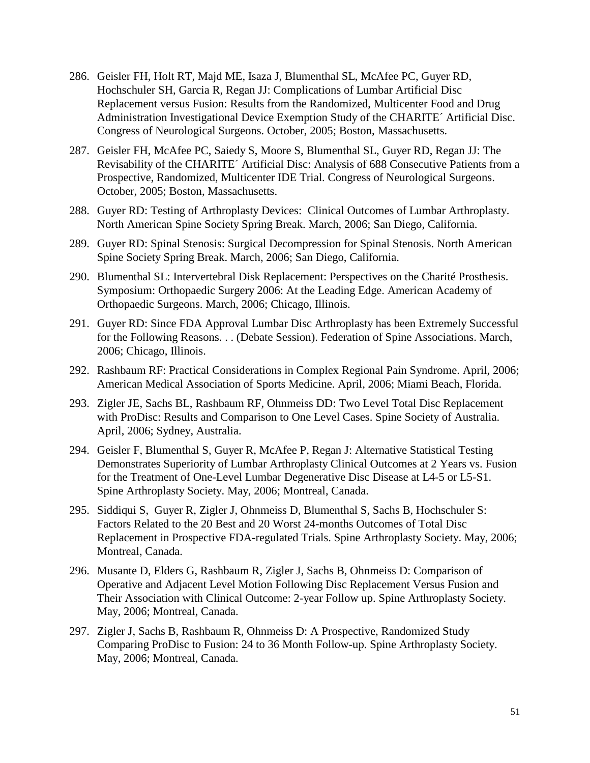- 286. Geisler FH, Holt RT, Majd ME, Isaza J, Blumenthal SL, McAfee PC, Guyer RD, Hochschuler SH, Garcia R, Regan JJ: Complications of Lumbar Artificial Disc Replacement versus Fusion: Results from the Randomized, Multicenter Food and Drug Administration Investigational Device Exemption Study of the CHARITE´ Artificial Disc. Congress of Neurological Surgeons. October, 2005; Boston, Massachusetts.
- 287. Geisler FH, McAfee PC, Saiedy S, Moore S, Blumenthal SL, Guyer RD, Regan JJ: The Revisability of the CHARITE´ Artificial Disc: Analysis of 688 Consecutive Patients from a Prospective, Randomized, Multicenter IDE Trial. Congress of Neurological Surgeons. October, 2005; Boston, Massachusetts.
- 288. Guyer RD: Testing of Arthroplasty Devices: Clinical Outcomes of Lumbar Arthroplasty. North American Spine Society Spring Break. March, 2006; San Diego, California.
- 289. Guyer RD: Spinal Stenosis: Surgical Decompression for Spinal Stenosis. North American Spine Society Spring Break. March, 2006; San Diego, California.
- 290. Blumenthal SL: Intervertebral Disk Replacement: Perspectives on the Charité Prosthesis. Symposium: Orthopaedic Surgery 2006: At the Leading Edge. American Academy of Orthopaedic Surgeons. March, 2006; Chicago, Illinois.
- 291. Guyer RD: Since FDA Approval Lumbar Disc Arthroplasty has been Extremely Successful for the Following Reasons. . . (Debate Session). Federation of Spine Associations. March, 2006; Chicago, Illinois.
- 292. Rashbaum RF: Practical Considerations in Complex Regional Pain Syndrome. April, 2006; American Medical Association of Sports Medicine. April, 2006; Miami Beach, Florida.
- 293. Zigler JE, Sachs BL, Rashbaum RF, Ohnmeiss DD: [Two Level Total Disc Replacement](javascript:openPreviewWindow()  [with ProDisc: Results and Comparison to One Level Cases.](javascript:openPreviewWindow() Spine Society of Australia. April, 2006; Sydney, Australia.
- 294. Geisler F, Blumenthal S, Guyer R, McAfee P, Regan J: Alternative Statistical Testing Demonstrates Superiority of Lumbar Arthroplasty Clinical Outcomes at 2 Years vs. Fusion for the Treatment of One-Level Lumbar Degenerative Disc Disease at L4-5 or L5-S1. Spine Arthroplasty Society. May, 2006; Montreal, Canada.
- 295. Siddiqui S, Guyer R, Zigler J, Ohnmeiss D, Blumenthal S, Sachs B, Hochschuler S: Factors Related to the 20 Best and 20 Worst 24-months Outcomes of Total Disc Replacement in Prospective FDA-regulated Trials. Spine Arthroplasty Society. May, 2006; Montreal, Canada.
- 296. Musante D, Elders G, Rashbaum R, Zigler J, Sachs B, Ohnmeiss D: Comparison of Operative and Adjacent Level Motion Following Disc Replacement Versus Fusion and Their Association with Clinical Outcome: 2-year Follow up. Spine Arthroplasty Society. May, 2006; Montreal, Canada.
- 297. Zigler J, Sachs B, Rashbaum R, Ohnmeiss D: A Prospective, Randomized Study Comparing ProDisc to Fusion: 24 to 36 Month Follow-up. Spine Arthroplasty Society. May, 2006; Montreal, Canada.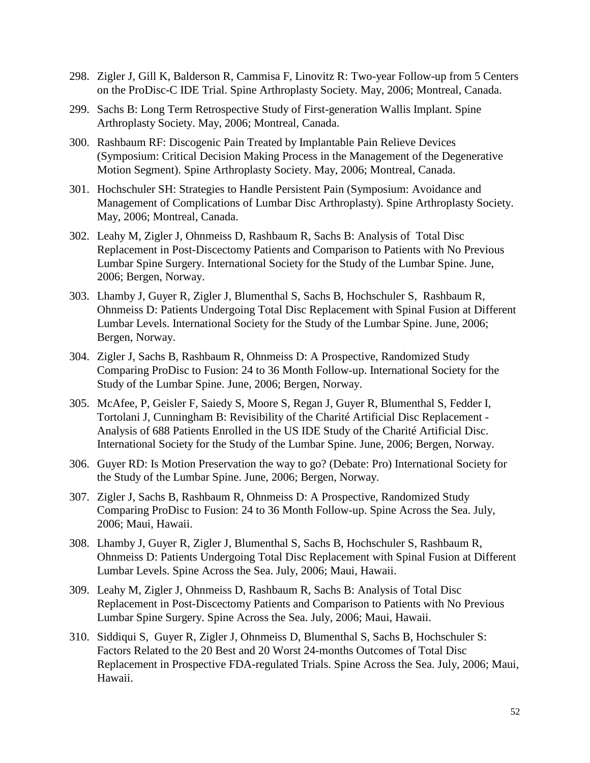- 298. Zigler J, Gill K, Balderson R, Cammisa F, Linovitz R: Two-year Follow-up from 5 Centers on the ProDisc-C IDE Trial. Spine Arthroplasty Society. May, 2006; Montreal, Canada.
- 299. Sachs B: Long Term Retrospective Study of First-generation Wallis Implant. Spine Arthroplasty Society. May, 2006; Montreal, Canada.
- 300. Rashbaum RF: Discogenic Pain Treated by Implantable Pain Relieve Devices (Symposium: Critical Decision Making Process in the Management of the Degenerative Motion Segment). Spine Arthroplasty Society. May, 2006; Montreal, Canada.
- 301. Hochschuler SH: Strategies to Handle Persistent Pain (Symposium: Avoidance and Management of Complications of Lumbar Disc Arthroplasty). Spine Arthroplasty Society. May, 2006; Montreal, Canada.
- 302. Leahy M, Zigler J, Ohnmeiss D, Rashbaum R, Sachs B: Analysis of Total Disc Replacement in Post-Discectomy Patients and Comparison to Patients with No Previous Lumbar Spine Surgery. International Society for the Study of the Lumbar Spine. June, 2006; Bergen, Norway.
- 303. Lhamby J, Guyer R, Zigler J, Blumenthal S, Sachs B, Hochschuler S, Rashbaum R, Ohnmeiss D: Patients Undergoing Total Disc Replacement with Spinal Fusion at Different Lumbar Levels. International Society for the Study of the Lumbar Spine. June, 2006; Bergen, Norway.
- 304. Zigler J, Sachs B, Rashbaum R, Ohnmeiss D: A Prospective, Randomized Study Comparing ProDisc to Fusion: 24 to 36 Month Follow-up. International Society for the Study of the Lumbar Spine. June, 2006; Bergen, Norway.
- 305. McAfee, P, Geisler F, Saiedy S, Moore S, Regan J, Guyer R, Blumenthal S, Fedder I, Tortolani J, Cunningham B: Revisibility of the Charité Artificial Disc Replacement - Analysis of 688 Patients Enrolled in the US IDE Study of the Charité Artificial Disc. International Society for the Study of the Lumbar Spine. June, 2006; Bergen, Norway.
- 306. Guyer RD: Is Motion Preservation the way to go? (Debate: Pro) International Society for the Study of the Lumbar Spine. June, 2006; Bergen, Norway.
- 307. Zigler J, Sachs B, Rashbaum R, Ohnmeiss D: A Prospective, Randomized Study Comparing ProDisc to Fusion: 24 to 36 Month Follow-up. Spine Across the Sea. July, 2006; Maui, Hawaii.
- 308. Lhamby J, Guyer R, Zigler J, Blumenthal S, Sachs B, Hochschuler S, Rashbaum R, Ohnmeiss D: Patients Undergoing Total Disc Replacement with Spinal Fusion at Different Lumbar Levels. Spine Across the Sea. July, 2006; Maui, Hawaii.
- 309. Leahy M, Zigler J, Ohnmeiss D, Rashbaum R, Sachs B: Analysis of Total Disc Replacement in Post-Discectomy Patients and Comparison to Patients with No Previous Lumbar Spine Surgery. Spine Across the Sea. July, 2006; Maui, Hawaii.
- 310. Siddiqui S, Guyer R, Zigler J, Ohnmeiss D, Blumenthal S, Sachs B, Hochschuler S: Factors Related to the 20 Best and 20 Worst 24-months Outcomes of Total Disc Replacement in Prospective FDA-regulated Trials. Spine Across the Sea. July, 2006; Maui, Hawaii.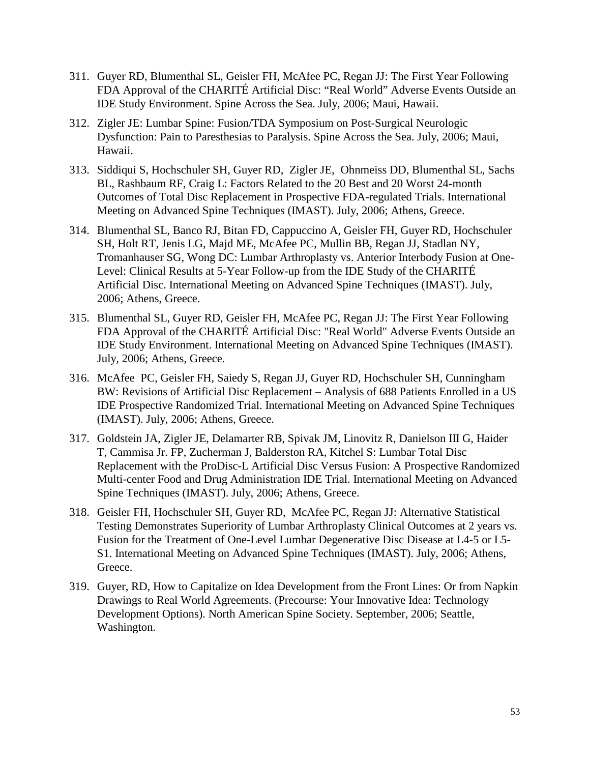- 311. Guyer RD, Blumenthal SL, Geisler FH, McAfee PC, Regan JJ: The First Year Following FDA Approval of the CHARITÉ Artificial Disc: "Real World" Adverse Events Outside an IDE Study Environment. Spine Across the Sea. July, 2006; Maui, Hawaii.
- 312. Zigler JE: Lumbar Spine: Fusion/TDA Symposium on Post-Surgical Neurologic Dysfunction: Pain to Paresthesias to Paralysis. Spine Across the Sea. July, 2006; Maui, Hawaii.
- 313. Siddiqui S, Hochschuler SH, Guyer RD, Zigler JE, Ohnmeiss DD, Blumenthal SL, Sachs BL, Rashbaum RF, Craig L: Factors Related to the 20 Best and 20 Worst 24-month Outcomes of Total Disc Replacement in Prospective FDA-regulated Trials. International Meeting on Advanced Spine Techniques (IMAST). July, 2006; Athens, Greece.
- 314. Blumenthal SL, Banco RJ, Bitan FD, Cappuccino A, Geisler FH, Guyer RD, Hochschuler SH, Holt RT, Jenis LG, Majd ME, McAfee PC, Mullin BB, Regan JJ, Stadlan NY, Tromanhauser SG, Wong DC: Lumbar Arthroplasty vs. Anterior Interbody Fusion at One-Level: Clinical Results at 5-Year Follow-up from the IDE Study of the CHARITÉ Artificial Disc. International Meeting on Advanced Spine Techniques (IMAST). July, 2006; Athens, Greece.
- 315. Blumenthal SL, Guyer RD, Geisler FH, McAfee PC, Regan JJ: The First Year Following FDA Approval of the CHARITÉ Artificial Disc: "Real World" Adverse Events Outside an IDE Study Environment. International Meeting on Advanced Spine Techniques (IMAST). July, 2006; Athens, Greece.
- 316. McAfee PC, Geisler FH, Saiedy S, Regan JJ, Guyer RD, Hochschuler SH, Cunningham BW: Revisions of Artificial Disc Replacement – Analysis of 688 Patients Enrolled in a US IDE Prospective Randomized Trial. International Meeting on Advanced Spine Techniques (IMAST). July, 2006; Athens, Greece.
- 317. Goldstein JA, Zigler JE, Delamarter RB, Spivak JM, Linovitz R, Danielson III G, Haider T, Cammisa Jr. FP, Zucherman J, Balderston RA, Kitchel S: Lumbar Total Disc Replacement with the ProDisc-L Artificial Disc Versus Fusion: A Prospective Randomized Multi-center Food and Drug Administration IDE Trial. International Meeting on Advanced Spine Techniques (IMAST). July, 2006; Athens, Greece.
- 318. Geisler FH, Hochschuler SH, Guyer RD, McAfee PC, Regan JJ: Alternative Statistical Testing Demonstrates Superiority of Lumbar Arthroplasty Clinical Outcomes at 2 years vs. Fusion for the Treatment of One-Level Lumbar Degenerative Disc Disease at L4-5 or L5- S1. International Meeting on Advanced Spine Techniques (IMAST). July, 2006; Athens, Greece.
- 319. Guyer, RD, How to Capitalize on Idea Development from the Front Lines: Or from Napkin Drawings to Real World Agreements. (Precourse: Your Innovative Idea: Technology Development Options). North American Spine Society. September, 2006; Seattle, Washington.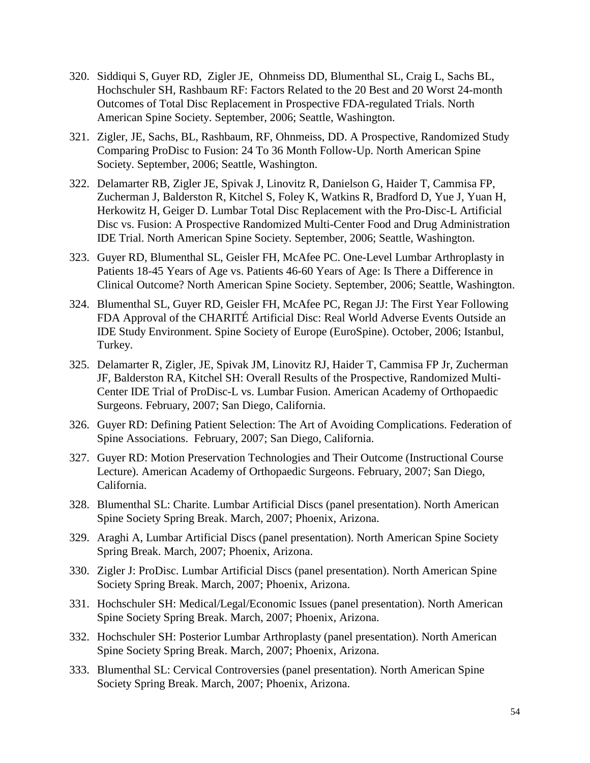- 320. Siddiqui S, Guyer RD, Zigler JE, Ohnmeiss DD, Blumenthal SL, Craig L, Sachs BL, Hochschuler SH, Rashbaum RF: Factors Related to the 20 Best and 20 Worst 24-month Outcomes of Total Disc Replacement in Prospective FDA-regulated Trials. North American Spine Society. September, 2006; Seattle, Washington.
- 321. Zigler, JE, Sachs, BL, Rashbaum, RF, Ohnmeiss, DD. A Prospective, Randomized Study Comparing ProDisc to Fusion: 24 To 36 Month Follow-Up. North American Spine Society. September, 2006; Seattle, Washington.
- 322. Delamarter RB, Zigler JE, Spivak J, Linovitz R, Danielson G, Haider T, Cammisa FP, Zucherman J, Balderston R, Kitchel S, Foley K, Watkins R, Bradford D, Yue J, Yuan H, Herkowitz H, Geiger D. Lumbar Total Disc Replacement with the Pro-Disc-L Artificial Disc vs. Fusion: A Prospective Randomized Multi-Center Food and Drug Administration IDE Trial. North American Spine Society. September, 2006; Seattle, Washington.
- 323. Guyer RD, Blumenthal SL, Geisler FH, McAfee PC. One-Level Lumbar Arthroplasty in Patients 18-45 Years of Age vs. Patients 46-60 Years of Age: Is There a Difference in Clinical Outcome? North American Spine Society. September, 2006; Seattle, Washington.
- 324. Blumenthal SL, Guyer RD, Geisler FH, McAfee PC, Regan JJ: The First Year Following FDA Approval of the CHARITÉ Artificial Disc: Real World Adverse Events Outside an IDE Study Environment. Spine Society of Europe (EuroSpine). October, 2006; Istanbul, Turkey.
- 325. Delamarter R, Zigler, JE, Spivak JM, Linovitz RJ, Haider T, Cammisa FP Jr, Zucherman JF, Balderston RA, Kitchel SH: Overall Results of the Prospective, Randomized Multi-Center IDE Trial of ProDisc-L vs. Lumbar Fusion. American Academy of Orthopaedic Surgeons. February, 2007; San Diego, California.
- 326. Guyer RD: Defining Patient Selection: The Art of Avoiding Complications. Federation of Spine Associations. February, 2007; San Diego, California.
- 327. Guyer RD: Motion Preservation Technologies and Their Outcome (Instructional Course Lecture). American Academy of Orthopaedic Surgeons. February, 2007; San Diego, California.
- 328. Blumenthal SL: Charite. Lumbar Artificial Discs (panel presentation). North American Spine Society Spring Break. March, 2007; Phoenix, Arizona.
- 329. Araghi A, Lumbar Artificial Discs (panel presentation). North American Spine Society Spring Break. March, 2007; Phoenix, Arizona.
- 330. Zigler J: ProDisc. Lumbar Artificial Discs (panel presentation). North American Spine Society Spring Break. March, 2007; Phoenix, Arizona.
- 331. Hochschuler SH: Medical/Legal/Economic Issues (panel presentation). North American Spine Society Spring Break. March, 2007; Phoenix, Arizona.
- 332. Hochschuler SH: Posterior Lumbar Arthroplasty (panel presentation). North American Spine Society Spring Break. March, 2007; Phoenix, Arizona.
- 333. Blumenthal SL: Cervical Controversies (panel presentation). North American Spine Society Spring Break. March, 2007; Phoenix, Arizona.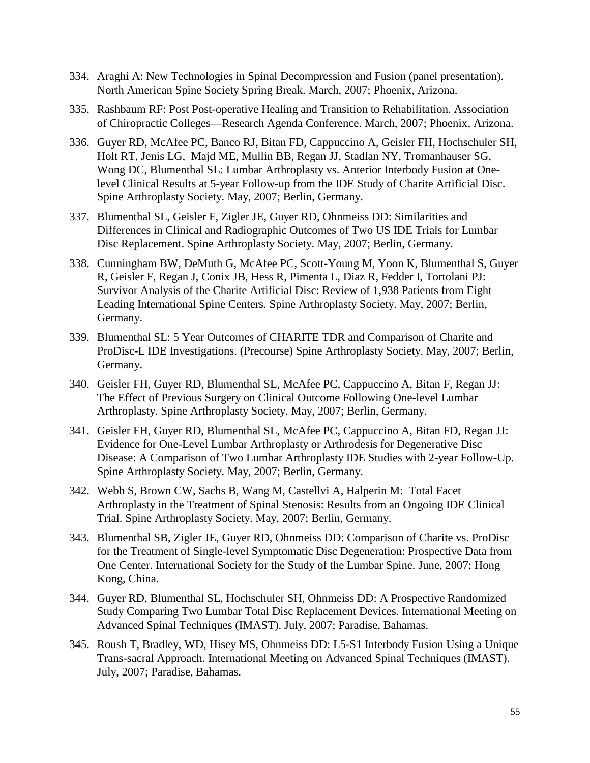- 334. Araghi A: New Technologies in Spinal Decompression and Fusion (panel presentation). North American Spine Society Spring Break. March, 2007; Phoenix, Arizona.
- 335. Rashbaum RF: Post Post-operative Healing and Transition to Rehabilitation. Association of Chiropractic Colleges—Research Agenda Conference. March, 2007; Phoenix, Arizona.
- 336. Guyer RD, McAfee PC, Banco RJ, Bitan FD, Cappuccino A, Geisler FH, Hochschuler SH, Holt RT, Jenis LG, Majd ME, Mullin BB, Regan JJ, Stadlan NY, Tromanhauser SG, Wong DC, Blumenthal SL: Lumbar Arthroplasty vs. Anterior Interbody Fusion at Onelevel Clinical Results at 5-year Follow-up from the IDE Study of Charite Artificial Disc. Spine Arthroplasty Society. May, 2007; Berlin, Germany.
- 337. Blumenthal SL, Geisler F, Zigler JE, Guyer RD, Ohnmeiss DD: Similarities and Differences in Clinical and Radiographic Outcomes of Two US IDE Trials for Lumbar Disc Replacement. Spine Arthroplasty Society. May, 2007; Berlin, Germany.
- 338. Cunningham BW, DeMuth G, McAfee PC, Scott-Young M, Yoon K, Blumenthal S, Guyer R, Geisler F, Regan J, Conix JB, Hess R, Pimenta L, Diaz R, Fedder I, Tortolani PJ: Survivor Analysis of the Charite Artificial Disc: Review of 1,938 Patients from Eight Leading International Spine Centers. Spine Arthroplasty Society. May, 2007; Berlin, Germany.
- 339. Blumenthal SL: 5 Year Outcomes of CHARITE TDR and Comparison of Charite and ProDisc-L IDE Investigations. (Precourse) Spine Arthroplasty Society. May, 2007; Berlin, Germany.
- 340. Geisler FH, Guyer RD, Blumenthal SL, McAfee PC, Cappuccino A, Bitan F, Regan JJ: The Effect of Previous Surgery on Clinical Outcome Following One-level Lumbar Arthroplasty. Spine Arthroplasty Society. May, 2007; Berlin, Germany.
- 341. Geisler FH, Guyer RD, Blumenthal SL, McAfee PC, Cappuccino A, Bitan FD, Regan JJ: Evidence for One-Level Lumbar Arthroplasty or Arthrodesis for Degenerative Disc Disease: A Comparison of Two Lumbar Arthroplasty IDE Studies with 2-year Follow-Up. Spine Arthroplasty Society. May, 2007; Berlin, Germany.
- 342. Webb S, Brown CW, Sachs B, Wang M, Castellvi A, Halperin M: Total Facet Arthroplasty in the Treatment of Spinal Stenosis: Results from an Ongoing IDE Clinical Trial. Spine Arthroplasty Society. May, 2007; Berlin, Germany.
- 343. Blumenthal SB, Zigler JE, Guyer RD, Ohnmeiss DD: Comparison of Charite vs. ProDisc for the Treatment of Single-level Symptomatic Disc Degeneration: Prospective Data from One Center. International Society for the Study of the Lumbar Spine. June, 2007; Hong Kong, China.
- 344. Guyer RD, Blumenthal SL, Hochschuler SH, Ohnmeiss DD: A Prospective Randomized Study Comparing Two Lumbar Total Disc Replacement Devices. International Meeting on Advanced Spinal Techniques (IMAST). July, 2007; Paradise, Bahamas.
- 345. Roush T, Bradley, WD, Hisey MS, Ohnmeiss DD: L5-S1 Interbody Fusion Using a Unique Trans-sacral Approach. International Meeting on Advanced Spinal Techniques (IMAST). July, 2007; Paradise, Bahamas.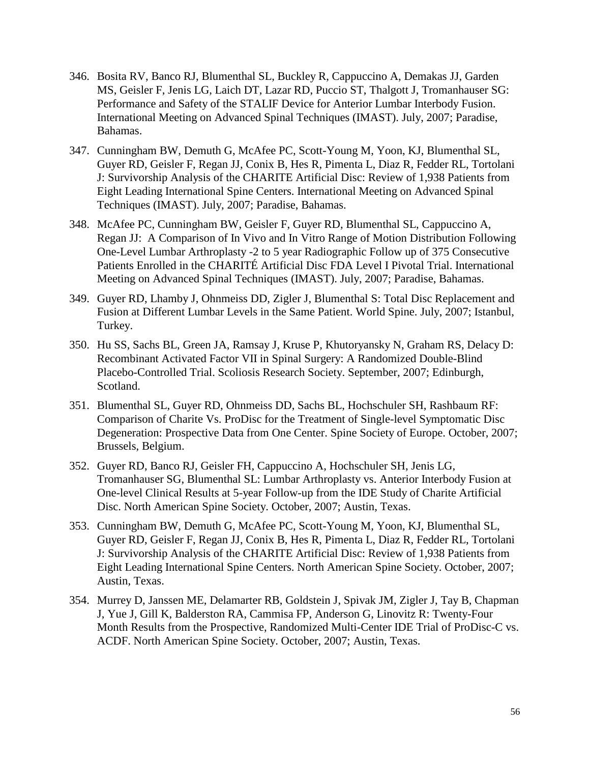- 346. Bosita RV, Banco RJ, Blumenthal SL, Buckley R, Cappuccino A, Demakas JJ, Garden MS, Geisler F, Jenis LG, Laich DT, Lazar RD, Puccio ST, Thalgott J, Tromanhauser SG: Performance and Safety of the STALIF Device for Anterior Lumbar Interbody Fusion. International Meeting on Advanced Spinal Techniques (IMAST). July, 2007; Paradise, Bahamas.
- 347. Cunningham BW, Demuth G, McAfee PC, Scott-Young M, Yoon, KJ, Blumenthal SL, Guyer RD, Geisler F, Regan JJ, Conix B, Hes R, Pimenta L, Diaz R, Fedder RL, Tortolani J: Survivorship Analysis of the CHARITE Artificial Disc: Review of 1,938 Patients from Eight Leading International Spine Centers. International Meeting on Advanced Spinal Techniques (IMAST). July, 2007; Paradise, Bahamas.
- 348. McAfee PC, Cunningham BW, Geisler F, Guyer RD, Blumenthal SL, Cappuccino A, Regan JJ: A Comparison of In Vivo and In Vitro Range of Motion Distribution Following One-Level Lumbar Arthroplasty -2 to 5 year Radiographic Follow up of 375 Consecutive Patients Enrolled in the CHARITÉ Artificial Disc FDA Level I Pivotal Trial. International Meeting on Advanced Spinal Techniques (IMAST). July, 2007; Paradise, Bahamas.
- 349. Guyer RD, Lhamby J, Ohnmeiss DD, Zigler J, Blumenthal S: Total Disc Replacement and Fusion at Different Lumbar Levels in the Same Patient. World Spine. July, 2007; Istanbul, Turkey.
- 350. Hu SS, Sachs BL, Green JA, Ramsay J, Kruse P, Khutoryansky N, Graham RS, Delacy D: Recombinant Activated Factor VII in Spinal Surgery: A Randomized Double-Blind Placebo-Controlled Trial. Scoliosis Research Society. September, 2007; Edinburgh, Scotland.
- 351. Blumenthal SL, Guyer RD, Ohnmeiss DD, Sachs BL, Hochschuler SH, Rashbaum RF: Comparison of Charite Vs. ProDisc for the Treatment of Single-level Symptomatic Disc Degeneration: Prospective Data from One Center. Spine Society of Europe. October, 2007; Brussels, Belgium.
- 352. Guyer RD, Banco RJ, Geisler FH, Cappuccino A, Hochschuler SH, Jenis LG, Tromanhauser SG, Blumenthal SL: Lumbar Arthroplasty vs. Anterior Interbody Fusion at One-level Clinical Results at 5-year Follow-up from the IDE Study of Charite Artificial Disc. North American Spine Society. October, 2007; Austin, Texas.
- 353. Cunningham BW, Demuth G, McAfee PC, Scott-Young M, Yoon, KJ, Blumenthal SL, Guyer RD, Geisler F, Regan JJ, Conix B, Hes R, Pimenta L, Diaz R, Fedder RL, Tortolani J: Survivorship Analysis of the CHARITE Artificial Disc: Review of 1,938 Patients from Eight Leading International Spine Centers. North American Spine Society. October, 2007; Austin, Texas.
- 354. Murrey D, Janssen ME, Delamarter RB, Goldstein J, Spivak JM, Zigler J, Tay B, Chapman J, Yue J, Gill K, Balderston RA, Cammisa FP, Anderson G, Linovitz R: Twenty-Four Month Results from the Prospective, Randomized Multi-Center IDE Trial of ProDisc-C vs. ACDF. North American Spine Society. October, 2007; Austin, Texas.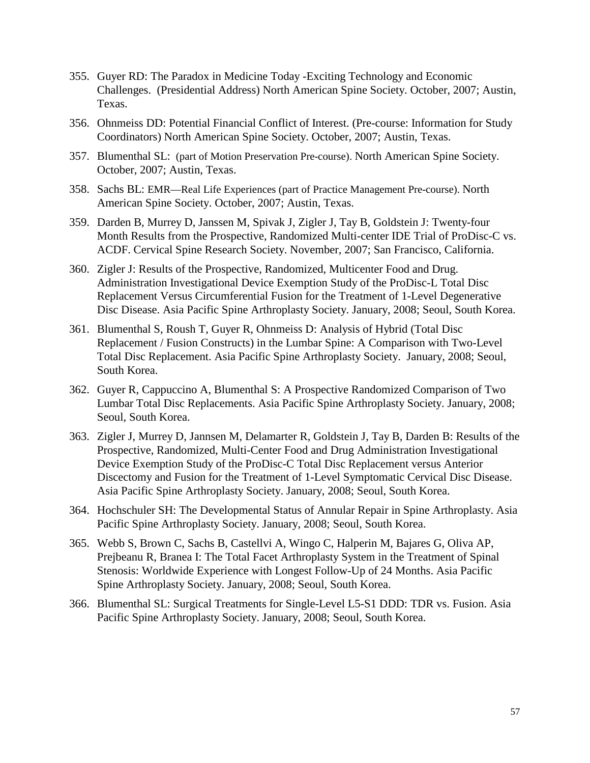- 355. Guyer RD: The Paradox in Medicine Today -Exciting Technology and Economic Challenges. (Presidential Address) North American Spine Society. October, 2007; Austin, Texas.
- 356. Ohnmeiss DD: Potential Financial Conflict of Interest. (Pre-course: Information for Study Coordinators) North American Spine Society. October, 2007; Austin, Texas.
- 357. Blumenthal SL: (part of Motion Preservation Pre-course). North American Spine Society. October, 2007; Austin, Texas.
- 358. Sachs BL: EMR—Real Life Experiences (part of Practice Management Pre-course). North American Spine Society. October, 2007; Austin, Texas.
- 359. Darden B, Murrey D, Janssen M, Spivak J, Zigler J, Tay B, Goldstein J: Twenty-four Month Results from the Prospective, Randomized Multi-center IDE Trial of ProDisc-C vs. ACDF. Cervical Spine Research Society. November, 2007; San Francisco, California.
- 360. Zigler J: Results of the Prospective, Randomized, Multicenter Food and Drug. Administration Investigational Device Exemption Study of the ProDisc-L Total Disc Replacement Versus Circumferential Fusion for the Treatment of 1-Level Degenerative Disc Disease. Asia Pacific Spine Arthroplasty Society. January, 2008; Seoul, South Korea.
- 361. Blumenthal S, Roush T, Guyer R, Ohnmeiss D: Analysis of Hybrid (Total Disc Replacement / Fusion Constructs) in the Lumbar Spine: A Comparison with Two-Level Total Disc Replacement. Asia Pacific Spine Arthroplasty Society. January, 2008; Seoul, South Korea.
- 362. Guyer R, Cappuccino A, Blumenthal S: A Prospective Randomized Comparison of Two Lumbar Total Disc Replacements. Asia Pacific Spine Arthroplasty Society. January, 2008; Seoul, South Korea.
- 363. Zigler J, Murrey D, Jannsen M, Delamarter R, Goldstein J, Tay B, Darden B: Results of the Prospective, Randomized, Multi-Center Food and Drug Administration Investigational Device Exemption Study of the ProDisc-C Total Disc Replacement versus Anterior Discectomy and Fusion for the Treatment of 1-Level Symptomatic Cervical Disc Disease. Asia Pacific Spine Arthroplasty Society. January, 2008; Seoul, South Korea.
- 364. Hochschuler SH: The Developmental Status of Annular Repair in Spine Arthroplasty. Asia Pacific Spine Arthroplasty Society. January, 2008; Seoul, South Korea.
- 365. Webb S, Brown C, Sachs B, Castellvi A, Wingo C, Halperin M, Bajares G, Oliva AP, Prejbeanu R, Branea I: The Total Facet Arthroplasty System in the Treatment of Spinal Stenosis: Worldwide Experience with Longest Follow-Up of 24 Months. Asia Pacific Spine Arthroplasty Society. January, 2008; Seoul, South Korea.
- 366. Blumenthal SL: Surgical Treatments for Single-Level L5-S1 DDD: TDR vs. Fusion. Asia Pacific Spine Arthroplasty Society. January, 2008; Seoul, South Korea.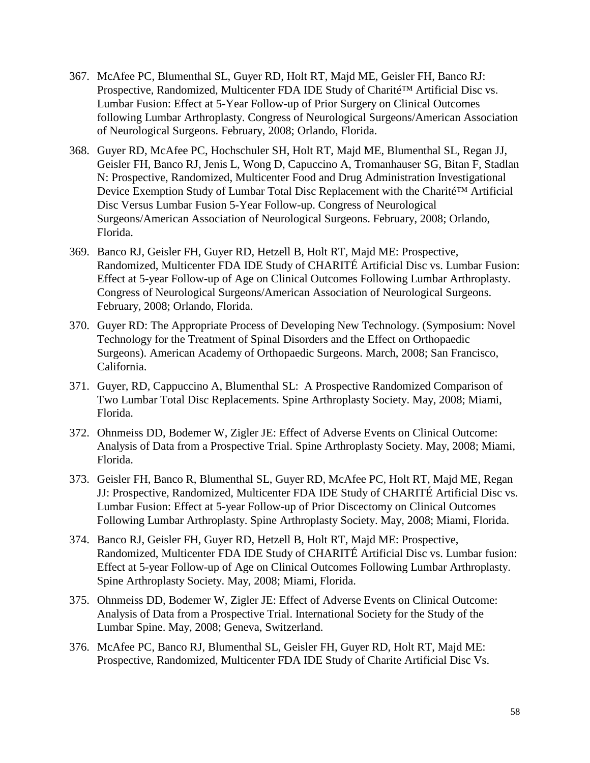- 367. McAfee PC, Blumenthal SL, Guyer RD, Holt RT, Majd ME, Geisler FH, Banco RJ: Prospective, Randomized, Multicenter FDA IDE Study of Charité™ Artificial Disc vs. Lumbar Fusion: Effect at 5-Year Follow-up of Prior Surgery on Clinical Outcomes following Lumbar Arthroplasty. Congress of Neurological Surgeons/American Association of Neurological Surgeons. February, 2008; Orlando, Florida.
- 368. Guyer RD, McAfee PC, Hochschuler SH, Holt RT, Majd ME, Blumenthal SL, Regan JJ, Geisler FH, Banco RJ, Jenis L, Wong D, Capuccino A, Tromanhauser SG, Bitan F, Stadlan N: Prospective, Randomized, Multicenter Food and Drug Administration Investigational Device Exemption Study of Lumbar Total Disc Replacement with the Charité™ Artificial Disc Versus Lumbar Fusion 5-Year Follow-up. Congress of Neurological Surgeons/American Association of Neurological Surgeons. February, 2008; Orlando, Florida.
- 369. Banco RJ, Geisler FH, Guyer RD, Hetzell B, Holt RT, Majd ME: Prospective, Randomized, Multicenter FDA IDE Study of CHARITÉ Artificial Disc vs. Lumbar Fusion: Effect at 5-year Follow-up of Age on Clinical Outcomes Following Lumbar Arthroplasty. Congress of Neurological Surgeons/American Association of Neurological Surgeons. February, 2008; Orlando, Florida.
- 370. Guyer RD: The Appropriate Process of Developing New Technology. (Symposium: Novel Technology for the Treatment of Spinal Disorders and the Effect on Orthopaedic Surgeons). American Academy of Orthopaedic Surgeons. March, 2008; San Francisco, California.
- 371. Guyer, RD, Cappuccino A, Blumenthal SL: A Prospective Randomized Comparison of Two Lumbar Total Disc Replacements. Spine Arthroplasty Society. May, 2008; Miami, Florida.
- 372. Ohnmeiss DD, Bodemer W, Zigler JE: Effect of Adverse Events on Clinical Outcome: Analysis of Data from a Prospective Trial. Spine Arthroplasty Society. May, 2008; Miami, Florida.
- 373. Geisler FH, Banco R, Blumenthal SL, Guyer RD, McAfee PC, Holt RT, Majd ME, Regan JJ: Prospective, Randomized, Multicenter FDA IDE Study of CHARITÉ Artificial Disc vs. Lumbar Fusion: Effect at 5-year Follow-up of Prior Discectomy on Clinical Outcomes Following Lumbar Arthroplasty. Spine Arthroplasty Society. May, 2008; Miami, Florida.
- 374. Banco RJ, Geisler FH, Guyer RD, Hetzell B, Holt RT, Majd ME: Prospective, Randomized, Multicenter FDA IDE Study of CHARITÉ Artificial Disc vs. Lumbar fusion: Effect at 5-year Follow-up of Age on Clinical Outcomes Following Lumbar Arthroplasty. Spine Arthroplasty Society. May, 2008; Miami, Florida.
- 375. Ohnmeiss DD, Bodemer W, Zigler JE: Effect of Adverse Events on Clinical Outcome: Analysis of Data from a Prospective Trial. International Society for the Study of the Lumbar Spine. May, 2008; Geneva, Switzerland.
- 376. McAfee PC, Banco RJ, Blumenthal SL, Geisler FH, Guyer RD, Holt RT, Majd ME: Prospective, Randomized, Multicenter FDA IDE Study of Charite Artificial Disc Vs.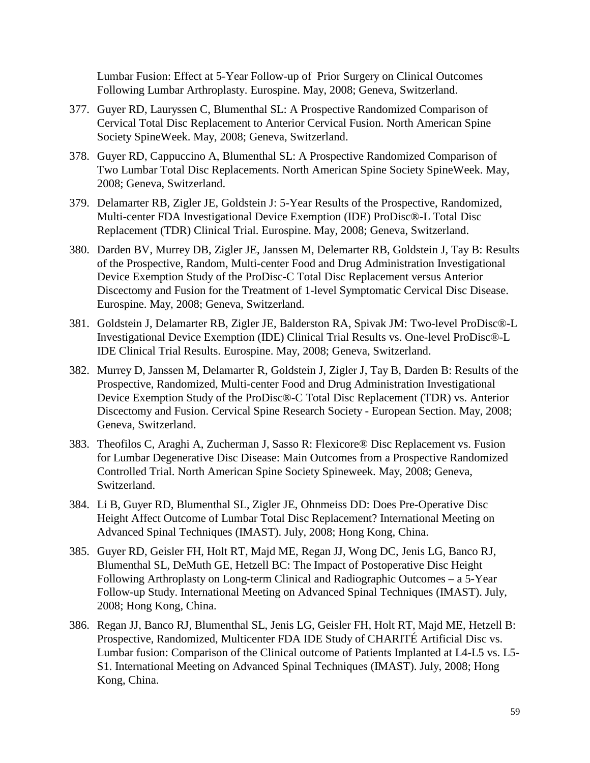Lumbar Fusion: Effect at 5-Year Follow-up of Prior Surgery on Clinical Outcomes Following Lumbar Arthroplasty. Eurospine. May, 2008; Geneva, Switzerland.

- 377. Guyer RD, Lauryssen C, Blumenthal SL: A Prospective Randomized Comparison of Cervical Total Disc Replacement to Anterior Cervical Fusion. North American Spine Society SpineWeek. May, 2008; Geneva, Switzerland.
- 378. Guyer RD, Cappuccino A, Blumenthal SL: A Prospective Randomized Comparison of Two Lumbar Total Disc Replacements. North American Spine Society SpineWeek. May, 2008; Geneva, Switzerland.
- 379. Delamarter RB, Zigler JE, Goldstein J: 5-Year Results of the Prospective, Randomized, Multi-center FDA Investigational Device Exemption (IDE) ProDisc®-L Total Disc Replacement (TDR) Clinical Trial. Eurospine. May, 2008; Geneva, Switzerland.
- 380. Darden BV, Murrey DB, Zigler JE, Janssen M, Delemarter RB, Goldstein J, Tay B: Results of the Prospective, Random, Multi-center Food and Drug Administration Investigational Device Exemption Study of the ProDisc-C Total Disc Replacement versus Anterior Discectomy and Fusion for the Treatment of 1-level Symptomatic Cervical Disc Disease. Eurospine. May, 2008; Geneva, Switzerland.
- 381. Goldstein J, Delamarter RB, Zigler JE, Balderston RA, Spivak JM: Two-level ProDisc®-L Investigational Device Exemption (IDE) Clinical Trial Results vs. One-level ProDisc®-L IDE Clinical Trial Results. Eurospine. May, 2008; Geneva, Switzerland.
- 382. Murrey D, Janssen M, Delamarter R, Goldstein J, Zigler J, Tay B, Darden B: Results of the Prospective, Randomized, Multi-center Food and Drug Administration Investigational Device Exemption Study of the ProDisc®-C Total Disc Replacement (TDR) vs. Anterior Discectomy and Fusion. Cervical Spine Research Society - European Section. May, 2008; Geneva, Switzerland.
- 383. Theofilos C, Araghi A, Zucherman J, Sasso R: Flexicore® Disc Replacement vs. Fusion for Lumbar Degenerative Disc Disease: Main Outcomes from a Prospective Randomized Controlled Trial. North American Spine Society Spineweek. May, 2008; Geneva, Switzerland.
- 384. Li B, Guyer RD, Blumenthal SL, Zigler JE, Ohnmeiss DD: Does Pre-Operative Disc Height Affect Outcome of Lumbar Total Disc Replacement? International Meeting on Advanced Spinal Techniques (IMAST). July, 2008; Hong Kong, China.
- 385. Guyer RD, Geisler FH, Holt RT, Majd ME, Regan JJ, Wong DC, Jenis LG, Banco RJ, Blumenthal SL, DeMuth GE, Hetzell BC: The Impact of Postoperative Disc Height Following Arthroplasty on Long-term Clinical and Radiographic Outcomes – a 5-Year Follow-up Study. International Meeting on Advanced Spinal Techniques (IMAST). July, 2008; Hong Kong, China.
- 386. Regan JJ, Banco RJ, Blumenthal SL, Jenis LG, Geisler FH, Holt RT, Majd ME, Hetzell B: Prospective, Randomized, Multicenter FDA IDE Study of CHARITÉ Artificial Disc vs. Lumbar fusion: Comparison of the Clinical outcome of Patients Implanted at L4-L5 vs. L5- S1. International Meeting on Advanced Spinal Techniques (IMAST). July, 2008; Hong Kong, China.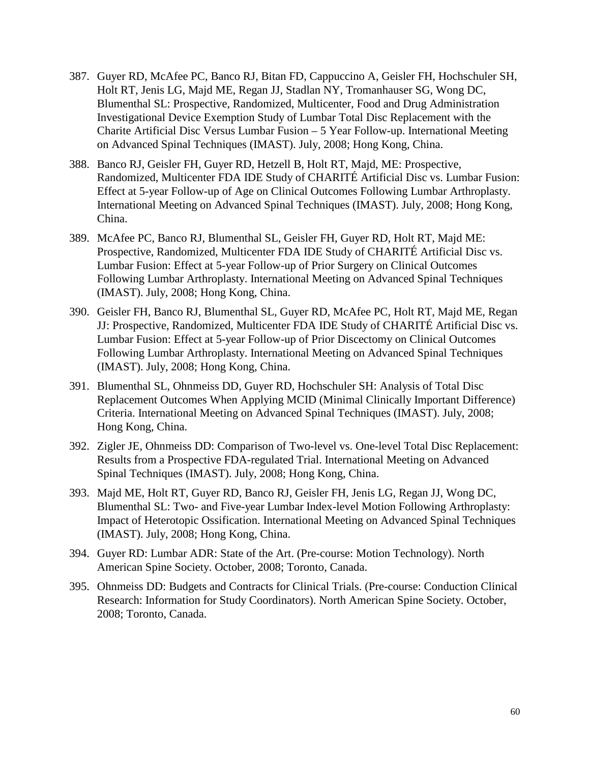- 387. Guyer RD, McAfee PC, Banco RJ, Bitan FD, Cappuccino A, Geisler FH, Hochschuler SH, Holt RT, Jenis LG, Majd ME, Regan JJ, Stadlan NY, Tromanhauser SG, Wong DC, Blumenthal SL: Prospective, Randomized, Multicenter, Food and Drug Administration Investigational Device Exemption Study of Lumbar Total Disc Replacement with the Charite Artificial Disc Versus Lumbar Fusion – 5 Year Follow-up. International Meeting on Advanced Spinal Techniques (IMAST). July, 2008; Hong Kong, China.
- 388. Banco RJ, Geisler FH, Guyer RD, Hetzell B, Holt RT, Majd, ME: Prospective, Randomized, Multicenter FDA IDE Study of CHARITÉ Artificial Disc vs. Lumbar Fusion: Effect at 5-year Follow-up of Age on Clinical Outcomes Following Lumbar Arthroplasty. International Meeting on Advanced Spinal Techniques (IMAST). July, 2008; Hong Kong, China.
- 389. McAfee PC, Banco RJ, Blumenthal SL, Geisler FH, Guyer RD, Holt RT, Majd ME: Prospective, Randomized, Multicenter FDA IDE Study of CHARITÉ Artificial Disc vs. Lumbar Fusion: Effect at 5-year Follow-up of Prior Surgery on Clinical Outcomes Following Lumbar Arthroplasty. International Meeting on Advanced Spinal Techniques (IMAST). July, 2008; Hong Kong, China.
- 390. Geisler FH, Banco RJ, Blumenthal SL, Guyer RD, McAfee PC, Holt RT, Majd ME, Regan JJ: Prospective, Randomized, Multicenter FDA IDE Study of CHARITÉ Artificial Disc vs. Lumbar Fusion: Effect at 5-year Follow-up of Prior Discectomy on Clinical Outcomes Following Lumbar Arthroplasty. International Meeting on Advanced Spinal Techniques (IMAST). July, 2008; Hong Kong, China.
- 391. Blumenthal SL, Ohnmeiss DD, Guyer RD, Hochschuler SH: Analysis of Total Disc Replacement Outcomes When Applying MCID (Minimal Clinically Important Difference) Criteria. International Meeting on Advanced Spinal Techniques (IMAST). July, 2008; Hong Kong, China.
- 392. Zigler JE, Ohnmeiss DD: Comparison of Two-level vs. One-level Total Disc Replacement: Results from a Prospective FDA-regulated Trial. International Meeting on Advanced Spinal Techniques (IMAST). July, 2008; Hong Kong, China.
- 393. Majd ME, Holt RT, Guyer RD, Banco RJ, Geisler FH, Jenis LG, Regan JJ, Wong DC, Blumenthal SL: Two- and Five-year Lumbar Index-level Motion Following Arthroplasty: Impact of Heterotopic Ossification. International Meeting on Advanced Spinal Techniques (IMAST). July, 2008; Hong Kong, China.
- 394. Guyer RD: Lumbar ADR: State of the Art. (Pre-course: Motion Technology). North American Spine Society. October, 2008; Toronto, Canada.
- 395. Ohnmeiss DD: Budgets and Contracts for Clinical Trials. (Pre-course: Conduction Clinical Research: Information for Study Coordinators). North American Spine Society. October, 2008; Toronto, Canada.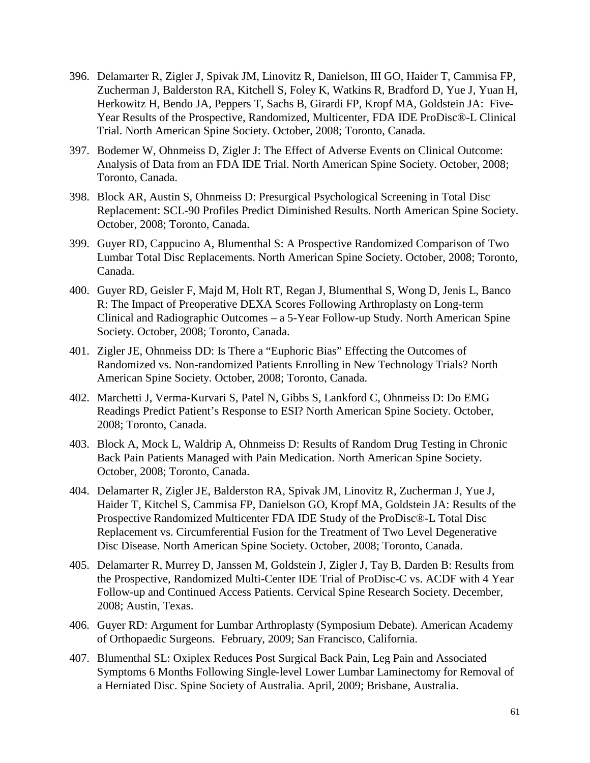- 396. Delamarter R, Zigler J, Spivak JM, Linovitz R, Danielson, III GO, Haider T, Cammisa FP, Zucherman J, Balderston RA, Kitchell S, Foley K, Watkins R, Bradford D, Yue J, Yuan H, Herkowitz H, Bendo JA, Peppers T, Sachs B, Girardi FP, Kropf MA, Goldstein JA: Five-Year Results of the Prospective, Randomized, Multicenter, FDA IDE ProDisc®-L Clinical Trial. North American Spine Society. October, 2008; Toronto, Canada.
- 397. Bodemer W, Ohnmeiss D, Zigler J: The Effect of Adverse Events on Clinical Outcome: Analysis of Data from an FDA IDE Trial. North American Spine Society. October, 2008; Toronto, Canada.
- 398. Block AR, Austin S, Ohnmeiss D: Presurgical Psychological Screening in Total Disc Replacement: SCL-90 Profiles Predict Diminished Results. North American Spine Society. October, 2008; Toronto, Canada.
- 399. Guyer RD, Cappucino A, Blumenthal S: A Prospective Randomized Comparison of Two Lumbar Total Disc Replacements. North American Spine Society. October, 2008; Toronto, Canada.
- 400. Guyer RD, Geisler F, Majd M, Holt RT, Regan J, Blumenthal S, Wong D, Jenis L, Banco R: The Impact of Preoperative DEXA Scores Following Arthroplasty on Long-term Clinical and Radiographic Outcomes – a 5-Year Follow-up Study. North American Spine Society. October, 2008; Toronto, Canada.
- 401. Zigler JE, Ohnmeiss DD: Is There a "Euphoric Bias" Effecting the Outcomes of Randomized vs. Non-randomized Patients Enrolling in New Technology Trials? North American Spine Society. October, 2008; Toronto, Canada.
- 402. Marchetti J, Verma-Kurvari S, Patel N, Gibbs S, Lankford C, Ohnmeiss D: Do EMG Readings Predict Patient's Response to ESI? North American Spine Society. October, 2008; Toronto, Canada.
- 403. Block A, Mock L, Waldrip A, Ohnmeiss D: Results of Random Drug Testing in Chronic Back Pain Patients Managed with Pain Medication. North American Spine Society. October, 2008; Toronto, Canada.
- 404. Delamarter R, Zigler JE, Balderston RA, Spivak JM, Linovitz R, Zucherman J, Yue J, Haider T, Kitchel S, Cammisa FP, Danielson GO, Kropf MA, Goldstein JA: Results of the Prospective Randomized Multicenter FDA IDE Study of the ProDisc®-L Total Disc Replacement vs. Circumferential Fusion for the Treatment of Two Level Degenerative Disc Disease. North American Spine Society. October, 2008; Toronto, Canada.
- 405. Delamarter R, Murrey D, Janssen M, Goldstein J, Zigler J, Tay B, Darden B: Results from the Prospective, Randomized Multi-Center IDE Trial of ProDisc-C vs. ACDF with 4 Year Follow-up and Continued Access Patients. Cervical Spine Research Society. December, 2008; Austin, Texas.
- 406. Guyer RD: Argument for Lumbar Arthroplasty (Symposium Debate). American Academy of Orthopaedic Surgeons. February, 2009; San Francisco, California.
- 407. Blumenthal SL: Oxiplex Reduces Post Surgical Back Pain, Leg Pain and Associated Symptoms 6 Months Following Single-level Lower Lumbar Laminectomy for Removal of a Herniated Disc. Spine Society of Australia. April, 2009; Brisbane, Australia.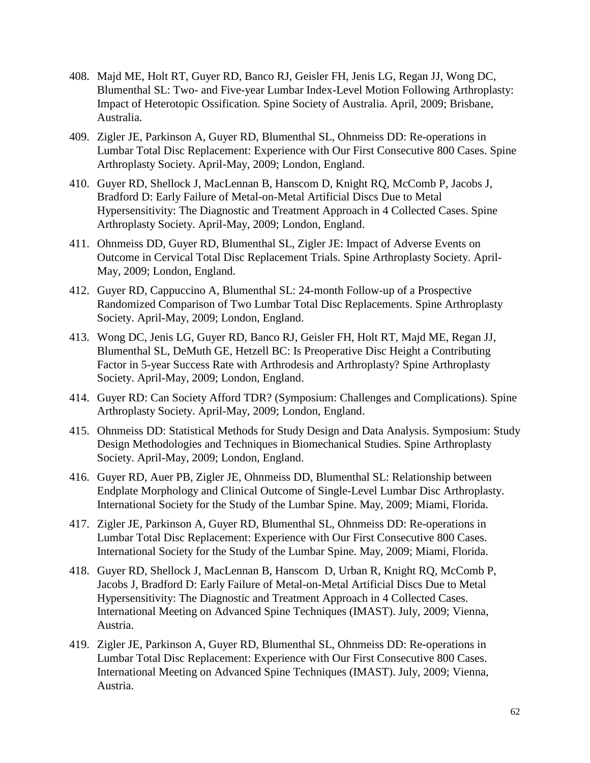- 408. Majd ME, Holt RT, Guyer RD, Banco RJ, Geisler FH, Jenis LG, Regan JJ, Wong DC, Blumenthal SL: Two- and Five-year Lumbar Index-Level Motion Following Arthroplasty: Impact of Heterotopic Ossification. Spine Society of Australia. April, 2009; Brisbane, Australia.
- 409. Zigler JE, Parkinson A, Guyer RD, Blumenthal SL, Ohnmeiss DD: Re-operations in Lumbar Total Disc Replacement: Experience with Our First Consecutive 800 Cases. Spine Arthroplasty Society. April-May, 2009; London, England.
- 410. Guyer RD, Shellock J, MacLennan B, Hanscom D, Knight RQ, McComb P, Jacobs J, Bradford D: Early Failure of Metal-on-Metal Artificial Discs Due to Metal Hypersensitivity: The Diagnostic and Treatment Approach in 4 Collected Cases. Spine Arthroplasty Society. April-May, 2009; London, England.
- 411. Ohnmeiss DD, Guyer RD, Blumenthal SL, Zigler JE: Impact of Adverse Events on Outcome in Cervical Total Disc Replacement Trials. Spine Arthroplasty Society. April-May, 2009; London, England.
- 412. Guyer RD, Cappuccino A, Blumenthal SL: 24-month Follow-up of a Prospective Randomized Comparison of Two Lumbar Total Disc Replacements. Spine Arthroplasty Society. April-May, 2009; London, England.
- 413. Wong DC, Jenis LG, Guyer RD, Banco RJ, Geisler FH, Holt RT, Majd ME, Regan JJ, Blumenthal SL, DeMuth GE, Hetzell BC: Is Preoperative Disc Height a Contributing Factor in 5-year Success Rate with Arthrodesis and Arthroplasty? Spine Arthroplasty Society. April-May, 2009; London, England.
- 414. Guyer RD: Can Society Afford TDR? (Symposium: Challenges and Complications). Spine Arthroplasty Society. April-May, 2009; London, England.
- 415. Ohnmeiss DD: Statistical Methods for Study Design and Data Analysis. Symposium: Study Design Methodologies and Techniques in Biomechanical Studies. Spine Arthroplasty Society. April-May, 2009; London, England.
- 416. Guyer RD, Auer PB, Zigler JE, Ohnmeiss DD, Blumenthal SL: Relationship between Endplate Morphology and Clinical Outcome of Single-Level Lumbar Disc Arthroplasty. International Society for the Study of the Lumbar Spine. May, 2009; Miami, Florida.
- 417. Zigler JE, Parkinson A, Guyer RD, Blumenthal SL, Ohnmeiss DD: Re-operations in Lumbar Total Disc Replacement: Experience with Our First Consecutive 800 Cases. International Society for the Study of the Lumbar Spine. May, 2009; Miami, Florida.
- 418. Guyer RD, Shellock J, MacLennan B, Hanscom D, Urban R, Knight RQ, McComb P, Jacobs J, Bradford D: Early Failure of Metal-on-Metal Artificial Discs Due to Metal Hypersensitivity: The Diagnostic and Treatment Approach in 4 Collected Cases. International Meeting on Advanced Spine Techniques (IMAST). July, 2009; Vienna, Austria.
- 419. Zigler JE, Parkinson A, Guyer RD, Blumenthal SL, Ohnmeiss DD: Re-operations in Lumbar Total Disc Replacement: Experience with Our First Consecutive 800 Cases. International Meeting on Advanced Spine Techniques (IMAST). July, 2009; Vienna, Austria.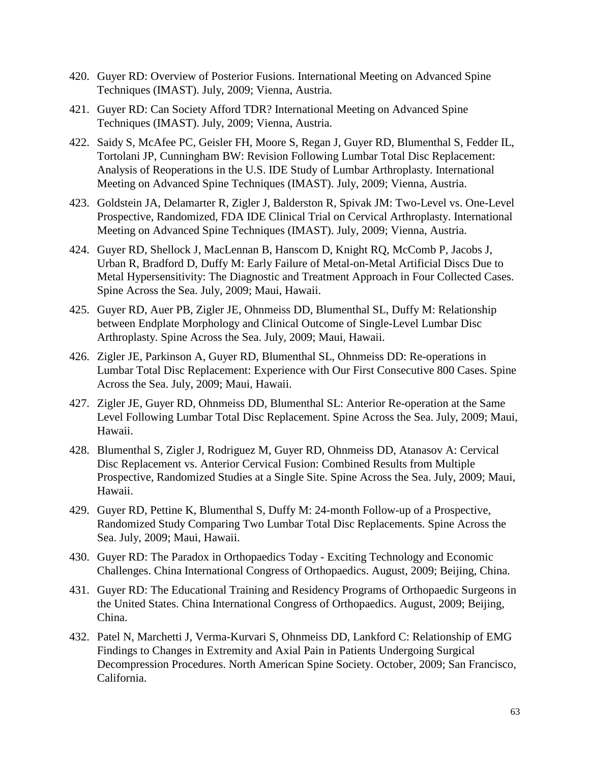- 420. Guyer RD: Overview of Posterior Fusions. International Meeting on Advanced Spine Techniques (IMAST). July, 2009; Vienna, Austria.
- 421. Guyer RD: Can Society Afford TDR? International Meeting on Advanced Spine Techniques (IMAST). July, 2009; Vienna, Austria.
- 422. Saidy S, McAfee PC, Geisler FH, Moore S, Regan J, Guyer RD, Blumenthal S, Fedder IL, Tortolani JP, Cunningham BW: Revision Following Lumbar Total Disc Replacement: Analysis of Reoperations in the U.S. IDE Study of Lumbar Arthroplasty. International Meeting on Advanced Spine Techniques (IMAST). July, 2009; Vienna, Austria.
- 423. Goldstein JA, Delamarter R, Zigler J, Balderston R, Spivak JM: Two-Level vs. One-Level Prospective, Randomized, FDA IDE Clinical Trial on Cervical Arthroplasty. International Meeting on Advanced Spine Techniques (IMAST). July, 2009; Vienna, Austria.
- 424. Guyer RD, Shellock J, MacLennan B, Hanscom D, Knight RQ, McComb P, Jacobs J, Urban R, Bradford D, Duffy M: Early Failure of Metal-on-Metal Artificial Discs Due to Metal Hypersensitivity: The Diagnostic and Treatment Approach in Four Collected Cases. Spine Across the Sea. July, 2009; Maui, Hawaii.
- 425. Guyer RD, Auer PB, Zigler JE, Ohnmeiss DD, Blumenthal SL, Duffy M: Relationship between Endplate Morphology and Clinical Outcome of Single-Level Lumbar Disc Arthroplasty. Spine Across the Sea. July, 2009; Maui, Hawaii.
- 426. Zigler JE, Parkinson A, Guyer RD, Blumenthal SL, Ohnmeiss DD: Re-operations in Lumbar Total Disc Replacement: Experience with Our First Consecutive 800 Cases. Spine Across the Sea. July, 2009; Maui, Hawaii.
- 427. Zigler JE, Guyer RD, Ohnmeiss DD, Blumenthal SL: Anterior Re-operation at the Same Level Following Lumbar Total Disc Replacement. Spine Across the Sea. July, 2009; Maui, Hawaii.
- 428. Blumenthal S, Zigler J, Rodriguez M, Guyer RD, Ohnmeiss DD, Atanasov A: Cervical Disc Replacement vs. Anterior Cervical Fusion: Combined Results from Multiple Prospective, Randomized Studies at a Single Site. Spine Across the Sea. July, 2009; Maui, Hawaii.
- 429. Guyer RD, Pettine K, Blumenthal S, Duffy M: 24-month Follow-up of a Prospective, Randomized Study Comparing Two Lumbar Total Disc Replacements. Spine Across the Sea. July, 2009; Maui, Hawaii.
- 430. Guyer RD: [The Paradox in Orthopaedics Today -](http://www.ncbi.nlm.nih.gov/pubmed/18299104?ordinalpos=3&itool=EntrezSystem2.PEntrez.Pubmed.Pubmed_ResultsPanel.Pubmed_DefaultReportPanel.Pubmed_RVDocSum) Exciting Technology and Economic [Challenges.](http://www.ncbi.nlm.nih.gov/pubmed/18299104?ordinalpos=3&itool=EntrezSystem2.PEntrez.Pubmed.Pubmed_ResultsPanel.Pubmed_DefaultReportPanel.Pubmed_RVDocSum) China International Congress of Orthopaedics. August, 2009; Beijing, China.
- 431. Guyer RD: [The](http://www.ncbi.nlm.nih.gov/pubmed/18299104?ordinalpos=3&itool=EntrezSystem2.PEntrez.Pubmed.Pubmed_ResultsPanel.Pubmed_DefaultReportPanel.Pubmed_RVDocSum) Educational Training and Residency Programs of Orthopaedic Surgeons in the United States. China International Congress of Orthopaedics. August, 2009; Beijing, China.
- 432. Patel N, Marchetti J, Verma-Kurvari S, Ohnmeiss DD, Lankford C: Relationship of EMG Findings to Changes in Extremity and Axial Pain in Patients Undergoing Surgical Decompression Procedures. North American Spine Society. October, 2009; San Francisco, California.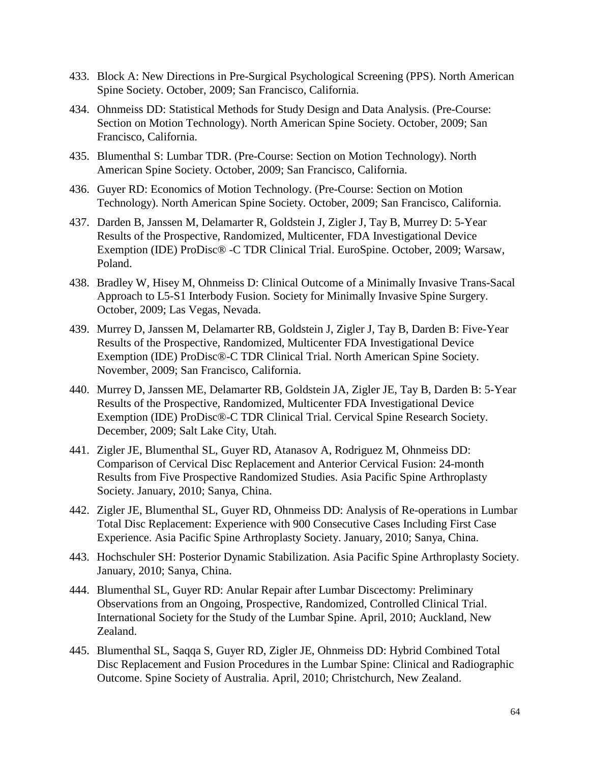- 433. Block A: New Directions in Pre-Surgical Psychological Screening (PPS). North American Spine Society. October, 2009; San Francisco, California.
- 434. Ohnmeiss DD: Statistical Methods for Study Design and Data Analysis. (Pre-Course: Section on Motion Technology). North American Spine Society. October, 2009; San Francisco, California.
- 435. Blumenthal S: Lumbar TDR. (Pre-Course: Section on Motion Technology). North American Spine Society. October, 2009; San Francisco, California.
- 436. Guyer RD: Economics of Motion Technology. (Pre-Course: Section on Motion Technology). North American Spine Society. October, 2009; San Francisco, California.
- 437. Darden B, Janssen M, Delamarter R, Goldstein J, Zigler J, Tay B, Murrey D: 5-Year Results of the Prospective, Randomized, Multicenter, FDA Investigational Device Exemption (IDE) ProDisc® -C TDR Clinical Trial. EuroSpine. October, 2009; Warsaw, Poland.
- 438. Bradley W, Hisey M, Ohnmeiss D: Clinical Outcome of a Minimally Invasive Trans-Sacal Approach to L5-S1 Interbody Fusion. Society for Minimally Invasive Spine Surgery. October, 2009; Las Vegas, Nevada.
- 439. Murrey D, Janssen M, Delamarter RB, Goldstein J, Zigler J, Tay B, Darden B: Five-Year Results of the Prospective, Randomized, Multicenter FDA Investigational Device Exemption (IDE) ProDisc®-C TDR Clinical Trial. North American Spine Society. November, 2009; San Francisco, California.
- 440. Murrey D, Janssen ME, Delamarter RB, Goldstein JA, Zigler JE, Tay B, Darden B: 5-Year Results of the Prospective, Randomized, Multicenter FDA Investigational Device Exemption (IDE) ProDisc®-C TDR Clinical Trial. Cervical Spine Research Society. December, 2009; Salt Lake City, Utah.
- 441. Zigler JE, Blumenthal SL, Guyer RD, Atanasov A, Rodriguez M, Ohnmeiss DD: Comparison of Cervical Disc Replacement and Anterior Cervical Fusion: 24-month Results from Five Prospective Randomized Studies. Asia Pacific Spine Arthroplasty Society. January, 2010; Sanya, China.
- 442. Zigler JE, Blumenthal SL, Guyer RD, Ohnmeiss DD: Analysis of Re-operations in Lumbar Total Disc Replacement: Experience with 900 Consecutive Cases Including First Case Experience. Asia Pacific Spine Arthroplasty Society. January, 2010; Sanya, China.
- 443. Hochschuler SH: Posterior Dynamic Stabilization. Asia Pacific Spine Arthroplasty Society. January, 2010; Sanya, China.
- 444. Blumenthal SL, Guyer RD: Anular Repair after Lumbar Discectomy: Preliminary Observations from an Ongoing, Prospective, Randomized, Controlled Clinical Trial. International Society for the Study of the Lumbar Spine. April, 2010; Auckland, New Zealand.
- 445. Blumenthal SL, Saqqa S, Guyer RD, Zigler JE, Ohnmeiss DD: Hybrid Combined Total Disc Replacement and Fusion Procedures in the Lumbar Spine: Clinical and Radiographic Outcome. Spine Society of Australia. April, 2010; Christchurch, New Zealand.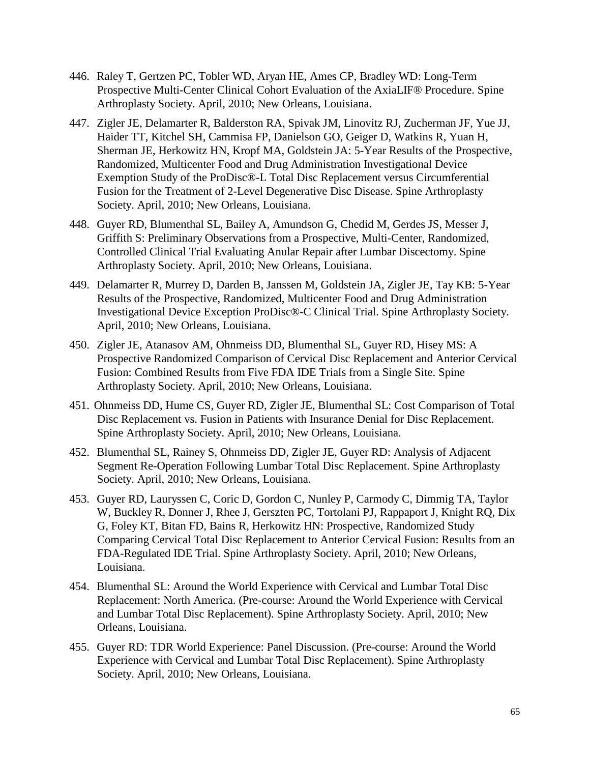- 446. Raley T, Gertzen PC, Tobler WD, Aryan HE, Ames CP, Bradley WD: Long-Term Prospective Multi-Center Clinical Cohort Evaluation of the AxiaLIF® Procedure. Spine Arthroplasty Society. April, 2010; New Orleans, Louisiana.
- 447. Zigler JE, Delamarter R, Balderston RA, Spivak JM, Linovitz RJ, Zucherman JF, Yue JJ, Haider TT, Kitchel SH, Cammisa FP, Danielson GO, Geiger D, Watkins R, Yuan H, Sherman JE, Herkowitz HN, Kropf MA, Goldstein JA: 5-Year Results of the Prospective, Randomized, Multicenter Food and Drug Administration Investigational Device Exemption Study of the ProDisc®-L Total Disc Replacement versus Circumferential Fusion for the Treatment of 2-Level Degenerative Disc Disease. Spine Arthroplasty Society. April, 2010; New Orleans, Louisiana.
- 448. Guyer RD, Blumenthal SL, Bailey A, Amundson G, Chedid M, Gerdes JS, Messer J, Griffith S: Preliminary Observations from a Prospective, Multi-Center, Randomized, Controlled Clinical Trial Evaluating Anular Repair after Lumbar Discectomy. Spine Arthroplasty Society. April, 2010; New Orleans, Louisiana.
- 449. Delamarter R, Murrey D, Darden B, Janssen M, Goldstein JA, Zigler JE, Tay KB: 5-Year Results of the Prospective, Randomized, Multicenter Food and Drug Administration Investigational Device Exception ProDisc®-C Clinical Trial. Spine Arthroplasty Society. April, 2010; New Orleans, Louisiana.
- 450. Zigler JE, Atanasov AM, Ohnmeiss DD, Blumenthal SL, Guyer RD, Hisey MS: A Prospective Randomized Comparison of Cervical Disc Replacement and Anterior Cervical Fusion: Combined Results from Five FDA IDE Trials from a Single Site. Spine Arthroplasty Society. April, 2010; New Orleans, Louisiana.
- 451. Ohnmeiss DD, Hume CS, Guyer RD, Zigler JE, Blumenthal SL: Cost Comparison of Total Disc Replacement vs. Fusion in Patients with Insurance Denial for Disc Replacement. Spine Arthroplasty Society. April, 2010; New Orleans, Louisiana.
- 452. Blumenthal SL, Rainey S, Ohnmeiss DD, Zigler JE, Guyer RD: Analysis of Adjacent Segment Re-Operation Following Lumbar Total Disc Replacement. Spine Arthroplasty Society. April, 2010; New Orleans, Louisiana.
- 453. Guyer RD, Lauryssen C, Coric D, Gordon C, Nunley P, Carmody C, Dimmig TA, Taylor W, Buckley R, Donner J, Rhee J, Gerszten PC, Tortolani PJ, Rappaport J, Knight RQ, Dix G, Foley KT, Bitan FD, Bains R, Herkowitz HN: Prospective, Randomized Study Comparing Cervical Total Disc Replacement to Anterior Cervical Fusion: Results from an FDA-Regulated IDE Trial. Spine Arthroplasty Society. April, 2010; New Orleans, Louisiana.
- 454. Blumenthal SL: Around the World Experience with Cervical and Lumbar Total Disc Replacement: North America. (Pre-course: Around the World Experience with Cervical and Lumbar Total Disc Replacement). Spine Arthroplasty Society. April, 2010; New Orleans, Louisiana.
- 455. Guyer RD: TDR World Experience: Panel Discussion. (Pre-course: Around the World Experience with Cervical and Lumbar Total Disc Replacement). Spine Arthroplasty Society. April, 2010; New Orleans, Louisiana.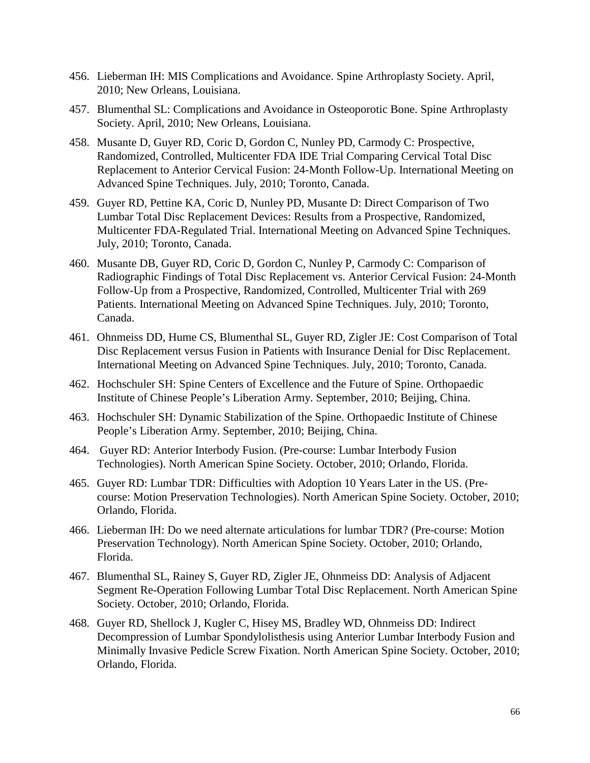- 456. Lieberman IH: MIS Complications and Avoidance. Spine Arthroplasty Society. April, 2010; New Orleans, Louisiana.
- 457. Blumenthal SL: Complications and Avoidance in Osteoporotic Bone. Spine Arthroplasty Society. April, 2010; New Orleans, Louisiana.
- 458. Musante D, Guyer RD, Coric D, Gordon C, Nunley PD, Carmody C: Prospective, Randomized, Controlled, Multicenter FDA IDE Trial Comparing Cervical Total Disc Replacement to Anterior Cervical Fusion: 24-Month Follow-Up. International Meeting on Advanced Spine Techniques. July, 2010; Toronto, Canada.
- 459. Guyer RD, Pettine KA, Coric D, Nunley PD, Musante D: Direct Comparison of Two Lumbar Total Disc Replacement Devices: Results from a Prospective, Randomized, Multicenter FDA-Regulated Trial. International Meeting on Advanced Spine Techniques. July, 2010; Toronto, Canada.
- 460. Musante DB, Guyer RD, Coric D, Gordon C, Nunley P, Carmody C: Comparison of Radiographic Findings of Total Disc Replacement vs. Anterior Cervical Fusion: 24-Month Follow-Up from a Prospective, Randomized, Controlled, Multicenter Trial with 269 Patients. International Meeting on Advanced Spine Techniques. July, 2010; Toronto, Canada.
- 461. Ohnmeiss DD, Hume CS, Blumenthal SL, Guyer RD, Zigler JE: Cost Comparison of Total Disc Replacement versus Fusion in Patients with Insurance Denial for Disc Replacement. International Meeting on Advanced Spine Techniques. July, 2010; Toronto, Canada.
- 462. Hochschuler SH: Spine Centers of Excellence and the Future of Spine. Orthopaedic Institute of Chinese People's Liberation Army. September, 2010; Beijing, China.
- 463. Hochschuler SH: Dynamic Stabilization of the Spine. Orthopaedic Institute of Chinese People's Liberation Army. September, 2010; Beijing, China.
- 464. Guyer RD: Anterior Interbody Fusion. (Pre-course: Lumbar Interbody Fusion Technologies). North American Spine Society. October, 2010; Orlando, Florida.
- 465. Guyer RD: Lumbar TDR: Difficulties with Adoption 10 Years Later in the US. (Precourse: Motion Preservation Technologies). North American Spine Society. October, 2010; Orlando, Florida.
- 466. Lieberman IH: Do we need alternate articulations for lumbar TDR? (Pre-course: Motion Preservation Technology). North American Spine Society. October, 2010; Orlando, Florida.
- 467. Blumenthal SL, Rainey S, Guyer RD, Zigler JE, Ohnmeiss DD: Analysis of Adjacent Segment Re-Operation Following Lumbar Total Disc Replacement. North American Spine Society. October, 2010; Orlando, Florida.
- 468. Guyer RD, Shellock J, Kugler C, Hisey MS, Bradley WD, Ohnmeiss DD: Indirect Decompression of Lumbar Spondylolisthesis using Anterior Lumbar Interbody Fusion and Minimally Invasive Pedicle Screw Fixation. North American Spine Society. October, 2010; Orlando, Florida.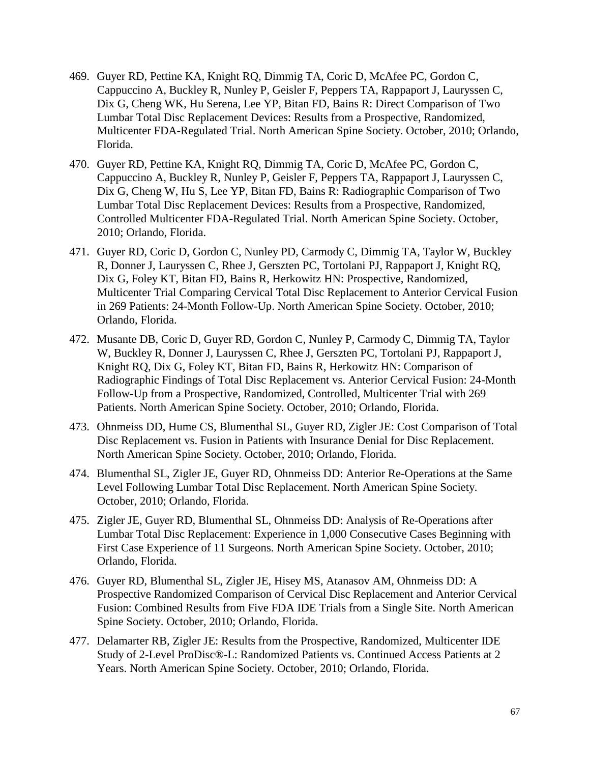- 469. Guyer RD, Pettine KA, Knight RQ, Dimmig TA, Coric D, McAfee PC, Gordon C, Cappuccino A, Buckley R, Nunley P, Geisler F, Peppers TA, Rappaport J, Lauryssen C, Dix G, Cheng WK, Hu Serena, Lee YP, Bitan FD, Bains R: Direct Comparison of Two Lumbar Total Disc Replacement Devices: Results from a Prospective, Randomized, Multicenter FDA-Regulated Trial. North American Spine Society. October, 2010; Orlando, Florida.
- 470. Guyer RD, Pettine KA, Knight RQ, Dimmig TA, Coric D, McAfee PC, Gordon C, Cappuccino A, Buckley R, Nunley P, Geisler F, Peppers TA, Rappaport J, Lauryssen C, Dix G, Cheng W, Hu S, Lee YP, Bitan FD, Bains R: Radiographic Comparison of Two Lumbar Total Disc Replacement Devices: Results from a Prospective, Randomized, Controlled Multicenter FDA-Regulated Trial. North American Spine Society. October, 2010; Orlando, Florida.
- 471. Guyer RD, Coric D, Gordon C, Nunley PD, Carmody C, Dimmig TA, Taylor W, Buckley R, Donner J, Lauryssen C, Rhee J, Gerszten PC, Tortolani PJ, Rappaport J, Knight RQ, Dix G, Foley KT, Bitan FD, Bains R, Herkowitz HN: Prospective, Randomized, Multicenter Trial Comparing Cervical Total Disc Replacement to Anterior Cervical Fusion in 269 Patients: 24-Month Follow-Up. North American Spine Society. October, 2010; Orlando, Florida.
- 472. Musante DB, Coric D, Guyer RD, Gordon C, Nunley P, Carmody C, Dimmig TA, Taylor W, Buckley R, Donner J, Lauryssen C, Rhee J, Gerszten PC, Tortolani PJ, Rappaport J, Knight RQ, Dix G, Foley KT, Bitan FD, Bains R, Herkowitz HN: Comparison of Radiographic Findings of Total Disc Replacement vs. Anterior Cervical Fusion: 24-Month Follow-Up from a Prospective, Randomized, Controlled, Multicenter Trial with 269 Patients. North American Spine Society. October, 2010; Orlando, Florida.
- 473. Ohnmeiss DD, Hume CS, Blumenthal SL, Guyer RD, Zigler JE: Cost Comparison of Total Disc Replacement vs. Fusion in Patients with Insurance Denial for Disc Replacement. North American Spine Society. October, 2010; Orlando, Florida.
- 474. Blumenthal SL, Zigler JE, Guyer RD, Ohnmeiss DD: Anterior Re-Operations at the Same Level Following Lumbar Total Disc Replacement. North American Spine Society. October, 2010; Orlando, Florida.
- 475. Zigler JE, Guyer RD, Blumenthal SL, Ohnmeiss DD: Analysis of Re-Operations after Lumbar Total Disc Replacement: Experience in 1,000 Consecutive Cases Beginning with First Case Experience of 11 Surgeons. North American Spine Society. October, 2010; Orlando, Florida.
- 476. Guyer RD, Blumenthal SL, Zigler JE, Hisey MS, Atanasov AM, Ohnmeiss DD: A Prospective Randomized Comparison of Cervical Disc Replacement and Anterior Cervical Fusion: Combined Results from Five FDA IDE Trials from a Single Site. North American Spine Society. October, 2010; Orlando, Florida.
- 477. Delamarter RB, Zigler JE: Results from the Prospective, Randomized, Multicenter IDE Study of 2-Level ProDisc®-L: Randomized Patients vs. Continued Access Patients at 2 Years. North American Spine Society. October, 2010; Orlando, Florida.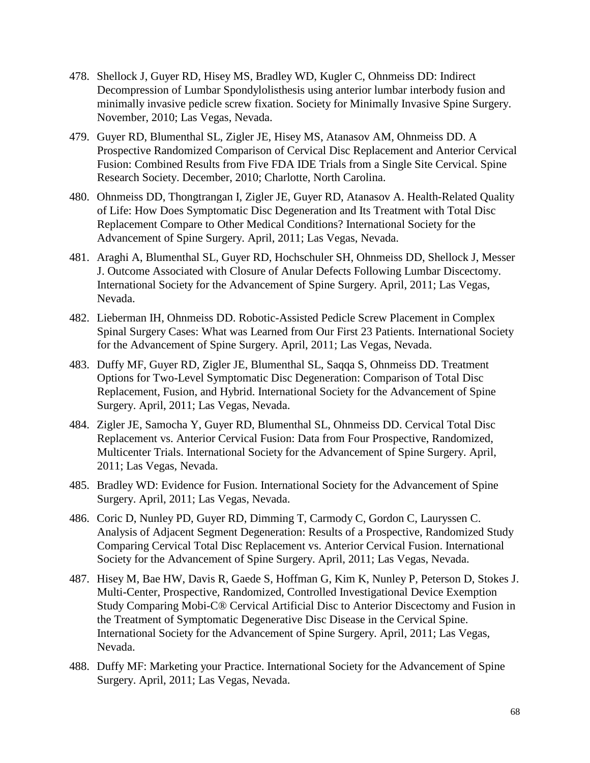- 478. Shellock J, Guyer RD, Hisey MS, Bradley WD, Kugler C, Ohnmeiss DD: Indirect Decompression of Lumbar Spondylolisthesis using anterior lumbar interbody fusion and minimally invasive pedicle screw fixation. Society for Minimally Invasive Spine Surgery. November, 2010; Las Vegas, Nevada.
- 479. Guyer RD, Blumenthal SL, Zigler JE, Hisey MS, Atanasov AM, Ohnmeiss DD. A Prospective Randomized Comparison of Cervical Disc Replacement and Anterior Cervical Fusion: Combined Results from Five FDA IDE Trials from a Single Site Cervical. Spine Research Society. December, 2010; Charlotte, North Carolina.
- 480. Ohnmeiss DD, Thongtrangan I, Zigler JE, Guyer RD, Atanasov A. Health-Related Quality of Life: How Does Symptomatic Disc Degeneration and Its Treatment with Total Disc Replacement Compare to Other Medical Conditions? International Society for the Advancement of Spine Surgery. April, 2011; Las Vegas, Nevada.
- 481. Araghi A, Blumenthal SL, Guyer RD, Hochschuler SH, Ohnmeiss DD, Shellock J, Messer J. Outcome Associated with Closure of Anular Defects Following Lumbar Discectomy. International Society for the Advancement of Spine Surgery. April, 2011; Las Vegas, Nevada.
- 482. Lieberman IH, Ohnmeiss DD. Robotic-Assisted Pedicle Screw Placement in Complex Spinal Surgery Cases: What was Learned from Our First 23 Patients. International Society for the Advancement of Spine Surgery. April, 2011; Las Vegas, Nevada.
- 483. Duffy MF, Guyer RD, Zigler JE, Blumenthal SL, Saqqa S, Ohnmeiss DD. Treatment Options for Two-Level Symptomatic Disc Degeneration: Comparison of Total Disc Replacement, Fusion, and Hybrid. International Society for the Advancement of Spine Surgery. April, 2011; Las Vegas, Nevada.
- 484. Zigler JE, Samocha Y, Guyer RD, Blumenthal SL, Ohnmeiss DD. Cervical Total Disc Replacement vs. Anterior Cervical Fusion: Data from Four Prospective, Randomized, Multicenter Trials. International Society for the Advancement of Spine Surgery. April, 2011; Las Vegas, Nevada.
- 485. Bradley WD: Evidence for Fusion. International Society for the Advancement of Spine Surgery. April, 2011; Las Vegas, Nevada.
- 486. Coric D, Nunley PD, Guyer RD, Dimming T, Carmody C, Gordon C, Lauryssen C. Analysis of Adjacent Segment Degeneration: Results of a Prospective, Randomized Study Comparing Cervical Total Disc Replacement vs. Anterior Cervical Fusion. International Society for the Advancement of Spine Surgery. April, 2011; Las Vegas, Nevada.
- 487. Hisey M, Bae HW, Davis R, Gaede S, Hoffman G, Kim K, Nunley P, Peterson D, Stokes J. Multi-Center, Prospective, Randomized, Controlled Investigational Device Exemption Study Comparing Mobi-C® Cervical Artificial Disc to Anterior Discectomy and Fusion in the Treatment of Symptomatic Degenerative Disc Disease in the Cervical Spine. International Society for the Advancement of Spine Surgery. April, 2011; Las Vegas, Nevada.
- 488. Duffy MF: Marketing your Practice. International Society for the Advancement of Spine Surgery. April, 2011; Las Vegas, Nevada.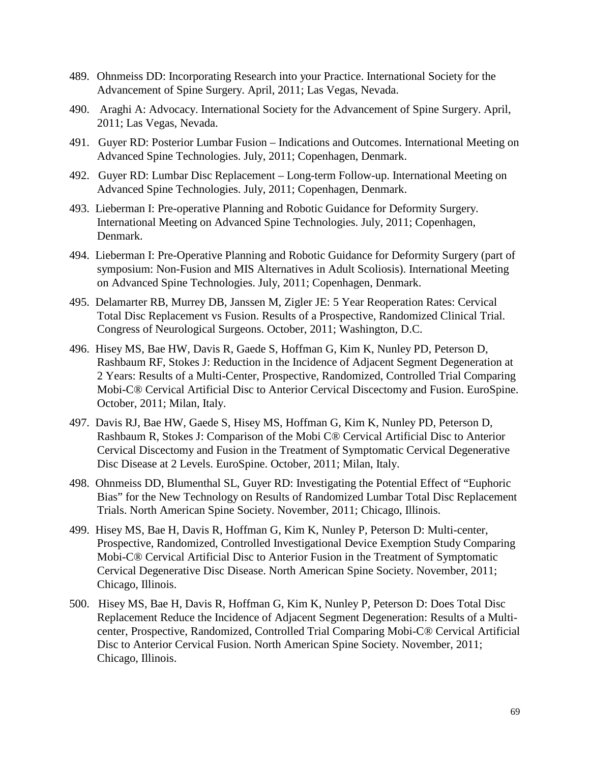- 489. Ohnmeiss DD: Incorporating Research into your Practice. International Society for the Advancement of Spine Surgery. April, 2011; Las Vegas, Nevada.
- 490. Araghi A: Advocacy. International Society for the Advancement of Spine Surgery. April, 2011; Las Vegas, Nevada.
- 491. Guyer RD: Posterior Lumbar Fusion Indications and Outcomes. International Meeting on Advanced Spine Technologies. July, 2011; Copenhagen, Denmark.
- 492. Guyer RD: Lumbar Disc Replacement Long-term Follow-up. International Meeting on Advanced Spine Technologies. July, 2011; Copenhagen, Denmark.
- 493. Lieberman I: Pre-operative Planning and Robotic Guidance for Deformity Surgery. International Meeting on Advanced Spine Technologies. July, 2011; Copenhagen, Denmark.
- 494. Lieberman I: Pre-Operative Planning and Robotic Guidance for Deformity Surgery (part of symposium: Non-Fusion and MIS Alternatives in Adult Scoliosis). International Meeting on Advanced Spine Technologies. July, 2011; Copenhagen, Denmark.
- 495. Delamarter RB, Murrey DB, Janssen M, Zigler JE: 5 Year Reoperation Rates: Cervical Total Disc Replacement vs Fusion. Results of a Prospective, Randomized Clinical Trial. Congress of Neurological Surgeons. October, 2011; Washington, D.C.
- 496. Hisey MS, Bae HW, Davis R, Gaede S, Hoffman G, Kim K, Nunley PD, Peterson D, Rashbaum RF, Stokes J: Reduction in the Incidence of Adjacent Segment Degeneration at 2 Years: Results of a Multi-Center, Prospective, Randomized, Controlled Trial Comparing Mobi-C® Cervical Artificial Disc to Anterior Cervical Discectomy and Fusion. EuroSpine. October, 2011; Milan, Italy.
- 497. Davis RJ, Bae HW, Gaede S, Hisey MS, Hoffman G, Kim K, Nunley PD, Peterson D, Rashbaum R, Stokes J: Comparison of the Mobi C® Cervical Artificial Disc to Anterior Cervical Discectomy and Fusion in the Treatment of Symptomatic Cervical Degenerative Disc Disease at 2 Levels. EuroSpine. October, 2011; Milan, Italy.
- 498. Ohnmeiss DD, Blumenthal SL, Guyer RD: Investigating the Potential Effect of "Euphoric Bias" for the New Technology on Results of Randomized Lumbar Total Disc Replacement Trials. North American Spine Society. November, 2011; Chicago, Illinois.
- 499. Hisey MS, Bae H, Davis R, Hoffman G, Kim K, Nunley P, Peterson D: Multi-center, Prospective, Randomized, Controlled Investigational Device Exemption Study Comparing Mobi-C® Cervical Artificial Disc to Anterior Fusion in the Treatment of Symptomatic Cervical Degenerative Disc Disease. North American Spine Society. November, 2011; Chicago, Illinois.
- 500. Hisey MS, Bae H, Davis R, Hoffman G, Kim K, Nunley P, Peterson D: Does Total Disc Replacement Reduce the Incidence of Adjacent Segment Degeneration: Results of a Multicenter, Prospective, Randomized, Controlled Trial Comparing Mobi-C® Cervical Artificial Disc to Anterior Cervical Fusion. North American Spine Society. November, 2011; Chicago, Illinois.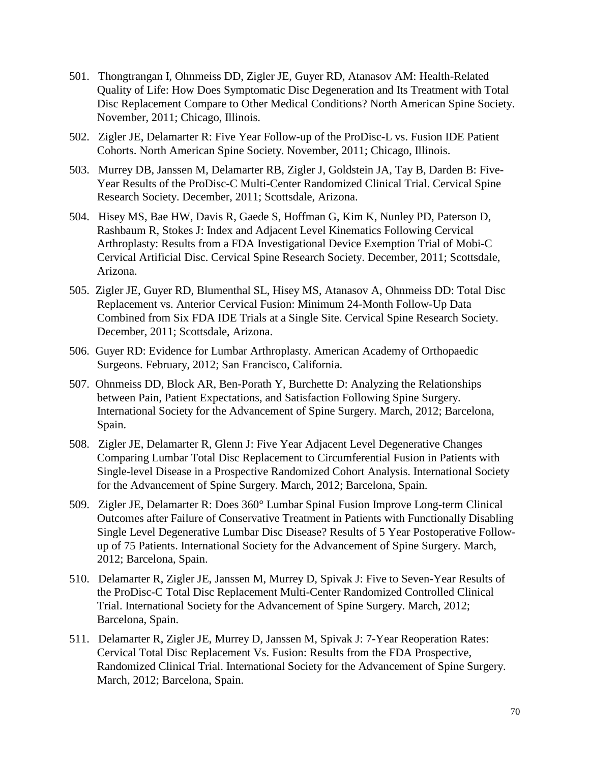- 501. Thongtrangan I, Ohnmeiss DD, Zigler JE, Guyer RD, Atanasov AM: Health-Related Quality of Life: How Does Symptomatic Disc Degeneration and Its Treatment with Total Disc Replacement Compare to Other Medical Conditions? North American Spine Society. November, 2011; Chicago, Illinois.
- 502. Zigler JE, Delamarter R: Five Year Follow-up of the ProDisc-L vs. Fusion IDE Patient Cohorts. North American Spine Society. November, 2011; Chicago, Illinois.
- 503. Murrey DB, Janssen M, Delamarter RB, Zigler J, Goldstein JA, Tay B, Darden B: Five-Year Results of the ProDisc-C Multi-Center Randomized Clinical Trial. Cervical Spine Research Society. December, 2011; Scottsdale, Arizona.
- 504. Hisey MS, Bae HW, Davis R, Gaede S, Hoffman G, Kim K, Nunley PD, Paterson D, Rashbaum R, Stokes J: Index and Adjacent Level Kinematics Following Cervical Arthroplasty: Results from a FDA Investigational Device Exemption Trial of Mobi-C Cervical Artificial Disc. Cervical Spine Research Society. December, 2011; Scottsdale, Arizona.
- 505. Zigler JE, Guyer RD, Blumenthal SL, Hisey MS, Atanasov A, Ohnmeiss DD: Total Disc Replacement vs. Anterior Cervical Fusion: Minimum 24-Month Follow-Up Data Combined from Six FDA IDE Trials at a Single Site. Cervical Spine Research Society. December, 2011; Scottsdale, Arizona.
- 506. Guyer RD: Evidence for Lumbar Arthroplasty. American Academy of Orthopaedic Surgeons. February, 2012; San Francisco, California.
- 507. Ohnmeiss DD, Block AR, Ben-Porath Y, Burchette D: Analyzing the Relationships between Pain, Patient Expectations, and Satisfaction Following Spine Surgery. International Society for the Advancement of Spine Surgery. March, 2012; Barcelona, Spain.
- 508. Zigler JE, Delamarter R, Glenn J: Five Year Adjacent Level Degenerative Changes Comparing Lumbar Total Disc Replacement to Circumferential Fusion in Patients with Single-level Disease in a Prospective Randomized Cohort Analysis. International Society for the Advancement of Spine Surgery. March, 2012; Barcelona, Spain.
- 509. Zigler JE, Delamarter R: Does 360° Lumbar Spinal Fusion Improve Long-term Clinical Outcomes after Failure of Conservative Treatment in Patients with Functionally Disabling Single Level Degenerative Lumbar Disc Disease? Results of 5 Year Postoperative Followup of 75 Patients. International Society for the Advancement of Spine Surgery. March, 2012; Barcelona, Spain.
- 510. Delamarter R, Zigler JE, Janssen M, Murrey D, Spivak J: Five to Seven-Year Results of the ProDisc-C Total Disc Replacement Multi-Center Randomized Controlled Clinical Trial. International Society for the Advancement of Spine Surgery. March, 2012; Barcelona, Spain.
- 511. Delamarter R, Zigler JE, Murrey D, Janssen M, Spivak J: 7-Year Reoperation Rates: Cervical Total Disc Replacement Vs. Fusion: Results from the FDA Prospective, Randomized Clinical Trial. International Society for the Advancement of Spine Surgery. March, 2012; Barcelona, Spain.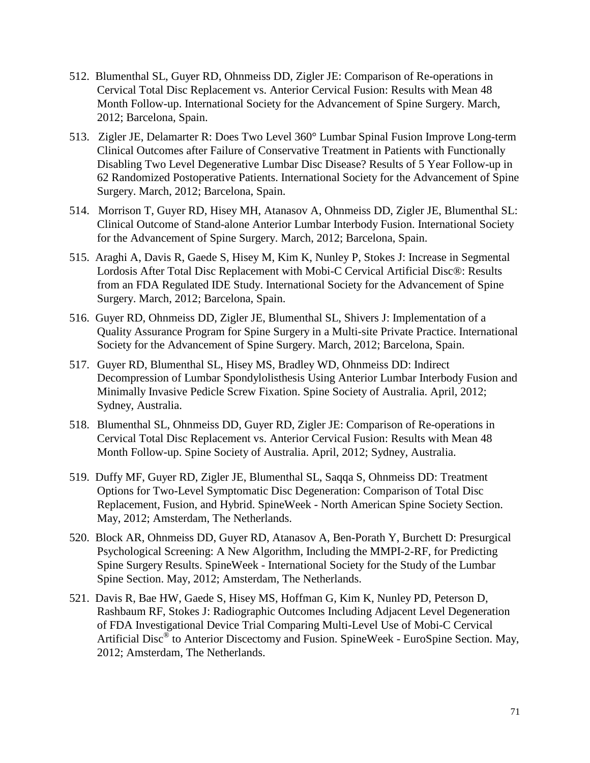- 512. Blumenthal SL, Guyer RD, Ohnmeiss DD, Zigler JE: Comparison of Re-operations in Cervical Total Disc Replacement vs. Anterior Cervical Fusion: Results with Mean 48 Month Follow-up. International Society for the Advancement of Spine Surgery. March, 2012; Barcelona, Spain.
- 513. Zigler JE, Delamarter R: Does Two Level 360° Lumbar Spinal Fusion Improve Long-term Clinical Outcomes after Failure of Conservative Treatment in Patients with Functionally Disabling Two Level Degenerative Lumbar Disc Disease? Results of 5 Year Follow-up in 62 Randomized Postoperative Patients. International Society for the Advancement of Spine Surgery. March, 2012; Barcelona, Spain.
- 514. Morrison T, Guyer RD, Hisey MH, Atanasov A, Ohnmeiss DD, Zigler JE, Blumenthal SL: Clinical Outcome of Stand-alone Anterior Lumbar Interbody Fusion. International Society for the Advancement of Spine Surgery. March, 2012; Barcelona, Spain.
- 515. Araghi A, Davis R, Gaede S, Hisey M, Kim K, Nunley P, Stokes J: Increase in Segmental Lordosis After Total Disc Replacement with Mobi-C Cervical Artificial Disc®: Results from an FDA Regulated IDE Study. International Society for the Advancement of Spine Surgery. March, 2012; Barcelona, Spain.
- 516. Guyer RD, Ohnmeiss DD, Zigler JE, Blumenthal SL, Shivers J: Implementation of a Quality Assurance Program for Spine Surgery in a Multi-site Private Practice. International Society for the Advancement of Spine Surgery. March, 2012; Barcelona, Spain.
- 517. Guyer RD, Blumenthal SL, Hisey MS, Bradley WD, Ohnmeiss DD: Indirect Decompression of Lumbar Spondylolisthesis Using Anterior Lumbar Interbody Fusion and Minimally Invasive Pedicle Screw Fixation. Spine Society of Australia. April, 2012; Sydney, Australia.
- 518. Blumenthal SL, Ohnmeiss DD, Guyer RD, Zigler JE: Comparison of Re-operations in Cervical Total Disc Replacement vs. Anterior Cervical Fusion: Results with Mean 48 Month Follow-up. Spine Society of Australia. April, 2012; Sydney, Australia.
- 519. Duffy MF, Guyer RD, Zigler JE, Blumenthal SL, Saqqa S, Ohnmeiss DD: Treatment Options for Two-Level Symptomatic Disc Degeneration: Comparison of Total Disc Replacement, Fusion, and Hybrid. SpineWeek - North American Spine Society Section. May, 2012; Amsterdam, The Netherlands.
- 520. Block AR, Ohnmeiss DD, Guyer RD, Atanasov A, Ben-Porath Y, Burchett D: Presurgical Psychological Screening: A New Algorithm, Including the MMPI-2-RF, for Predicting Spine Surgery Results. SpineWeek - International Society for the Study of the Lumbar Spine Section. May, 2012; Amsterdam, The Netherlands.
- 521. Davis R, Bae HW, Gaede S, Hisey MS, Hoffman G, Kim K, Nunley PD, Peterson D, Rashbaum RF, Stokes J: Radiographic Outcomes Including Adjacent Level Degeneration of FDA Investigational Device Trial Comparing Multi-Level Use of Mobi-C Cervical Artificial Disc® to Anterior Discectomy and Fusion. SpineWeek - EuroSpine Section. May, 2012; Amsterdam, The Netherlands.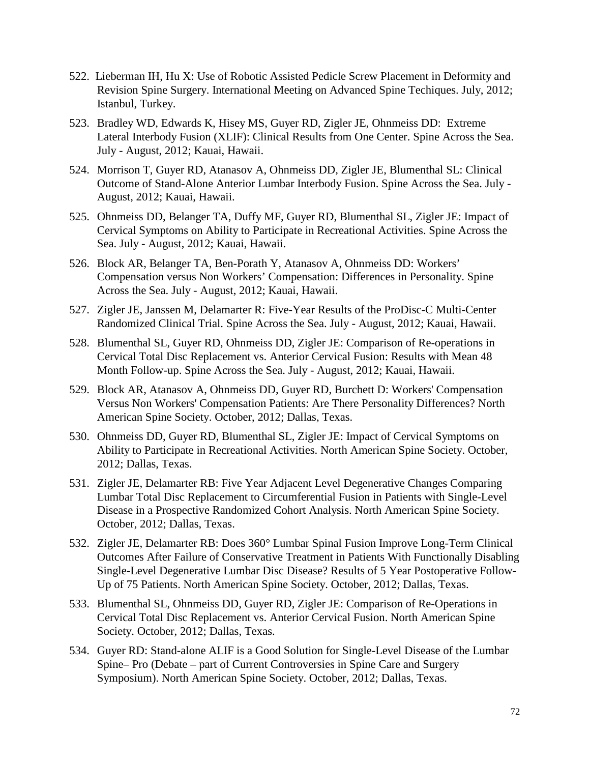- 522. Lieberman IH, Hu X: Use of Robotic Assisted Pedicle Screw Placement in Deformity and Revision Spine Surgery. International Meeting on Advanced Spine Techiques. July, 2012; Istanbul, Turkey.
- 523. Bradley WD, Edwards K, Hisey MS, Guyer RD, Zigler JE, Ohnmeiss DD: Extreme Lateral Interbody Fusion (XLIF): Clinical Results from One Center. Spine Across the Sea. July - August, 2012; Kauai, Hawaii.
- 524. Morrison T, Guyer RD, Atanasov A, Ohnmeiss DD, Zigler JE, Blumenthal SL: Clinical Outcome of Stand-Alone Anterior Lumbar Interbody Fusion. Spine Across the Sea. July - August, 2012; Kauai, Hawaii.
- 525. Ohnmeiss DD, Belanger TA, Duffy MF, Guyer RD, Blumenthal SL, Zigler JE: Impact of Cervical Symptoms on Ability to Participate in Recreational Activities. Spine Across the Sea. July - August, 2012; Kauai, Hawaii.
- 526. Block AR, Belanger TA, Ben-Porath Y, Atanasov A, Ohnmeiss DD: Workers' Compensation versus Non Workers' Compensation: Differences in Personality. Spine Across the Sea. July - August, 2012; Kauai, Hawaii.
- 527. Zigler JE, Janssen M, Delamarter R: Five-Year Results of the ProDisc-C Multi-Center Randomized Clinical Trial. Spine Across the Sea. July - August, 2012; Kauai, Hawaii.
- 528. Blumenthal SL, Guyer RD, Ohnmeiss DD, Zigler JE: Comparison of Re-operations in Cervical Total Disc Replacement vs. Anterior Cervical Fusion: Results with Mean 48 Month Follow-up. Spine Across the Sea. July - August, 2012; Kauai, Hawaii.
- 529. Block AR, Atanasov A, Ohnmeiss DD, Guyer RD, Burchett D: Workers' Compensation Versus Non Workers' Compensation Patients: Are There Personality Differences? North American Spine Society. October, 2012; Dallas, Texas.
- 530. Ohnmeiss DD, Guyer RD, Blumenthal SL, Zigler JE: Impact of Cervical Symptoms on Ability to Participate in Recreational Activities. North American Spine Society. October, 2012; Dallas, Texas.
- 531. Zigler JE, Delamarter RB: Five Year Adjacent Level Degenerative Changes Comparing Lumbar Total Disc Replacement to Circumferential Fusion in Patients with Single-Level Disease in a Prospective Randomized Cohort Analysis. North American Spine Society. October, 2012; Dallas, Texas.
- 532. Zigler JE, Delamarter RB: Does 360° Lumbar Spinal Fusion Improve Long-Term Clinical Outcomes After Failure of Conservative Treatment in Patients With Functionally Disabling Single-Level Degenerative Lumbar Disc Disease? Results of 5 Year Postoperative Follow-Up of 75 Patients. North American Spine Society. October, 2012; Dallas, Texas.
- 533. Blumenthal SL, Ohnmeiss DD, Guyer RD, Zigler JE: Comparison of Re-Operations in Cervical Total Disc Replacement vs. Anterior Cervical Fusion. North American Spine Society. October, 2012; Dallas, Texas.
- 534. Guyer RD: Stand-alone ALIF is a Good Solution for Single-Level Disease of the Lumbar Spine– Pro (Debate – part of Current Controversies in Spine Care and Surgery Symposium). North American Spine Society. October, 2012; Dallas, Texas.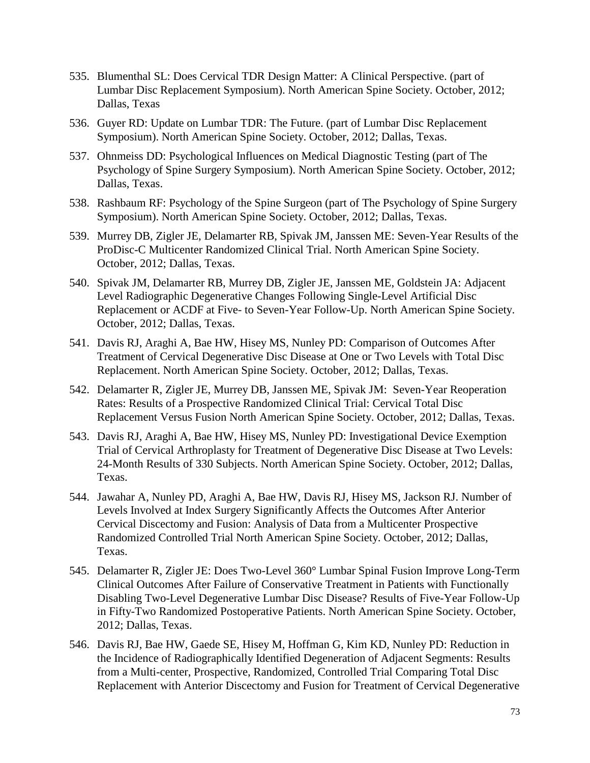- 535. Blumenthal SL: Does Cervical TDR Design Matter: A Clinical Perspective. (part of Lumbar Disc Replacement Symposium). North American Spine Society. October, 2012; Dallas, Texas
- 536. Guyer RD: Update on Lumbar TDR: The Future. (part of Lumbar Disc Replacement Symposium). North American Spine Society. October, 2012; Dallas, Texas.
- 537. Ohnmeiss DD: Psychological Influences on Medical Diagnostic Testing (part of The Psychology of Spine Surgery Symposium). North American Spine Society. October, 2012; Dallas, Texas.
- 538. Rashbaum RF: Psychology of the Spine Surgeon (part of The Psychology of Spine Surgery Symposium). North American Spine Society. October, 2012; Dallas, Texas.
- 539. Murrey DB, Zigler JE, Delamarter RB, Spivak JM, Janssen ME: Seven-Year Results of the ProDisc-C Multicenter Randomized Clinical Trial. North American Spine Society. October, 2012; Dallas, Texas.
- 540. Spivak JM, Delamarter RB, Murrey DB, Zigler JE, Janssen ME, Goldstein JA: Adjacent Level Radiographic Degenerative Changes Following Single-Level Artificial Disc Replacement or ACDF at Five- to Seven-Year Follow-Up. North American Spine Society. October, 2012; Dallas, Texas.
- 541. Davis RJ, Araghi A, Bae HW, Hisey MS, Nunley PD: Comparison of Outcomes After Treatment of Cervical Degenerative Disc Disease at One or Two Levels with Total Disc Replacement. North American Spine Society. October, 2012; Dallas, Texas.
- 542. Delamarter R, Zigler JE, Murrey DB, Janssen ME, Spivak JM: Seven-Year Reoperation Rates: Results of a Prospective Randomized Clinical Trial: Cervical Total Disc Replacement Versus Fusion North American Spine Society. October, 2012; Dallas, Texas.
- 543. Davis RJ, Araghi A, Bae HW, Hisey MS, Nunley PD: Investigational Device Exemption Trial of Cervical Arthroplasty for Treatment of Degenerative Disc Disease at Two Levels: 24-Month Results of 330 Subjects. North American Spine Society. October, 2012; Dallas, Texas.
- 544. Jawahar A, Nunley PD, Araghi A, Bae HW, Davis RJ, Hisey MS, Jackson RJ. Number of Levels Involved at Index Surgery Significantly Affects the Outcomes After Anterior Cervical Discectomy and Fusion: Analysis of Data from a Multicenter Prospective Randomized Controlled Trial North American Spine Society. October, 2012; Dallas, Texas.
- 545. Delamarter R, Zigler JE: Does Two-Level 360° Lumbar Spinal Fusion Improve Long-Term Clinical Outcomes After Failure of Conservative Treatment in Patients with Functionally Disabling Two-Level Degenerative Lumbar Disc Disease? Results of Five-Year Follow-Up in Fifty-Two Randomized Postoperative Patients. North American Spine Society. October, 2012; Dallas, Texas.
- 546. Davis RJ, Bae HW, Gaede SE, Hisey M, Hoffman G, Kim KD, Nunley PD: Reduction in the Incidence of Radiographically Identified Degeneration of Adjacent Segments: Results from a Multi-center, Prospective, Randomized, Controlled Trial Comparing Total Disc Replacement with Anterior Discectomy and Fusion for Treatment of Cervical Degenerative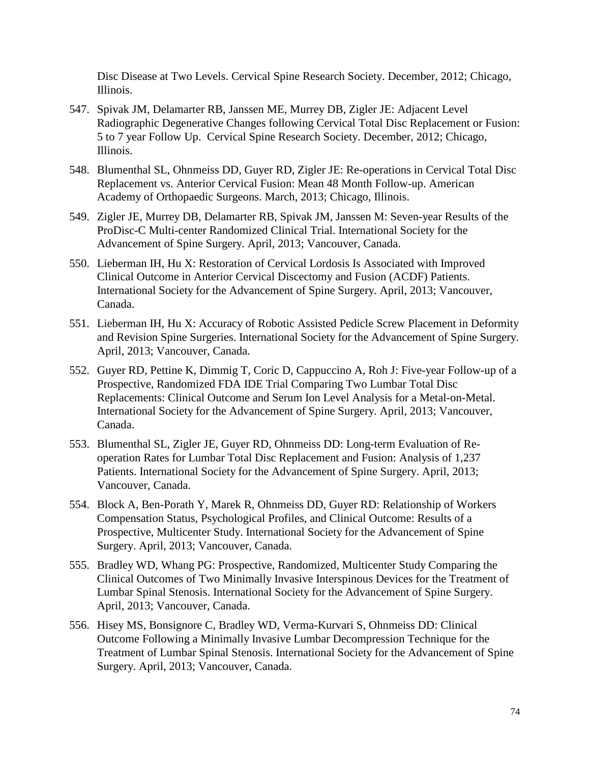Disc Disease at Two Levels. Cervical Spine Research Society. December, 2012; Chicago, Illinois.

- 547. Spivak JM, Delamarter RB, Janssen ME, Murrey DB, Zigler JE: Adjacent Level Radiographic Degenerative Changes following Cervical Total Disc Replacement or Fusion: 5 to 7 year Follow Up. Cervical Spine Research Society. December, 2012; Chicago, Illinois.
- 548. Blumenthal SL, Ohnmeiss DD, Guyer RD, Zigler JE: Re-operations in Cervical Total Disc Replacement vs. Anterior Cervical Fusion: Mean 48 Month Follow-up. American Academy of Orthopaedic Surgeons. March, 2013; Chicago, Illinois.
- 549. Zigler JE, Murrey DB, Delamarter RB, Spivak JM, Janssen M: Seven-year Results of the ProDisc-C Multi-center Randomized Clinical Trial. International Society for the Advancement of Spine Surgery. April, 2013; Vancouver, Canada.
- 550. Lieberman IH, Hu X: Restoration of Cervical Lordosis Is Associated with Improved Clinical Outcome in Anterior Cervical Discectomy and Fusion (ACDF) Patients. International Society for the Advancement of Spine Surgery. April, 2013; Vancouver, Canada.
- 551. Lieberman IH, Hu X: Accuracy of Robotic Assisted Pedicle Screw Placement in Deformity and Revision Spine Surgeries. International Society for the Advancement of Spine Surgery. April, 2013; Vancouver, Canada.
- 552. Guyer RD, Pettine K, Dimmig T, Coric D, Cappuccino A, Roh J: Five-year Follow-up of a Prospective, Randomized FDA IDE Trial Comparing Two Lumbar Total Disc Replacements: Clinical Outcome and Serum Ion Level Analysis for a Metal-on-Metal. International Society for the Advancement of Spine Surgery. April, 2013; Vancouver, Canada.
- 553. Blumenthal SL, Zigler JE, Guyer RD, Ohnmeiss DD: Long-term Evaluation of Reoperation Rates for Lumbar Total Disc Replacement and Fusion: Analysis of 1,237 Patients. International Society for the Advancement of Spine Surgery. April, 2013; Vancouver, Canada.
- 554. Block A, Ben-Porath Y, Marek R, Ohnmeiss DD, Guyer RD: Relationship of Workers Compensation Status, Psychological Profiles, and Clinical Outcome: Results of a Prospective, Multicenter Study. International Society for the Advancement of Spine Surgery. April, 2013; Vancouver, Canada.
- 555. Bradley WD, Whang PG: Prospective, Randomized, Multicenter Study Comparing the Clinical Outcomes of Two Minimally Invasive Interspinous Devices for the Treatment of Lumbar Spinal Stenosis. International Society for the Advancement of Spine Surgery. April, 2013; Vancouver, Canada.
- 556. Hisey MS, Bonsignore C, Bradley WD, Verma-Kurvari S, Ohnmeiss DD: Clinical Outcome Following a Minimally Invasive Lumbar Decompression Technique for the Treatment of Lumbar Spinal Stenosis. International Society for the Advancement of Spine Surgery. April, 2013; Vancouver, Canada.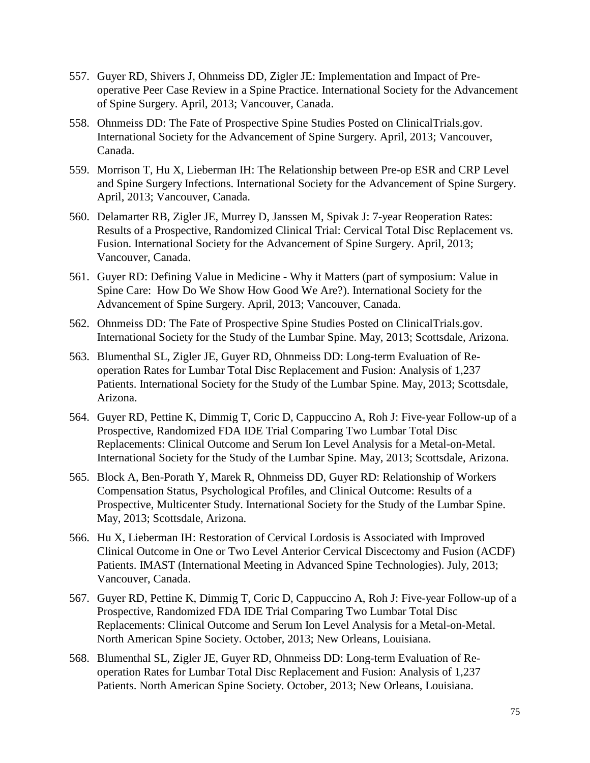- 557. Guyer RD, Shivers J, Ohnmeiss DD, Zigler JE: Implementation and Impact of Preoperative Peer Case Review in a Spine Practice. International Society for the Advancement of Spine Surgery. April, 2013; Vancouver, Canada.
- 558. Ohnmeiss DD: The Fate of Prospective Spine Studies Posted on ClinicalTrials.gov. International Society for the Advancement of Spine Surgery. April, 2013; Vancouver, Canada.
- 559. Morrison T, Hu X, Lieberman IH: The Relationship between Pre-op ESR and CRP Level and Spine Surgery Infections. International Society for the Advancement of Spine Surgery. April, 2013; Vancouver, Canada.
- 560. Delamarter RB, Zigler JE, Murrey D, Janssen M, Spivak J: 7-year Reoperation Rates: Results of a Prospective, Randomized Clinical Trial: Cervical Total Disc Replacement vs. Fusion. International Society for the Advancement of Spine Surgery. April, 2013; Vancouver, Canada.
- 561. Guyer RD: Defining Value in Medicine Why it Matters (part of symposium: Value in Spine Care: How Do We Show How Good We Are?). International Society for the Advancement of Spine Surgery. April, 2013; Vancouver, Canada.
- 562. Ohnmeiss DD: The Fate of Prospective Spine Studies Posted on ClinicalTrials.gov. International Society for the Study of the Lumbar Spine. May, 2013; Scottsdale, Arizona.
- 563. Blumenthal SL, Zigler JE, Guyer RD, Ohnmeiss DD: Long-term Evaluation of Reoperation Rates for Lumbar Total Disc Replacement and Fusion: Analysis of 1,237 Patients. International Society for the Study of the Lumbar Spine. May, 2013; Scottsdale, Arizona.
- 564. Guyer RD, Pettine K, Dimmig T, Coric D, Cappuccino A, Roh J: Five-year Follow-up of a Prospective, Randomized FDA IDE Trial Comparing Two Lumbar Total Disc Replacements: Clinical Outcome and Serum Ion Level Analysis for a Metal-on-Metal. International Society for the Study of the Lumbar Spine. May, 2013; Scottsdale, Arizona.
- 565. Block A, Ben-Porath Y, Marek R, Ohnmeiss DD, Guyer RD: Relationship of Workers Compensation Status, Psychological Profiles, and Clinical Outcome: Results of a Prospective, Multicenter Study. International Society for the Study of the Lumbar Spine. May, 2013; Scottsdale, Arizona.
- 566. Hu X, Lieberman IH: Restoration of Cervical Lordosis is Associated with Improved Clinical Outcome in One or Two Level Anterior Cervical Discectomy and Fusion (ACDF) Patients. IMAST (International Meeting in Advanced Spine Technologies). July, 2013; Vancouver, Canada.
- 567. Guyer RD, Pettine K, Dimmig T, Coric D, Cappuccino A, Roh J: Five-year Follow-up of a Prospective, Randomized FDA IDE Trial Comparing Two Lumbar Total Disc Replacements: Clinical Outcome and Serum Ion Level Analysis for a Metal-on-Metal. North American Spine Society. October, 2013; New Orleans, Louisiana.
- 568. Blumenthal SL, Zigler JE, Guyer RD, Ohnmeiss DD: Long-term Evaluation of Reoperation Rates for Lumbar Total Disc Replacement and Fusion: Analysis of 1,237 Patients. North American Spine Society. October, 2013; New Orleans, Louisiana.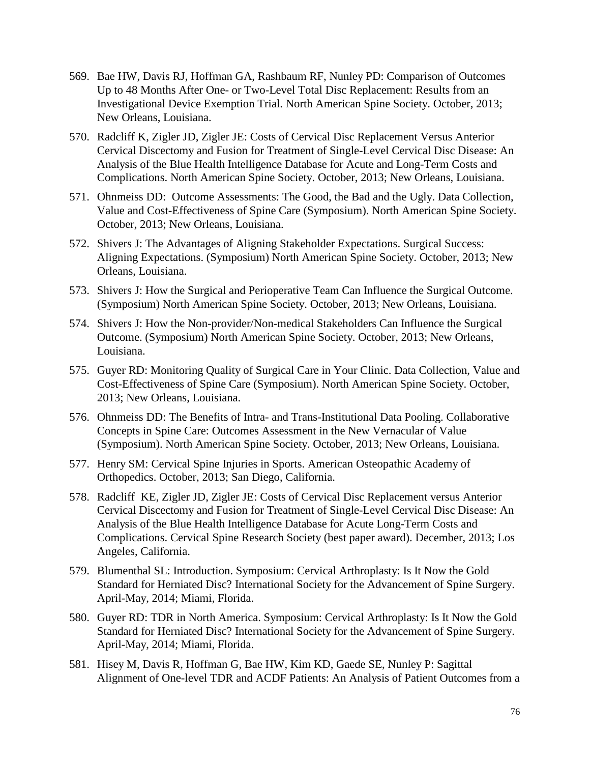- 569. Bae HW, Davis RJ, Hoffman GA, Rashbaum RF, Nunley PD: Comparison of Outcomes Up to 48 Months After One- or Two-Level Total Disc Replacement: Results from an Investigational Device Exemption Trial. North American Spine Society. October, 2013; New Orleans, Louisiana.
- 570. Radcliff K, Zigler JD, Zigler JE: Costs of Cervical Disc Replacement Versus Anterior Cervical Discectomy and Fusion for Treatment of Single-Level Cervical Disc Disease: An Analysis of the Blue Health Intelligence Database for Acute and Long-Term Costs and Complications. North American Spine Society. October, 2013; New Orleans, Louisiana.
- 571. Ohnmeiss DD: Outcome Assessments: The Good, the Bad and the Ugly. Data Collection, Value and Cost-Effectiveness of Spine Care (Symposium). North American Spine Society. October, 2013; New Orleans, Louisiana.
- 572. Shivers J: The Advantages of Aligning Stakeholder Expectations. Surgical Success: Aligning Expectations. (Symposium) North American Spine Society. October, 2013; New Orleans, Louisiana.
- 573. Shivers J: How the Surgical and Perioperative Team Can Influence the Surgical Outcome. (Symposium) North American Spine Society. October, 2013; New Orleans, Louisiana.
- 574. Shivers J: How the Non-provider/Non-medical Stakeholders Can Influence the Surgical Outcome. (Symposium) North American Spine Society. October, 2013; New Orleans, Louisiana.
- 575. Guyer RD: Monitoring Quality of Surgical Care in Your Clinic. Data Collection, Value and Cost-Effectiveness of Spine Care (Symposium). North American Spine Society. October, 2013; New Orleans, Louisiana.
- 576. Ohnmeiss DD: The Benefits of Intra- and Trans-Institutional Data Pooling. Collaborative Concepts in Spine Care: Outcomes Assessment in the New Vernacular of Value (Symposium). North American Spine Society. October, 2013; New Orleans, Louisiana.
- 577. Henry SM: Cervical Spine Injuries in Sports. American Osteopathic Academy of Orthopedics. October, 2013; San Diego, California.
- 578. Radcliff KE, Zigler JD, Zigler JE: Costs of Cervical Disc Replacement versus Anterior Cervical Discectomy and Fusion for Treatment of Single-Level Cervical Disc Disease: An Analysis of the Blue Health Intelligence Database for Acute Long-Term Costs and Complications. Cervical Spine Research Society (best paper award). December, 2013; Los Angeles, California.
- 579. Blumenthal SL: Introduction. Symposium: Cervical Arthroplasty: Is It Now the Gold Standard for Herniated Disc? International Society for the Advancement of Spine Surgery. April-May, 2014; Miami, Florida.
- 580. Guyer RD: TDR in North America. Symposium: Cervical Arthroplasty: Is It Now the Gold Standard for Herniated Disc? International Society for the Advancement of Spine Surgery. April-May, 2014; Miami, Florida.
- 581. Hisey M, Davis R, Hoffman G, Bae HW, Kim KD, Gaede SE, Nunley P: Sagittal Alignment of One-level TDR and ACDF Patients: An Analysis of Patient Outcomes from a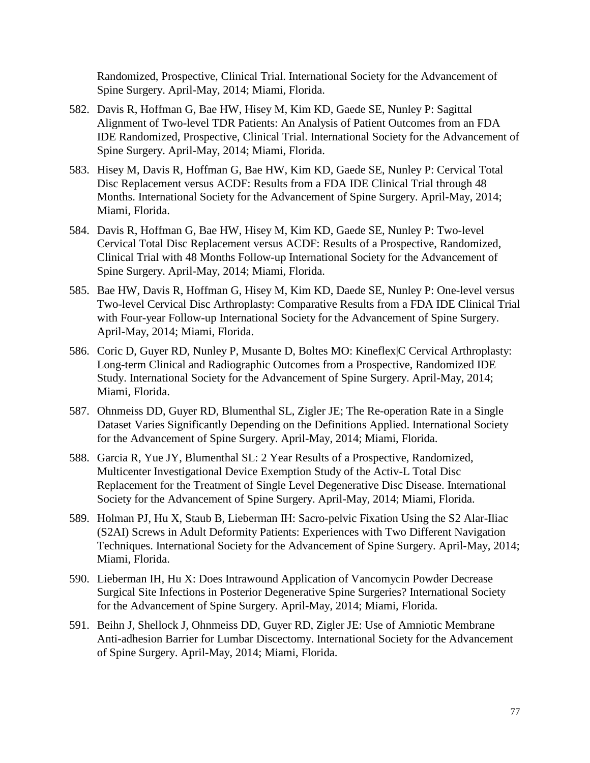Randomized, Prospective, Clinical Trial. International Society for the Advancement of Spine Surgery. April-May, 2014; Miami, Florida.

- 582. Davis R, Hoffman G, Bae HW, Hisey M, Kim KD, Gaede SE, Nunley P: Sagittal Alignment of Two-level TDR Patients: An Analysis of Patient Outcomes from an FDA IDE Randomized, Prospective, Clinical Trial. International Society for the Advancement of Spine Surgery. April-May, 2014; Miami, Florida.
- 583. Hisey M, Davis R, Hoffman G, Bae HW, Kim KD, Gaede SE, Nunley P: Cervical Total Disc Replacement versus ACDF: Results from a FDA IDE Clinical Trial through 48 Months. International Society for the Advancement of Spine Surgery. April-May, 2014; Miami, Florida.
- 584. Davis R, Hoffman G, Bae HW, Hisey M, Kim KD, Gaede SE, Nunley P: Two-level Cervical Total Disc Replacement versus ACDF: Results of a Prospective, Randomized, Clinical Trial with 48 Months Follow-up International Society for the Advancement of Spine Surgery. April-May, 2014; Miami, Florida.
- 585. Bae HW, Davis R, Hoffman G, Hisey M, Kim KD, Daede SE, Nunley P: One-level versus Two-level Cervical Disc Arthroplasty: Comparative Results from a FDA IDE Clinical Trial with Four-year Follow-up International Society for the Advancement of Spine Surgery. April-May, 2014; Miami, Florida.
- 586. Coric D, Guyer RD, Nunley P, Musante D, Boltes MO: Kineflex|C Cervical Arthroplasty: Long-term Clinical and Radiographic Outcomes from a Prospective, Randomized IDE Study. International Society for the Advancement of Spine Surgery. April-May, 2014; Miami, Florida.
- 587. Ohnmeiss DD, Guyer RD, Blumenthal SL, Zigler JE; The Re-operation Rate in a Single Dataset Varies Significantly Depending on the Definitions Applied. International Society for the Advancement of Spine Surgery. April-May, 2014; Miami, Florida.
- 588. Garcia R, Yue JY, Blumenthal SL: 2 Year Results of a Prospective, Randomized, Multicenter Investigational Device Exemption Study of the Activ-L Total Disc Replacement for the Treatment of Single Level Degenerative Disc Disease. International Society for the Advancement of Spine Surgery. April-May, 2014; Miami, Florida.
- 589. Holman PJ, Hu X, Staub B, Lieberman IH: Sacro-pelvic Fixation Using the S2 Alar-Iliac (S2AI) Screws in Adult Deformity Patients: Experiences with Two Different Navigation Techniques. International Society for the Advancement of Spine Surgery. April-May, 2014; Miami, Florida.
- 590. Lieberman IH, Hu X: Does Intrawound Application of Vancomycin Powder Decrease Surgical Site Infections in Posterior Degenerative Spine Surgeries? International Society for the Advancement of Spine Surgery. April-May, 2014; Miami, Florida.
- 591. Beihn J, Shellock J, Ohnmeiss DD, Guyer RD, Zigler JE: Use of Amniotic Membrane Anti-adhesion Barrier for Lumbar Discectomy. International Society for the Advancement of Spine Surgery. April-May, 2014; Miami, Florida.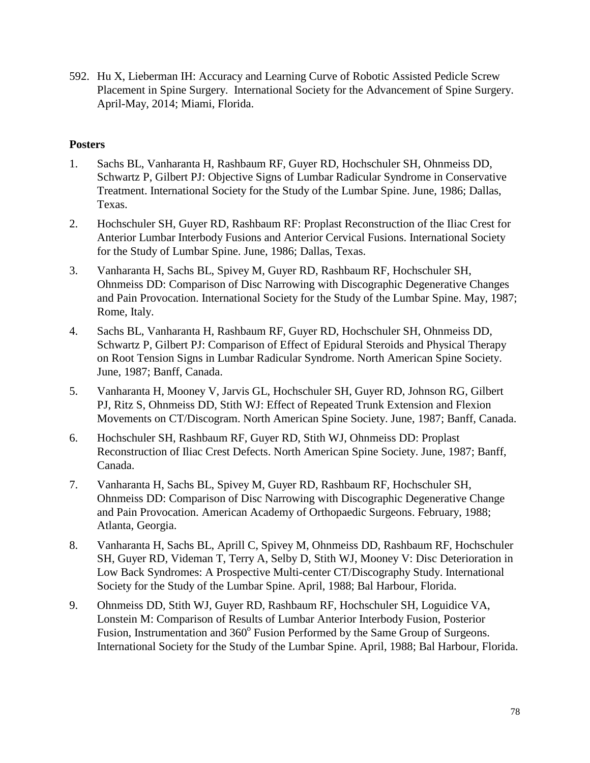592. Hu X, Lieberman IH: Accuracy and Learning Curve of Robotic Assisted Pedicle Screw Placement in Spine Surgery. International Society for the Advancement of Spine Surgery. April-May, 2014; Miami, Florida.

## **Posters**

- 1. Sachs BL, Vanharanta H, Rashbaum RF, Guyer RD, Hochschuler SH, Ohnmeiss DD, Schwartz P, Gilbert PJ: Objective Signs of Lumbar Radicular Syndrome in Conservative Treatment. International Society for the Study of the Lumbar Spine. June, 1986; Dallas, Texas.
- 2. Hochschuler SH, Guyer RD, Rashbaum RF: Proplast Reconstruction of the Iliac Crest for Anterior Lumbar Interbody Fusions and Anterior Cervical Fusions. International Society for the Study of Lumbar Spine. June, 1986; Dallas, Texas.
- 3. Vanharanta H, Sachs BL, Spivey M, Guyer RD, Rashbaum RF, Hochschuler SH, Ohnmeiss DD: Comparison of Disc Narrowing with Discographic Degenerative Changes and Pain Provocation. International Society for the Study of the Lumbar Spine. May, 1987; Rome, Italy.
- 4. Sachs BL, Vanharanta H, Rashbaum RF, Guyer RD, Hochschuler SH, Ohnmeiss DD, Schwartz P, Gilbert PJ: Comparison of Effect of Epidural Steroids and Physical Therapy on Root Tension Signs in Lumbar Radicular Syndrome. North American Spine Society. June, 1987; Banff, Canada.
- 5. Vanharanta H, Mooney V, Jarvis GL, Hochschuler SH, Guyer RD, Johnson RG, Gilbert PJ, Ritz S, Ohnmeiss DD, Stith WJ: Effect of Repeated Trunk Extension and Flexion Movements on CT/Discogram. North American Spine Society. June, 1987; Banff, Canada.
- 6. Hochschuler SH, Rashbaum RF, Guyer RD, Stith WJ, Ohnmeiss DD: Proplast Reconstruction of Iliac Crest Defects. North American Spine Society. June, 1987; Banff, Canada.
- 7. Vanharanta H, Sachs BL, Spivey M, Guyer RD, Rashbaum RF, Hochschuler SH, Ohnmeiss DD: Comparison of Disc Narrowing with Discographic Degenerative Change and Pain Provocation. American Academy of Orthopaedic Surgeons. February, 1988; Atlanta, Georgia.
- 8. Vanharanta H, Sachs BL, Aprill C, Spivey M, Ohnmeiss DD, Rashbaum RF, Hochschuler SH, Guyer RD, Videman T, Terry A, Selby D, Stith WJ, Mooney V: Disc Deterioration in Low Back Syndromes: A Prospective Multi-center CT/Discography Study. International Society for the Study of the Lumbar Spine. April, 1988; Bal Harbour, Florida.
- 9. Ohnmeiss DD, Stith WJ, Guyer RD, Rashbaum RF, Hochschuler SH, Loguidice VA, Lonstein M: Comparison of Results of Lumbar Anterior Interbody Fusion, Posterior Fusion, Instrumentation and  $360^{\circ}$  Fusion Performed by the Same Group of Surgeons. International Society for the Study of the Lumbar Spine. April, 1988; Bal Harbour, Florida.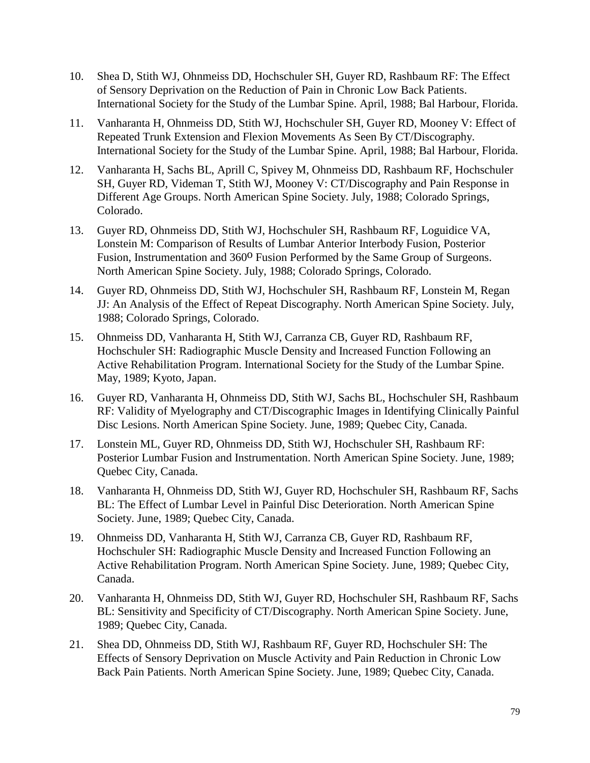- 10. Shea D, Stith WJ, Ohnmeiss DD, Hochschuler SH, Guyer RD, Rashbaum RF: The Effect of Sensory Deprivation on the Reduction of Pain in Chronic Low Back Patients. International Society for the Study of the Lumbar Spine. April, 1988; Bal Harbour, Florida.
- 11. Vanharanta H, Ohnmeiss DD, Stith WJ, Hochschuler SH, Guyer RD, Mooney V: Effect of Repeated Trunk Extension and Flexion Movements As Seen By CT/Discography. International Society for the Study of the Lumbar Spine. April, 1988; Bal Harbour, Florida.
- 12. Vanharanta H, Sachs BL, Aprill C, Spivey M, Ohnmeiss DD, Rashbaum RF, Hochschuler SH, Guyer RD, Videman T, Stith WJ, Mooney V: CT/Discography and Pain Response in Different Age Groups. North American Spine Society. July, 1988; Colorado Springs, Colorado.
- 13. Guyer RD, Ohnmeiss DD, Stith WJ, Hochschuler SH, Rashbaum RF, Loguidice VA, Lonstein M: Comparison of Results of Lumbar Anterior Interbody Fusion, Posterior Fusion, Instrumentation and 360<sup>o</sup> Fusion Performed by the Same Group of Surgeons. North American Spine Society. July, 1988; Colorado Springs, Colorado.
- 14. Guyer RD, Ohnmeiss DD, Stith WJ, Hochschuler SH, Rashbaum RF, Lonstein M, Regan JJ: An Analysis of the Effect of Repeat Discography. North American Spine Society. July, 1988; Colorado Springs, Colorado.
- 15. Ohnmeiss DD, Vanharanta H, Stith WJ, Carranza CB, Guyer RD, Rashbaum RF, Hochschuler SH: Radiographic Muscle Density and Increased Function Following an Active Rehabilitation Program. International Society for the Study of the Lumbar Spine. May, 1989; Kyoto, Japan.
- 16. Guyer RD, Vanharanta H, Ohnmeiss DD, Stith WJ, Sachs BL, Hochschuler SH, Rashbaum RF: Validity of Myelography and CT/Discographic Images in Identifying Clinically Painful Disc Lesions. North American Spine Society. June, 1989; Quebec City, Canada.
- 17. Lonstein ML, Guyer RD, Ohnmeiss DD, Stith WJ, Hochschuler SH, Rashbaum RF: Posterior Lumbar Fusion and Instrumentation. North American Spine Society. June, 1989; Quebec City, Canada.
- 18. Vanharanta H, Ohnmeiss DD, Stith WJ, Guyer RD, Hochschuler SH, Rashbaum RF, Sachs BL: The Effect of Lumbar Level in Painful Disc Deterioration. North American Spine Society. June, 1989; Quebec City, Canada.
- 19. Ohnmeiss DD, Vanharanta H, Stith WJ, Carranza CB, Guyer RD, Rashbaum RF, Hochschuler SH: Radiographic Muscle Density and Increased Function Following an Active Rehabilitation Program. North American Spine Society. June, 1989; Quebec City, Canada.
- 20. Vanharanta H, Ohnmeiss DD, Stith WJ, Guyer RD, Hochschuler SH, Rashbaum RF, Sachs BL: Sensitivity and Specificity of CT/Discography. North American Spine Society. June, 1989; Quebec City, Canada.
- 21. Shea DD, Ohnmeiss DD, Stith WJ, Rashbaum RF, Guyer RD, Hochschuler SH: The Effects of Sensory Deprivation on Muscle Activity and Pain Reduction in Chronic Low Back Pain Patients. North American Spine Society. June, 1989; Quebec City, Canada.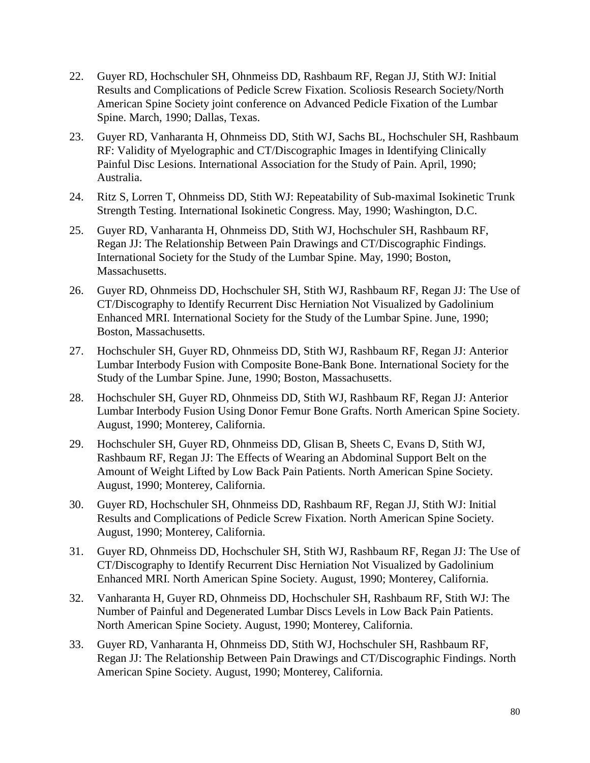- 22. Guyer RD, Hochschuler SH, Ohnmeiss DD, Rashbaum RF, Regan JJ, Stith WJ: Initial Results and Complications of Pedicle Screw Fixation. Scoliosis Research Society/North American Spine Society joint conference on Advanced Pedicle Fixation of the Lumbar Spine. March, 1990; Dallas, Texas.
- 23. Guyer RD, Vanharanta H, Ohnmeiss DD, Stith WJ, Sachs BL, Hochschuler SH, Rashbaum RF: Validity of Myelographic and CT/Discographic Images in Identifying Clinically Painful Disc Lesions. International Association for the Study of Pain. April, 1990; Australia.
- 24. Ritz S, Lorren T, Ohnmeiss DD, Stith WJ: Repeatability of Sub-maximal Isokinetic Trunk Strength Testing. International Isokinetic Congress. May, 1990; Washington, D.C.
- 25. Guyer RD, Vanharanta H, Ohnmeiss DD, Stith WJ, Hochschuler SH, Rashbaum RF, Regan JJ: The Relationship Between Pain Drawings and CT/Discographic Findings. International Society for the Study of the Lumbar Spine. May, 1990; Boston, Massachusetts.
- 26. Guyer RD, Ohnmeiss DD, Hochschuler SH, Stith WJ, Rashbaum RF, Regan JJ: The Use of CT/Discography to Identify Recurrent Disc Herniation Not Visualized by Gadolinium Enhanced MRI. International Society for the Study of the Lumbar Spine. June, 1990; Boston, Massachusetts.
- 27. Hochschuler SH, Guyer RD, Ohnmeiss DD, Stith WJ, Rashbaum RF, Regan JJ: Anterior Lumbar Interbody Fusion with Composite Bone-Bank Bone. International Society for the Study of the Lumbar Spine. June, 1990; Boston, Massachusetts.
- 28. Hochschuler SH, Guyer RD, Ohnmeiss DD, Stith WJ, Rashbaum RF, Regan JJ: Anterior Lumbar Interbody Fusion Using Donor Femur Bone Grafts. North American Spine Society. August, 1990; Monterey, California.
- 29. Hochschuler SH, Guyer RD, Ohnmeiss DD, Glisan B, Sheets C, Evans D, Stith WJ, Rashbaum RF, Regan JJ: The Effects of Wearing an Abdominal Support Belt on the Amount of Weight Lifted by Low Back Pain Patients. North American Spine Society. August, 1990; Monterey, California.
- 30. Guyer RD, Hochschuler SH, Ohnmeiss DD, Rashbaum RF, Regan JJ, Stith WJ: Initial Results and Complications of Pedicle Screw Fixation. North American Spine Society. August, 1990; Monterey, California.
- 31. Guyer RD, Ohnmeiss DD, Hochschuler SH, Stith WJ, Rashbaum RF, Regan JJ: The Use of CT/Discography to Identify Recurrent Disc Herniation Not Visualized by Gadolinium Enhanced MRI. North American Spine Society. August, 1990; Monterey, California.
- 32. Vanharanta H, Guyer RD, Ohnmeiss DD, Hochschuler SH, Rashbaum RF, Stith WJ: The Number of Painful and Degenerated Lumbar Discs Levels in Low Back Pain Patients. North American Spine Society. August, 1990; Monterey, California.
- 33. Guyer RD, Vanharanta H, Ohnmeiss DD, Stith WJ, Hochschuler SH, Rashbaum RF, Regan JJ: The Relationship Between Pain Drawings and CT/Discographic Findings. North American Spine Society. August, 1990; Monterey, California.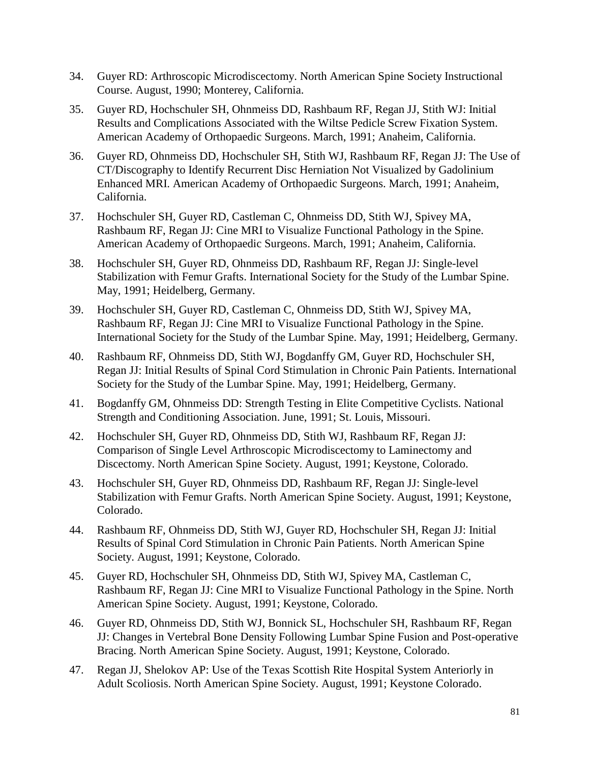- 34. Guyer RD: Arthroscopic Microdiscectomy. North American Spine Society Instructional Course. August, 1990; Monterey, California.
- 35. Guyer RD, Hochschuler SH, Ohnmeiss DD, Rashbaum RF, Regan JJ, Stith WJ: Initial Results and Complications Associated with the Wiltse Pedicle Screw Fixation System. American Academy of Orthopaedic Surgeons. March, 1991; Anaheim, California.
- 36. Guyer RD, Ohnmeiss DD, Hochschuler SH, Stith WJ, Rashbaum RF, Regan JJ: The Use of CT/Discography to Identify Recurrent Disc Herniation Not Visualized by Gadolinium Enhanced MRI. American Academy of Orthopaedic Surgeons. March, 1991; Anaheim, California.
- 37. Hochschuler SH, Guyer RD, Castleman C, Ohnmeiss DD, Stith WJ, Spivey MA, Rashbaum RF, Regan JJ: Cine MRI to Visualize Functional Pathology in the Spine. American Academy of Orthopaedic Surgeons. March, 1991; Anaheim, California.
- 38. Hochschuler SH, Guyer RD, Ohnmeiss DD, Rashbaum RF, Regan JJ: Single-level Stabilization with Femur Grafts. International Society for the Study of the Lumbar Spine. May, 1991; Heidelberg, Germany.
- 39. Hochschuler SH, Guyer RD, Castleman C, Ohnmeiss DD, Stith WJ, Spivey MA, Rashbaum RF, Regan JJ: Cine MRI to Visualize Functional Pathology in the Spine. International Society for the Study of the Lumbar Spine. May, 1991; Heidelberg, Germany.
- 40. Rashbaum RF, Ohnmeiss DD, Stith WJ, Bogdanffy GM, Guyer RD, Hochschuler SH, Regan JJ: Initial Results of Spinal Cord Stimulation in Chronic Pain Patients. International Society for the Study of the Lumbar Spine. May, 1991; Heidelberg, Germany.
- 41. Bogdanffy GM, Ohnmeiss DD: Strength Testing in Elite Competitive Cyclists. National Strength and Conditioning Association. June, 1991; St. Louis, Missouri.
- 42. Hochschuler SH, Guyer RD, Ohnmeiss DD, Stith WJ, Rashbaum RF, Regan JJ: Comparison of Single Level Arthroscopic Microdiscectomy to Laminectomy and Discectomy. North American Spine Society. August, 1991; Keystone, Colorado.
- 43. Hochschuler SH, Guyer RD, Ohnmeiss DD, Rashbaum RF, Regan JJ: Single-level Stabilization with Femur Grafts. North American Spine Society. August, 1991; Keystone, Colorado.
- 44. Rashbaum RF, Ohnmeiss DD, Stith WJ, Guyer RD, Hochschuler SH, Regan JJ: Initial Results of Spinal Cord Stimulation in Chronic Pain Patients. North American Spine Society. August, 1991; Keystone, Colorado.
- 45. Guyer RD, Hochschuler SH, Ohnmeiss DD, Stith WJ, Spivey MA, Castleman C, Rashbaum RF, Regan JJ: Cine MRI to Visualize Functional Pathology in the Spine. North American Spine Society. August, 1991; Keystone, Colorado.
- 46. Guyer RD, Ohnmeiss DD, Stith WJ, Bonnick SL, Hochschuler SH, Rashbaum RF, Regan JJ: Changes in Vertebral Bone Density Following Lumbar Spine Fusion and Post-operative Bracing. North American Spine Society. August, 1991; Keystone, Colorado.
- 47. Regan JJ, Shelokov AP: Use of the Texas Scottish Rite Hospital System Anteriorly in Adult Scoliosis. North American Spine Society. August, 1991; Keystone Colorado.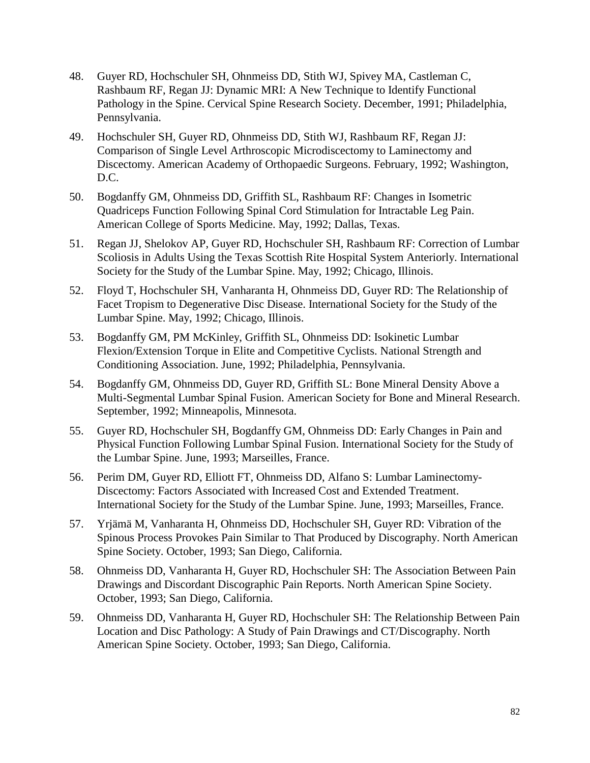- 48. Guyer RD, Hochschuler SH, Ohnmeiss DD, Stith WJ, Spivey MA, Castleman C, Rashbaum RF, Regan JJ: Dynamic MRI: A New Technique to Identify Functional Pathology in the Spine. Cervical Spine Research Society. December, 1991; Philadelphia, Pennsylvania.
- 49. Hochschuler SH, Guyer RD, Ohnmeiss DD, Stith WJ, Rashbaum RF, Regan JJ: Comparison of Single Level Arthroscopic Microdiscectomy to Laminectomy and Discectomy. American Academy of Orthopaedic Surgeons. February, 1992; Washington, D.C.
- 50. Bogdanffy GM, Ohnmeiss DD, Griffith SL, Rashbaum RF: Changes in Isometric Quadriceps Function Following Spinal Cord Stimulation for Intractable Leg Pain. American College of Sports Medicine. May, 1992; Dallas, Texas.
- 51. Regan JJ, Shelokov AP, Guyer RD, Hochschuler SH, Rashbaum RF: Correction of Lumbar Scoliosis in Adults Using the Texas Scottish Rite Hospital System Anteriorly. International Society for the Study of the Lumbar Spine. May, 1992; Chicago, Illinois.
- 52. Floyd T, Hochschuler SH, Vanharanta H, Ohnmeiss DD, Guyer RD: The Relationship of Facet Tropism to Degenerative Disc Disease. International Society for the Study of the Lumbar Spine. May, 1992; Chicago, Illinois.
- 53. Bogdanffy GM, PM McKinley, Griffith SL, Ohnmeiss DD: Isokinetic Lumbar Flexion/Extension Torque in Elite and Competitive Cyclists. National Strength and Conditioning Association. June, 1992; Philadelphia, Pennsylvania.
- 54. Bogdanffy GM, Ohnmeiss DD, Guyer RD, Griffith SL: Bone Mineral Density Above a Multi-Segmental Lumbar Spinal Fusion. American Society for Bone and Mineral Research. September, 1992; Minneapolis, Minnesota.
- 55. Guyer RD, Hochschuler SH, Bogdanffy GM, Ohnmeiss DD: Early Changes in Pain and Physical Function Following Lumbar Spinal Fusion. International Society for the Study of the Lumbar Spine. June, 1993; Marseilles, France.
- 56. Perim DM, Guyer RD, Elliott FT, Ohnmeiss DD, Alfano S: Lumbar Laminectomy-Discectomy: Factors Associated with Increased Cost and Extended Treatment. International Society for the Study of the Lumbar Spine. June, 1993; Marseilles, France.
- 57. Yrjämä M, Vanharanta H, Ohnmeiss DD, Hochschuler SH, Guyer RD: Vibration of the Spinous Process Provokes Pain Similar to That Produced by Discography. North American Spine Society. October, 1993; San Diego, California.
- 58. Ohnmeiss DD, Vanharanta H, Guyer RD, Hochschuler SH: The Association Between Pain Drawings and Discordant Discographic Pain Reports. North American Spine Society. October, 1993; San Diego, California.
- 59. Ohnmeiss DD, Vanharanta H, Guyer RD, Hochschuler SH: The Relationship Between Pain Location and Disc Pathology: A Study of Pain Drawings and CT/Discography. North American Spine Society. October, 1993; San Diego, California.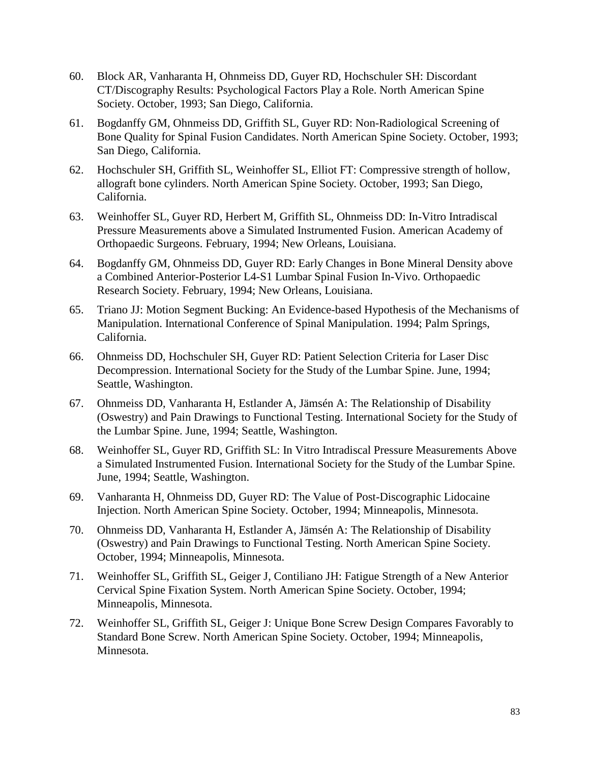- 60. Block AR, Vanharanta H, Ohnmeiss DD, Guyer RD, Hochschuler SH: Discordant CT/Discography Results: Psychological Factors Play a Role. North American Spine Society. October, 1993; San Diego, California.
- 61. Bogdanffy GM, Ohnmeiss DD, Griffith SL, Guyer RD: Non-Radiological Screening of Bone Quality for Spinal Fusion Candidates. North American Spine Society. October, 1993; San Diego, California.
- 62. Hochschuler SH, Griffith SL, Weinhoffer SL, Elliot FT: Compressive strength of hollow, allograft bone cylinders. North American Spine Society. October, 1993; San Diego, California.
- 63. Weinhoffer SL, Guyer RD, Herbert M, Griffith SL, Ohnmeiss DD: In-Vitro Intradiscal Pressure Measurements above a Simulated Instrumented Fusion. American Academy of Orthopaedic Surgeons. February, 1994; New Orleans, Louisiana.
- 64. Bogdanffy GM, Ohnmeiss DD, Guyer RD: Early Changes in Bone Mineral Density above a Combined Anterior-Posterior L4-S1 Lumbar Spinal Fusion In-Vivo. Orthopaedic Research Society. February, 1994; New Orleans, Louisiana.
- 65. Triano JJ: Motion Segment Bucking: An Evidence-based Hypothesis of the Mechanisms of Manipulation. International Conference of Spinal Manipulation. 1994; Palm Springs, California.
- 66. Ohnmeiss DD, Hochschuler SH, Guyer RD: Patient Selection Criteria for Laser Disc Decompression. International Society for the Study of the Lumbar Spine. June, 1994; Seattle, Washington.
- 67. Ohnmeiss DD, Vanharanta H, Estlander A, Jämsén A: The Relationship of Disability (Oswestry) and Pain Drawings to Functional Testing. International Society for the Study of the Lumbar Spine. June, 1994; Seattle, Washington.
- 68. Weinhoffer SL, Guyer RD, Griffith SL: In Vitro Intradiscal Pressure Measurements Above a Simulated Instrumented Fusion. International Society for the Study of the Lumbar Spine. June, 1994; Seattle, Washington.
- 69. Vanharanta H, Ohnmeiss DD, Guyer RD: The Value of Post-Discographic Lidocaine Injection. North American Spine Society. October, 1994; Minneapolis, Minnesota.
- 70. Ohnmeiss DD, Vanharanta H, Estlander A, Jämsén A: The Relationship of Disability (Oswestry) and Pain Drawings to Functional Testing. North American Spine Society. October, 1994; Minneapolis, Minnesota.
- 71. Weinhoffer SL, Griffith SL, Geiger J, Contiliano JH: Fatigue Strength of a New Anterior Cervical Spine Fixation System. North American Spine Society. October, 1994; Minneapolis, Minnesota.
- 72. Weinhoffer SL, Griffith SL, Geiger J: Unique Bone Screw Design Compares Favorably to Standard Bone Screw. North American Spine Society. October, 1994; Minneapolis, Minnesota.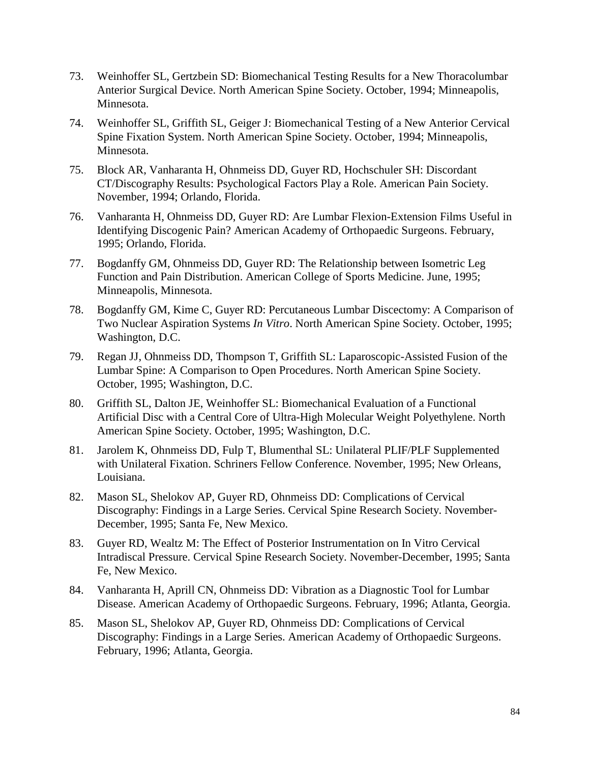- 73. Weinhoffer SL, Gertzbein SD: Biomechanical Testing Results for a New Thoracolumbar Anterior Surgical Device. North American Spine Society. October, 1994; Minneapolis, Minnesota.
- 74. Weinhoffer SL, Griffith SL, Geiger J: Biomechanical Testing of a New Anterior Cervical Spine Fixation System. North American Spine Society. October, 1994; Minneapolis, Minnesota.
- 75. Block AR, Vanharanta H, Ohnmeiss DD, Guyer RD, Hochschuler SH: Discordant CT/Discography Results: Psychological Factors Play a Role. American Pain Society. November, 1994; Orlando, Florida.
- 76. Vanharanta H, Ohnmeiss DD, Guyer RD: Are Lumbar Flexion-Extension Films Useful in Identifying Discogenic Pain? American Academy of Orthopaedic Surgeons. February, 1995; Orlando, Florida.
- 77. Bogdanffy GM, Ohnmeiss DD, Guyer RD: The Relationship between Isometric Leg Function and Pain Distribution. American College of Sports Medicine. June, 1995; Minneapolis, Minnesota.
- 78. Bogdanffy GM, Kime C, Guyer RD: Percutaneous Lumbar Discectomy: A Comparison of Two Nuclear Aspiration Systems *In Vitro*. North American Spine Society. October, 1995; Washington, D.C.
- 79. Regan JJ, Ohnmeiss DD, Thompson T, Griffith SL: Laparoscopic-Assisted Fusion of the Lumbar Spine: A Comparison to Open Procedures. North American Spine Society. October, 1995; Washington, D.C.
- 80. Griffith SL, Dalton JE, Weinhoffer SL: Biomechanical Evaluation of a Functional Artificial Disc with a Central Core of Ultra-High Molecular Weight Polyethylene. North American Spine Society. October, 1995; Washington, D.C.
- 81. Jarolem K, Ohnmeiss DD, Fulp T, Blumenthal SL: Unilateral PLIF/PLF Supplemented with Unilateral Fixation. Schriners Fellow Conference. November, 1995; New Orleans, Louisiana.
- 82. Mason SL, Shelokov AP, Guyer RD, Ohnmeiss DD: Complications of Cervical Discography: Findings in a Large Series. Cervical Spine Research Society. November-December, 1995; Santa Fe, New Mexico.
- 83. Guyer RD, Wealtz M: The Effect of Posterior Instrumentation on In Vitro Cervical Intradiscal Pressure. Cervical Spine Research Society. November-December, 1995; Santa Fe, New Mexico.
- 84. Vanharanta H, Aprill CN, Ohnmeiss DD: Vibration as a Diagnostic Tool for Lumbar Disease. American Academy of Orthopaedic Surgeons. February, 1996; Atlanta, Georgia.
- 85. Mason SL, Shelokov AP, Guyer RD, Ohnmeiss DD: Complications of Cervical Discography: Findings in a Large Series. American Academy of Orthopaedic Surgeons. February, 1996; Atlanta, Georgia.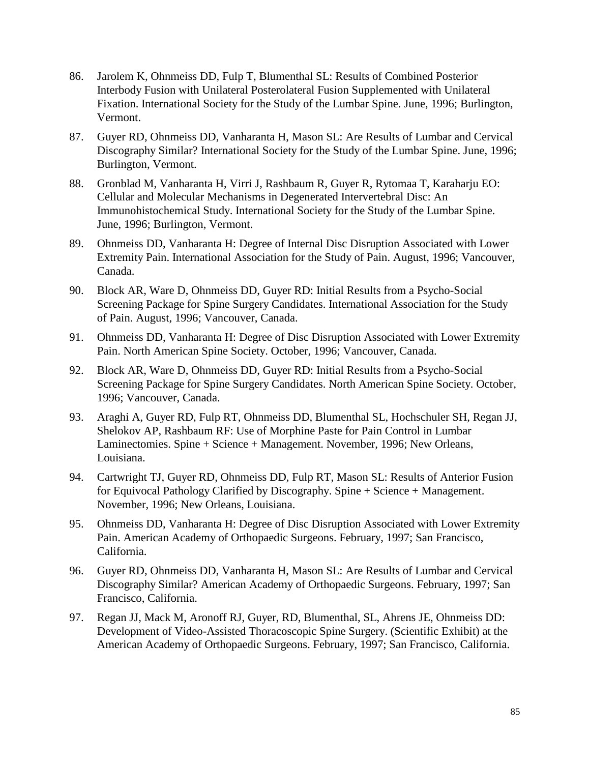- 86. Jarolem K, Ohnmeiss DD, Fulp T, Blumenthal SL: Results of Combined Posterior Interbody Fusion with Unilateral Posterolateral Fusion Supplemented with Unilateral Fixation. International Society for the Study of the Lumbar Spine. June, 1996; Burlington, Vermont.
- 87. Guyer RD, Ohnmeiss DD, Vanharanta H, Mason SL: Are Results of Lumbar and Cervical Discography Similar? International Society for the Study of the Lumbar Spine. June, 1996; Burlington, Vermont.
- 88. Gronblad M, Vanharanta H, Virri J, Rashbaum R, Guyer R, Rytomaa T, Karaharju EO: Cellular and Molecular Mechanisms in Degenerated Intervertebral Disc: An Immunohistochemical Study. International Society for the Study of the Lumbar Spine. June, 1996; Burlington, Vermont.
- 89. Ohnmeiss DD, Vanharanta H: Degree of Internal Disc Disruption Associated with Lower Extremity Pain. International Association for the Study of Pain. August, 1996; Vancouver, Canada.
- 90. Block AR, Ware D, Ohnmeiss DD, Guyer RD: Initial Results from a Psycho-Social Screening Package for Spine Surgery Candidates. International Association for the Study of Pain. August, 1996; Vancouver, Canada.
- 91. Ohnmeiss DD, Vanharanta H: Degree of Disc Disruption Associated with Lower Extremity Pain. North American Spine Society. October, 1996; Vancouver, Canada.
- 92. Block AR, Ware D, Ohnmeiss DD, Guyer RD: Initial Results from a Psycho-Social Screening Package for Spine Surgery Candidates. North American Spine Society. October, 1996; Vancouver, Canada.
- 93. Araghi A, Guyer RD, Fulp RT, Ohnmeiss DD, Blumenthal SL, Hochschuler SH, Regan JJ, Shelokov AP, Rashbaum RF: Use of Morphine Paste for Pain Control in Lumbar Laminectomies. Spine + Science + Management. November, 1996; New Orleans, Louisiana.
- 94. Cartwright TJ, Guyer RD, Ohnmeiss DD, Fulp RT, Mason SL: Results of Anterior Fusion for Equivocal Pathology Clarified by Discography. Spine + Science + Management. November, 1996; New Orleans, Louisiana.
- 95. Ohnmeiss DD, Vanharanta H: Degree of Disc Disruption Associated with Lower Extremity Pain. American Academy of Orthopaedic Surgeons. February, 1997; San Francisco, California.
- 96. Guyer RD, Ohnmeiss DD, Vanharanta H, Mason SL: Are Results of Lumbar and Cervical Discography Similar? American Academy of Orthopaedic Surgeons. February, 1997; San Francisco, California.
- 97. Regan JJ, Mack M, Aronoff RJ, Guyer, RD, Blumenthal, SL, Ahrens JE, Ohnmeiss DD: Development of Video-Assisted Thoracoscopic Spine Surgery. (Scientific Exhibit) at the American Academy of Orthopaedic Surgeons. February, 1997; San Francisco, California.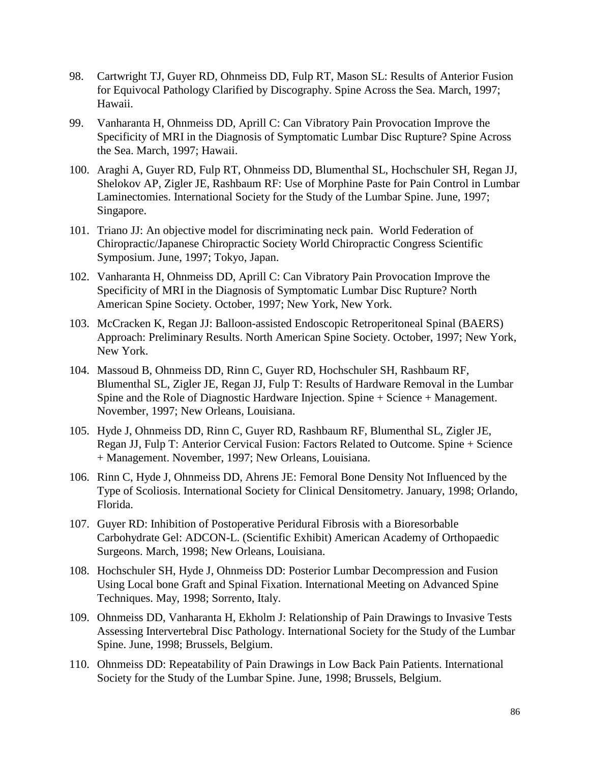- 98. Cartwright TJ, Guyer RD, Ohnmeiss DD, Fulp RT, Mason SL: Results of Anterior Fusion for Equivocal Pathology Clarified by Discography. Spine Across the Sea. March, 1997; Hawaii.
- 99. Vanharanta H, Ohnmeiss DD, Aprill C: Can Vibratory Pain Provocation Improve the Specificity of MRI in the Diagnosis of Symptomatic Lumbar Disc Rupture? Spine Across the Sea. March, 1997; Hawaii.
- 100. Araghi A, Guyer RD, Fulp RT, Ohnmeiss DD, Blumenthal SL, Hochschuler SH, Regan JJ, Shelokov AP, Zigler JE, Rashbaum RF: Use of Morphine Paste for Pain Control in Lumbar Laminectomies. International Society for the Study of the Lumbar Spine. June, 1997; Singapore.
- 101. Triano JJ: An objective model for discriminating neck pain. World Federation of Chiropractic/Japanese Chiropractic Society World Chiropractic Congress Scientific Symposium. June, 1997; Tokyo, Japan.
- 102. Vanharanta H, Ohnmeiss DD, Aprill C: Can Vibratory Pain Provocation Improve the Specificity of MRI in the Diagnosis of Symptomatic Lumbar Disc Rupture? North American Spine Society. October, 1997; New York, New York.
- 103. McCracken K, Regan JJ: Balloon-assisted Endoscopic Retroperitoneal Spinal (BAERS) Approach: Preliminary Results. North American Spine Society. October, 1997; New York, New York.
- 104. Massoud B, Ohnmeiss DD, Rinn C, Guyer RD, Hochschuler SH, Rashbaum RF, Blumenthal SL, Zigler JE, Regan JJ, Fulp T: Results of Hardware Removal in the Lumbar Spine and the Role of Diagnostic Hardware Injection. Spine + Science + Management. November, 1997; New Orleans, Louisiana.
- 105. Hyde J, Ohnmeiss DD, Rinn C, Guyer RD, Rashbaum RF, Blumenthal SL, Zigler JE, Regan JJ, Fulp T: Anterior Cervical Fusion: Factors Related to Outcome. Spine + Science + Management. November, 1997; New Orleans, Louisiana.
- 106. Rinn C, Hyde J, Ohnmeiss DD, Ahrens JE: Femoral Bone Density Not Influenced by the Type of Scoliosis. International Society for Clinical Densitometry. January, 1998; Orlando, Florida.
- 107. Guyer RD: Inhibition of Postoperative Peridural Fibrosis with a Bioresorbable Carbohydrate Gel: ADCON-L. (Scientific Exhibit) American Academy of Orthopaedic Surgeons. March, 1998; New Orleans, Louisiana.
- 108. Hochschuler SH, Hyde J, Ohnmeiss DD: Posterior Lumbar Decompression and Fusion Using Local bone Graft and Spinal Fixation. International Meeting on Advanced Spine Techniques. May, 1998; Sorrento, Italy.
- 109. Ohnmeiss DD, Vanharanta H, Ekholm J: Relationship of Pain Drawings to Invasive Tests Assessing Intervertebral Disc Pathology. International Society for the Study of the Lumbar Spine. June, 1998; Brussels, Belgium.
- 110. Ohnmeiss DD: Repeatability of Pain Drawings in Low Back Pain Patients. International Society for the Study of the Lumbar Spine. June, 1998; Brussels, Belgium.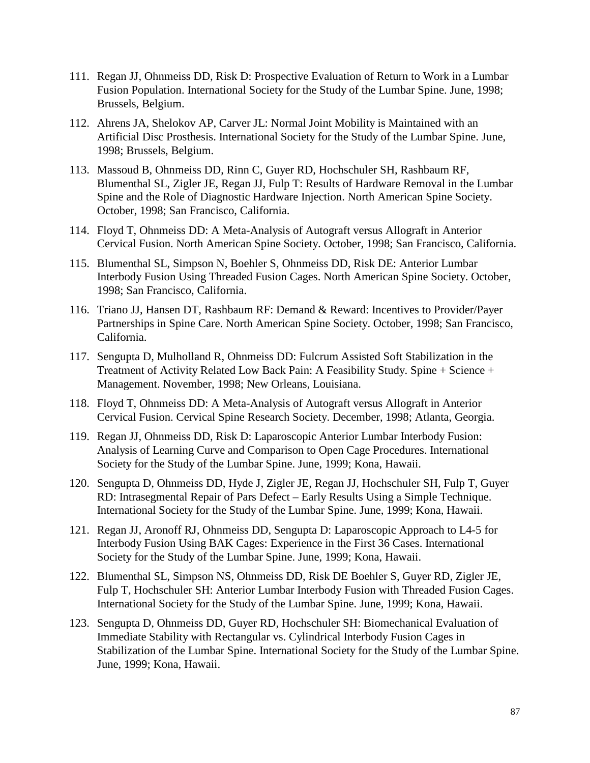- 111. Regan JJ, Ohnmeiss DD, Risk D: Prospective Evaluation of Return to Work in a Lumbar Fusion Population. International Society for the Study of the Lumbar Spine. June, 1998; Brussels, Belgium.
- 112. Ahrens JA, Shelokov AP, Carver JL: Normal Joint Mobility is Maintained with an Artificial Disc Prosthesis. International Society for the Study of the Lumbar Spine. June, 1998; Brussels, Belgium.
- 113. Massoud B, Ohnmeiss DD, Rinn C, Guyer RD, Hochschuler SH, Rashbaum RF, Blumenthal SL, Zigler JE, Regan JJ, Fulp T: Results of Hardware Removal in the Lumbar Spine and the Role of Diagnostic Hardware Injection. North American Spine Society. October, 1998; San Francisco, California.
- 114. Floyd T, Ohnmeiss DD: A Meta-Analysis of Autograft versus Allograft in Anterior Cervical Fusion. North American Spine Society. October, 1998; San Francisco, California.
- 115. Blumenthal SL, Simpson N, Boehler S, Ohnmeiss DD, Risk DE: Anterior Lumbar Interbody Fusion Using Threaded Fusion Cages. North American Spine Society. October, 1998; San Francisco, California.
- 116. Triano JJ, Hansen DT, Rashbaum RF: Demand & Reward: Incentives to Provider/Payer Partnerships in Spine Care. North American Spine Society. October, 1998; San Francisco, California.
- 117. Sengupta D, Mulholland R, Ohnmeiss DD: Fulcrum Assisted Soft Stabilization in the Treatment of Activity Related Low Back Pain: A Feasibility Study. Spine + Science + Management. November, 1998; New Orleans, Louisiana.
- 118. Floyd T, Ohnmeiss DD: A Meta-Analysis of Autograft versus Allograft in Anterior Cervical Fusion. Cervical Spine Research Society. December, 1998; Atlanta, Georgia.
- 119. Regan JJ, Ohnmeiss DD, Risk D: Laparoscopic Anterior Lumbar Interbody Fusion: Analysis of Learning Curve and Comparison to Open Cage Procedures. International Society for the Study of the Lumbar Spine. June, 1999; Kona, Hawaii.
- 120. Sengupta D, Ohnmeiss DD, Hyde J, Zigler JE, Regan JJ, Hochschuler SH, Fulp T, Guyer RD: Intrasegmental Repair of Pars Defect – Early Results Using a Simple Technique. International Society for the Study of the Lumbar Spine. June, 1999; Kona, Hawaii.
- 121. Regan JJ, Aronoff RJ, Ohnmeiss DD, Sengupta D: Laparoscopic Approach to L4-5 for Interbody Fusion Using BAK Cages: Experience in the First 36 Cases. International Society for the Study of the Lumbar Spine. June, 1999; Kona, Hawaii.
- 122. Blumenthal SL, Simpson NS, Ohnmeiss DD, Risk DE Boehler S, Guyer RD, Zigler JE, Fulp T, Hochschuler SH: Anterior Lumbar Interbody Fusion with Threaded Fusion Cages. International Society for the Study of the Lumbar Spine. June, 1999; Kona, Hawaii.
- 123. Sengupta D, Ohnmeiss DD, Guyer RD, Hochschuler SH: Biomechanical Evaluation of Immediate Stability with Rectangular vs. Cylindrical Interbody Fusion Cages in Stabilization of the Lumbar Spine. International Society for the Study of the Lumbar Spine. June, 1999; Kona, Hawaii.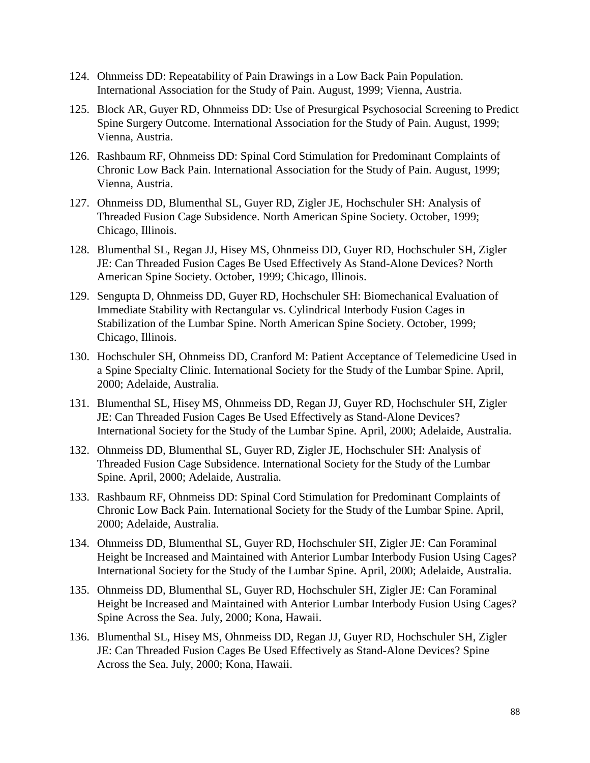- 124. Ohnmeiss DD: Repeatability of Pain Drawings in a Low Back Pain Population. International Association for the Study of Pain. August, 1999; Vienna, Austria.
- 125. Block AR, Guyer RD, Ohnmeiss DD: Use of Presurgical Psychosocial Screening to Predict Spine Surgery Outcome. International Association for the Study of Pain. August, 1999; Vienna, Austria.
- 126. Rashbaum RF, Ohnmeiss DD: Spinal Cord Stimulation for Predominant Complaints of Chronic Low Back Pain. International Association for the Study of Pain. August, 1999; Vienna, Austria.
- 127. Ohnmeiss DD, Blumenthal SL, Guyer RD, Zigler JE, Hochschuler SH: Analysis of Threaded Fusion Cage Subsidence. North American Spine Society. October, 1999; Chicago, Illinois.
- 128. Blumenthal SL, Regan JJ, Hisey MS, Ohnmeiss DD, Guyer RD, Hochschuler SH, Zigler JE: Can Threaded Fusion Cages Be Used Effectively As Stand-Alone Devices? North American Spine Society. October, 1999; Chicago, Illinois.
- 129. Sengupta D, Ohnmeiss DD, Guyer RD, Hochschuler SH: Biomechanical Evaluation of Immediate Stability with Rectangular vs. Cylindrical Interbody Fusion Cages in Stabilization of the Lumbar Spine. North American Spine Society. October, 1999; Chicago, Illinois.
- 130. Hochschuler SH, Ohnmeiss DD, Cranford M: Patient Acceptance of Telemedicine Used in a Spine Specialty Clinic. International Society for the Study of the Lumbar Spine. April, 2000; Adelaide, Australia.
- 131. Blumenthal SL, Hisey MS, Ohnmeiss DD, Regan JJ, Guyer RD, Hochschuler SH, Zigler JE: Can Threaded Fusion Cages Be Used Effectively as Stand-Alone Devices? International Society for the Study of the Lumbar Spine. April, 2000; Adelaide, Australia.
- 132. Ohnmeiss DD, Blumenthal SL, Guyer RD, Zigler JE, Hochschuler SH: Analysis of Threaded Fusion Cage Subsidence. International Society for the Study of the Lumbar Spine. April, 2000; Adelaide, Australia.
- 133. Rashbaum RF, Ohnmeiss DD: Spinal Cord Stimulation for Predominant Complaints of Chronic Low Back Pain. International Society for the Study of the Lumbar Spine. April, 2000; Adelaide, Australia.
- 134. Ohnmeiss DD, Blumenthal SL, Guyer RD, Hochschuler SH, Zigler JE: Can Foraminal Height be Increased and Maintained with Anterior Lumbar Interbody Fusion Using Cages? International Society for the Study of the Lumbar Spine. April, 2000; Adelaide, Australia.
- 135. Ohnmeiss DD, Blumenthal SL, Guyer RD, Hochschuler SH, Zigler JE: Can Foraminal Height be Increased and Maintained with Anterior Lumbar Interbody Fusion Using Cages? Spine Across the Sea. July, 2000; Kona, Hawaii.
- 136. Blumenthal SL, Hisey MS, Ohnmeiss DD, Regan JJ, Guyer RD, Hochschuler SH, Zigler JE: Can Threaded Fusion Cages Be Used Effectively as Stand-Alone Devices? Spine Across the Sea. July, 2000; Kona, Hawaii.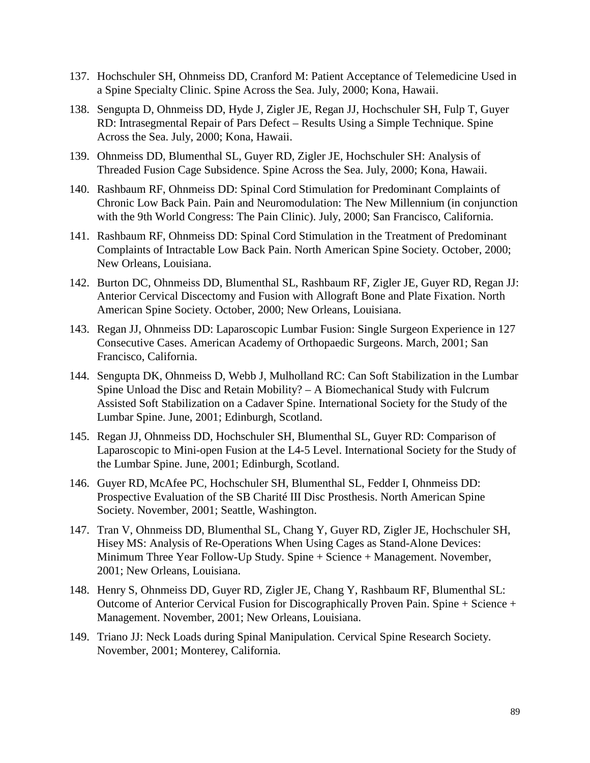- 137. Hochschuler SH, Ohnmeiss DD, Cranford M: Patient Acceptance of Telemedicine Used in a Spine Specialty Clinic. Spine Across the Sea. July, 2000; Kona, Hawaii.
- 138. Sengupta D, Ohnmeiss DD, Hyde J, Zigler JE, Regan JJ, Hochschuler SH, Fulp T, Guyer RD: Intrasegmental Repair of Pars Defect – Results Using a Simple Technique. Spine Across the Sea. July, 2000; Kona, Hawaii.
- 139. Ohnmeiss DD, Blumenthal SL, Guyer RD, Zigler JE, Hochschuler SH: Analysis of Threaded Fusion Cage Subsidence. Spine Across the Sea. July, 2000; Kona, Hawaii.
- 140. Rashbaum RF, Ohnmeiss DD: Spinal Cord Stimulation for Predominant Complaints of Chronic Low Back Pain. Pain and Neuromodulation: The New Millennium (in conjunction with the 9th World Congress: The Pain Clinic). July, 2000; San Francisco, California.
- 141. Rashbaum RF, Ohnmeiss DD: Spinal Cord Stimulation in the Treatment of Predominant Complaints of Intractable Low Back Pain. North American Spine Society. October, 2000; New Orleans, Louisiana.
- 142. Burton DC, Ohnmeiss DD, Blumenthal SL, Rashbaum RF, Zigler JE, Guyer RD, Regan JJ: Anterior Cervical Discectomy and Fusion with Allograft Bone and Plate Fixation. North American Spine Society. October, 2000; New Orleans, Louisiana.
- 143. Regan JJ, Ohnmeiss DD: Laparoscopic Lumbar Fusion: Single Surgeon Experience in 127 Consecutive Cases. American Academy of Orthopaedic Surgeons. March, 2001; San Francisco, California.
- 144. Sengupta DK, Ohnmeiss D, Webb J, Mulholland RC: Can Soft Stabilization in the Lumbar Spine Unload the Disc and Retain Mobility? – A Biomechanical Study with Fulcrum Assisted Soft Stabilization on a Cadaver Spine. International Society for the Study of the Lumbar Spine. June, 2001; Edinburgh, Scotland.
- 145. Regan JJ, Ohnmeiss DD, Hochschuler SH, Blumenthal SL, Guyer RD: Comparison of Laparoscopic to Mini-open Fusion at the L4-5 Level. International Society for the Study of the Lumbar Spine. June, 2001; Edinburgh, Scotland.
- 146. Guyer RD, McAfee PC, Hochschuler SH, Blumenthal SL, Fedder I, Ohnmeiss DD: Prospective Evaluation of the SB Charité III Disc Prosthesis. North American Spine Society. November, 2001; Seattle, Washington.
- 147. Tran V, Ohnmeiss DD, Blumenthal SL, Chang Y, Guyer RD, Zigler JE, Hochschuler SH, Hisey MS: Analysis of Re-Operations When Using Cages as Stand-Alone Devices: Minimum Three Year Follow-Up Study. Spine + Science + Management. November, 2001; New Orleans, Louisiana.
- 148. Henry S, Ohnmeiss DD, Guyer RD, Zigler JE, Chang Y, Rashbaum RF, Blumenthal SL: Outcome of Anterior Cervical Fusion for Discographically Proven Pain. Spine + Science + Management. November, 2001; New Orleans, Louisiana.
- 149. Triano JJ: Neck Loads during Spinal Manipulation. Cervical Spine Research Society. November, 2001; Monterey, California.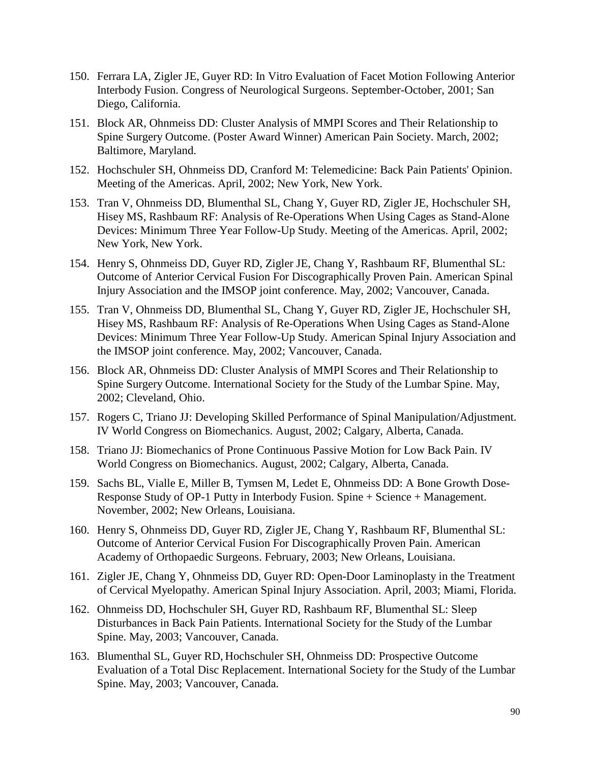- 150. Ferrara LA, Zigler JE, Guyer RD: In Vitro Evaluation of Facet Motion Following Anterior Interbody Fusion. Congress of Neurological Surgeons. September-October, 2001; San Diego, California.
- 151. Block AR, Ohnmeiss DD: Cluster Analysis of MMPI Scores and Their Relationship to Spine Surgery Outcome. (Poster Award Winner) American Pain Society. March, 2002; Baltimore, Maryland.
- 152. Hochschuler SH, Ohnmeiss DD, Cranford M: Telemedicine: Back Pain Patients' Opinion. Meeting of the Americas. April, 2002; New York, New York.
- 153. Tran V, Ohnmeiss DD, Blumenthal SL, Chang Y, Guyer RD, Zigler JE, Hochschuler SH, Hisey MS, Rashbaum RF: Analysis of Re-Operations When Using Cages as Stand-Alone Devices: Minimum Three Year Follow-Up Study. Meeting of the Americas. April, 2002; New York, New York.
- 154. Henry S, Ohnmeiss DD, Guyer RD, Zigler JE, Chang Y, Rashbaum RF, Blumenthal SL: Outcome of Anterior Cervical Fusion For Discographically Proven Pain. American Spinal Injury Association and the IMSOP joint conference. May, 2002; Vancouver, Canada.
- 155. Tran V, Ohnmeiss DD, Blumenthal SL, Chang Y, Guyer RD, Zigler JE, Hochschuler SH, Hisey MS, Rashbaum RF: Analysis of Re-Operations When Using Cages as Stand-Alone Devices: Minimum Three Year Follow-Up Study. American Spinal Injury Association and the IMSOP joint conference. May, 2002; Vancouver, Canada.
- 156. Block AR, Ohnmeiss DD: Cluster Analysis of MMPI Scores and Their Relationship to Spine Surgery Outcome. International Society for the Study of the Lumbar Spine. May, 2002; Cleveland, Ohio.
- 157. Rogers C, Triano JJ: Developing Skilled Performance of Spinal Manipulation/Adjustment. IV World Congress on Biomechanics. August, 2002; Calgary, Alberta, Canada.
- 158. Triano JJ: Biomechanics of Prone Continuous Passive Motion for Low Back Pain. IV World Congress on Biomechanics. August, 2002; Calgary, Alberta, Canada.
- 159. Sachs BL, Vialle E, Miller B, Tymsen M, Ledet E, Ohnmeiss DD: A Bone Growth Dose-Response Study of OP-1 Putty in Interbody Fusion. Spine + Science + Management. November, 2002; New Orleans, Louisiana.
- 160. Henry S, Ohnmeiss DD, Guyer RD, Zigler JE, Chang Y, Rashbaum RF, Blumenthal SL: Outcome of Anterior Cervical Fusion For Discographically Proven Pain. American Academy of Orthopaedic Surgeons. February, 2003; New Orleans, Louisiana.
- 161. Zigler JE, Chang Y, Ohnmeiss DD, Guyer RD: Open-Door Laminoplasty in the Treatment of Cervical Myelopathy. American Spinal Injury Association. April, 2003; Miami, Florida.
- 162. Ohnmeiss DD, Hochschuler SH, Guyer RD, Rashbaum RF, Blumenthal SL: Sleep Disturbances in Back Pain Patients. International Society for the Study of the Lumbar Spine. May, 2003; Vancouver, Canada.
- 163. Blumenthal SL, Guyer RD, Hochschuler SH, Ohnmeiss DD: Prospective Outcome Evaluation of a Total Disc Replacement. International Society for the Study of the Lumbar Spine. May, 2003; Vancouver, Canada.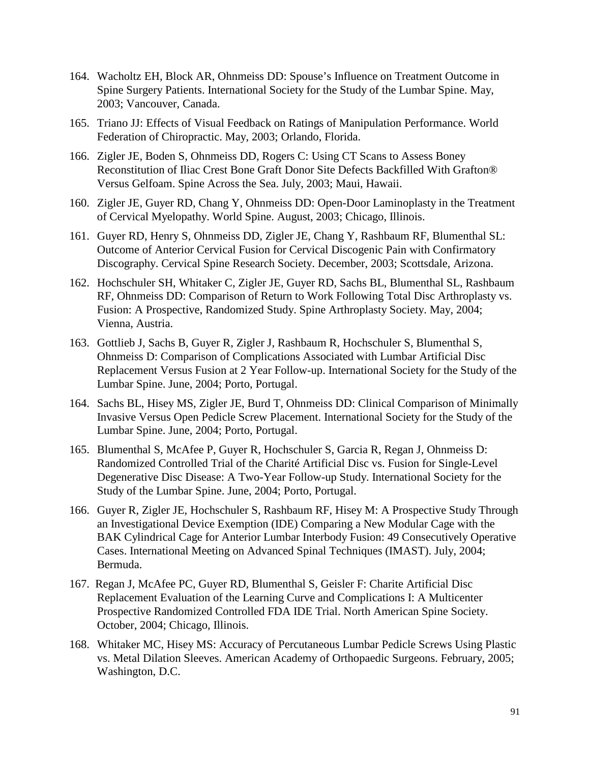- 164. Wacholtz EH, Block AR, Ohnmeiss DD: Spouse's Influence on Treatment Outcome in Spine Surgery Patients. International Society for the Study of the Lumbar Spine. May, 2003; Vancouver, Canada.
- 165. Triano JJ: Effects of Visual Feedback on Ratings of Manipulation Performance. World Federation of Chiropractic. May, 2003; Orlando, Florida.
- 166. Zigler JE, Boden S, Ohnmeiss DD, Rogers C: Using CT Scans to Assess Boney Reconstitution of Iliac Crest Bone Graft Donor Site Defects Backfilled With Grafton® Versus Gelfoam. Spine Across the Sea. July, 2003; Maui, Hawaii.
- 160. Zigler JE, Guyer RD, Chang Y, Ohnmeiss DD: Open-Door Laminoplasty in the Treatment of Cervical Myelopathy. World Spine. August, 2003; Chicago, Illinois.
- 161. Guyer RD, Henry S, Ohnmeiss DD, Zigler JE, Chang Y, Rashbaum RF, Blumenthal SL: Outcome of Anterior Cervical Fusion for Cervical Discogenic Pain with Confirmatory Discography. Cervical Spine Research Society. December, 2003; Scottsdale, Arizona.
- 162. Hochschuler SH, Whitaker C, Zigler JE, Guyer RD, Sachs BL, Blumenthal SL, Rashbaum RF, Ohnmeiss DD: Comparison of Return to Work Following Total Disc Arthroplasty vs. Fusion: A Prospective, Randomized Study. Spine Arthroplasty Society. May, 2004; Vienna, Austria.
- 163. Gottlieb J, Sachs B, Guyer R, Zigler J, Rashbaum R, Hochschuler S, Blumenthal S, Ohnmeiss D: Comparison of Complications Associated with Lumbar Artificial Disc Replacement Versus Fusion at 2 Year Follow-up. International Society for the Study of the Lumbar Spine. June, 2004; Porto, Portugal.
- 164. Sachs BL, Hisey MS, Zigler JE, Burd T, Ohnmeiss DD: Clinical Comparison of Minimally Invasive Versus Open Pedicle Screw Placement. International Society for the Study of the Lumbar Spine. June, 2004; Porto, Portugal.
- 165. Blumenthal S, McAfee P, Guyer R, Hochschuler S, Garcia R, Regan J, Ohnmeiss D: Randomized Controlled Trial of the Charité Artificial Disc vs. Fusion for Single-Level Degenerative Disc Disease: A Two-Year Follow-up Study. International Society for the Study of the Lumbar Spine. June, 2004; Porto, Portugal.
- 166. Guyer R, Zigler JE, Hochschuler S, Rashbaum RF, Hisey M: A Prospective Study Through an Investigational Device Exemption (IDE) Comparing a New Modular Cage with the BAK Cylindrical Cage for Anterior Lumbar Interbody Fusion: 49 Consecutively Operative Cases. International Meeting on Advanced Spinal Techniques (IMAST). July, 2004; Bermuda.
- 167. Regan J, McAfee PC, Guyer RD, Blumenthal S, Geisler F: Charite Artificial Disc Replacement Evaluation of the Learning Curve and Complications I: A Multicenter Prospective Randomized Controlled FDA IDE Trial. North American Spine Society. October, 2004; Chicago, Illinois.
- 168. Whitaker MC, Hisey MS: Accuracy of Percutaneous Lumbar Pedicle Screws Using Plastic vs. Metal Dilation Sleeves. American Academy of Orthopaedic Surgeons. February, 2005; Washington, D.C.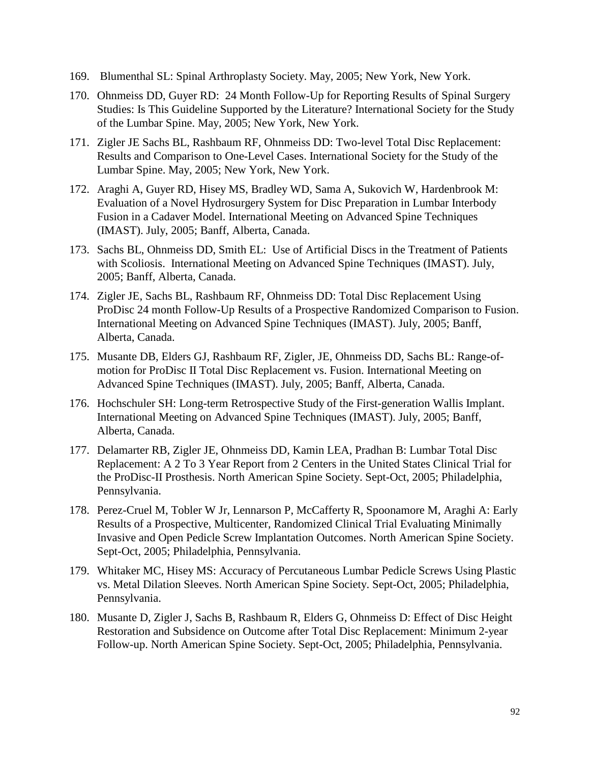- 169. Blumenthal SL: Spinal Arthroplasty Society. May, 2005; New York, New York.
- 170. Ohnmeiss DD, Guyer RD: 24 Month Follow-Up for Reporting Results of Spinal Surgery Studies: Is This Guideline Supported by the Literature? International Society for the Study of the Lumbar Spine. May, 2005; New York, New York.
- 171. Zigler JE Sachs BL, Rashbaum RF, Ohnmeiss DD: Two-level Total Disc Replacement: Results and Comparison to One-Level Cases. International Society for the Study of the Lumbar Spine. May, 2005; New York, New York.
- 172. Araghi A, Guyer RD, Hisey MS, Bradley WD, Sama A, Sukovich W, Hardenbrook M: Evaluation of a Novel Hydrosurgery System for Disc Preparation in Lumbar Interbody Fusion in a Cadaver Model. International Meeting on Advanced Spine Techniques (IMAST). July, 2005; Banff, Alberta, Canada.
- 173. Sachs BL, Ohnmeiss DD, Smith EL: Use of Artificial Discs in the Treatment of Patients with Scoliosis. International Meeting on Advanced Spine Techniques (IMAST). July, 2005; Banff, Alberta, Canada.
- 174. Zigler JE, Sachs BL, Rashbaum RF, Ohnmeiss DD: Total Disc Replacement Using ProDisc 24 month Follow-Up Results of a Prospective Randomized Comparison to Fusion. International Meeting on Advanced Spine Techniques (IMAST). July, 2005; Banff, Alberta, Canada.
- 175. Musante DB, Elders GJ, Rashbaum RF, Zigler, JE, Ohnmeiss DD, Sachs BL: Range-ofmotion for ProDisc II Total Disc Replacement vs. Fusion. International Meeting on Advanced Spine Techniques (IMAST). July, 2005; Banff, Alberta, Canada.
- 176. Hochschuler SH: Long-term Retrospective Study of the First-generation Wallis Implant. International Meeting on Advanced Spine Techniques (IMAST). July, 2005; Banff, Alberta, Canada.
- 177. Delamarter RB, Zigler JE, Ohnmeiss DD, Kamin LEA, Pradhan B: [Lumbar Total Disc](javascript:openPreviewWindow()  [Replacement: A 2 To 3 Year Report from 2 Centers in the United States Clinical Trial for](javascript:openPreviewWindow()  [the ProDisc-II Prosthesis.](javascript:openPreviewWindow() North American Spine Society. Sept-Oct, 2005; Philadelphia, Pennsylvania.
- 178. Perez-Cruel M, Tobler W Jr, Lennarson P, McCafferty R, Spoonamore M, Araghi A: Early Results of a Prospective, Multicenter, Randomized Clinical Trial Evaluating Minimally Invasive and Open Pedicle Screw Implantation Outcomes. North American Spine Society. Sept-Oct, 2005; Philadelphia, Pennsylvania.
- 179. Whitaker MC, Hisey MS: [Accuracy of Percutaneous Lumbar Pedicle Screws Using Plastic](javascript:openPreviewWindow()  [vs. Metal Dilation Sleeves.](javascript:openPreviewWindow() North American Spine Society. Sept-Oct, 2005; Philadelphia, Pennsylvania.
- 180. Musante D, Zigler J, Sachs B, Rashbaum R, Elders G, Ohnmeiss D: [Effect of Disc Height](javascript:openPreviewWindow()  [Restoration and Subsidence on Outcome after Total Disc Replacement: Minimum 2-year](javascript:openPreviewWindow()  [Follow-up.](javascript:openPreviewWindow() North American Spine Society. Sept-Oct, 2005; Philadelphia, Pennsylvania.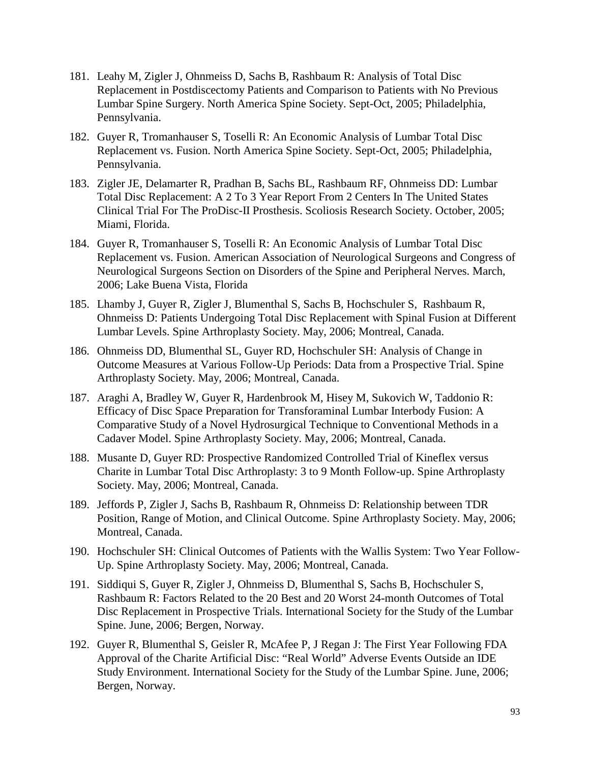- 181. Leahy M, Zigler J, Ohnmeiss D, Sachs B, Rashbaum R: Analysis of Total Disc Replacement in Postdiscectomy Patients and Comparison to Patients with No Previous Lumbar Spine Surgery. North America Spine Society. Sept-Oct, 2005; Philadelphia, Pennsylvania.
- 182. Guyer R, Tromanhauser S, Toselli R: An Economic Analysis of Lumbar Total Disc Replacement vs. Fusion. North America Spine Society. Sept-Oct, 2005; Philadelphia, Pennsylvania.
- 183. Zigler JE, Delamarter R, Pradhan B, Sachs BL, Rashbaum RF, Ohnmeiss DD: Lumbar Total Disc Replacement: A 2 To 3 Year Report From 2 Centers In The United States Clinical Trial For The ProDisc-II Prosthesis. Scoliosis Research Society. October, 2005; Miami, Florida.
- 184. Guyer R, Tromanhauser S, Toselli R: An Economic Analysis of Lumbar Total Disc Replacement vs. Fusion. American Association of Neurological Surgeons and Congress of Neurological Surgeons Section on Disorders of the Spine and Peripheral Nerves. March, 2006; Lake Buena Vista, Florida
- 185. Lhamby J, Guyer R, Zigler J, Blumenthal S, Sachs B, Hochschuler S, Rashbaum R, Ohnmeiss D: Patients Undergoing Total Disc Replacement with Spinal Fusion at Different Lumbar Levels. Spine Arthroplasty Society. May, 2006; Montreal, Canada.
- 186. Ohnmeiss DD, Blumenthal SL, Guyer RD, Hochschuler SH: Analysis of Change in Outcome Measures at Various Follow-Up Periods: Data from a Prospective Trial. Spine Arthroplasty Society. May, 2006; Montreal, Canada.
- 187. Araghi A, Bradley W, Guyer R, Hardenbrook M, Hisey M, Sukovich W, Taddonio R: Efficacy of Disc Space Preparation for Transforaminal Lumbar Interbody Fusion: A Comparative Study of a Novel Hydrosurgical Technique to Conventional Methods in a Cadaver Model. Spine Arthroplasty Society. May, 2006; Montreal, Canada.
- 188. Musante D, Guyer RD: Prospective Randomized Controlled Trial of Kineflex versus Charite in Lumbar Total Disc Arthroplasty: 3 to 9 Month Follow-up. Spine Arthroplasty Society. May, 2006; Montreal, Canada.
- 189. Jeffords P, Zigler J, Sachs B, Rashbaum R, Ohnmeiss D: Relationship between TDR Position, Range of Motion, and Clinical Outcome. Spine Arthroplasty Society. May, 2006; Montreal, Canada.
- 190. Hochschuler SH: Clinical Outcomes of Patients with the Wallis System: Two Year Follow-Up. Spine Arthroplasty Society. May, 2006; Montreal, Canada.
- 191. Siddiqui S, Guyer R, Zigler J, Ohnmeiss D, Blumenthal S, Sachs B, Hochschuler S, Rashbaum R: Factors Related to the 20 Best and 20 Worst 24-month Outcomes of Total Disc Replacement in Prospective Trials. International Society for the Study of the Lumbar Spine. June, 2006; Bergen, Norway.
- 192. Guyer R, Blumenthal S, Geisler R, McAfee P, J Regan J: The First Year Following FDA Approval of the Charite Artificial Disc: "Real World" Adverse Events Outside an IDE Study Environment. International Society for the Study of the Lumbar Spine. June, 2006; Bergen, Norway.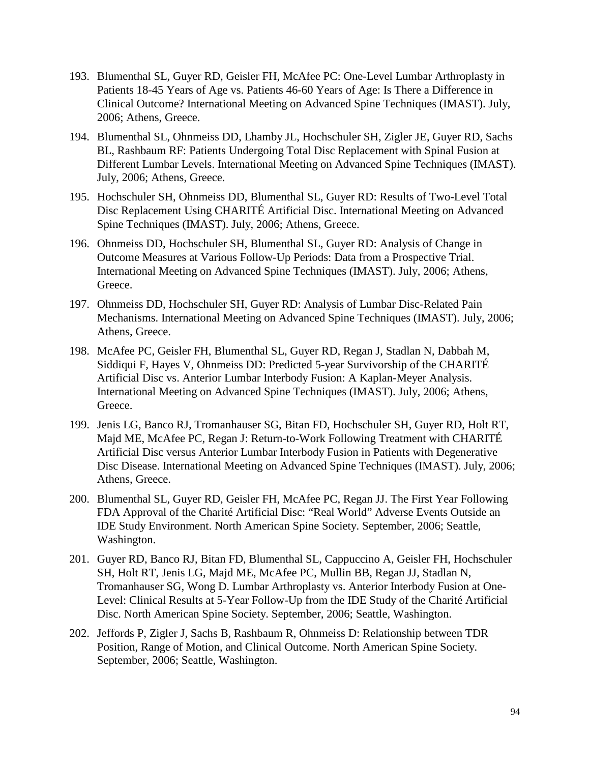- 193. Blumenthal SL, Guyer RD, Geisler FH, McAfee PC: One-Level Lumbar Arthroplasty in Patients 18-45 Years of Age vs. Patients 46-60 Years of Age: Is There a Difference in Clinical Outcome? International Meeting on Advanced Spine Techniques (IMAST). July, 2006; Athens, Greece.
- 194. Blumenthal SL, Ohnmeiss DD, Lhamby JL, Hochschuler SH, Zigler JE, Guyer RD, Sachs BL, Rashbaum RF: Patients Undergoing Total Disc Replacement with Spinal Fusion at Different Lumbar Levels. International Meeting on Advanced Spine Techniques (IMAST). July, 2006; Athens, Greece.
- 195. Hochschuler SH, Ohnmeiss DD, Blumenthal SL, Guyer RD: Results of Two-Level Total Disc Replacement Using CHARITÉ Artificial Disc. International Meeting on Advanced Spine Techniques (IMAST). July, 2006; Athens, Greece.
- 196. Ohnmeiss DD, Hochschuler SH, Blumenthal SL, Guyer RD: Analysis of Change in Outcome Measures at Various Follow-Up Periods: Data from a Prospective Trial. International Meeting on Advanced Spine Techniques (IMAST). July, 2006; Athens, Greece.
- 197. Ohnmeiss DD, Hochschuler SH, Guyer RD: Analysis of Lumbar Disc-Related Pain Mechanisms. International Meeting on Advanced Spine Techniques (IMAST). July, 2006; Athens, Greece.
- 198. McAfee PC, Geisler FH, Blumenthal SL, Guyer RD, Regan J, Stadlan N, Dabbah M, Siddiqui F, Hayes V, Ohnmeiss DD: Predicted 5-year Survivorship of the CHARITÉ Artificial Disc vs. Anterior Lumbar Interbody Fusion: A Kaplan-Meyer Analysis. International Meeting on Advanced Spine Techniques (IMAST). July, 2006; Athens, Greece.
- 199. Jenis LG, Banco RJ, Tromanhauser SG, Bitan FD, Hochschuler SH, Guyer RD, Holt RT, Majd ME, McAfee PC, Regan J: Return-to-Work Following Treatment with CHARITÉ Artificial Disc versus Anterior Lumbar Interbody Fusion in Patients with Degenerative Disc Disease. International Meeting on Advanced Spine Techniques (IMAST). July, 2006; Athens, Greece.
- 200. Blumenthal SL, Guyer RD, Geisler FH, McAfee PC, Regan JJ. The First Year Following FDA Approval of the Charité Artificial Disc: "Real World" Adverse Events Outside an IDE Study Environment. North American Spine Society. September, 2006; Seattle, Washington.
- 201. Guyer RD, Banco RJ, Bitan FD, Blumenthal SL, Cappuccino A, Geisler FH, Hochschuler SH, Holt RT, Jenis LG, Majd ME, McAfee PC, Mullin BB, Regan JJ, Stadlan N, Tromanhauser SG, Wong D. Lumbar Arthroplasty vs. Anterior Interbody Fusion at One-Level: Clinical Results at 5-Year Follow-Up from the IDE Study of the Charité Artificial Disc. North American Spine Society. September, 2006; Seattle, Washington.
- 202. Jeffords P, Zigler J, Sachs B, Rashbaum R, Ohnmeiss D: Relationship between TDR Position, Range of Motion, and Clinical Outcome. North American Spine Society. September, 2006; Seattle, Washington.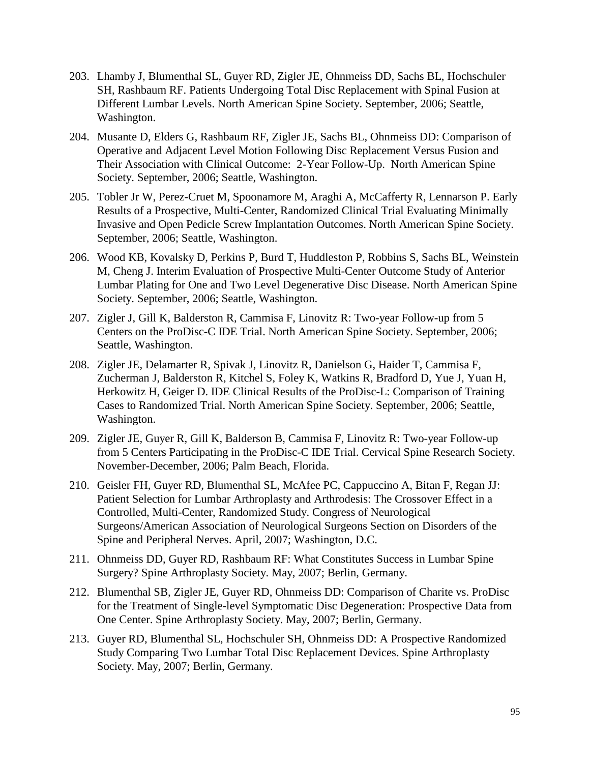- 203. Lhamby J, Blumenthal SL, Guyer RD, Zigler JE, Ohnmeiss DD, Sachs BL, Hochschuler SH, Rashbaum RF. Patients Undergoing Total Disc Replacement with Spinal Fusion at Different Lumbar Levels. North American Spine Society. September, 2006; Seattle, Washington.
- 204. Musante D, Elders G, Rashbaum RF, Zigler JE, Sachs BL, Ohnmeiss DD: Comparison of Operative and Adjacent Level Motion Following Disc Replacement Versus Fusion and Their Association with Clinical Outcome: 2-Year Follow-Up. North American Spine Society. September, 2006; Seattle, Washington.
- 205. Tobler Jr W, Perez-Cruet M, Spoonamore M, Araghi A, McCafferty R, Lennarson P. Early Results of a Prospective, Multi-Center, Randomized Clinical Trial Evaluating Minimally Invasive and Open Pedicle Screw Implantation Outcomes. North American Spine Society. September, 2006; Seattle, Washington.
- 206. Wood KB, Kovalsky D, Perkins P, Burd T, Huddleston P, Robbins S, Sachs BL, Weinstein M, Cheng J. Interim Evaluation of Prospective Multi-Center Outcome Study of Anterior Lumbar Plating for One and Two Level Degenerative Disc Disease. North American Spine Society. September, 2006; Seattle, Washington.
- 207. Zigler J, Gill K, Balderston R, Cammisa F, Linovitz R: Two-year Follow-up from 5 Centers on the ProDisc-C IDE Trial. North American Spine Society. September, 2006; Seattle, Washington.
- 208. Zigler JE, Delamarter R, Spivak J, Linovitz R, Danielson G, Haider T, Cammisa F, Zucherman J, Balderston R, Kitchel S, Foley K, Watkins R, Bradford D, Yue J, Yuan H, Herkowitz H, Geiger D. IDE Clinical Results of the ProDisc-L: Comparison of Training Cases to Randomized Trial. North American Spine Society. September, 2006; Seattle, Washington.
- 209. Zigler JE, Guyer R, Gill K, Balderson B, Cammisa F, Linovitz R: Two-year Follow-up from 5 Centers Participating in the ProDisc-C IDE Trial. Cervical Spine Research Society. November-December, 2006; Palm Beach, Florida.
- 210. Geisler FH, Guyer RD, Blumenthal SL, McAfee PC, Cappuccino A, Bitan F, Regan JJ: Patient Selection for Lumbar Arthroplasty and Arthrodesis: The Crossover Effect in a Controlled, Multi-Center, Randomized Study. Congress of Neurological Surgeons/American Association of Neurological Surgeons Section on Disorders of the Spine and Peripheral Nerves. April, 2007; Washington, D.C.
- 211. Ohnmeiss DD, Guyer RD, Rashbaum RF: What Constitutes Success in Lumbar Spine Surgery? Spine Arthroplasty Society. May, 2007; Berlin, Germany.
- 212. Blumenthal SB, Zigler JE, Guyer RD, Ohnmeiss DD: Comparison of Charite vs. ProDisc for the Treatment of Single-level Symptomatic Disc Degeneration: Prospective Data from One Center. Spine Arthroplasty Society. May, 2007; Berlin, Germany.
- 213. Guyer RD, Blumenthal SL, Hochschuler SH, Ohnmeiss DD: A Prospective Randomized Study Comparing Two Lumbar Total Disc Replacement Devices. Spine Arthroplasty Society. May, 2007; Berlin, Germany.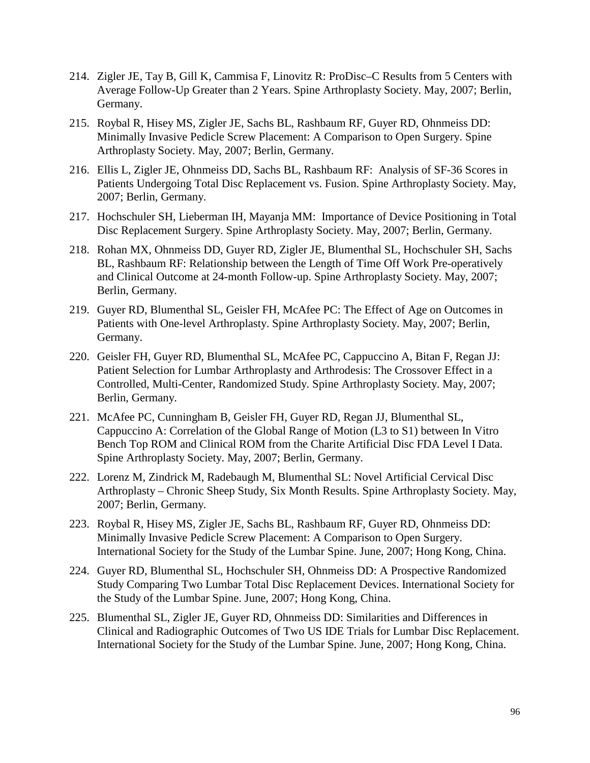- 214. Zigler JE, Tay B, Gill K, Cammisa F, Linovitz R: ProDisc–C Results from 5 Centers with Average Follow-Up Greater than 2 Years. Spine Arthroplasty Society. May, 2007; Berlin, Germany.
- 215. Roybal R, Hisey MS, Zigler JE, Sachs BL, Rashbaum RF, Guyer RD, Ohnmeiss DD: Minimally Invasive Pedicle Screw Placement: A Comparison to Open Surgery. Spine Arthroplasty Society. May, 2007; Berlin, Germany.
- 216. Ellis L, Zigler JE, Ohnmeiss DD, Sachs BL, Rashbaum RF: Analysis of SF-36 Scores in Patients Undergoing Total Disc Replacement vs. Fusion. Spine Arthroplasty Society. May, 2007; Berlin, Germany.
- 217. Hochschuler SH, Lieberman IH, Mayanja MM: Importance of Device Positioning in Total Disc Replacement Surgery. Spine Arthroplasty Society. May, 2007; Berlin, Germany.
- 218. Rohan MX, Ohnmeiss DD, Guyer RD, Zigler JE, Blumenthal SL, Hochschuler SH, Sachs BL, Rashbaum RF: Relationship between the Length of Time Off Work Pre-operatively and Clinical Outcome at 24-month Follow-up. Spine Arthroplasty Society. May, 2007; Berlin, Germany.
- 219. Guyer RD, Blumenthal SL, Geisler FH, McAfee PC: The Effect of Age on Outcomes in Patients with One-level Arthroplasty. Spine Arthroplasty Society. May, 2007; Berlin, Germany.
- 220. Geisler FH, Guyer RD, Blumenthal SL, McAfee PC, Cappuccino A, Bitan F, Regan JJ: Patient Selection for Lumbar Arthroplasty and Arthrodesis: The Crossover Effect in a Controlled, Multi-Center, Randomized Study. Spine Arthroplasty Society. May, 2007; Berlin, Germany.
- 221. McAfee PC, Cunningham B, Geisler FH, Guyer RD, Regan JJ, Blumenthal SL, Cappuccino A: Correlation of the Global Range of Motion (L3 to S1) between In Vitro Bench Top ROM and Clinical ROM from the Charite Artificial Disc FDA Level I Data. Spine Arthroplasty Society. May, 2007; Berlin, Germany.
- 222. Lorenz M, Zindrick M, Radebaugh M, Blumenthal SL: Novel Artificial Cervical Disc Arthroplasty – Chronic Sheep Study, Six Month Results. Spine Arthroplasty Society. May, 2007; Berlin, Germany.
- 223. Roybal R, Hisey MS, Zigler JE, Sachs BL, Rashbaum RF, Guyer RD, Ohnmeiss DD: Minimally Invasive Pedicle Screw Placement: A Comparison to Open Surgery. International Society for the Study of the Lumbar Spine. June, 2007; Hong Kong, China.
- 224. Guyer RD, Blumenthal SL, Hochschuler SH, Ohnmeiss DD: A Prospective Randomized Study Comparing Two Lumbar Total Disc Replacement Devices. International Society for the Study of the Lumbar Spine. June, 2007; Hong Kong, China.
- 225. Blumenthal SL, Zigler JE, Guyer RD, Ohnmeiss DD: Similarities and Differences in Clinical and Radiographic Outcomes of Two US IDE Trials for Lumbar Disc Replacement. International Society for the Study of the Lumbar Spine. June, 2007; Hong Kong, China.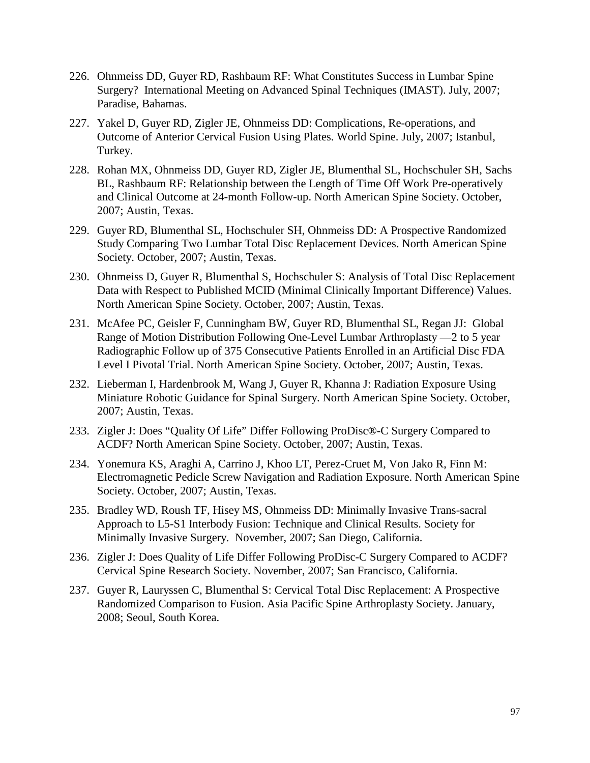- 226. Ohnmeiss DD, Guyer RD, Rashbaum RF: What Constitutes Success in Lumbar Spine Surgery? International Meeting on Advanced Spinal Techniques (IMAST). July, 2007; Paradise, Bahamas.
- 227. Yakel D, Guyer RD, Zigler JE, Ohnmeiss DD: Complications, Re-operations, and Outcome of Anterior Cervical Fusion Using Plates. World Spine. July, 2007; Istanbul, Turkey.
- 228. Rohan MX, Ohnmeiss DD, Guyer RD, Zigler JE, Blumenthal SL, Hochschuler SH, Sachs BL, Rashbaum RF: Relationship between the Length of Time Off Work Pre-operatively and Clinical Outcome at 24-month Follow-up. North American Spine Society. October, 2007; Austin, Texas.
- 229. Guyer RD, Blumenthal SL, Hochschuler SH, Ohnmeiss DD: A Prospective Randomized Study Comparing Two Lumbar Total Disc Replacement Devices. North American Spine Society. October, 2007; Austin, Texas.
- 230. Ohnmeiss D, Guyer R, Blumenthal S, Hochschuler S: Analysis of Total Disc Replacement Data with Respect to Published MCID (Minimal Clinically Important Difference) Values. North American Spine Society. October, 2007; Austin, Texas.
- 231. McAfee PC, Geisler F, Cunningham BW, Guyer RD, Blumenthal SL, Regan JJ: Global Range of Motion Distribution Following One-Level Lumbar Arthroplasty —2 to 5 year Radiographic Follow up of 375 Consecutive Patients Enrolled in an Artificial Disc FDA Level I Pivotal Trial. North American Spine Society. October, 2007; Austin, Texas.
- 232. Lieberman I, Hardenbrook M, Wang J, Guyer R, Khanna J: Radiation Exposure Using Miniature Robotic Guidance for Spinal Surgery. North American Spine Society. October, 2007; Austin, Texas.
- 233. Zigler J: Does "Quality Of Life" Differ Following ProDisc®-C Surgery Compared to ACDF? North American Spine Society. October, 2007; Austin, Texas.
- 234. Yonemura KS, Araghi A, Carrino J, Khoo LT, Perez-Cruet M, Von Jako R, Finn M: Electromagnetic Pedicle Screw Navigation and Radiation Exposure. North American Spine Society. October, 2007; Austin, Texas.
- 235. Bradley WD, Roush TF, Hisey MS, Ohnmeiss DD: Minimally Invasive Trans-sacral Approach to L5-S1 Interbody Fusion: Technique and Clinical Results. Society for Minimally Invasive Surgery. November, 2007; San Diego, California.
- 236. Zigler J: Does Quality of Life Differ Following ProDisc-C Surgery Compared to ACDF? Cervical Spine Research Society. November, 2007; San Francisco, California.
- 237. Guyer R, Lauryssen C, Blumenthal S: Cervical Total Disc Replacement: A Prospective Randomized Comparison to Fusion. Asia Pacific Spine Arthroplasty Society. January, 2008; Seoul, South Korea.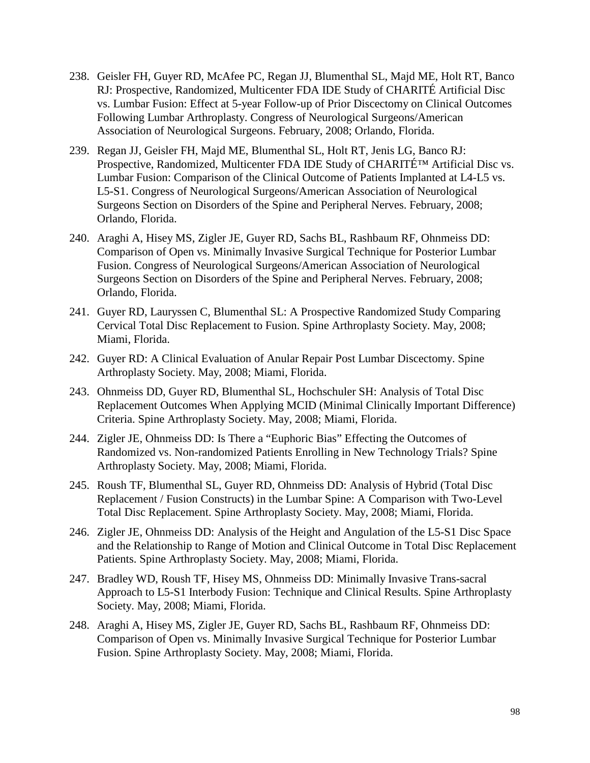- 238. Geisler FH, Guyer RD, McAfee PC, Regan JJ, Blumenthal SL, Majd ME, Holt RT, Banco RJ: Prospective, Randomized, Multicenter FDA IDE Study of CHARITÉ Artificial Disc vs. Lumbar Fusion: Effect at 5-year Follow-up of Prior Discectomy on Clinical Outcomes Following Lumbar Arthroplasty. Congress of Neurological Surgeons/American Association of Neurological Surgeons. February, 2008; Orlando, Florida.
- 239. Regan JJ, Geisler FH, Majd ME, Blumenthal SL, Holt RT, Jenis LG, Banco RJ: Prospective, Randomized, Multicenter FDA IDE Study of CHARITÉ™ Artificial Disc vs. Lumbar Fusion: Comparison of the Clinical Outcome of Patients Implanted at L4-L5 vs. L5-S1. Congress of Neurological Surgeons/American Association of Neurological Surgeons Section on Disorders of the Spine and Peripheral Nerves. February, 2008; Orlando, Florida.
- 240. Araghi A, Hisey MS, Zigler JE, Guyer RD, Sachs BL, Rashbaum RF, Ohnmeiss DD: Comparison of Open vs. Minimally Invasive Surgical Technique for Posterior Lumbar Fusion. Congress of Neurological Surgeons/American Association of Neurological Surgeons Section on Disorders of the Spine and Peripheral Nerves. February, 2008; Orlando, Florida.
- 241. Guyer RD, Lauryssen C, Blumenthal SL: A Prospective Randomized Study Comparing Cervical Total Disc Replacement to Fusion. Spine Arthroplasty Society. May, 2008; Miami, Florida.
- 242. Guyer RD: A Clinical Evaluation of Anular Repair Post Lumbar Discectomy. Spine Arthroplasty Society. May, 2008; Miami, Florida.
- 243. Ohnmeiss DD, Guyer RD, Blumenthal SL, Hochschuler SH: Analysis of Total Disc Replacement Outcomes When Applying MCID (Minimal Clinically Important Difference) Criteria. Spine Arthroplasty Society. May, 2008; Miami, Florida.
- 244. Zigler JE, Ohnmeiss DD: Is There a "Euphoric Bias" Effecting the Outcomes of Randomized vs. Non-randomized Patients Enrolling in New Technology Trials? Spine Arthroplasty Society. May, 2008; Miami, Florida.
- 245. Roush TF, Blumenthal SL, Guyer RD, Ohnmeiss DD: Analysis of Hybrid (Total Disc Replacement / Fusion Constructs) in the Lumbar Spine: A Comparison with Two-Level Total Disc Replacement. Spine Arthroplasty Society. May, 2008; Miami, Florida.
- 246. Zigler JE, Ohnmeiss DD: Analysis of the Height and Angulation of the L5-S1 Disc Space and the Relationship to Range of Motion and Clinical Outcome in Total Disc Replacement Patients. Spine Arthroplasty Society. May, 2008; Miami, Florida.
- 247. Bradley WD, Roush TF, Hisey MS, Ohnmeiss DD: Minimally Invasive Trans-sacral Approach to L5-S1 Interbody Fusion: Technique and Clinical Results. Spine Arthroplasty Society. May, 2008; Miami, Florida.
- 248. Araghi A, Hisey MS, Zigler JE, Guyer RD, Sachs BL, Rashbaum RF, Ohnmeiss DD: Comparison of Open vs. Minimally Invasive Surgical Technique for Posterior Lumbar Fusion. Spine Arthroplasty Society. May, 2008; Miami, Florida.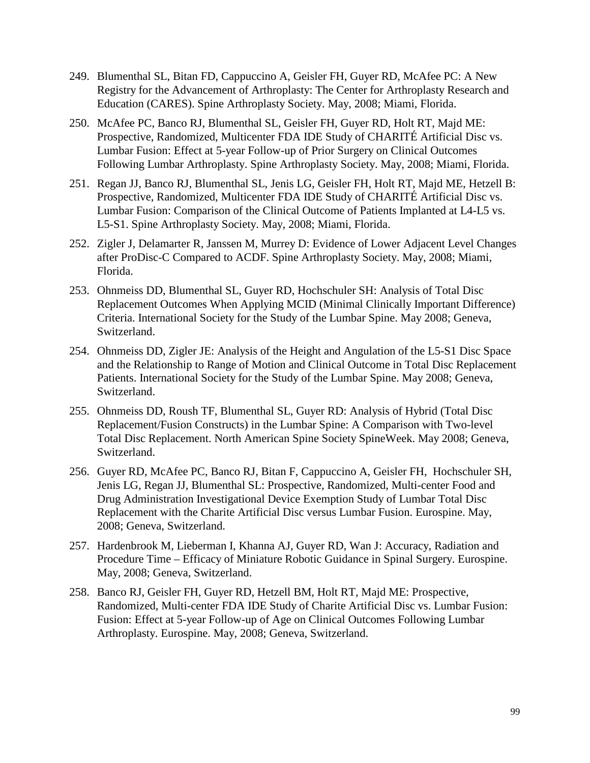- 249. Blumenthal SL, Bitan FD, Cappuccino A, Geisler FH, Guyer RD, McAfee PC: A New Registry for the Advancement of Arthroplasty: The Center for Arthroplasty Research and Education (CARES). Spine Arthroplasty Society. May, 2008; Miami, Florida.
- 250. McAfee PC, Banco RJ, Blumenthal SL, Geisler FH, Guyer RD, Holt RT, Majd ME: Prospective, Randomized, Multicenter FDA IDE Study of CHARITÉ Artificial Disc vs. Lumbar Fusion: Effect at 5-year Follow-up of Prior Surgery on Clinical Outcomes Following Lumbar Arthroplasty. Spine Arthroplasty Society. May, 2008; Miami, Florida.
- 251. Regan JJ, Banco RJ, Blumenthal SL, Jenis LG, Geisler FH, Holt RT, Majd ME, Hetzell B: Prospective, Randomized, Multicenter FDA IDE Study of CHARITÉ Artificial Disc vs. Lumbar Fusion: Comparison of the Clinical Outcome of Patients Implanted at L4-L5 vs. L5-S1. Spine Arthroplasty Society. May, 2008; Miami, Florida.
- 252. Zigler J, Delamarter R, Janssen M, Murrey D: Evidence of Lower Adjacent Level Changes after ProDisc-C Compared to ACDF. Spine Arthroplasty Society. May, 2008; Miami, Florida.
- 253. Ohnmeiss DD, Blumenthal SL, Guyer RD, Hochschuler SH: Analysis of Total Disc Replacement Outcomes When Applying MCID (Minimal Clinically Important Difference) Criteria. International Society for the Study of the Lumbar Spine. May 2008; Geneva, Switzerland.
- 254. Ohnmeiss DD, Zigler JE: Analysis of the Height and Angulation of the L5-S1 Disc Space and the Relationship to Range of Motion and Clinical Outcome in Total Disc Replacement Patients. International Society for the Study of the Lumbar Spine. May 2008; Geneva, Switzerland.
- 255. Ohnmeiss DD, Roush TF, Blumenthal SL, Guyer RD: Analysis of Hybrid (Total Disc Replacement/Fusion Constructs) in the Lumbar Spine: A Comparison with Two-level Total Disc Replacement. North American Spine Society SpineWeek. May 2008; Geneva, Switzerland.
- 256. Guyer RD, McAfee PC, Banco RJ, Bitan F, Cappuccino A, Geisler FH, Hochschuler SH, Jenis LG, Regan JJ, Blumenthal SL: Prospective, Randomized, Multi-center Food and Drug Administration Investigational Device Exemption Study of Lumbar Total Disc Replacement with the Charite Artificial Disc versus Lumbar Fusion. Eurospine. May, 2008; Geneva, Switzerland.
- 257. Hardenbrook M, Lieberman I, Khanna AJ, Guyer RD, Wan J: Accuracy, Radiation and Procedure Time – Efficacy of Miniature Robotic Guidance in Spinal Surgery. Eurospine. May, 2008; Geneva, Switzerland.
- 258. Banco RJ, Geisler FH, Guyer RD, Hetzell BM, Holt RT, Majd ME: Prospective, Randomized, Multi-center FDA IDE Study of Charite Artificial Disc vs. Lumbar Fusion: Fusion: Effect at 5-year Follow-up of Age on Clinical Outcomes Following Lumbar Arthroplasty. Eurospine. May, 2008; Geneva, Switzerland.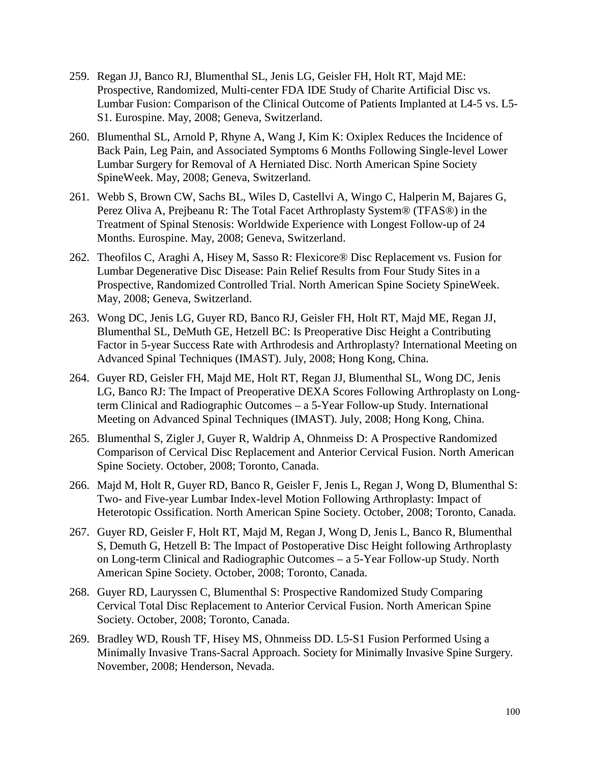- 259. Regan JJ, Banco RJ, Blumenthal SL, Jenis LG, Geisler FH, Holt RT, Majd ME: Prospective, Randomized, Multi-center FDA IDE Study of Charite Artificial Disc vs. Lumbar Fusion: Comparison of the Clinical Outcome of Patients Implanted at L4-5 vs. L5- S1. Eurospine. May, 2008; Geneva, Switzerland.
- 260. Blumenthal SL, Arnold P, Rhyne A, Wang J, Kim K: Oxiplex Reduces the Incidence of Back Pain, Leg Pain, and Associated Symptoms 6 Months Following Single-level Lower Lumbar Surgery for Removal of A Herniated Disc. North American Spine Society SpineWeek. May, 2008; Geneva, Switzerland.
- 261. Webb S, Brown CW, Sachs BL, Wiles D, Castellvi A, Wingo C, Halperin M, Bajares G, Perez Oliva A, Prejbeanu R: The Total Facet Arthroplasty System® (TFAS®) in the Treatment of Spinal Stenosis: Worldwide Experience with Longest Follow-up of 24 Months. Eurospine. May, 2008; Geneva, Switzerland.
- 262. Theofilos C, Araghi A, Hisey M, Sasso R: Flexicore® Disc Replacement vs. Fusion for Lumbar Degenerative Disc Disease: Pain Relief Results from Four Study Sites in a Prospective, Randomized Controlled Trial. North American Spine Society SpineWeek. May, 2008; Geneva, Switzerland.
- 263. Wong DC, Jenis LG, Guyer RD, Banco RJ, Geisler FH, Holt RT, Majd ME, Regan JJ, Blumenthal SL, DeMuth GE, Hetzell BC: Is Preoperative Disc Height a Contributing Factor in 5-year Success Rate with Arthrodesis and Arthroplasty? International Meeting on Advanced Spinal Techniques (IMAST). July, 2008; Hong Kong, China.
- 264. Guyer RD, Geisler FH, Majd ME, Holt RT, Regan JJ, Blumenthal SL, Wong DC, Jenis LG, Banco RJ: The Impact of Preoperative DEXA Scores Following Arthroplasty on Longterm Clinical and Radiographic Outcomes – a 5-Year Follow-up Study. International Meeting on Advanced Spinal Techniques (IMAST). July, 2008; Hong Kong, China.
- 265. Blumenthal S, Zigler J, Guyer R, Waldrip A, Ohnmeiss D: A Prospective Randomized Comparison of Cervical Disc Replacement and Anterior Cervical Fusion. North American Spine Society. October, 2008; Toronto, Canada.
- 266. Majd M, Holt R, Guyer RD, Banco R, Geisler F, Jenis L, Regan J, Wong D, Blumenthal S: Two- and Five-year Lumbar Index-level Motion Following Arthroplasty: Impact of Heterotopic Ossification. North American Spine Society. October, 2008; Toronto, Canada.
- 267. Guyer RD, Geisler F, Holt RT, Majd M, Regan J, Wong D, Jenis L, Banco R, Blumenthal S, Demuth G, Hetzell B: The Impact of Postoperative Disc Height following Arthroplasty on Long-term Clinical and Radiographic Outcomes – a 5-Year Follow-up Study. North American Spine Society. October, 2008; Toronto, Canada.
- 268. Guyer RD, Lauryssen C, Blumenthal S: Prospective Randomized Study Comparing Cervical Total Disc Replacement to Anterior Cervical Fusion. North American Spine Society. October, 2008; Toronto, Canada.
- 269. Bradley WD, Roush TF, Hisey MS, Ohnmeiss DD. L5-S1 Fusion Performed Using a Minimally Invasive Trans-Sacral Approach. Society for Minimally Invasive Spine Surgery. November, 2008; Henderson, Nevada.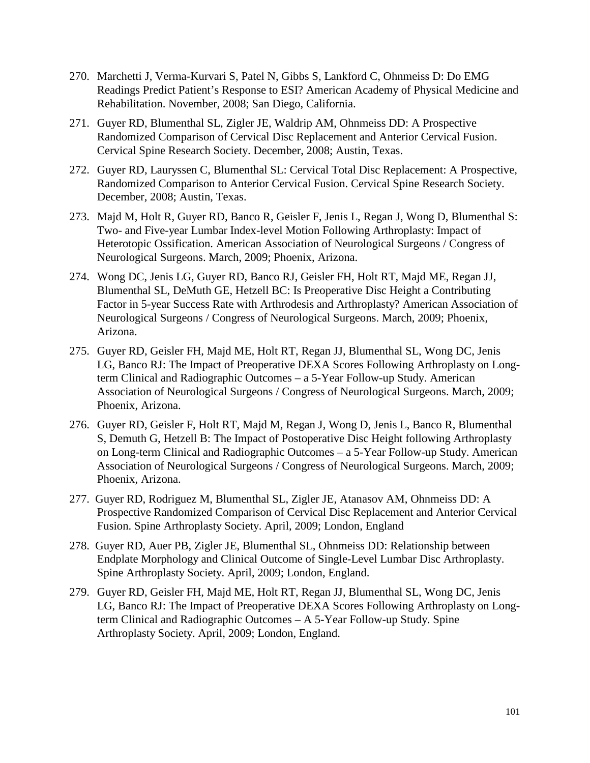- 270. Marchetti J, Verma-Kurvari S, Patel N, Gibbs S, Lankford C, Ohnmeiss D: Do EMG Readings Predict Patient's Response to ESI? American Academy of Physical Medicine and Rehabilitation. November, 2008; San Diego, California.
- 271. Guyer RD, Blumenthal SL, Zigler JE, Waldrip AM, Ohnmeiss DD: A Prospective Randomized Comparison of Cervical Disc Replacement and Anterior Cervical Fusion. Cervical Spine Research Society. December, 2008; Austin, Texas.
- 272. Guyer RD, Lauryssen C, Blumenthal SL: Cervical Total Disc Replacement: A Prospective, Randomized Comparison to Anterior Cervical Fusion. Cervical Spine Research Society. December, 2008; Austin, Texas.
- 273. Majd M, Holt R, Guyer RD, Banco R, Geisler F, Jenis L, Regan J, Wong D, Blumenthal S: Two- and Five-year Lumbar Index-level Motion Following Arthroplasty: Impact of Heterotopic Ossification. American Association of Neurological Surgeons / Congress of Neurological Surgeons. March, 2009; Phoenix, Arizona.
- 274. Wong DC, Jenis LG, Guyer RD, Banco RJ, Geisler FH, Holt RT, Majd ME, Regan JJ, Blumenthal SL, DeMuth GE, Hetzell BC: Is Preoperative Disc Height a Contributing Factor in 5-year Success Rate with Arthrodesis and Arthroplasty? American Association of Neurological Surgeons / Congress of Neurological Surgeons. March, 2009; Phoenix, Arizona.
- 275. Guyer RD, Geisler FH, Majd ME, Holt RT, Regan JJ, Blumenthal SL, Wong DC, Jenis LG, Banco RJ: The Impact of Preoperative DEXA Scores Following Arthroplasty on Longterm Clinical and Radiographic Outcomes – a 5-Year Follow-up Study. American Association of Neurological Surgeons / Congress of Neurological Surgeons. March, 2009; Phoenix, Arizona.
- 276. Guyer RD, Geisler F, Holt RT, Majd M, Regan J, Wong D, Jenis L, Banco R, Blumenthal S, Demuth G, Hetzell B: The Impact of Postoperative Disc Height following Arthroplasty on Long-term Clinical and Radiographic Outcomes – a 5-Year Follow-up Study. American Association of Neurological Surgeons / Congress of Neurological Surgeons. March, 2009; Phoenix, Arizona.
- 277. Guyer RD, Rodriguez M, Blumenthal SL, Zigler JE, Atanasov AM, Ohnmeiss DD: A Prospective Randomized Comparison of Cervical Disc Replacement and Anterior Cervical Fusion. Spine Arthroplasty Society. April, 2009; London, England
- 278. Guyer RD, Auer PB, Zigler JE, Blumenthal SL, Ohnmeiss DD: Relationship between Endplate Morphology and Clinical Outcome of Single-Level Lumbar Disc Arthroplasty. Spine Arthroplasty Society. April, 2009; London, England.
- 279. Guyer RD, Geisler FH, Majd ME, Holt RT, Regan JJ, Blumenthal SL, Wong DC, Jenis LG, Banco RJ: The Impact of Preoperative DEXA Scores Following Arthroplasty on Longterm Clinical and Radiographic Outcomes – A 5-Year Follow-up Study. Spine Arthroplasty Society. April, 2009; London, England.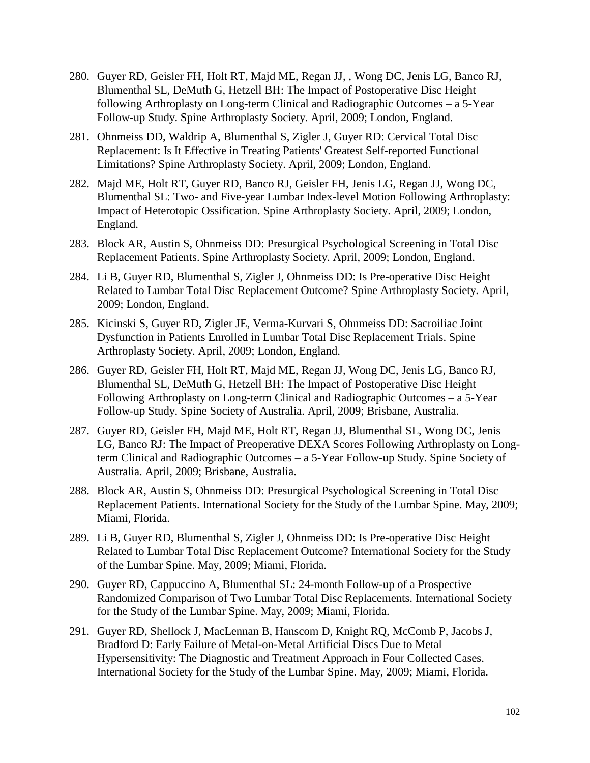- 280. Guyer RD, Geisler FH, Holt RT, Majd ME, Regan JJ, , Wong DC, Jenis LG, Banco RJ, Blumenthal SL, DeMuth G, Hetzell BH: The Impact of Postoperative Disc Height following Arthroplasty on Long-term Clinical and Radiographic Outcomes – a 5-Year Follow-up Study. Spine Arthroplasty Society. April, 2009; London, England.
- 281. Ohnmeiss DD, Waldrip A, Blumenthal S, Zigler J, Guyer RD: Cervical Total Disc Replacement: Is It Effective in Treating Patients' Greatest Self-reported Functional Limitations? Spine Arthroplasty Society. April, 2009; London, England.
- 282. Majd ME, Holt RT, Guyer RD, Banco RJ, Geisler FH, Jenis LG, Regan JJ, Wong DC, Blumenthal SL: Two- and Five-year Lumbar Index-level Motion Following Arthroplasty: Impact of Heterotopic Ossification. Spine Arthroplasty Society. April, 2009; London, England.
- 283. Block AR, Austin S, Ohnmeiss DD: Presurgical Psychological Screening in Total Disc Replacement Patients. Spine Arthroplasty Society. April, 2009; London, England.
- 284. Li B, Guyer RD, Blumenthal S, Zigler J, Ohnmeiss DD: Is Pre-operative Disc Height Related to Lumbar Total Disc Replacement Outcome? Spine Arthroplasty Society. April, 2009; London, England.
- 285. Kicinski S, Guyer RD, Zigler JE, Verma-Kurvari S, Ohnmeiss DD: Sacroiliac Joint Dysfunction in Patients Enrolled in Lumbar Total Disc Replacement Trials. Spine Arthroplasty Society. April, 2009; London, England.
- 286. Guyer RD, Geisler FH, Holt RT, Majd ME, Regan JJ, Wong DC, Jenis LG, Banco RJ, Blumenthal SL, DeMuth G, Hetzell BH: The Impact of Postoperative Disc Height Following Arthroplasty on Long-term Clinical and Radiographic Outcomes – a 5-Year Follow-up Study. Spine Society of Australia. April, 2009; Brisbane, Australia.
- 287. Guyer RD, Geisler FH, Majd ME, Holt RT, Regan JJ, Blumenthal SL, Wong DC, Jenis LG, Banco RJ: The Impact of Preoperative DEXA Scores Following Arthroplasty on Longterm Clinical and Radiographic Outcomes – a 5-Year Follow-up Study. Spine Society of Australia. April, 2009; Brisbane, Australia.
- 288. Block AR, Austin S, Ohnmeiss DD: Presurgical Psychological Screening in Total Disc Replacement Patients. International Society for the Study of the Lumbar Spine. May, 2009; Miami, Florida.
- 289. Li B, Guyer RD, Blumenthal S, Zigler J, Ohnmeiss DD: Is Pre-operative Disc Height Related to Lumbar Total Disc Replacement Outcome? International Society for the Study of the Lumbar Spine. May, 2009; Miami, Florida.
- 290. Guyer RD, Cappuccino A, Blumenthal SL: 24-month Follow-up of a Prospective Randomized Comparison of Two Lumbar Total Disc Replacements. International Society for the Study of the Lumbar Spine. May, 2009; Miami, Florida.
- 291. Guyer RD, Shellock J, MacLennan B, Hanscom D, Knight RQ, McComb P, Jacobs J, Bradford D: Early Failure of Metal-on-Metal Artificial Discs Due to Metal Hypersensitivity: The Diagnostic and Treatment Approach in Four Collected Cases. International Society for the Study of the Lumbar Spine. May, 2009; Miami, Florida.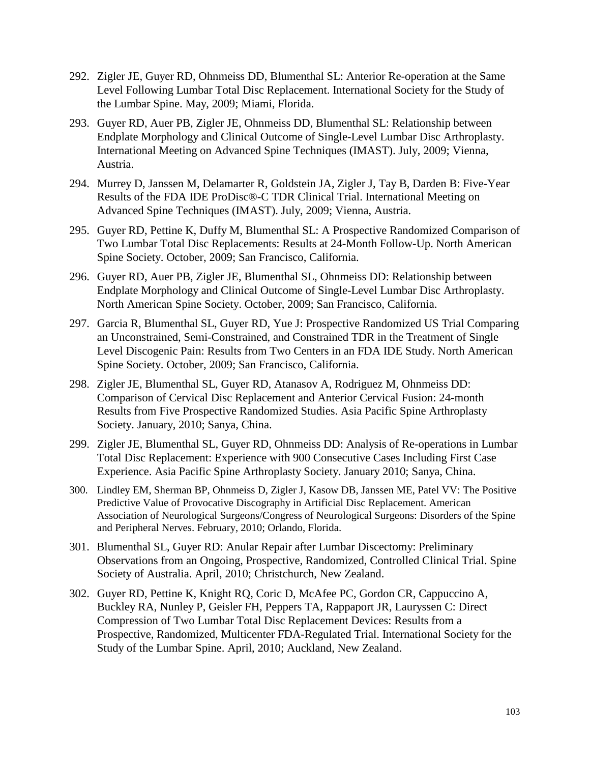- 292. Zigler JE, Guyer RD, Ohnmeiss DD, Blumenthal SL: Anterior Re-operation at the Same Level Following Lumbar Total Disc Replacement. International Society for the Study of the Lumbar Spine. May, 2009; Miami, Florida.
- 293. Guyer RD, Auer PB, Zigler JE, Ohnmeiss DD, Blumenthal SL: Relationship between Endplate Morphology and Clinical Outcome of Single-Level Lumbar Disc Arthroplasty. International Meeting on Advanced Spine Techniques (IMAST). July, 2009; Vienna, Austria.
- 294. Murrey D, Janssen M, Delamarter R, Goldstein JA, Zigler J, Tay B, Darden B: Five-Year Results of the FDA IDE ProDisc®-C TDR Clinical Trial. International Meeting on Advanced Spine Techniques (IMAST). July, 2009; Vienna, Austria.
- 295. Guyer RD, Pettine K, Duffy M, Blumenthal SL: A Prospective Randomized Comparison of Two Lumbar Total Disc Replacements: Results at 24-Month Follow-Up. North American Spine Society. October, 2009; San Francisco, California.
- 296. Guyer RD, Auer PB, Zigler JE, Blumenthal SL, Ohnmeiss DD: Relationship between Endplate Morphology and Clinical Outcome of Single-Level Lumbar Disc Arthroplasty. North American Spine Society. October, 2009; San Francisco, California.
- 297. Garcia R, Blumenthal SL, Guyer RD, Yue J: Prospective Randomized US Trial Comparing an Unconstrained, Semi-Constrained, and Constrained TDR in the Treatment of Single Level Discogenic Pain: Results from Two Centers in an FDA IDE Study. North American Spine Society. October, 2009; San Francisco, California.
- 298. Zigler JE, Blumenthal SL, Guyer RD, Atanasov A, Rodriguez M, Ohnmeiss DD: Comparison of Cervical Disc Replacement and Anterior Cervical Fusion: 24-month Results from Five Prospective Randomized Studies. Asia Pacific Spine Arthroplasty Society. January, 2010; Sanya, China.
- 299. Zigler JE, Blumenthal SL, Guyer RD, Ohnmeiss DD: Analysis of Re-operations in Lumbar Total Disc Replacement: Experience with 900 Consecutive Cases Including First Case Experience. Asia Pacific Spine Arthroplasty Society. January 2010; Sanya, China.
- 300. Lindley EM, Sherman BP, Ohnmeiss D, Zigler J, Kasow DB, Janssen ME, Patel VV: The Positive Predictive Value of Provocative Discography in Artificial Disc Replacement. American Association of Neurological Surgeons/Congress of Neurological Surgeons: Disorders of the Spine and Peripheral Nerves. February, 2010; Orlando, Florida.
- 301. Blumenthal SL, Guyer RD: Anular Repair after Lumbar Discectomy: Preliminary Observations from an Ongoing, Prospective, Randomized, Controlled Clinical Trial. Spine Society of Australia. April, 2010; Christchurch, New Zealand.
- 302. Guyer RD, Pettine K, Knight RQ, Coric D, McAfee PC, Gordon CR, Cappuccino A, Buckley RA, Nunley P, Geisler FH, Peppers TA, Rappaport JR, Lauryssen C: Direct Compression of Two Lumbar Total Disc Replacement Devices: Results from a Prospective, Randomized, Multicenter FDA-Regulated Trial. International Society for the Study of the Lumbar Spine. April, 2010; Auckland, New Zealand.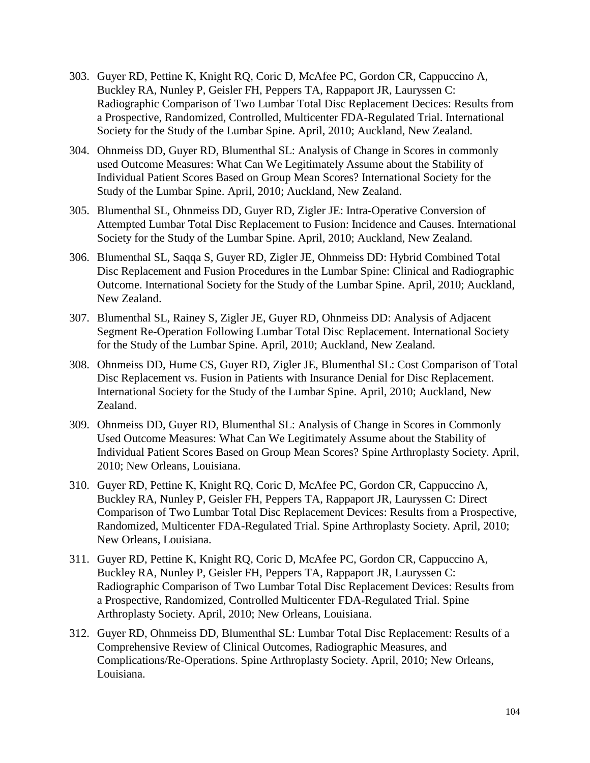- 303. Guyer RD, Pettine K, Knight RQ, Coric D, McAfee PC, Gordon CR, Cappuccino A, Buckley RA, Nunley P, Geisler FH, Peppers TA, Rappaport JR, Lauryssen C: Radiographic Comparison of Two Lumbar Total Disc Replacement Decices: Results from a Prospective, Randomized, Controlled, Multicenter FDA-Regulated Trial. International Society for the Study of the Lumbar Spine. April, 2010; Auckland, New Zealand.
- 304. Ohnmeiss DD, Guyer RD, Blumenthal SL: Analysis of Change in Scores in commonly used Outcome Measures: What Can We Legitimately Assume about the Stability of Individual Patient Scores Based on Group Mean Scores? International Society for the Study of the Lumbar Spine. April, 2010; Auckland, New Zealand.
- 305. Blumenthal SL, Ohnmeiss DD, Guyer RD, Zigler JE: Intra-Operative Conversion of Attempted Lumbar Total Disc Replacement to Fusion: Incidence and Causes. International Society for the Study of the Lumbar Spine. April, 2010; Auckland, New Zealand.
- 306. Blumenthal SL, Saqqa S, Guyer RD, Zigler JE, Ohnmeiss DD: Hybrid Combined Total Disc Replacement and Fusion Procedures in the Lumbar Spine: Clinical and Radiographic Outcome. International Society for the Study of the Lumbar Spine. April, 2010; Auckland, New Zealand.
- 307. Blumenthal SL, Rainey S, Zigler JE, Guyer RD, Ohnmeiss DD: Analysis of Adjacent Segment Re-Operation Following Lumbar Total Disc Replacement. International Society for the Study of the Lumbar Spine. April, 2010; Auckland, New Zealand.
- 308. Ohnmeiss DD, Hume CS, Guyer RD, Zigler JE, Blumenthal SL: Cost Comparison of Total Disc Replacement vs. Fusion in Patients with Insurance Denial for Disc Replacement. International Society for the Study of the Lumbar Spine. April, 2010; Auckland, New Zealand.
- 309. Ohnmeiss DD, Guyer RD, Blumenthal SL: Analysis of Change in Scores in Commonly Used Outcome Measures: What Can We Legitimately Assume about the Stability of Individual Patient Scores Based on Group Mean Scores? Spine Arthroplasty Society. April, 2010; New Orleans, Louisiana.
- 310. Guyer RD, Pettine K, Knight RQ, Coric D, McAfee PC, Gordon CR, Cappuccino A, Buckley RA, Nunley P, Geisler FH, Peppers TA, Rappaport JR, Lauryssen C: Direct Comparison of Two Lumbar Total Disc Replacement Devices: Results from a Prospective, Randomized, Multicenter FDA-Regulated Trial. Spine Arthroplasty Society. April, 2010; New Orleans, Louisiana.
- 311. Guyer RD, Pettine K, Knight RQ, Coric D, McAfee PC, Gordon CR, Cappuccino A, Buckley RA, Nunley P, Geisler FH, Peppers TA, Rappaport JR, Lauryssen C: Radiographic Comparison of Two Lumbar Total Disc Replacement Devices: Results from a Prospective, Randomized, Controlled Multicenter FDA-Regulated Trial. Spine Arthroplasty Society. April, 2010; New Orleans, Louisiana.
- 312. Guyer RD, Ohnmeiss DD, Blumenthal SL: Lumbar Total Disc Replacement: Results of a Comprehensive Review of Clinical Outcomes, Radiographic Measures, and Complications/Re-Operations. Spine Arthroplasty Society. April, 2010; New Orleans, Louisiana.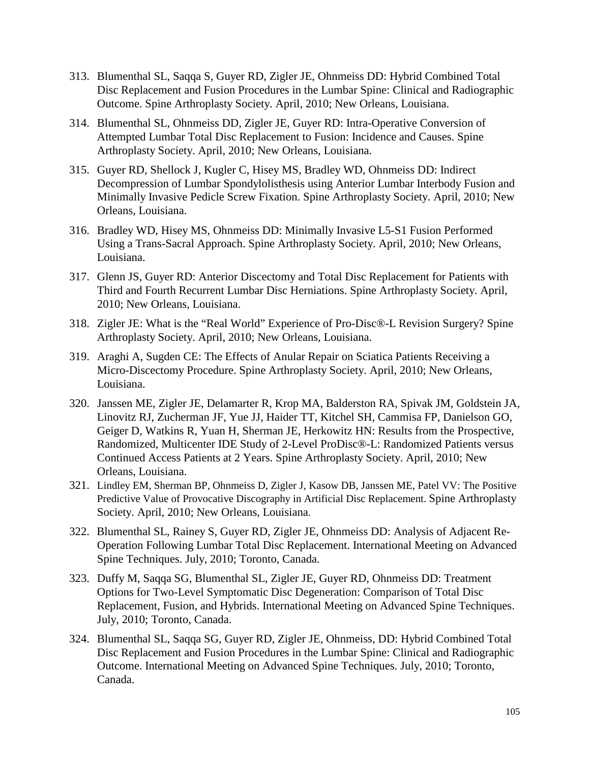- 313. Blumenthal SL, Saqqa S, Guyer RD, Zigler JE, Ohnmeiss DD: Hybrid Combined Total Disc Replacement and Fusion Procedures in the Lumbar Spine: Clinical and Radiographic Outcome. Spine Arthroplasty Society. April, 2010; New Orleans, Louisiana.
- 314. Blumenthal SL, Ohnmeiss DD, Zigler JE, Guyer RD: Intra-Operative Conversion of Attempted Lumbar Total Disc Replacement to Fusion: Incidence and Causes. Spine Arthroplasty Society. April, 2010; New Orleans, Louisiana.
- 315. Guyer RD, Shellock J, Kugler C, Hisey MS, Bradley WD, Ohnmeiss DD: Indirect Decompression of Lumbar Spondylolisthesis using Anterior Lumbar Interbody Fusion and Minimally Invasive Pedicle Screw Fixation. Spine Arthroplasty Society. April, 2010; New Orleans, Louisiana.
- 316. Bradley WD, Hisey MS, Ohnmeiss DD: Minimally Invasive L5-S1 Fusion Performed Using a Trans-Sacral Approach. Spine Arthroplasty Society. April, 2010; New Orleans, Louisiana.
- 317. Glenn JS, Guyer RD: Anterior Discectomy and Total Disc Replacement for Patients with Third and Fourth Recurrent Lumbar Disc Herniations. Spine Arthroplasty Society. April, 2010; New Orleans, Louisiana.
- 318. Zigler JE: What is the "Real World" Experience of Pro-Disc®-L Revision Surgery? Spine Arthroplasty Society. April, 2010; New Orleans, Louisiana.
- 319. Araghi A, Sugden CE: The Effects of Anular Repair on Sciatica Patients Receiving a Micro-Discectomy Procedure. Spine Arthroplasty Society. April, 2010; New Orleans, Louisiana.
- 320. Janssen ME, Zigler JE, Delamarter R, Krop MA, Balderston RA, Spivak JM, Goldstein JA, Linovitz RJ, Zucherman JF, Yue JJ, Haider TT, Kitchel SH, Cammisa FP, Danielson GO, Geiger D, Watkins R, Yuan H, Sherman JE, Herkowitz HN: Results from the Prospective, Randomized, Multicenter IDE Study of 2-Level ProDisc®-L: Randomized Patients versus Continued Access Patients at 2 Years. Spine Arthroplasty Society. April, 2010; New Orleans, Louisiana.
- 321. Lindley EM, Sherman BP, Ohnmeiss D, Zigler J, Kasow DB, Janssen ME, Patel VV: The Positive Predictive Value of Provocative Discography in Artificial Disc Replacement. Spine Arthroplasty Society. April, 2010; New Orleans, Louisiana.
- 322. Blumenthal SL, Rainey S, Guyer RD, Zigler JE, Ohnmeiss DD: Analysis of Adjacent Re-Operation Following Lumbar Total Disc Replacement. International Meeting on Advanced Spine Techniques. July, 2010; Toronto, Canada.
- 323. Duffy M, Saqqa SG, Blumenthal SL, Zigler JE, Guyer RD, Ohnmeiss DD: Treatment Options for Two-Level Symptomatic Disc Degeneration: Comparison of Total Disc Replacement, Fusion, and Hybrids. International Meeting on Advanced Spine Techniques. July, 2010; Toronto, Canada.
- 324. Blumenthal SL, Saqqa SG, Guyer RD, Zigler JE, Ohnmeiss, DD: Hybrid Combined Total Disc Replacement and Fusion Procedures in the Lumbar Spine: Clinical and Radiographic Outcome. International Meeting on Advanced Spine Techniques. July, 2010; Toronto, Canada.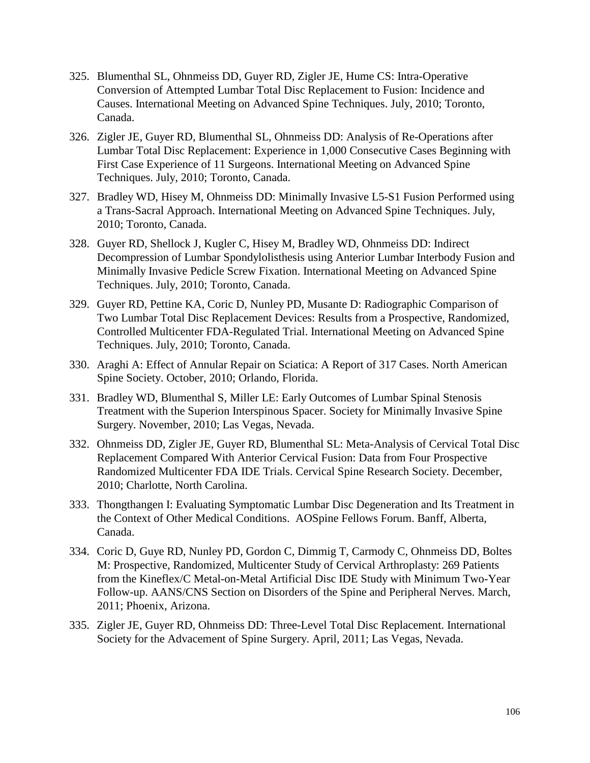- 325. Blumenthal SL, Ohnmeiss DD, Guyer RD, Zigler JE, Hume CS: Intra-Operative Conversion of Attempted Lumbar Total Disc Replacement to Fusion: Incidence and Causes. International Meeting on Advanced Spine Techniques. July, 2010; Toronto, Canada.
- 326. Zigler JE, Guyer RD, Blumenthal SL, Ohnmeiss DD: Analysis of Re-Operations after Lumbar Total Disc Replacement: Experience in 1,000 Consecutive Cases Beginning with First Case Experience of 11 Surgeons. International Meeting on Advanced Spine Techniques. July, 2010; Toronto, Canada.
- 327. Bradley WD, Hisey M, Ohnmeiss DD: Minimally Invasive L5-S1 Fusion Performed using a Trans-Sacral Approach. International Meeting on Advanced Spine Techniques. July, 2010; Toronto, Canada.
- 328. Guyer RD, Shellock J, Kugler C, Hisey M, Bradley WD, Ohnmeiss DD: Indirect Decompression of Lumbar Spondylolisthesis using Anterior Lumbar Interbody Fusion and Minimally Invasive Pedicle Screw Fixation. International Meeting on Advanced Spine Techniques. July, 2010; Toronto, Canada.
- 329. Guyer RD, Pettine KA, Coric D, Nunley PD, Musante D: Radiographic Comparison of Two Lumbar Total Disc Replacement Devices: Results from a Prospective, Randomized, Controlled Multicenter FDA-Regulated Trial. International Meeting on Advanced Spine Techniques. July, 2010; Toronto, Canada.
- 330. Araghi A: Effect of Annular Repair on Sciatica: A Report of 317 Cases. North American Spine Society. October, 2010; Orlando, Florida.
- 331. Bradley WD, Blumenthal S, Miller LE: Early Outcomes of Lumbar Spinal Stenosis Treatment with the Superion Interspinous Spacer. Society for Minimally Invasive Spine Surgery. November, 2010; Las Vegas, Nevada.
- 332. Ohnmeiss DD, Zigler JE, Guyer RD, Blumenthal SL: Meta-Analysis of Cervical Total Disc Replacement Compared With Anterior Cervical Fusion: Data from Four Prospective Randomized Multicenter FDA IDE Trials. Cervical Spine Research Society. December, 2010; Charlotte, North Carolina.
- 333. Thongthangen I: Evaluating Symptomatic Lumbar Disc Degeneration and Its Treatment in the Context of Other Medical Conditions. AOSpine Fellows Forum. Banff, Alberta, Canada.
- 334. Coric D, Guye RD, Nunley PD, Gordon C, Dimmig T, Carmody C, Ohnmeiss DD, Boltes M: Prospective, Randomized, Multicenter Study of Cervical Arthroplasty: 269 Patients from the Kineflex/C Metal-on-Metal Artificial Disc IDE Study with Minimum Two-Year Follow-up. AANS/CNS Section on Disorders of the Spine and Peripheral Nerves. March, 2011; Phoenix, Arizona.
- 335. Zigler JE, Guyer RD, Ohnmeiss DD: Three-Level Total Disc Replacement. International Society for the Advacement of Spine Surgery. April, 2011; Las Vegas, Nevada.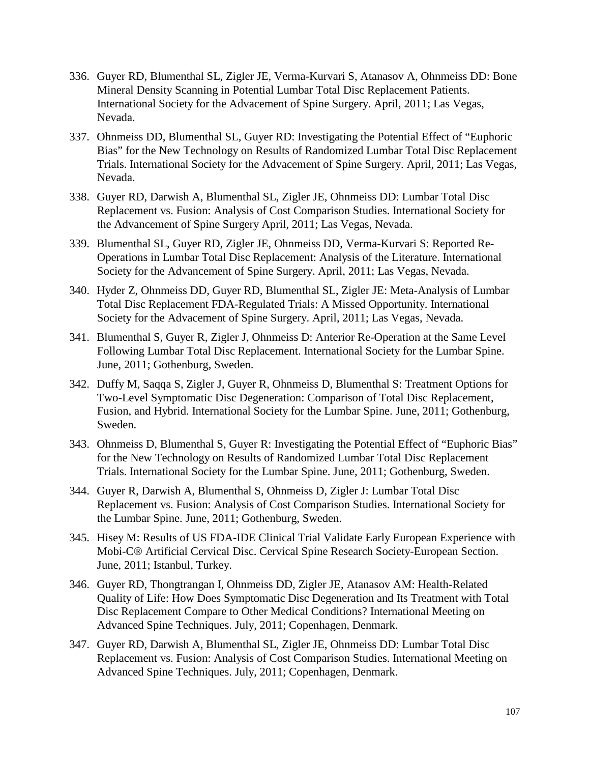- 336. Guyer RD, Blumenthal SL, Zigler JE, Verma-Kurvari S, Atanasov A, Ohnmeiss DD: Bone Mineral Density Scanning in Potential Lumbar Total Disc Replacement Patients. International Society for the Advacement of Spine Surgery. April, 2011; Las Vegas, Nevada.
- 337. Ohnmeiss DD, Blumenthal SL, Guyer RD: Investigating the Potential Effect of "Euphoric Bias" for the New Technology on Results of Randomized Lumbar Total Disc Replacement Trials. International Society for the Advacement of Spine Surgery. April, 2011; Las Vegas, Nevada.
- 338. Guyer RD, Darwish A, Blumenthal SL, Zigler JE, Ohnmeiss DD: Lumbar Total Disc Replacement vs. Fusion: Analysis of Cost Comparison Studies. International Society for the Advancement of Spine Surgery April, 2011; Las Vegas, Nevada.
- 339. Blumenthal SL, Guyer RD, Zigler JE, Ohnmeiss DD, Verma-Kurvari S: Reported Re-Operations in Lumbar Total Disc Replacement: Analysis of the Literature. International Society for the Advancement of Spine Surgery. April, 2011; Las Vegas, Nevada.
- 340. Hyder Z, Ohnmeiss DD, Guyer RD, Blumenthal SL, Zigler JE: Meta-Analysis of Lumbar Total Disc Replacement FDA-Regulated Trials: A Missed Opportunity. International Society for the Advacement of Spine Surgery. April, 2011; Las Vegas, Nevada.
- 341. Blumenthal S, Guyer R, Zigler J, Ohnmeiss D: Anterior Re-Operation at the Same Level Following Lumbar Total Disc Replacement. International Society for the Lumbar Spine. June, 2011; Gothenburg, Sweden.
- 342. Duffy M, Saqqa S, Zigler J, Guyer R, Ohnmeiss D, Blumenthal S: Treatment Options for Two-Level Symptomatic Disc Degeneration: Comparison of Total Disc Replacement, Fusion, and Hybrid. International Society for the Lumbar Spine. June, 2011; Gothenburg, Sweden.
- 343. Ohnmeiss D, Blumenthal S, Guyer R: Investigating the Potential Effect of "Euphoric Bias" for the New Technology on Results of Randomized Lumbar Total Disc Replacement Trials. International Society for the Lumbar Spine. June, 2011; Gothenburg, Sweden.
- 344. Guyer R, Darwish A, Blumenthal S, Ohnmeiss D, Zigler J: Lumbar Total Disc Replacement vs. Fusion: Analysis of Cost Comparison Studies. International Society for the Lumbar Spine. June, 2011; Gothenburg, Sweden.
- 345. Hisey M: Results of US FDA-IDE Clinical Trial Validate Early European Experience with Mobi-C® Artificial Cervical Disc. Cervical Spine Research Society-European Section. June, 2011; Istanbul, Turkey.
- 346. Guyer RD, Thongtrangan I, Ohnmeiss DD, Zigler JE, Atanasov AM: Health-Related Quality of Life: How Does Symptomatic Disc Degeneration and Its Treatment with Total Disc Replacement Compare to Other Medical Conditions? International Meeting on Advanced Spine Techniques. July, 2011; Copenhagen, Denmark.
- 347. Guyer RD, Darwish A, Blumenthal SL, Zigler JE, Ohnmeiss DD: Lumbar Total Disc Replacement vs. Fusion: Analysis of Cost Comparison Studies. International Meeting on Advanced Spine Techniques. July, 2011; Copenhagen, Denmark.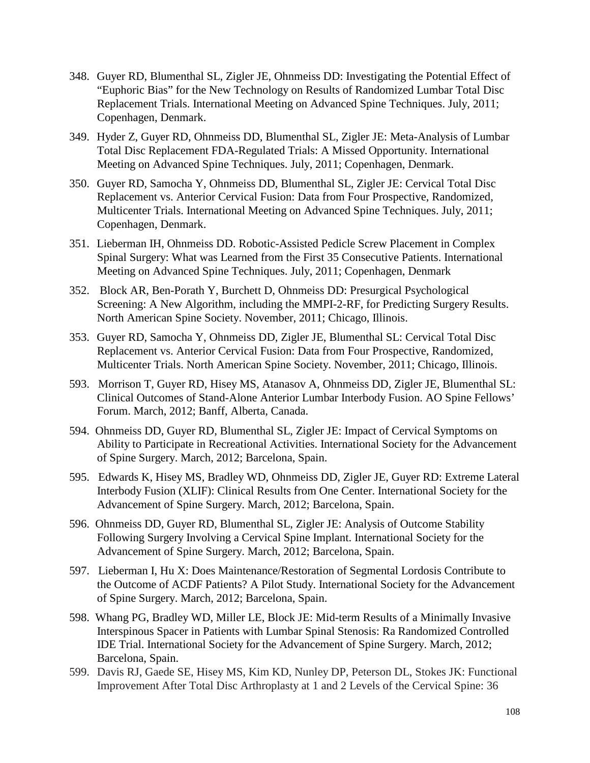- 348. Guyer RD, Blumenthal SL, Zigler JE, Ohnmeiss DD: Investigating the Potential Effect of "Euphoric Bias" for the New Technology on Results of Randomized Lumbar Total Disc Replacement Trials. International Meeting on Advanced Spine Techniques. July, 2011; Copenhagen, Denmark.
- 349. Hyder Z, Guyer RD, Ohnmeiss DD, Blumenthal SL, Zigler JE: Meta-Analysis of Lumbar Total Disc Replacement FDA-Regulated Trials: A Missed Opportunity. International Meeting on Advanced Spine Techniques. July, 2011; Copenhagen, Denmark.
- 350. Guyer RD, Samocha Y, Ohnmeiss DD, Blumenthal SL, Zigler JE: Cervical Total Disc Replacement vs. Anterior Cervical Fusion: Data from Four Prospective, Randomized, Multicenter Trials. International Meeting on Advanced Spine Techniques. July, 2011; Copenhagen, Denmark.
- 351. Lieberman IH, Ohnmeiss DD. Robotic-Assisted Pedicle Screw Placement in Complex Spinal Surgery: What was Learned from the First 35 Consecutive Patients. International Meeting on Advanced Spine Techniques. July, 2011; Copenhagen, Denmark
- 352. Block AR, Ben-Porath Y, Burchett D, Ohnmeiss DD: Presurgical Psychological Screening: A New Algorithm, including the MMPI-2-RF, for Predicting Surgery Results. North American Spine Society. November, 2011; Chicago, Illinois.
- 353. Guyer RD, Samocha Y, Ohnmeiss DD, Zigler JE, Blumenthal SL: Cervical Total Disc Replacement vs. Anterior Cervical Fusion: Data from Four Prospective, Randomized, Multicenter Trials. North American Spine Society. November, 2011; Chicago, Illinois.
- 593. Morrison T, Guyer RD, Hisey MS, Atanasov A, Ohnmeiss DD, Zigler JE, Blumenthal SL: Clinical Outcomes of Stand-Alone Anterior Lumbar Interbody Fusion. AO Spine Fellows' Forum. March, 2012; Banff, Alberta, Canada.
- 594. Ohnmeiss DD, Guyer RD, Blumenthal SL, Zigler JE: Impact of Cervical Symptoms on Ability to Participate in Recreational Activities. International Society for the Advancement of Spine Surgery. March, 2012; Barcelona, Spain.
- 595. Edwards K, Hisey MS, Bradley WD, Ohnmeiss DD, Zigler JE, Guyer RD: Extreme Lateral Interbody Fusion (XLIF): Clinical Results from One Center. International Society for the Advancement of Spine Surgery. March, 2012; Barcelona, Spain.
- 596. Ohnmeiss DD, Guyer RD, Blumenthal SL, Zigler JE: Analysis of Outcome Stability Following Surgery Involving a Cervical Spine Implant. International Society for the Advancement of Spine Surgery. March, 2012; Barcelona, Spain.
- 597. Lieberman I, Hu X: Does Maintenance/Restoration of Segmental Lordosis Contribute to the Outcome of ACDF Patients? A Pilot Study. International Society for the Advancement of Spine Surgery. March, 2012; Barcelona, Spain.
- 598. Whang PG, Bradley WD, Miller LE, Block JE: Mid-term Results of a Minimally Invasive Interspinous Spacer in Patients with Lumbar Spinal Stenosis: Ra Randomized Controlled IDE Trial. International Society for the Advancement of Spine Surgery. March, 2012; Barcelona, Spain.
- 599. Davis RJ, Gaede SE, Hisey MS, Kim KD, Nunley DP, Peterson DL, Stokes JK: Functional Improvement After Total Disc Arthroplasty at 1 and 2 Levels of the Cervical Spine: 36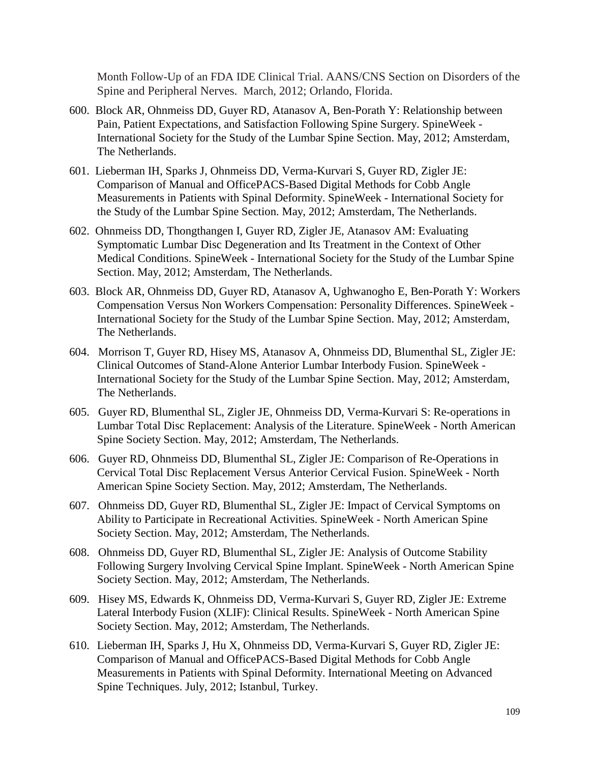Month Follow-Up of an FDA IDE Clinical Trial. AANS/CNS Section on Disorders of the Spine and Peripheral Nerves. March, 2012; Orlando, Florida.

- 600. Block AR, Ohnmeiss DD, Guyer RD, Atanasov A, Ben-Porath Y: Relationship between Pain, Patient Expectations, and Satisfaction Following Spine Surgery. SpineWeek - International Society for the Study of the Lumbar Spine Section. May, 2012; Amsterdam, The Netherlands.
- 601. Lieberman IH, Sparks J, Ohnmeiss DD, Verma-Kurvari S, Guyer RD, Zigler JE: Comparison of Manual and OfficePACS-Based Digital Methods for Cobb Angle Measurements in Patients with Spinal Deformity. SpineWeek - International Society for the Study of the Lumbar Spine Section. May, 2012; Amsterdam, The Netherlands.
- 602. Ohnmeiss DD, Thongthangen I, Guyer RD, Zigler JE, Atanasov AM: Evaluating Symptomatic Lumbar Disc Degeneration and Its Treatment in the Context of Other Medical Conditions. SpineWeek - International Society for the Study of the Lumbar Spine Section. May, 2012; Amsterdam, The Netherlands.
- 603. Block AR, Ohnmeiss DD, Guyer RD, Atanasov A, Ughwanogho E, Ben-Porath Y: Workers Compensation Versus Non Workers Compensation: Personality Differences. SpineWeek - International Society for the Study of the Lumbar Spine Section. May, 2012; Amsterdam, The Netherlands.
- 604. Morrison T, Guyer RD, Hisey MS, Atanasov A, Ohnmeiss DD, Blumenthal SL, Zigler JE: Clinical Outcomes of Stand-Alone Anterior Lumbar Interbody Fusion. SpineWeek - International Society for the Study of the Lumbar Spine Section. May, 2012; Amsterdam, The Netherlands.
- 605. Guyer RD, Blumenthal SL, Zigler JE, Ohnmeiss DD, Verma-Kurvari S: Re-operations in Lumbar Total Disc Replacement: Analysis of the Literature. SpineWeek - North American Spine Society Section. May, 2012; Amsterdam, The Netherlands.
- 606. Guyer RD, Ohnmeiss DD, Blumenthal SL, Zigler JE: Comparison of Re-Operations in Cervical Total Disc Replacement Versus Anterior Cervical Fusion. SpineWeek - North American Spine Society Section. May, 2012; Amsterdam, The Netherlands.
- 607. Ohnmeiss DD, Guyer RD, Blumenthal SL, Zigler JE: Impact of Cervical Symptoms on Ability to Participate in Recreational Activities. SpineWeek - North American Spine Society Section. May, 2012; Amsterdam, The Netherlands.
- 608. Ohnmeiss DD, Guyer RD, Blumenthal SL, Zigler JE: Analysis of Outcome Stability Following Surgery Involving Cervical Spine Implant. SpineWeek - North American Spine Society Section. May, 2012; Amsterdam, The Netherlands.
- 609. Hisey MS, Edwards K, Ohnmeiss DD, Verma-Kurvari S, Guyer RD, Zigler JE: Extreme Lateral Interbody Fusion (XLIF): Clinical Results. SpineWeek - North American Spine Society Section. May, 2012; Amsterdam, The Netherlands.
- 610. Lieberman IH, Sparks J, Hu X, Ohnmeiss DD, Verma-Kurvari S, Guyer RD, Zigler JE: Comparison of Manual and OfficePACS-Based Digital Methods for Cobb Angle Measurements in Patients with Spinal Deformity. International Meeting on Advanced Spine Techniques. July, 2012; Istanbul, Turkey.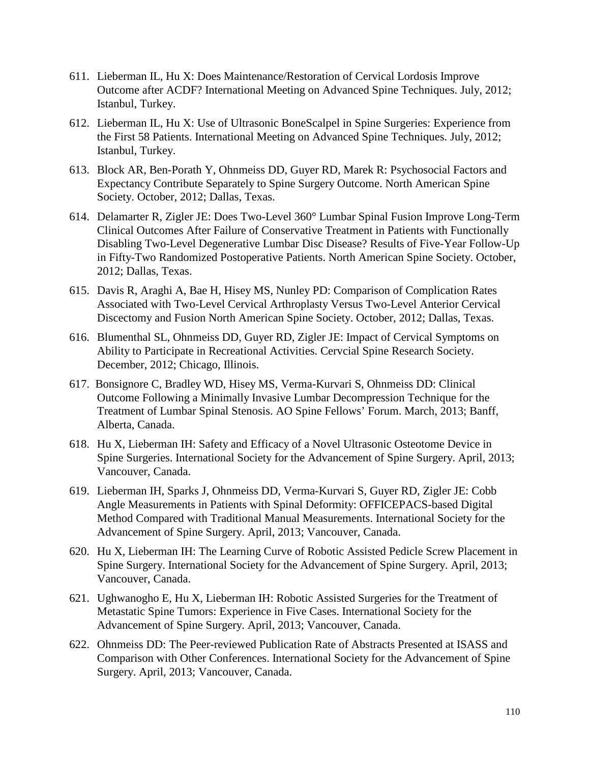- 611. Lieberman IL, Hu X: Does Maintenance/Restoration of Cervical Lordosis Improve Outcome after ACDF? International Meeting on Advanced Spine Techniques. July, 2012; Istanbul, Turkey.
- 612. Lieberman IL, Hu X: Use of Ultrasonic BoneScalpel in Spine Surgeries: Experience from the First 58 Patients. International Meeting on Advanced Spine Techniques. July, 2012; Istanbul, Turkey.
- 613. Block AR, Ben-Porath Y, Ohnmeiss DD, Guyer RD, Marek R: Psychosocial Factors and Expectancy Contribute Separately to Spine Surgery Outcome. North American Spine Society. October, 2012; Dallas, Texas.
- 614. Delamarter R, Zigler JE: Does Two-Level 360° Lumbar Spinal Fusion Improve Long-Term Clinical Outcomes After Failure of Conservative Treatment in Patients with Functionally Disabling Two-Level Degenerative Lumbar Disc Disease? Results of Five-Year Follow-Up in Fifty-Two Randomized Postoperative Patients. North American Spine Society. October, 2012; Dallas, Texas.
- 615. Davis R, Araghi A, Bae H, Hisey MS, Nunley PD: Comparison of Complication Rates Associated with Two-Level Cervical Arthroplasty Versus Two-Level Anterior Cervical Discectomy and Fusion North American Spine Society. October, 2012; Dallas, Texas.
- 616. Blumenthal SL, Ohnmeiss DD, Guyer RD, Zigler JE: Impact of Cervical Symptoms on Ability to Participate in Recreational Activities. Cervcial Spine Research Society. December, 2012; Chicago, Illinois.
- 617. Bonsignore C, Bradley WD, Hisey MS, Verma-Kurvari S, Ohnmeiss DD: Clinical Outcome Following a Minimally Invasive Lumbar Decompression Technique for the Treatment of Lumbar Spinal Stenosis. AO Spine Fellows' Forum. March, 2013; Banff, Alberta, Canada.
- 618. Hu X, Lieberman IH: Safety and Efficacy of a Novel Ultrasonic Osteotome Device in Spine Surgeries. International Society for the Advancement of Spine Surgery. April, 2013; Vancouver, Canada.
- 619. Lieberman IH, Sparks J, Ohnmeiss DD, Verma-Kurvari S, Guyer RD, Zigler JE: Cobb Angle Measurements in Patients with Spinal Deformity: OFFICEPACS-based Digital Method Compared with Traditional Manual Measurements. International Society for the Advancement of Spine Surgery. April, 2013; Vancouver, Canada.
- 620. Hu X, Lieberman IH: The Learning Curve of Robotic Assisted Pedicle Screw Placement in Spine Surgery. International Society for the Advancement of Spine Surgery. April, 2013; Vancouver, Canada.
- 621. Ughwanogho E, Hu X, Lieberman IH: Robotic Assisted Surgeries for the Treatment of Metastatic Spine Tumors: Experience in Five Cases. International Society for the Advancement of Spine Surgery. April, 2013; Vancouver, Canada.
- 622. Ohnmeiss DD: The Peer-reviewed Publication Rate of Abstracts Presented at ISASS and Comparison with Other Conferences. International Society for the Advancement of Spine Surgery. April, 2013; Vancouver, Canada.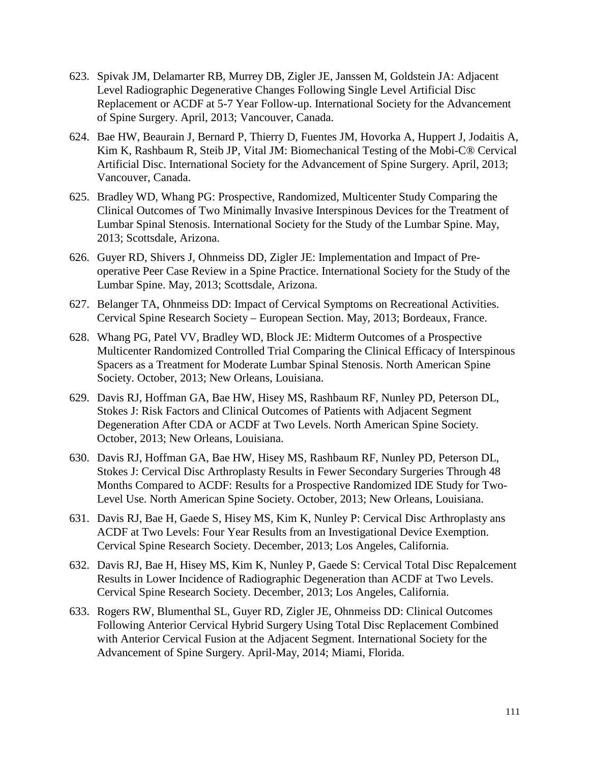- 623. Spivak JM, Delamarter RB, Murrey DB, Zigler JE, Janssen M, Goldstein JA: Adjacent Level Radiographic Degenerative Changes Following Single Level Artificial Disc Replacement or ACDF at 5-7 Year Follow-up. International Society for the Advancement of Spine Surgery. April, 2013; Vancouver, Canada.
- 624. Bae HW, Beaurain J, Bernard P, Thierry D, Fuentes JM, Hovorka A, Huppert J, Jodaitis A, Kim K, Rashbaum R, Steib JP, Vital JM: Biomechanical Testing of the Mobi-C® Cervical Artificial Disc. International Society for the Advancement of Spine Surgery. April, 2013; Vancouver, Canada.
- 625. Bradley WD, Whang PG: Prospective, Randomized, Multicenter Study Comparing the Clinical Outcomes of Two Minimally Invasive Interspinous Devices for the Treatment of Lumbar Spinal Stenosis. International Society for the Study of the Lumbar Spine. May, 2013; Scottsdale, Arizona.
- 626. Guyer RD, Shivers J, Ohnmeiss DD, Zigler JE: Implementation and Impact of Preoperative Peer Case Review in a Spine Practice. International Society for the Study of the Lumbar Spine. May, 2013; Scottsdale, Arizona.
- 627. Belanger TA, Ohnmeiss DD: Impact of Cervical Symptoms on Recreational Activities. Cervical Spine Research Society – European Section. May, 2013; Bordeaux, France.
- 628. Whang PG, Patel VV, Bradley WD, Block JE: Midterm Outcomes of a Prospective Multicenter Randomized Controlled Trial Comparing the Clinical Efficacy of Interspinous Spacers as a Treatment for Moderate Lumbar Spinal Stenosis. North American Spine Society. October, 2013; New Orleans, Louisiana.
- 629. Davis RJ, Hoffman GA, Bae HW, Hisey MS, Rashbaum RF, Nunley PD, Peterson DL, Stokes J: Risk Factors and Clinical Outcomes of Patients with Adjacent Segment Degeneration After CDA or ACDF at Two Levels. North American Spine Society. October, 2013; New Orleans, Louisiana.
- 630. Davis RJ, Hoffman GA, Bae HW, Hisey MS, Rashbaum RF, Nunley PD, Peterson DL, Stokes J: Cervical Disc Arthroplasty Results in Fewer Secondary Surgeries Through 48 Months Compared to ACDF: Results for a Prospective Randomized IDE Study for Two-Level Use. North American Spine Society. October, 2013; New Orleans, Louisiana.
- 631. Davis RJ, Bae H, Gaede S, Hisey MS, Kim K, Nunley P: Cervical Disc Arthroplasty ans ACDF at Two Levels: Four Year Results from an Investigational Device Exemption. Cervical Spine Research Society. December, 2013; Los Angeles, California.
- 632. Davis RJ, Bae H, Hisey MS, Kim K, Nunley P, Gaede S: Cervical Total Disc Repalcement Results in Lower Incidence of Radiographic Degeneration than ACDF at Two Levels. Cervical Spine Research Society. December, 2013; Los Angeles, California.
- 633. Rogers RW, Blumenthal SL, Guyer RD, Zigler JE, Ohnmeiss DD: Clinical Outcomes Following Anterior Cervical Hybrid Surgery Using Total Disc Replacement Combined with Anterior Cervical Fusion at the Adjacent Segment. International Society for the Advancement of Spine Surgery. April-May, 2014; Miami, Florida.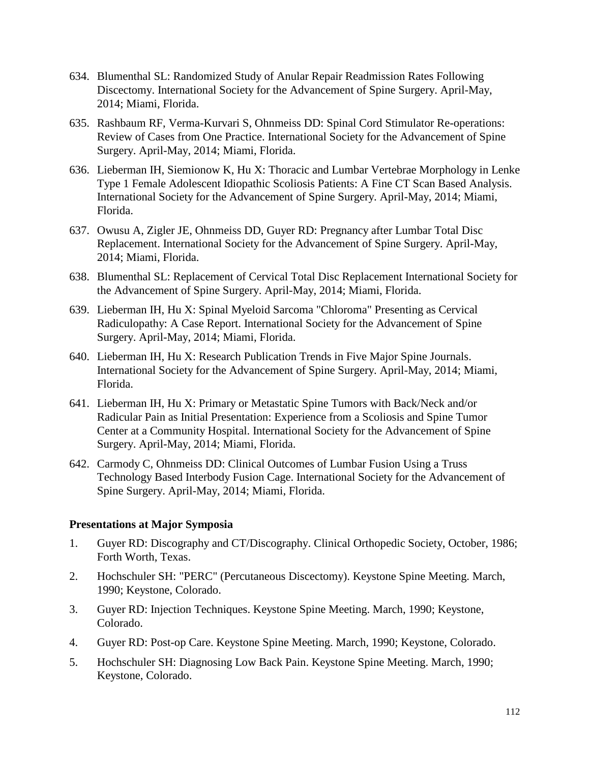- 634. Blumenthal SL: Randomized Study of Anular Repair Readmission Rates Following Discectomy. International Society for the Advancement of Spine Surgery. April-May, 2014; Miami, Florida.
- 635. Rashbaum RF, Verma-Kurvari S, Ohnmeiss DD: Spinal Cord Stimulator Re-operations: Review of Cases from One Practice. International Society for the Advancement of Spine Surgery. April-May, 2014; Miami, Florida.
- 636. Lieberman IH, Siemionow K, Hu X: Thoracic and Lumbar Vertebrae Morphology in Lenke Type 1 Female Adolescent Idiopathic Scoliosis Patients: A Fine CT Scan Based Analysis. International Society for the Advancement of Spine Surgery. April-May, 2014; Miami, Florida.
- 637. Owusu A, Zigler JE, Ohnmeiss DD, Guyer RD: Pregnancy after Lumbar Total Disc Replacement. International Society for the Advancement of Spine Surgery. April-May, 2014; Miami, Florida.
- 638. Blumenthal SL: Replacement of Cervical Total Disc Replacement International Society for the Advancement of Spine Surgery. April-May, 2014; Miami, Florida.
- 639. Lieberman IH, Hu X: Spinal Myeloid Sarcoma "Chloroma" Presenting as Cervical Radiculopathy: A Case Report. International Society for the Advancement of Spine Surgery. April-May, 2014; Miami, Florida.
- 640. Lieberman IH, Hu X: Research Publication Trends in Five Major Spine Journals. International Society for the Advancement of Spine Surgery. April-May, 2014; Miami, Florida.
- 641. Lieberman IH, Hu X: Primary or Metastatic Spine Tumors with Back/Neck and/or Radicular Pain as Initial Presentation: Experience from a Scoliosis and Spine Tumor Center at a Community Hospital. International Society for the Advancement of Spine Surgery. April-May, 2014; Miami, Florida.
- 642. Carmody C, Ohnmeiss DD: Clinical Outcomes of Lumbar Fusion Using a Truss Technology Based Interbody Fusion Cage. International Society for the Advancement of Spine Surgery. April-May, 2014; Miami, Florida.

## **Presentations at Major Symposia**

- 1. Guyer RD: Discography and CT/Discography. Clinical Orthopedic Society, October, 1986; Forth Worth, Texas.
- 2. Hochschuler SH: "PERC" (Percutaneous Discectomy). Keystone Spine Meeting. March, 1990; Keystone, Colorado.
- 3. Guyer RD: Injection Techniques. Keystone Spine Meeting. March, 1990; Keystone, Colorado.
- 4. Guyer RD: Post-op Care. Keystone Spine Meeting. March, 1990; Keystone, Colorado.
- 5. Hochschuler SH: Diagnosing Low Back Pain. Keystone Spine Meeting. March, 1990; Keystone, Colorado.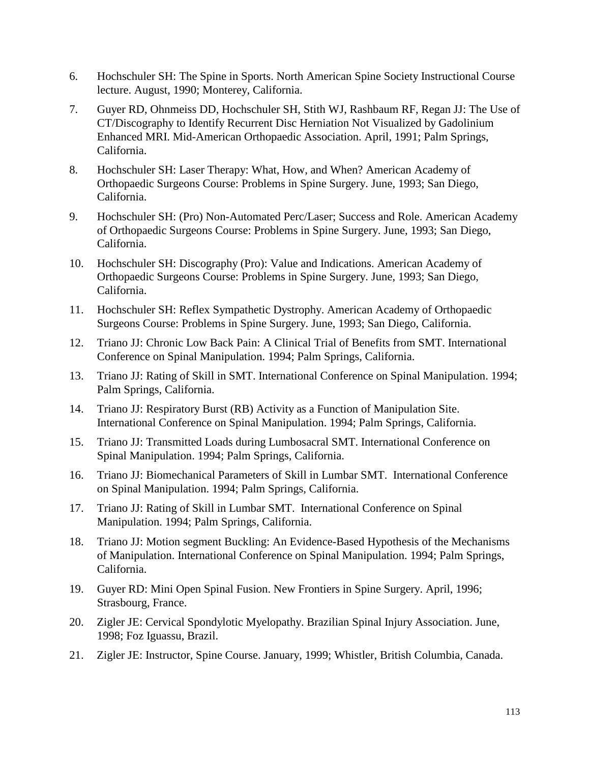- 6. Hochschuler SH: The Spine in Sports. North American Spine Society Instructional Course lecture. August, 1990; Monterey, California.
- 7. Guyer RD, Ohnmeiss DD, Hochschuler SH, Stith WJ, Rashbaum RF, Regan JJ: The Use of CT/Discography to Identify Recurrent Disc Herniation Not Visualized by Gadolinium Enhanced MRI. Mid-American Orthopaedic Association. April, 1991; Palm Springs, California.
- 8. Hochschuler SH: Laser Therapy: What, How, and When? American Academy of Orthopaedic Surgeons Course: Problems in Spine Surgery. June, 1993; San Diego, California.
- 9. Hochschuler SH: (Pro) Non-Automated Perc/Laser; Success and Role. American Academy of Orthopaedic Surgeons Course: Problems in Spine Surgery. June, 1993; San Diego, California.
- 10. Hochschuler SH: Discography (Pro): Value and Indications. American Academy of Orthopaedic Surgeons Course: Problems in Spine Surgery. June, 1993; San Diego, California.
- 11. Hochschuler SH: Reflex Sympathetic Dystrophy. American Academy of Orthopaedic Surgeons Course: Problems in Spine Surgery. June, 1993; San Diego, California.
- 12. Triano JJ: Chronic Low Back Pain: A Clinical Trial of Benefits from SMT. International Conference on Spinal Manipulation. 1994; Palm Springs, California.
- 13. Triano JJ: Rating of Skill in SMT. International Conference on Spinal Manipulation. 1994; Palm Springs, California.
- 14. Triano JJ: Respiratory Burst (RB) Activity as a Function of Manipulation Site. International Conference on Spinal Manipulation. 1994; Palm Springs, California.
- 15. Triano JJ: Transmitted Loads during Lumbosacral SMT. International Conference on Spinal Manipulation. 1994; Palm Springs, California.
- 16. Triano JJ: Biomechanical Parameters of Skill in Lumbar SMT. International Conference on Spinal Manipulation. 1994; Palm Springs, California.
- 17. Triano JJ: Rating of Skill in Lumbar SMT. International Conference on Spinal Manipulation. 1994; Palm Springs, California.
- 18. Triano JJ: Motion segment Buckling: An Evidence-Based Hypothesis of the Mechanisms of Manipulation. International Conference on Spinal Manipulation. 1994; Palm Springs, California.
- 19. Guyer RD: Mini Open Spinal Fusion. New Frontiers in Spine Surgery. April, 1996; Strasbourg, France.
- 20. Zigler JE: Cervical Spondylotic Myelopathy. Brazilian Spinal Injury Association. June, 1998; Foz Iguassu, Brazil.
- 21. Zigler JE: Instructor, Spine Course. January, 1999; Whistler, British Columbia, Canada.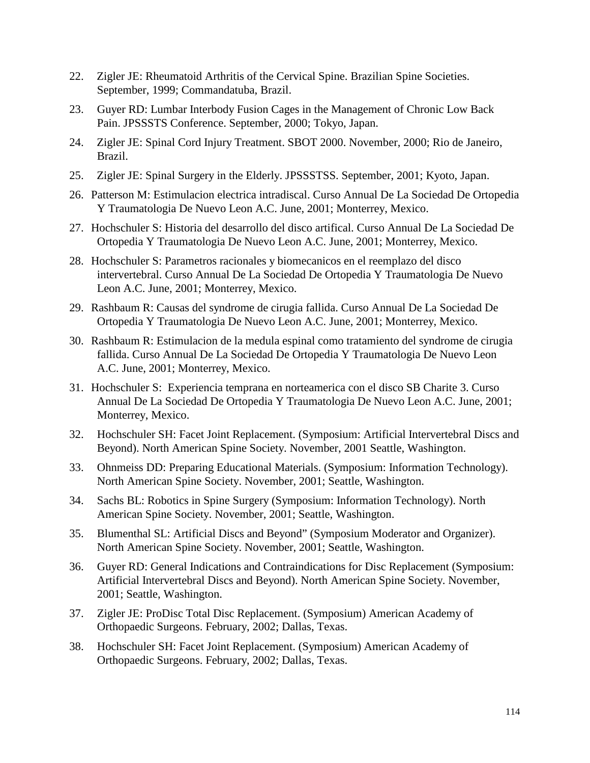- 22. Zigler JE: Rheumatoid Arthritis of the Cervical Spine. Brazilian Spine Societies. September, 1999; Commandatuba, Brazil.
- 23. Guyer RD: Lumbar Interbody Fusion Cages in the Management of Chronic Low Back Pain. JPSSSTS Conference. September, 2000; Tokyo, Japan.
- 24. Zigler JE: Spinal Cord Injury Treatment. SBOT 2000. November, 2000; Rio de Janeiro, Brazil.
- 25. Zigler JE: Spinal Surgery in the Elderly. JPSSSTSS. September, 2001; Kyoto, Japan.
- 26. Patterson M: Estimulacion electrica intradiscal. Curso Annual De La Sociedad De Ortopedia Y Traumatologia De Nuevo Leon A.C. June, 2001; Monterrey, Mexico.
- 27. Hochschuler S: Historia del desarrollo del disco artifical. Curso Annual De La Sociedad De Ortopedia Y Traumatologia De Nuevo Leon A.C. June, 2001; Monterrey, Mexico.
- 28. Hochschuler S: Parametros racionales y biomecanicos en el reemplazo del disco intervertebral. Curso Annual De La Sociedad De Ortopedia Y Traumatologia De Nuevo Leon A.C. June, 2001; Monterrey, Mexico.
- 29. Rashbaum R: Causas del syndrome de cirugia fallida. Curso Annual De La Sociedad De Ortopedia Y Traumatologia De Nuevo Leon A.C. June, 2001; Monterrey, Mexico.
- 30. Rashbaum R: Estimulacion de la medula espinal como tratamiento del syndrome de cirugia fallida. Curso Annual De La Sociedad De Ortopedia Y Traumatologia De Nuevo Leon A.C. June, 2001; Monterrey, Mexico.
- 31. Hochschuler S: Experiencia temprana en norteamerica con el disco SB Charite 3. Curso Annual De La Sociedad De Ortopedia Y Traumatologia De Nuevo Leon A.C. June, 2001; Monterrey, Mexico.
- 32. Hochschuler SH: Facet Joint Replacement. (Symposium: Artificial Intervertebral Discs and Beyond). North American Spine Society. November, 2001 Seattle, Washington.
- 33. Ohnmeiss DD: Preparing Educational Materials. (Symposium: Information Technology). North American Spine Society. November, 2001; Seattle, Washington.
- 34. Sachs BL: Robotics in Spine Surgery (Symposium: Information Technology). North American Spine Society. November, 2001; Seattle, Washington.
- 35. Blumenthal SL: Artificial Discs and Beyond" (Symposium Moderator and Organizer). North American Spine Society. November, 2001; Seattle, Washington.
- 36. Guyer RD: General Indications and Contraindications for Disc Replacement (Symposium: Artificial Intervertebral Discs and Beyond). North American Spine Society. November, 2001; Seattle, Washington.
- 37. Zigler JE: ProDisc Total Disc Replacement. (Symposium) American Academy of Orthopaedic Surgeons. February, 2002; Dallas, Texas.
- 38. Hochschuler SH: Facet Joint Replacement. (Symposium) American Academy of Orthopaedic Surgeons. February, 2002; Dallas, Texas.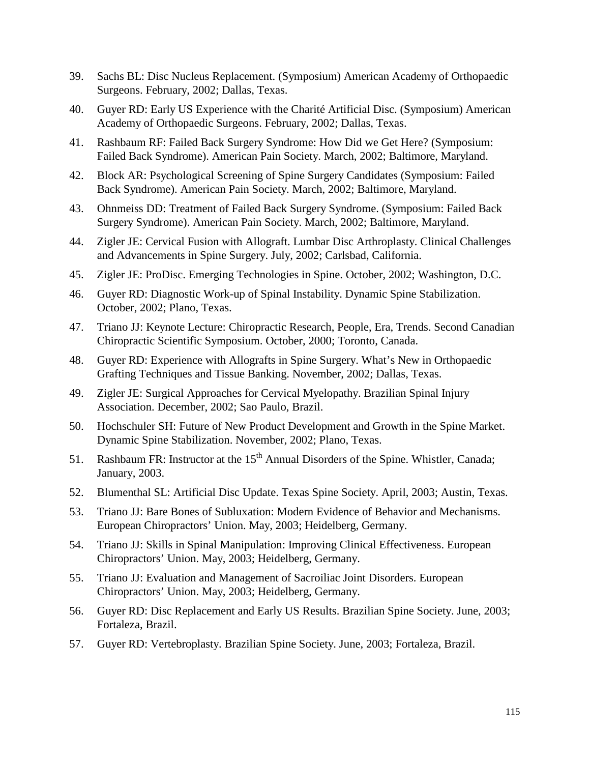- 39. Sachs BL: Disc Nucleus Replacement. (Symposium) American Academy of Orthopaedic Surgeons. February, 2002; Dallas, Texas.
- 40. Guyer RD: Early US Experience with the Charité Artificial Disc. (Symposium) American Academy of Orthopaedic Surgeons. February, 2002; Dallas, Texas.
- 41. Rashbaum RF: Failed Back Surgery Syndrome: How Did we Get Here? (Symposium: Failed Back Syndrome). American Pain Society. March, 2002; Baltimore, Maryland.
- 42. Block AR: Psychological Screening of Spine Surgery Candidates (Symposium: Failed Back Syndrome). American Pain Society. March, 2002; Baltimore, Maryland.
- 43. Ohnmeiss DD: Treatment of Failed Back Surgery Syndrome. (Symposium: Failed Back Surgery Syndrome). American Pain Society. March, 2002; Baltimore, Maryland.
- 44. Zigler JE: Cervical Fusion with Allograft. Lumbar Disc Arthroplasty. Clinical Challenges and Advancements in Spine Surgery. July, 2002; Carlsbad, California.
- 45. Zigler JE: ProDisc. Emerging Technologies in Spine. October, 2002; Washington, D.C.
- 46. Guyer RD: Diagnostic Work-up of Spinal Instability. Dynamic Spine Stabilization. October, 2002; Plano, Texas.
- 47. Triano JJ: Keynote Lecture: Chiropractic Research, People, Era, Trends. Second Canadian Chiropractic Scientific Symposium. October, 2000; Toronto, Canada.
- 48. Guyer RD: Experience with Allografts in Spine Surgery. What's New in Orthopaedic Grafting Techniques and Tissue Banking. November, 2002; Dallas, Texas.
- 49. Zigler JE: Surgical Approaches for Cervical Myelopathy. Brazilian Spinal Injury Association. December, 2002; Sao Paulo, Brazil.
- 50. Hochschuler SH: Future of New Product Development and Growth in the Spine Market. Dynamic Spine Stabilization. November, 2002; Plano, Texas.
- 51. Rashbaum FR: Instructor at the  $15<sup>th</sup>$  Annual Disorders of the Spine. Whistler, Canada; January, 2003.
- 52. Blumenthal SL: Artificial Disc Update. Texas Spine Society. April, 2003; Austin, Texas.
- 53. Triano JJ: Bare Bones of Subluxation: Modern Evidence of Behavior and Mechanisms. European Chiropractors' Union. May, 2003; Heidelberg, Germany.
- 54. Triano JJ: Skills in Spinal Manipulation: Improving Clinical Effectiveness. European Chiropractors' Union. May, 2003; Heidelberg, Germany.
- 55. Triano JJ: Evaluation and Management of Sacroiliac Joint Disorders. European Chiropractors' Union. May, 2003; Heidelberg, Germany.
- 56. Guyer RD: Disc Replacement and Early US Results. Brazilian Spine Society. June, 2003; Fortaleza, Brazil.
- 57. Guyer RD: Vertebroplasty. Brazilian Spine Society. June, 2003; Fortaleza, Brazil.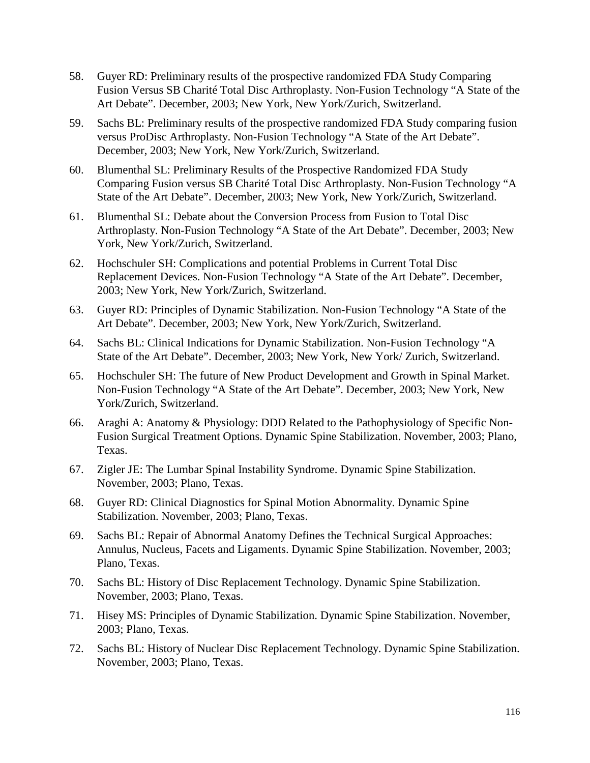- 58. Guyer RD: Preliminary results of the prospective randomized FDA Study Comparing Fusion Versus SB Charité Total Disc Arthroplasty. Non-Fusion Technology "A State of the Art Debate". December, 2003; New York, New York/Zurich, Switzerland.
- 59. Sachs BL: Preliminary results of the prospective randomized FDA Study comparing fusion versus ProDisc Arthroplasty. Non-Fusion Technology "A State of the Art Debate". December, 2003; New York, New York/Zurich, Switzerland.
- 60. Blumenthal SL: Preliminary Results of the Prospective Randomized FDA Study Comparing Fusion versus SB Charité Total Disc Arthroplasty. Non-Fusion Technology "A State of the Art Debate". December, 2003; New York, New York/Zurich, Switzerland.
- 61. Blumenthal SL: Debate about the Conversion Process from Fusion to Total Disc Arthroplasty. Non-Fusion Technology "A State of the Art Debate". December, 2003; New York, New York/Zurich, Switzerland.
- 62. Hochschuler SH: Complications and potential Problems in Current Total Disc Replacement Devices. Non-Fusion Technology "A State of the Art Debate". December, 2003; New York, New York/Zurich, Switzerland.
- 63. Guyer RD: Principles of Dynamic Stabilization. Non-Fusion Technology "A State of the Art Debate". December, 2003; New York, New York/Zurich, Switzerland.
- 64. Sachs BL: Clinical Indications for Dynamic Stabilization. Non-Fusion Technology "A State of the Art Debate". December, 2003; New York, New York/ Zurich, Switzerland.
- 65. Hochschuler SH: The future of New Product Development and Growth in Spinal Market. Non-Fusion Technology "A State of the Art Debate". December, 2003; New York, New York/Zurich, Switzerland.
- 66. Araghi A: Anatomy & Physiology: DDD Related to the Pathophysiology of Specific Non-Fusion Surgical Treatment Options. Dynamic Spine Stabilization. November, 2003; Plano, Texas.
- 67. Zigler JE: The Lumbar Spinal Instability Syndrome. Dynamic Spine Stabilization. November, 2003; Plano, Texas.
- 68. Guyer RD: Clinical Diagnostics for Spinal Motion Abnormality. Dynamic Spine Stabilization. November, 2003; Plano, Texas.
- 69. Sachs BL: Repair of Abnormal Anatomy Defines the Technical Surgical Approaches: Annulus, Nucleus, Facets and Ligaments. Dynamic Spine Stabilization. November, 2003; Plano, Texas.
- 70. Sachs BL: History of Disc Replacement Technology. Dynamic Spine Stabilization. November, 2003; Plano, Texas.
- 71. Hisey MS: Principles of Dynamic Stabilization. Dynamic Spine Stabilization. November, 2003; Plano, Texas.
- 72. Sachs BL: History of Nuclear Disc Replacement Technology. Dynamic Spine Stabilization. November, 2003; Plano, Texas.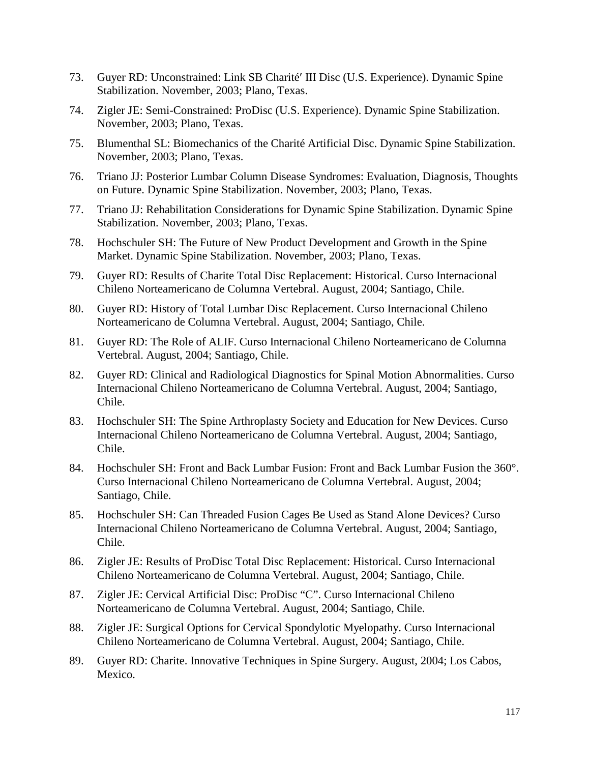- 73. Guyer RD: Unconstrained: Link SB Charité′ III Disc (U.S. Experience). Dynamic Spine Stabilization. November, 2003; Plano, Texas.
- 74. Zigler JE: Semi-Constrained: ProDisc (U.S. Experience). Dynamic Spine Stabilization. November, 2003; Plano, Texas.
- 75. Blumenthal SL: Biomechanics of the Charité Artificial Disc. Dynamic Spine Stabilization. November, 2003; Plano, Texas.
- 76. Triano JJ: Posterior Lumbar Column Disease Syndromes: Evaluation, Diagnosis, Thoughts on Future. Dynamic Spine Stabilization. November, 2003; Plano, Texas.
- 77. Triano JJ: Rehabilitation Considerations for Dynamic Spine Stabilization. Dynamic Spine Stabilization. November, 2003; Plano, Texas.
- 78. Hochschuler SH: The Future of New Product Development and Growth in the Spine Market. Dynamic Spine Stabilization. November, 2003; Plano, Texas.
- 79. Guyer RD: Results of Charite Total Disc Replacement: Historical. Curso Internacional Chileno Norteamericano de Columna Vertebral. August, 2004; Santiago, Chile.
- 80. Guyer RD: History of Total Lumbar Disc Replacement. Curso Internacional Chileno Norteamericano de Columna Vertebral. August, 2004; Santiago, Chile.
- 81. Guyer RD: The Role of ALIF. Curso Internacional Chileno Norteamericano de Columna Vertebral. August, 2004; Santiago, Chile.
- 82. Guyer RD: Clinical and Radiological Diagnostics for Spinal Motion Abnormalities. Curso Internacional Chileno Norteamericano de Columna Vertebral. August, 2004; Santiago, Chile.
- 83. Hochschuler SH: The Spine Arthroplasty Society and Education for New Devices. Curso Internacional Chileno Norteamericano de Columna Vertebral. August, 2004; Santiago, Chile.
- 84. Hochschuler SH: Front and Back Lumbar Fusion: Front and Back Lumbar Fusion the 360°. Curso Internacional Chileno Norteamericano de Columna Vertebral. August, 2004; Santiago, Chile.
- 85. Hochschuler SH: Can Threaded Fusion Cages Be Used as Stand Alone Devices? Curso Internacional Chileno Norteamericano de Columna Vertebral. August, 2004; Santiago, Chile.
- 86. Zigler JE: Results of ProDisc Total Disc Replacement: Historical. Curso Internacional Chileno Norteamericano de Columna Vertebral. August, 2004; Santiago, Chile.
- 87. Zigler JE: Cervical Artificial Disc: ProDisc "C". Curso Internacional Chileno Norteamericano de Columna Vertebral. August, 2004; Santiago, Chile.
- 88. Zigler JE: Surgical Options for Cervical Spondylotic Myelopathy. Curso Internacional Chileno Norteamericano de Columna Vertebral. August, 2004; Santiago, Chile.
- 89. Guyer RD: Charite. Innovative Techniques in Spine Surgery. August, 2004; Los Cabos, Mexico.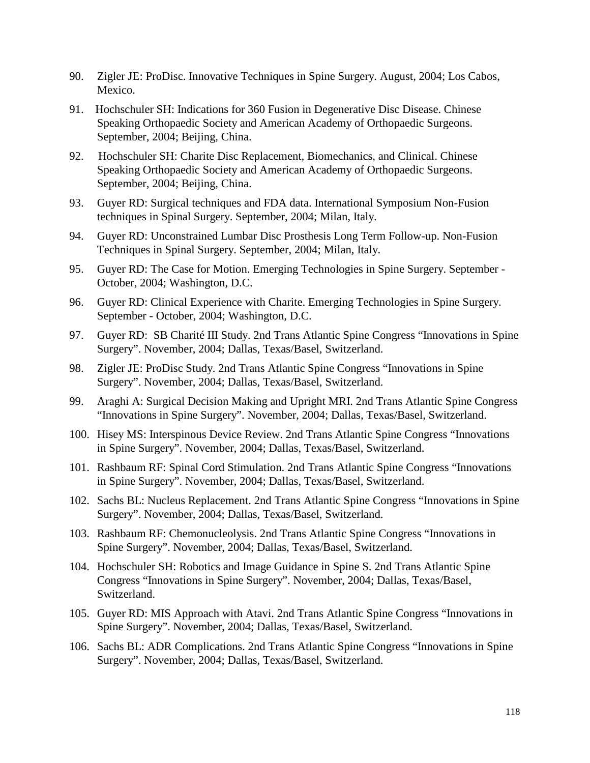- 90. Zigler JE: ProDisc. Innovative Techniques in Spine Surgery. August, 2004; Los Cabos, Mexico.
- 91. Hochschuler SH: Indications for 360 Fusion in Degenerative Disc Disease. Chinese Speaking Orthopaedic Society and American Academy of Orthopaedic Surgeons. September, 2004; Beijing, China.
- 92. Hochschuler SH: Charite Disc Replacement, Biomechanics, and Clinical. Chinese Speaking Orthopaedic Society and American Academy of Orthopaedic Surgeons. September, 2004; Beijing, China.
- 93. Guyer RD: Surgical techniques and FDA data. International Symposium Non-Fusion techniques in Spinal Surgery. September, 2004; Milan, Italy.
- 94. Guyer RD: Unconstrained Lumbar Disc Prosthesis Long Term Follow-up. Non-Fusion Techniques in Spinal Surgery. September, 2004; Milan, Italy.
- 95. Guyer RD: The Case for Motion. Emerging Technologies in Spine Surgery. September October, 2004; Washington, D.C.
- 96. Guyer RD: Clinical Experience with Charite. Emerging Technologies in Spine Surgery. September - October, 2004; Washington, D.C.
- 97. Guyer RD: SB Charité III Study. 2nd Trans Atlantic Spine Congress "Innovations in Spine Surgery". November, 2004; Dallas, Texas/Basel, Switzerland.
- 98. Zigler JE: ProDisc Study. 2nd Trans Atlantic Spine Congress "Innovations in Spine Surgery". November, 2004; Dallas, Texas/Basel, Switzerland.
- 99. Araghi A: Surgical Decision Making and Upright MRI. 2nd Trans Atlantic Spine Congress "Innovations in Spine Surgery". November, 2004; Dallas, Texas/Basel, Switzerland.
- 100. Hisey MS: Interspinous Device Review. 2nd Trans Atlantic Spine Congress "Innovations in Spine Surgery". November, 2004; Dallas, Texas/Basel, Switzerland.
- 101. Rashbaum RF: Spinal Cord Stimulation. 2nd Trans Atlantic Spine Congress "Innovations in Spine Surgery". November, 2004; Dallas, Texas/Basel, Switzerland.
- 102. Sachs BL: Nucleus Replacement. 2nd Trans Atlantic Spine Congress "Innovations in Spine Surgery". November, 2004; Dallas, Texas/Basel, Switzerland.
- 103. Rashbaum RF: Chemonucleolysis. 2nd Trans Atlantic Spine Congress "Innovations in Spine Surgery". November, 2004; Dallas, Texas/Basel, Switzerland.
- 104. Hochschuler SH: Robotics and Image Guidance in Spine S. 2nd Trans Atlantic Spine Congress "Innovations in Spine Surgery". November, 2004; Dallas, Texas/Basel, Switzerland.
- 105. Guyer RD: MIS Approach with Atavi. 2nd Trans Atlantic Spine Congress "Innovations in Spine Surgery". November, 2004; Dallas, Texas/Basel, Switzerland.
- 106. Sachs BL: ADR Complications. 2nd Trans Atlantic Spine Congress "Innovations in Spine Surgery". November, 2004; Dallas, Texas/Basel, Switzerland.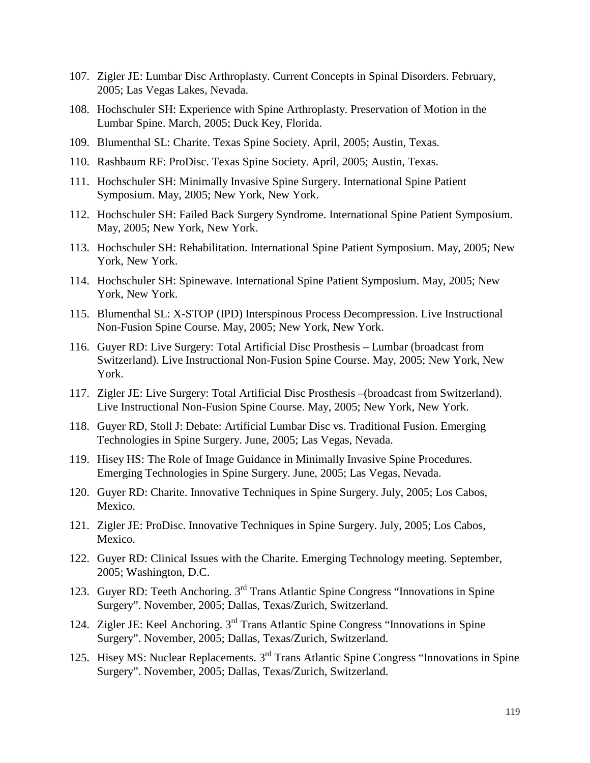- 107. Zigler JE: Lumbar Disc Arthroplasty. Current Concepts in Spinal Disorders. February, 2005; Las Vegas Lakes, Nevada.
- 108. Hochschuler SH: Experience with Spine Arthroplasty. Preservation of Motion in the Lumbar Spine. March, 2005; Duck Key, Florida.
- 109. Blumenthal SL: Charite. Texas Spine Society. April, 2005; Austin, Texas.
- 110. Rashbaum RF: ProDisc. Texas Spine Society. April, 2005; Austin, Texas.
- 111. Hochschuler SH: Minimally Invasive Spine Surgery. International Spine Patient Symposium. May, 2005; New York, New York.
- 112. Hochschuler SH: Failed Back Surgery Syndrome. International Spine Patient Symposium. May, 2005; New York, New York.
- 113. Hochschuler SH: Rehabilitation. International Spine Patient Symposium. May, 2005; New York, New York.
- 114. Hochschuler SH: Spinewave. International Spine Patient Symposium. May, 2005; New York, New York.
- 115. Blumenthal SL: X-STOP (IPD) Interspinous Process Decompression. Live Instructional Non-Fusion Spine Course. May, 2005; New York, New York.
- 116. Guyer RD: Live Surgery: Total Artificial Disc Prosthesis Lumbar (broadcast from Switzerland). Live Instructional Non-Fusion Spine Course. May, 2005; New York, New York.
- 117. Zigler JE: Live Surgery: Total Artificial Disc Prosthesis –(broadcast from Switzerland). Live Instructional Non-Fusion Spine Course. May, 2005; New York, New York.
- 118. Guyer RD, Stoll J: Debate: Artificial Lumbar Disc vs. Traditional Fusion. Emerging Technologies in Spine Surgery. June, 2005; Las Vegas, Nevada.
- 119. Hisey HS: The Role of Image Guidance in Minimally Invasive Spine Procedures. Emerging Technologies in Spine Surgery. June, 2005; Las Vegas, Nevada.
- 120. Guyer RD: Charite. Innovative Techniques in Spine Surgery. July, 2005; Los Cabos, Mexico.
- 121. Zigler JE: ProDisc. Innovative Techniques in Spine Surgery. July, 2005; Los Cabos, Mexico.
- 122. Guyer RD: Clinical Issues with the Charite. Emerging Technology meeting. September, 2005; Washington, D.C.
- 123. Guyer RD: Teeth Anchoring. 3rd Trans Atlantic Spine Congress "Innovations in Spine Surgery". November, 2005; Dallas, Texas/Zurich, Switzerland.
- 124. Zigler JE: Keel Anchoring. 3rd Trans Atlantic Spine Congress "Innovations in Spine Surgery". November, 2005; Dallas, Texas/Zurich, Switzerland.
- 125. Hisey MS: Nuclear Replacements. 3<sup>rd</sup> Trans Atlantic Spine Congress "Innovations in Spine Surgery". November, 2005; Dallas, Texas/Zurich, Switzerland.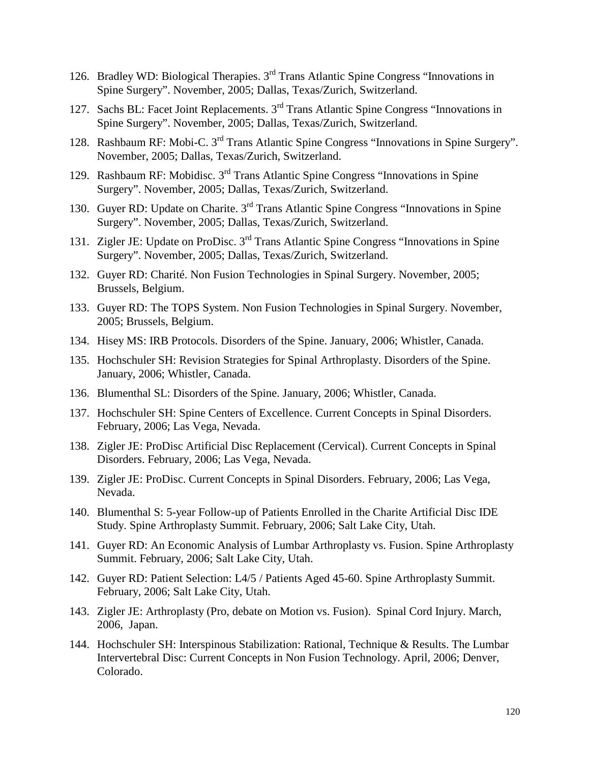- 126. Bradley WD: Biological Therapies. 3rd Trans Atlantic Spine Congress "Innovations in Spine Surgery". November, 2005; Dallas, Texas/Zurich, Switzerland.
- 127. Sachs BL: Facet Joint Replacements. 3rd Trans Atlantic Spine Congress "Innovations in Spine Surgery". November, 2005; Dallas, Texas/Zurich, Switzerland.
- 128. Rashbaum RF: Mobi-C. 3<sup>rd</sup> Trans Atlantic Spine Congress "Innovations in Spine Surgery". November, 2005; Dallas, Texas/Zurich, Switzerland.
- 129. Rashbaum RF: Mobidisc. 3rd Trans Atlantic Spine Congress "Innovations in Spine Surgery". November, 2005; Dallas, Texas/Zurich, Switzerland.
- 130. Guyer RD: Update on Charite. 3rd Trans Atlantic Spine Congress "Innovations in Spine Surgery". November, 2005; Dallas, Texas/Zurich, Switzerland.
- 131. Zigler JE: Update on ProDisc. 3rd Trans Atlantic Spine Congress "Innovations in Spine Surgery". November, 2005; Dallas, Texas/Zurich, Switzerland.
- 132. Guyer RD: Charité. Non Fusion Technologies in Spinal Surgery. November, 2005; Brussels, Belgium.
- 133. Guyer RD: The TOPS System. Non Fusion Technologies in Spinal Surgery. November, 2005; Brussels, Belgium.
- 134. Hisey MS: IRB Protocols. Disorders of the Spine. January, 2006; Whistler, Canada.
- 135. Hochschuler SH: Revision Strategies for Spinal Arthroplasty. Disorders of the Spine. January, 2006; Whistler, Canada.
- 136. Blumenthal SL: Disorders of the Spine. January, 2006; Whistler, Canada.
- 137. Hochschuler SH: Spine Centers of Excellence. Current Concepts in Spinal Disorders. February, 2006; Las Vega, Nevada.
- 138. Zigler JE: ProDisc Artificial Disc Replacement (Cervical). Current Concepts in Spinal Disorders. February, 2006; Las Vega, Nevada.
- 139. Zigler JE: ProDisc. Current Concepts in Spinal Disorders. February, 2006; Las Vega, Nevada.
- 140. Blumenthal S: 5-year Follow-up of Patients Enrolled in the Charite Artificial Disc IDE Study. Spine Arthroplasty Summit. February, 2006; Salt Lake City, Utah.
- 141. Guyer RD: An Economic Analysis of Lumbar Arthroplasty vs. Fusion. Spine Arthroplasty Summit. February, 2006; Salt Lake City, Utah.
- 142. Guyer RD: Patient Selection: L4/5 / Patients Aged 45-60. Spine Arthroplasty Summit. February, 2006; Salt Lake City, Utah.
- 143. Zigler JE: Arthroplasty (Pro, debate on Motion vs. Fusion). Spinal Cord Injury. March, 2006, Japan.
- 144. Hochschuler SH: Interspinous Stabilization: Rational, Technique & Results. The Lumbar Intervertebral Disc: Current Concepts in Non Fusion Technology. April, 2006; Denver, Colorado.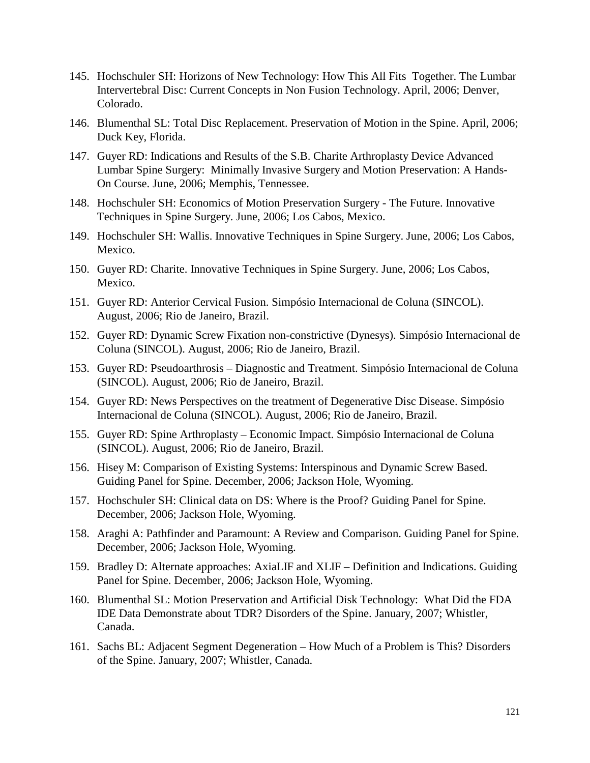- 145. Hochschuler SH: Horizons of New Technology: How This All Fits Together. The Lumbar Intervertebral Disc: Current Concepts in Non Fusion Technology. April, 2006; Denver, Colorado.
- 146. Blumenthal SL: Total Disc Replacement. Preservation of Motion in the Spine. April, 2006; Duck Key, Florida.
- 147. Guyer RD: Indications and Results of the S.B. Charite Arthroplasty Device Advanced Lumbar Spine Surgery: Minimally Invasive Surgery and Motion Preservation: A Hands-On Course. June, 2006; Memphis, Tennessee.
- 148. Hochschuler SH: Economics of Motion Preservation Surgery The Future. Innovative Techniques in Spine Surgery. June, 2006; Los Cabos, Mexico.
- 149. Hochschuler SH: Wallis. Innovative Techniques in Spine Surgery. June, 2006; Los Cabos, Mexico.
- 150. Guyer RD: Charite. Innovative Techniques in Spine Surgery. June, 2006; Los Cabos, Mexico.
- 151. Guyer RD: Anterior Cervical Fusion. Simpósio Internacional de Coluna (SINCOL). August, 2006; Rio de Janeiro, Brazil.
- 152. Guyer RD: Dynamic Screw Fixation non-constrictive (Dynesys). Simpósio Internacional de Coluna (SINCOL). August, 2006; Rio de Janeiro, Brazil.
- 153. Guyer RD: Pseudoarthrosis Diagnostic and Treatment. Simpósio Internacional de Coluna (SINCOL). August, 2006; Rio de Janeiro, Brazil.
- 154. Guyer RD: News Perspectives on the treatment of Degenerative Disc Disease. Simpósio Internacional de Coluna (SINCOL). August, 2006; Rio de Janeiro, Brazil.
- 155. Guyer RD: Spine Arthroplasty Economic Impact. Simpósio Internacional de Coluna (SINCOL). August, 2006; Rio de Janeiro, Brazil.
- 156. Hisey M: Comparison of Existing Systems: Interspinous and Dynamic Screw Based. Guiding Panel for Spine. December, 2006; Jackson Hole, Wyoming.
- 157. Hochschuler SH: Clinical data on DS: Where is the Proof? Guiding Panel for Spine. December, 2006; Jackson Hole, Wyoming.
- 158. Araghi A: Pathfinder and Paramount: A Review and Comparison. Guiding Panel for Spine. December, 2006; Jackson Hole, Wyoming.
- 159. Bradley D: Alternate approaches: AxiaLIF and XLIF Definition and Indications. Guiding Panel for Spine. December, 2006; Jackson Hole, Wyoming.
- 160. Blumenthal SL: Motion Preservation and Artificial Disk Technology: What Did the FDA IDE Data Demonstrate about TDR? Disorders of the Spine. January, 2007; Whistler, Canada.
- 161. Sachs BL: Adjacent Segment Degeneration How Much of a Problem is This? Disorders of the Spine. January, 2007; Whistler, Canada.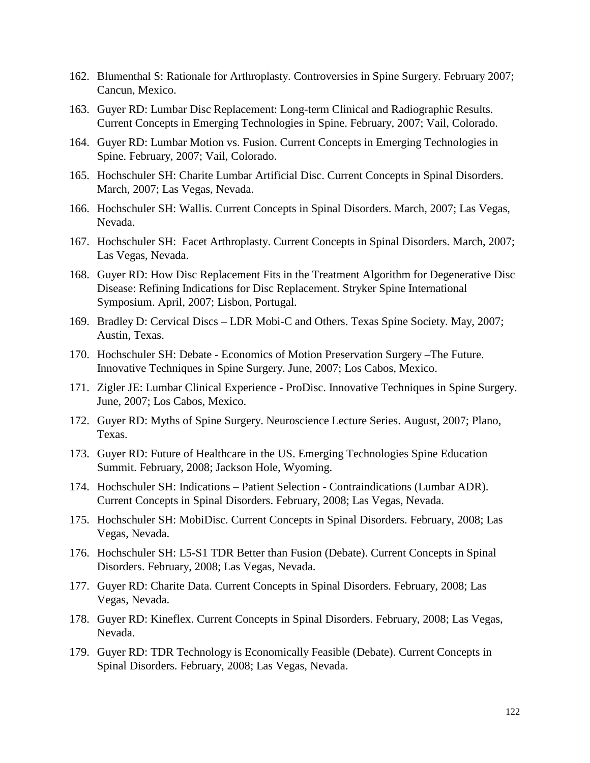- 162. Blumenthal S: Rationale for Arthroplasty. Controversies in Spine Surgery. February 2007; Cancun, Mexico.
- 163. Guyer RD: Lumbar Disc Replacement: Long-term Clinical and Radiographic Results. Current Concepts in Emerging Technologies in Spine. February, 2007; Vail, Colorado.
- 164. Guyer RD: Lumbar Motion vs. Fusion. Current Concepts in Emerging Technologies in Spine. February, 2007; Vail, Colorado.
- 165. Hochschuler SH: Charite Lumbar Artificial Disc. Current Concepts in Spinal Disorders. March, 2007; Las Vegas, Nevada.
- 166. Hochschuler SH: Wallis. Current Concepts in Spinal Disorders. March, 2007; Las Vegas, Nevada.
- 167. Hochschuler SH: Facet Arthroplasty. Current Concepts in Spinal Disorders. March, 2007; Las Vegas, Nevada.
- 168. Guyer RD: How Disc Replacement Fits in the Treatment Algorithm for Degenerative Disc Disease: Refining Indications for Disc Replacement. Stryker Spine International Symposium. April, 2007; Lisbon, Portugal.
- 169. Bradley D: Cervical Discs LDR Mobi-C and Others. Texas Spine Society. May, 2007; Austin, Texas.
- 170. Hochschuler SH: Debate Economics of Motion Preservation Surgery –The Future. Innovative Techniques in Spine Surgery. June, 2007; Los Cabos, Mexico.
- 171. Zigler JE: Lumbar Clinical Experience ProDisc. Innovative Techniques in Spine Surgery. June, 2007; Los Cabos, Mexico.
- 172. Guyer RD: Myths of Spine Surgery. Neuroscience Lecture Series. August, 2007; Plano, Texas.
- 173. Guyer RD: Future of Healthcare in the US. Emerging Technologies Spine Education Summit. February, 2008; Jackson Hole, Wyoming.
- 174. Hochschuler SH: Indications Patient Selection Contraindications (Lumbar ADR). Current Concepts in Spinal Disorders. February, 2008; Las Vegas, Nevada.
- 175. Hochschuler SH: MobiDisc. Current Concepts in Spinal Disorders. February, 2008; Las Vegas, Nevada.
- 176. Hochschuler SH: L5-S1 TDR Better than Fusion (Debate). Current Concepts in Spinal Disorders. February, 2008; Las Vegas, Nevada.
- 177. Guyer RD: Charite Data. Current Concepts in Spinal Disorders. February, 2008; Las Vegas, Nevada.
- 178. Guyer RD: Kineflex. Current Concepts in Spinal Disorders. February, 2008; Las Vegas, Nevada.
- 179. Guyer RD: TDR Technology is Economically Feasible (Debate). Current Concepts in Spinal Disorders. February, 2008; Las Vegas, Nevada.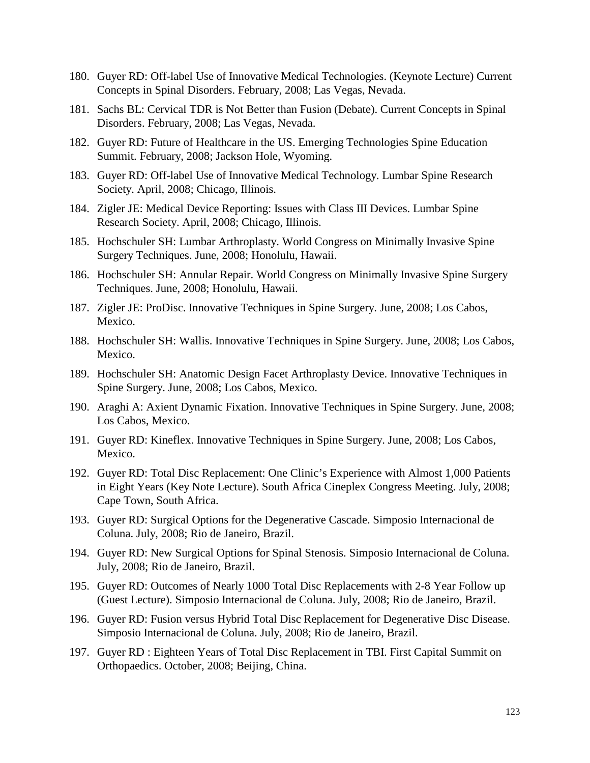- 180. Guyer RD: Off-label Use of Innovative Medical Technologies. (Keynote Lecture) Current Concepts in Spinal Disorders. February, 2008; Las Vegas, Nevada.
- 181. Sachs BL: Cervical TDR is Not Better than Fusion (Debate). Current Concepts in Spinal Disorders. February, 2008; Las Vegas, Nevada.
- 182. Guyer RD: Future of Healthcare in the US. Emerging Technologies Spine Education Summit. February, 2008; Jackson Hole, Wyoming.
- 183. Guyer RD: Off-label Use of Innovative Medical Technology. Lumbar Spine Research Society. April, 2008; Chicago, Illinois.
- 184. Zigler JE: Medical Device Reporting: Issues with Class III Devices. Lumbar Spine Research Society. April, 2008; Chicago, Illinois.
- 185. Hochschuler SH: Lumbar Arthroplasty. World Congress on Minimally Invasive Spine Surgery Techniques. June, 2008; Honolulu, Hawaii.
- 186. Hochschuler SH: Annular Repair. World Congress on Minimally Invasive Spine Surgery Techniques. June, 2008; Honolulu, Hawaii.
- 187. Zigler JE: ProDisc. Innovative Techniques in Spine Surgery. June, 2008; Los Cabos, Mexico.
- 188. Hochschuler SH: Wallis. Innovative Techniques in Spine Surgery. June, 2008; Los Cabos, Mexico.
- 189. Hochschuler SH: Anatomic Design Facet Arthroplasty Device. Innovative Techniques in Spine Surgery. June, 2008; Los Cabos, Mexico.
- 190. Araghi A: Axient Dynamic Fixation. Innovative Techniques in Spine Surgery. June, 2008; Los Cabos, Mexico.
- 191. Guyer RD: Kineflex. Innovative Techniques in Spine Surgery. June, 2008; Los Cabos, Mexico.
- 192. Guyer RD: Total Disc Replacement: One Clinic's Experience with Almost 1,000 Patients in Eight Years (Key Note Lecture). South Africa Cineplex Congress Meeting. July, 2008; Cape Town, South Africa.
- 193. Guyer RD: Surgical Options for the Degenerative Cascade. Simposio Internacional de Coluna. July, 2008; Rio de Janeiro, Brazil.
- 194. Guyer RD: New Surgical Options for Spinal Stenosis. Simposio Internacional de Coluna. July, 2008; Rio de Janeiro, Brazil.
- 195. Guyer RD: Outcomes of Nearly 1000 Total Disc Replacements with 2-8 Year Follow up (Guest Lecture). Simposio Internacional de Coluna. July, 2008; Rio de Janeiro, Brazil.
- 196. Guyer RD: Fusion versus Hybrid Total Disc Replacement for Degenerative Disc Disease. Simposio Internacional de Coluna. July, 2008; Rio de Janeiro, Brazil.
- 197. Guyer RD : Eighteen Years of Total Disc Replacement in TBI. First Capital Summit on Orthopaedics. October, 2008; Beijing, China.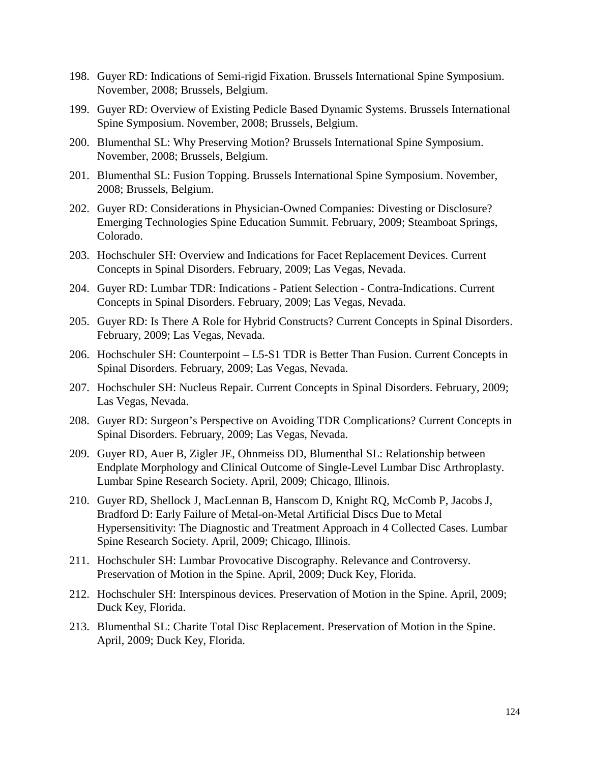- 198. Guyer RD: Indications of Semi-rigid Fixation. Brussels International Spine Symposium. November, 2008; Brussels, Belgium.
- 199. Guyer RD: Overview of Existing Pedicle Based Dynamic Systems. Brussels International Spine Symposium. November, 2008; Brussels, Belgium.
- 200. Blumenthal SL: Why Preserving Motion? Brussels International Spine Symposium. November, 2008; Brussels, Belgium.
- 201. Blumenthal SL: Fusion Topping. Brussels International Spine Symposium. November, 2008; Brussels, Belgium.
- 202. Guyer RD: Considerations in Physician-Owned Companies: Divesting or Disclosure? Emerging Technologies Spine Education Summit. February, 2009; Steamboat Springs, Colorado.
- 203. Hochschuler SH: Overview and Indications for Facet Replacement Devices. Current Concepts in Spinal Disorders. February, 2009; Las Vegas, Nevada.
- 204. Guyer RD: Lumbar TDR: Indications Patient Selection Contra-Indications. Current Concepts in Spinal Disorders. February, 2009; Las Vegas, Nevada.
- 205. Guyer RD: Is There A Role for Hybrid Constructs? Current Concepts in Spinal Disorders. February, 2009; Las Vegas, Nevada.
- 206. Hochschuler SH: Counterpoint L5-S1 TDR is Better Than Fusion. Current Concepts in Spinal Disorders. February, 2009; Las Vegas, Nevada.
- 207. Hochschuler SH: Nucleus Repair. Current Concepts in Spinal Disorders. February, 2009; Las Vegas, Nevada.
- 208. Guyer RD: Surgeon's Perspective on Avoiding TDR Complications? Current Concepts in Spinal Disorders. February, 2009; Las Vegas, Nevada.
- 209. Guyer RD, Auer B, Zigler JE, Ohnmeiss DD, Blumenthal SL: Relationship between Endplate Morphology and Clinical Outcome of Single-Level Lumbar Disc Arthroplasty. Lumbar Spine Research Society. April, 2009; Chicago, Illinois.
- 210. Guyer RD, Shellock J, MacLennan B, Hanscom D, Knight RQ, McComb P, Jacobs J, Bradford D: Early Failure of Metal-on-Metal Artificial Discs Due to Metal Hypersensitivity: The Diagnostic and Treatment Approach in 4 Collected Cases. Lumbar Spine Research Society. April, 2009; Chicago, Illinois.
- 211. Hochschuler SH: Lumbar Provocative Discography. Relevance and Controversy. Preservation of Motion in the Spine. April, 2009; Duck Key, Florida.
- 212. Hochschuler SH: Interspinous devices. Preservation of Motion in the Spine. April, 2009; Duck Key, Florida.
- 213. Blumenthal SL: Charite Total Disc Replacement. Preservation of Motion in the Spine. April, 2009; Duck Key, Florida.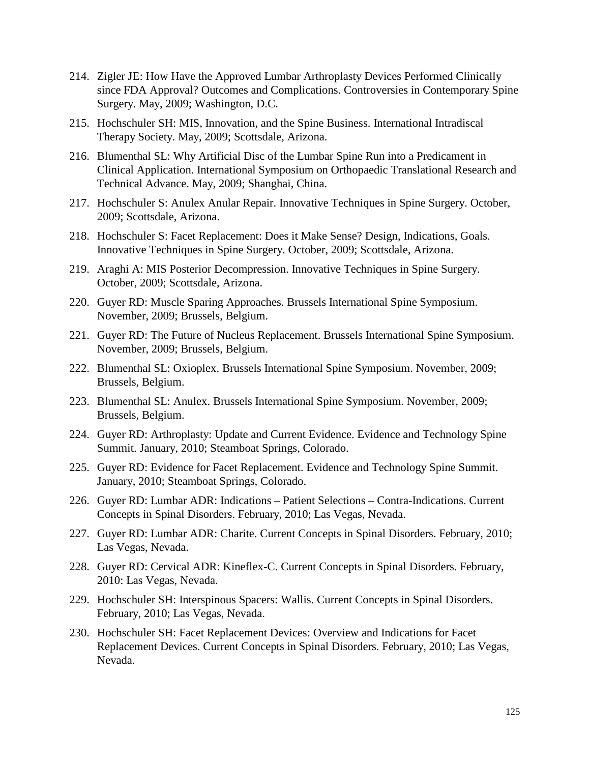- 214. Zigler JE: How Have the Approved Lumbar Arthroplasty Devices Performed Clinically since FDA Approval? Outcomes and Complications. Controversies in Contemporary Spine Surgery. May, 2009; Washington, D.C.
- 215. Hochschuler SH: MIS, Innovation, and the Spine Business. International Intradiscal Therapy Society. May, 2009; Scottsdale, Arizona.
- 216. Blumenthal SL: Why Artificial Disc of the Lumbar Spine Run into a Predicament in Clinical Application. International Symposium on Orthopaedic Translational Research and Technical Advance. May, 2009; Shanghai, China.
- 217. Hochschuler S: Anulex Anular Repair. Innovative Techniques in Spine Surgery. October, 2009; Scottsdale, Arizona.
- 218. Hochschuler S: Facet Replacement: Does it Make Sense? Design, Indications, Goals. Innovative Techniques in Spine Surgery. October, 2009; Scottsdale, Arizona.
- 219. Araghi A: MIS Posterior Decompression. Innovative Techniques in Spine Surgery. October, 2009; Scottsdale, Arizona.
- 220. Guyer RD: Muscle Sparing Approaches. Brussels International Spine Symposium. November, 2009; Brussels, Belgium.
- 221. Guyer RD: The Future of Nucleus Replacement. Brussels International Spine Symposium. November, 2009; Brussels, Belgium.
- 222. Blumenthal SL: Oxioplex. Brussels International Spine Symposium. November, 2009; Brussels, Belgium.
- 223. Blumenthal SL: Anulex. Brussels International Spine Symposium. November, 2009; Brussels, Belgium.
- 224. Guyer RD: Arthroplasty: Update and Current Evidence. Evidence and Technology Spine Summit. January, 2010; Steamboat Springs, Colorado.
- 225. Guyer RD: Evidence for Facet Replacement. Evidence and Technology Spine Summit. January, 2010; Steamboat Springs, Colorado.
- 226. Guyer RD: Lumbar ADR: Indications Patient Selections Contra-Indications. Current Concepts in Spinal Disorders. February, 2010; Las Vegas, Nevada.
- 227. Guyer RD: Lumbar ADR: Charite. Current Concepts in Spinal Disorders. February, 2010; Las Vegas, Nevada.
- 228. Guyer RD: Cervical ADR: Kineflex-C. Current Concepts in Spinal Disorders. February, 2010: Las Vegas, Nevada.
- 229. Hochschuler SH: Interspinous Spacers: Wallis. Current Concepts in Spinal Disorders. February, 2010; Las Vegas, Nevada.
- 230. Hochschuler SH: Facet Replacement Devices: Overview and Indications for Facet Replacement Devices. Current Concepts in Spinal Disorders. February, 2010; Las Vegas, Nevada.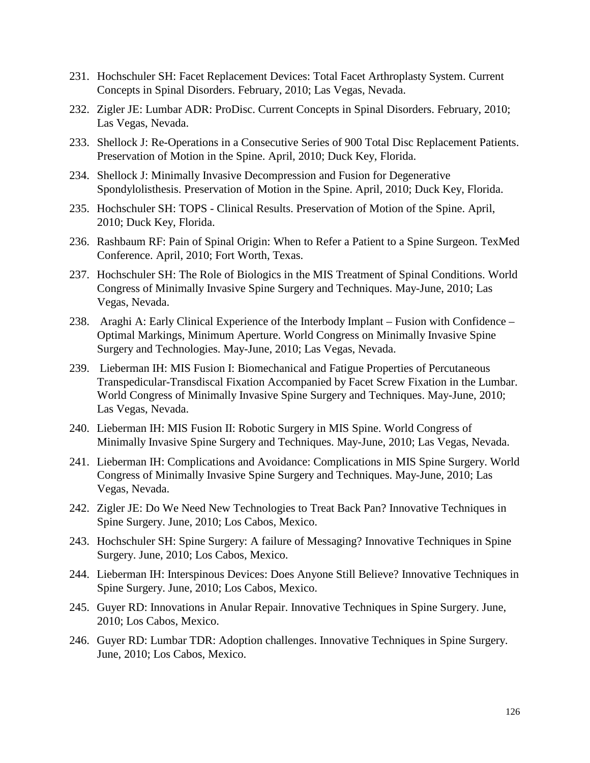- 231. Hochschuler SH: Facet Replacement Devices: Total Facet Arthroplasty System. Current Concepts in Spinal Disorders. February, 2010; Las Vegas, Nevada.
- 232. Zigler JE: Lumbar ADR: ProDisc. Current Concepts in Spinal Disorders. February, 2010; Las Vegas, Nevada.
- 233. Shellock J: Re-Operations in a Consecutive Series of 900 Total Disc Replacement Patients. Preservation of Motion in the Spine. April, 2010; Duck Key, Florida.
- 234. Shellock J: Minimally Invasive Decompression and Fusion for Degenerative Spondylolisthesis. Preservation of Motion in the Spine. April, 2010; Duck Key, Florida.
- 235. Hochschuler SH: TOPS Clinical Results. Preservation of Motion of the Spine. April, 2010; Duck Key, Florida.
- 236. Rashbaum RF: Pain of Spinal Origin: When to Refer a Patient to a Spine Surgeon. TexMed Conference. April, 2010; Fort Worth, Texas.
- 237. Hochschuler SH: The Role of Biologics in the MIS Treatment of Spinal Conditions. World Congress of Minimally Invasive Spine Surgery and Techniques. May-June, 2010; Las Vegas, Nevada.
- 238. Araghi A: Early Clinical Experience of the Interbody Implant Fusion with Confidence Optimal Markings, Minimum Aperture. World Congress on Minimally Invasive Spine Surgery and Technologies. May-June, 2010; Las Vegas, Nevada.
- 239. Lieberman IH: MIS Fusion I: Biomechanical and Fatigue Properties of Percutaneous Transpedicular-Transdiscal Fixation Accompanied by Facet Screw Fixation in the Lumbar. World Congress of Minimally Invasive Spine Surgery and Techniques. May-June, 2010; Las Vegas, Nevada.
- 240. Lieberman IH: MIS Fusion II: Robotic Surgery in MIS Spine. World Congress of Minimally Invasive Spine Surgery and Techniques. May-June, 2010; Las Vegas, Nevada.
- 241. Lieberman IH: Complications and Avoidance: Complications in MIS Spine Surgery. World Congress of Minimally Invasive Spine Surgery and Techniques. May-June, 2010; Las Vegas, Nevada.
- 242. Zigler JE: Do We Need New Technologies to Treat Back Pan? Innovative Techniques in Spine Surgery. June, 2010; Los Cabos, Mexico.
- 243. Hochschuler SH: Spine Surgery: A failure of Messaging? Innovative Techniques in Spine Surgery. June, 2010; Los Cabos, Mexico.
- 244. Lieberman IH: Interspinous Devices: Does Anyone Still Believe? Innovative Techniques in Spine Surgery. June, 2010; Los Cabos, Mexico.
- 245. Guyer RD: Innovations in Anular Repair. Innovative Techniques in Spine Surgery. June, 2010; Los Cabos, Mexico.
- 246. Guyer RD: Lumbar TDR: Adoption challenges. Innovative Techniques in Spine Surgery. June, 2010; Los Cabos, Mexico.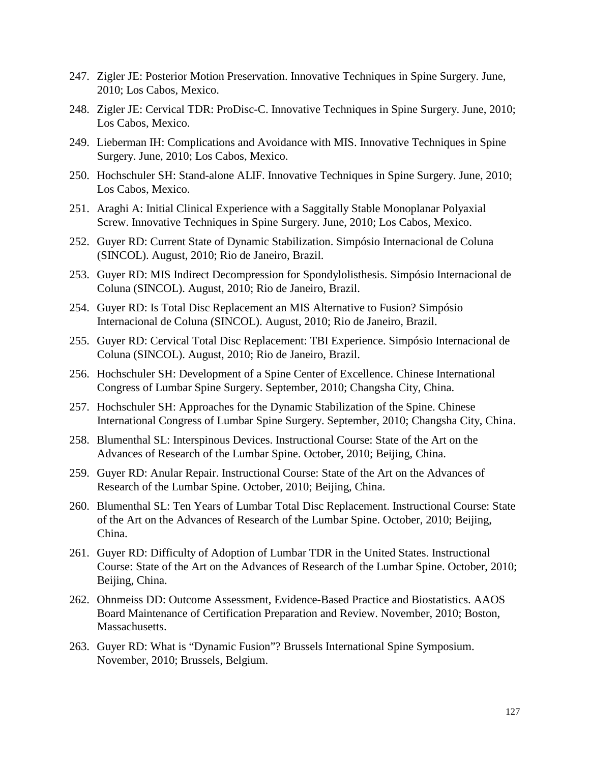- 247. Zigler JE: Posterior Motion Preservation. Innovative Techniques in Spine Surgery. June, 2010; Los Cabos, Mexico.
- 248. Zigler JE: Cervical TDR: ProDisc-C. Innovative Techniques in Spine Surgery. June, 2010; Los Cabos, Mexico.
- 249. Lieberman IH: Complications and Avoidance with MIS. Innovative Techniques in Spine Surgery. June, 2010; Los Cabos, Mexico.
- 250. Hochschuler SH: Stand-alone ALIF. Innovative Techniques in Spine Surgery. June, 2010; Los Cabos, Mexico.
- 251. Araghi A: Initial Clinical Experience with a Saggitally Stable Monoplanar Polyaxial Screw. Innovative Techniques in Spine Surgery. June, 2010; Los Cabos, Mexico.
- 252. Guyer RD: Current State of Dynamic Stabilization. Simpósio Internacional de Coluna (SINCOL). August, 2010; Rio de Janeiro, Brazil.
- 253. Guyer RD: MIS Indirect Decompression for Spondylolisthesis. Simpósio Internacional de Coluna (SINCOL). August, 2010; Rio de Janeiro, Brazil.
- 254. Guyer RD: Is Total Disc Replacement an MIS Alternative to Fusion? Simpósio Internacional de Coluna (SINCOL). August, 2010; Rio de Janeiro, Brazil.
- 255. Guyer RD: Cervical Total Disc Replacement: TBI Experience. Simpósio Internacional de Coluna (SINCOL). August, 2010; Rio de Janeiro, Brazil.
- 256. Hochschuler SH: Development of a Spine Center of Excellence. Chinese International Congress of Lumbar Spine Surgery. September, 2010; Changsha City, China.
- 257. Hochschuler SH: Approaches for the Dynamic Stabilization of the Spine. Chinese International Congress of Lumbar Spine Surgery. September, 2010; Changsha City, China.
- 258. Blumenthal SL: Interspinous Devices. Instructional Course: State of the Art on the Advances of Research of the Lumbar Spine. October, 2010; Beijing, China.
- 259. Guyer RD: Anular Repair. Instructional Course: State of the Art on the Advances of Research of the Lumbar Spine. October, 2010; Beijing, China.
- 260. Blumenthal SL: Ten Years of Lumbar Total Disc Replacement. Instructional Course: State of the Art on the Advances of Research of the Lumbar Spine. October, 2010; Beijing, China.
- 261.Guyer RD: Difficulty of Adoption of Lumbar TDR in the United States. Instructional Course: State of the Art on the Advances of Research of the Lumbar Spine. October, 2010; Beijing, China.
- 262. Ohnmeiss DD: Outcome Assessment, Evidence-Based Practice and Biostatistics. AAOS Board Maintenance of Certification Preparation and Review. November, 2010; Boston, Massachusetts.
- 263. Guyer RD: What is "Dynamic Fusion"? Brussels International Spine Symposium. November, 2010; Brussels, Belgium.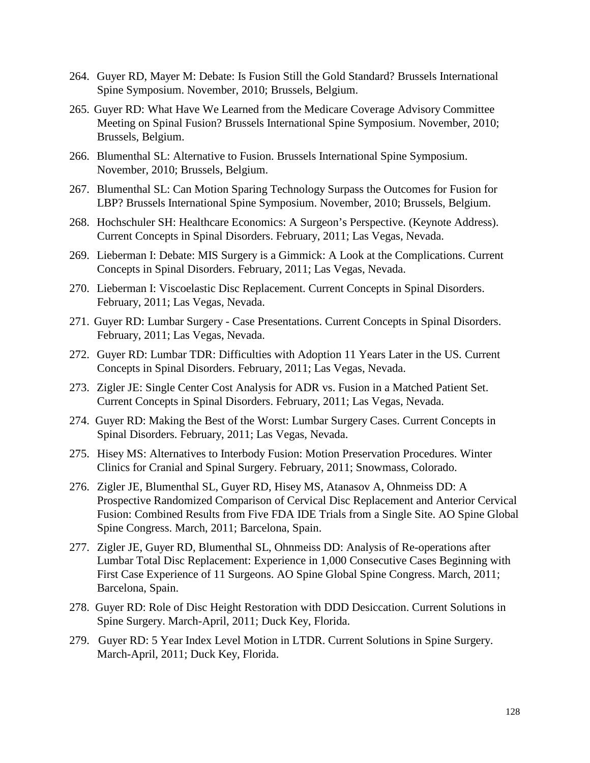- 264. Guyer RD, Mayer M: Debate: Is Fusion Still the Gold Standard? Brussels International Spine Symposium. November, 2010; Brussels, Belgium.
- 265. Guyer RD: What Have We Learned from the Medicare Coverage Advisory Committee Meeting on Spinal Fusion? Brussels International Spine Symposium. November, 2010; Brussels, Belgium.
- 266. Blumenthal SL: Alternative to Fusion. Brussels International Spine Symposium. November, 2010; Brussels, Belgium.
- 267. Blumenthal SL: Can Motion Sparing Technology Surpass the Outcomes for Fusion for LBP? Brussels International Spine Symposium. November, 2010; Brussels, Belgium.
- 268. Hochschuler SH: Healthcare Economics: A Surgeon's Perspective. (Keynote Address). Current Concepts in Spinal Disorders. February, 2011; Las Vegas, Nevada.
- 269. Lieberman I: Debate: MIS Surgery is a Gimmick: A Look at the Complications. Current Concepts in Spinal Disorders. February, 2011; Las Vegas, Nevada.
- 270. Lieberman I: Viscoelastic Disc Replacement. Current Concepts in Spinal Disorders. February, 2011; Las Vegas, Nevada.
- 271. Guyer RD: Lumbar Surgery Case Presentations. Current Concepts in Spinal Disorders. February, 2011; Las Vegas, Nevada.
- 272. Guyer RD: Lumbar TDR: Difficulties with Adoption 11 Years Later in the US*.* Current Concepts in Spinal Disorders. February, 2011; Las Vegas, Nevada.
- 273. Zigler JE: Single Center Cost Analysis for ADR vs. Fusion in a Matched Patient Set. Current Concepts in Spinal Disorders. February, 2011; Las Vegas, Nevada.
- 274. Guyer RD: Making the Best of the Worst: Lumbar Surgery Cases. Current Concepts in Spinal Disorders. February, 2011; Las Vegas, Nevada.
- 275. Hisey MS: Alternatives to Interbody Fusion: Motion Preservation Procedures. Winter Clinics for Cranial and Spinal Surgery. February, 2011; Snowmass, Colorado.
- 276. Zigler JE, Blumenthal SL, Guyer RD, Hisey MS, Atanasov A, Ohnmeiss DD: A Prospective Randomized Comparison of Cervical Disc Replacement and Anterior Cervical Fusion: Combined Results from Five FDA IDE Trials from a Single Site. AO Spine Global Spine Congress. March, 2011; Barcelona, Spain.
- 277. Zigler JE, Guyer RD, Blumenthal SL, Ohnmeiss DD: Analysis of Re-operations after Lumbar Total Disc Replacement: Experience in 1,000 Consecutive Cases Beginning with First Case Experience of 11 Surgeons. AO Spine Global Spine Congress. March, 2011; Barcelona, Spain.
- 278. Guyer RD: Role of Disc Height Restoration with DDD Desiccation. Current Solutions in Spine Surgery. March-April, 2011; Duck Key, Florida.
- 279. Guyer RD: 5 Year Index Level Motion in LTDR. Current Solutions in Spine Surgery. March-April, 2011; Duck Key, Florida.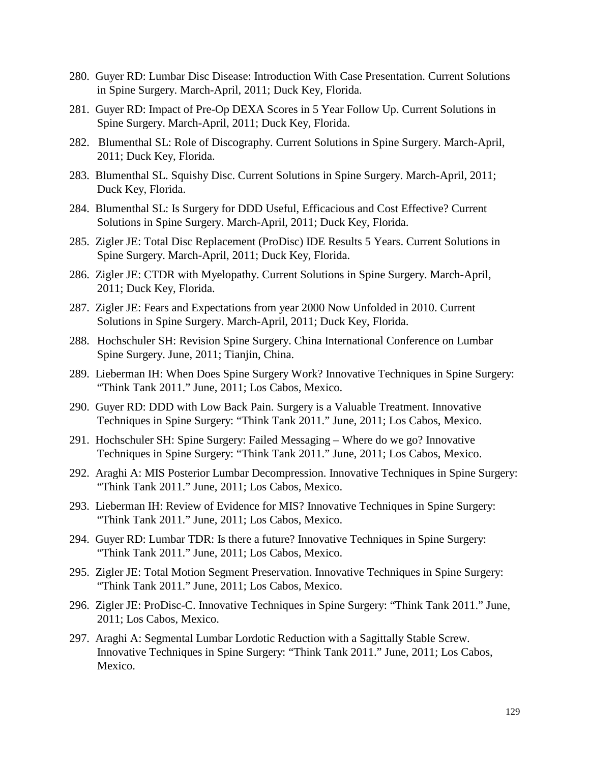- 280. Guyer RD: Lumbar Disc Disease: Introduction With Case Presentation. Current Solutions in Spine Surgery. March-April, 2011; Duck Key, Florida.
- 281. Guyer RD: Impact of Pre-Op DEXA Scores in 5 Year Follow Up. Current Solutions in Spine Surgery. March-April, 2011; Duck Key, Florida.
- 282. Blumenthal SL: Role of Discography. Current Solutions in Spine Surgery. March-April, 2011; Duck Key, Florida.
- 283. Blumenthal SL. Squishy Disc. Current Solutions in Spine Surgery. March-April, 2011; Duck Key, Florida.
- 284. Blumenthal SL: Is Surgery for DDD Useful, Efficacious and Cost Effective? Current Solutions in Spine Surgery. March-April, 2011; Duck Key, Florida.
- 285. Zigler JE: Total Disc Replacement (ProDisc) IDE Results 5 Years. Current Solutions in Spine Surgery. March-April, 2011; Duck Key, Florida.
- 286. Zigler JE: CTDR with Myelopathy. Current Solutions in Spine Surgery. March-April, 2011; Duck Key, Florida.
- 287. Zigler JE: Fears and Expectations from year 2000 Now Unfolded in 2010. Current Solutions in Spine Surgery. March-April, 2011; Duck Key, Florida.
- 288. Hochschuler SH: Revision Spine Surgery. China International Conference on Lumbar Spine Surgery. June, 2011; Tianjin, China.
- 289. Lieberman IH: When Does Spine Surgery Work? Innovative Techniques in Spine Surgery: "Think Tank 2011." June, 2011; Los Cabos, Mexico.
- 290. Guyer RD: DDD with Low Back Pain. Surgery is a Valuable Treatment. Innovative Techniques in Spine Surgery: "Think Tank 2011." June, 2011; Los Cabos, Mexico.
- 291. Hochschuler SH: Spine Surgery: Failed Messaging Where do we go? Innovative Techniques in Spine Surgery: "Think Tank 2011." June, 2011; Los Cabos, Mexico.
- 292. Araghi A: MIS Posterior Lumbar Decompression. Innovative Techniques in Spine Surgery: "Think Tank 2011." June, 2011; Los Cabos, Mexico.
- 293. Lieberman IH: Review of Evidence for MIS? Innovative Techniques in Spine Surgery: "Think Tank 2011." June, 2011; Los Cabos, Mexico.
- 294. Guyer RD: Lumbar TDR: Is there a future? Innovative Techniques in Spine Surgery: "Think Tank 2011." June, 2011; Los Cabos, Mexico.
- 295. Zigler JE: Total Motion Segment Preservation. Innovative Techniques in Spine Surgery: "Think Tank 2011." June, 2011; Los Cabos, Mexico.
- 296. Zigler JE: ProDisc-C. Innovative Techniques in Spine Surgery: "Think Tank 2011." June, 2011; Los Cabos, Mexico.
- 297. Araghi A: Segmental Lumbar Lordotic Reduction with a Sagittally Stable Screw. Innovative Techniques in Spine Surgery: "Think Tank 2011." June, 2011; Los Cabos, Mexico.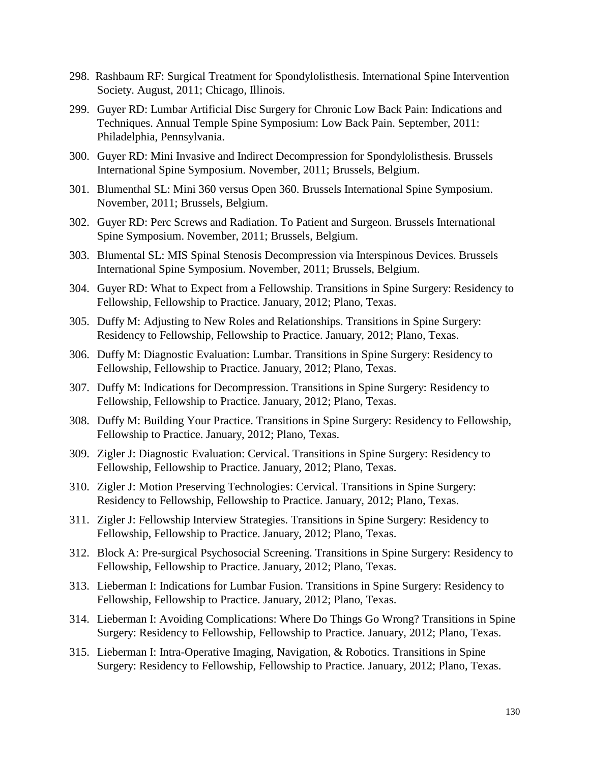- 298. Rashbaum RF: Surgical Treatment for Spondylolisthesis. International Spine Intervention Society. August, 2011; Chicago, Illinois.
- 299. Guyer RD: Lumbar Artificial Disc Surgery for Chronic Low Back Pain: Indications and Techniques. Annual Temple Spine Symposium: Low Back Pain. September, 2011: Philadelphia, Pennsylvania.
- 300. Guyer RD: Mini Invasive and Indirect Decompression for Spondylolisthesis. Brussels International Spine Symposium. November, 2011; Brussels, Belgium.
- 301. Blumenthal SL: Mini 360 versus Open 360. Brussels International Spine Symposium. November, 2011; Brussels, Belgium.
- 302. Guyer RD: Perc Screws and Radiation. To Patient and Surgeon. Brussels International Spine Symposium. November, 2011; Brussels, Belgium.
- 303. Blumental SL: MIS Spinal Stenosis Decompression via Interspinous Devices. Brussels International Spine Symposium. November, 2011; Brussels, Belgium.
- 304. Guyer RD: What to Expect from a Fellowship. Transitions in Spine Surgery: Residency to Fellowship, Fellowship to Practice. January, 2012; Plano, Texas.
- 305. Duffy M: Adjusting to New Roles and Relationships. Transitions in Spine Surgery: Residency to Fellowship, Fellowship to Practice. January, 2012; Plano, Texas.
- 306. Duffy M: Diagnostic Evaluation: Lumbar. Transitions in Spine Surgery: Residency to Fellowship, Fellowship to Practice. January, 2012; Plano, Texas.
- 307. Duffy M: Indications for Decompression. Transitions in Spine Surgery: Residency to Fellowship, Fellowship to Practice. January, 2012; Plano, Texas.
- 308. Duffy M: Building Your Practice. Transitions in Spine Surgery: Residency to Fellowship, Fellowship to Practice. January, 2012; Plano, Texas.
- 309. Zigler J: Diagnostic Evaluation: Cervical. Transitions in Spine Surgery: Residency to Fellowship, Fellowship to Practice. January, 2012; Plano, Texas.
- 310. Zigler J: Motion Preserving Technologies: Cervical. Transitions in Spine Surgery: Residency to Fellowship, Fellowship to Practice. January, 2012; Plano, Texas.
- 311. Zigler J: Fellowship Interview Strategies. Transitions in Spine Surgery: Residency to Fellowship, Fellowship to Practice. January, 2012; Plano, Texas.
- 312. Block A: Pre-surgical Psychosocial Screening. Transitions in Spine Surgery: Residency to Fellowship, Fellowship to Practice. January, 2012; Plano, Texas.
- 313. Lieberman I: Indications for Lumbar Fusion. Transitions in Spine Surgery: Residency to Fellowship, Fellowship to Practice. January, 2012; Plano, Texas.
- 314. Lieberman I: Avoiding Complications: Where Do Things Go Wrong? Transitions in Spine Surgery: Residency to Fellowship, Fellowship to Practice. January, 2012; Plano, Texas.
- 315. Lieberman I: Intra-Operative Imaging, Navigation, & Robotics. Transitions in Spine Surgery: Residency to Fellowship, Fellowship to Practice. January, 2012; Plano, Texas.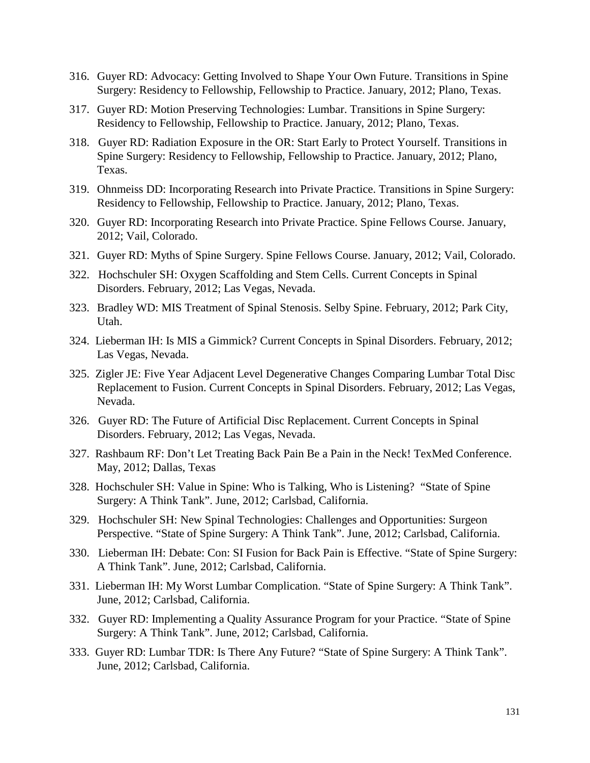- 316. Guyer RD: Advocacy: Getting Involved to Shape Your Own Future. Transitions in Spine Surgery: Residency to Fellowship, Fellowship to Practice. January, 2012; Plano, Texas.
- 317. Guyer RD: Motion Preserving Technologies: Lumbar. Transitions in Spine Surgery: Residency to Fellowship, Fellowship to Practice. January, 2012; Plano, Texas.
- 318. Guyer RD: Radiation Exposure in the OR: Start Early to Protect Yourself. Transitions in Spine Surgery: Residency to Fellowship, Fellowship to Practice. January, 2012; Plano, Texas.
- 319. Ohnmeiss DD: Incorporating Research into Private Practice. Transitions in Spine Surgery: Residency to Fellowship, Fellowship to Practice. January, 2012; Plano, Texas.
- 320. Guyer RD: Incorporating Research into Private Practice. Spine Fellows Course. January, 2012; Vail, Colorado.
- 321. Guyer RD: Myths of Spine Surgery. Spine Fellows Course. January, 2012; Vail, Colorado.
- 322. Hochschuler SH: Oxygen Scaffolding and Stem Cells. Current Concepts in Spinal Disorders. February, 2012; Las Vegas, Nevada.
- 323. Bradley WD: MIS Treatment of Spinal Stenosis. Selby Spine. February, 2012; Park City, Utah.
- 324. Lieberman IH: Is MIS a Gimmick? Current Concepts in Spinal Disorders. February, 2012; Las Vegas, Nevada.
- 325. Zigler JE: Five Year Adjacent Level Degenerative Changes Comparing Lumbar Total Disc Replacement to Fusion. Current Concepts in Spinal Disorders. February, 2012; Las Vegas, Nevada.
- 326. Guyer RD: The Future of Artificial Disc Replacement. Current Concepts in Spinal Disorders. February, 2012; Las Vegas, Nevada.
- 327. Rashbaum RF: Don't Let Treating Back Pain Be a Pain in the Neck! TexMed Conference. May, 2012; Dallas, Texas
- 328. Hochschuler SH: Value in Spine: Who is Talking, Who is Listening? "State of Spine Surgery: A Think Tank". June, 2012; Carlsbad, California.
- 329. Hochschuler SH: New Spinal Technologies: Challenges and Opportunities: Surgeon Perspective. "State of Spine Surgery: A Think Tank". June, 2012; Carlsbad, California.
- 330. Lieberman IH: Debate: Con: SI Fusion for Back Pain is Effective. "State of Spine Surgery: A Think Tank". June, 2012; Carlsbad, California.
- 331. Lieberman IH: My Worst Lumbar Complication. "State of Spine Surgery: A Think Tank". June, 2012; Carlsbad, California.
- 332. Guyer RD: Implementing a Quality Assurance Program for your Practice. "State of Spine Surgery: A Think Tank". June, 2012; Carlsbad, California.
- 333. Guyer RD: Lumbar TDR: Is There Any Future? "State of Spine Surgery: A Think Tank". June, 2012; Carlsbad, California.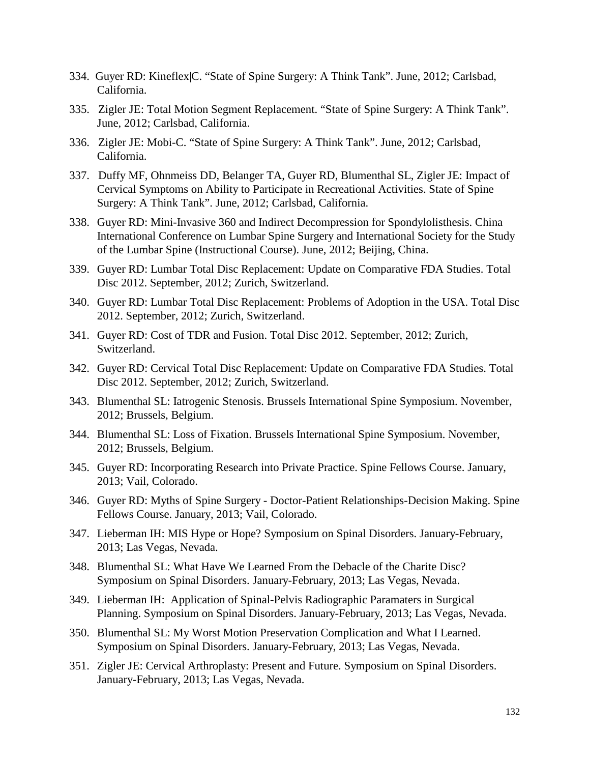- 334. Guyer RD: Kineflex|C. "State of Spine Surgery: A Think Tank". June, 2012; Carlsbad, California.
- 335. Zigler JE: Total Motion Segment Replacement. "State of Spine Surgery: A Think Tank". June, 2012; Carlsbad, California.
- 336. Zigler JE: Mobi-C. "State of Spine Surgery: A Think Tank". June, 2012; Carlsbad, California.
- 337. Duffy MF, Ohnmeiss DD, Belanger TA, Guyer RD, Blumenthal SL, Zigler JE: Impact of Cervical Symptoms on Ability to Participate in Recreational Activities. State of Spine Surgery: A Think Tank". June, 2012; Carlsbad, California.
- 338. Guyer RD: Mini-Invasive 360 and Indirect Decompression for Spondylolisthesis. China International Conference on Lumbar Spine Surgery and International Society for the Study of the Lumbar Spine (Instructional Course). June, 2012; Beijing, China.
- 339. Guyer RD: Lumbar Total Disc Replacement: Update on Comparative FDA Studies. Total Disc 2012. September, 2012; Zurich, Switzerland.
- 340. Guyer RD: Lumbar Total Disc Replacement: Problems of Adoption in the USA. Total Disc 2012. September, 2012; Zurich, Switzerland.
- 341. Guyer RD: Cost of TDR and Fusion. Total Disc 2012. September, 2012; Zurich, Switzerland.
- 342. Guyer RD: Cervical Total Disc Replacement: Update on Comparative FDA Studies. Total Disc 2012. September, 2012; Zurich, Switzerland.
- 343. Blumenthal SL: Iatrogenic Stenosis. Brussels International Spine Symposium. November, 2012; Brussels, Belgium.
- 344. Blumenthal SL: Loss of Fixation. Brussels International Spine Symposium. November, 2012; Brussels, Belgium.
- 345. Guyer RD: Incorporating Research into Private Practice. Spine Fellows Course. January, 2013; Vail, Colorado.
- 346. Guyer RD: Myths of Spine Surgery Doctor-Patient Relationships-Decision Making. Spine Fellows Course. January, 2013; Vail, Colorado.
- 347. Lieberman IH: MIS Hype or Hope? Symposium on Spinal Disorders. January-February, 2013; Las Vegas, Nevada.
- 348. Blumenthal SL: What Have We Learned From the Debacle of the Charite Disc? Symposium on Spinal Disorders. January-February, 2013; Las Vegas, Nevada.
- 349. Lieberman IH: Application of Spinal-Pelvis Radiographic Paramaters in Surgical Planning. Symposium on Spinal Disorders. January-February, 2013; Las Vegas, Nevada.
- 350. Blumenthal SL: My Worst Motion Preservation Complication and What I Learned. Symposium on Spinal Disorders. January-February, 2013; Las Vegas, Nevada.
- 351. Zigler JE: Cervical Arthroplasty: Present and Future. Symposium on Spinal Disorders. January-February, 2013; Las Vegas, Nevada.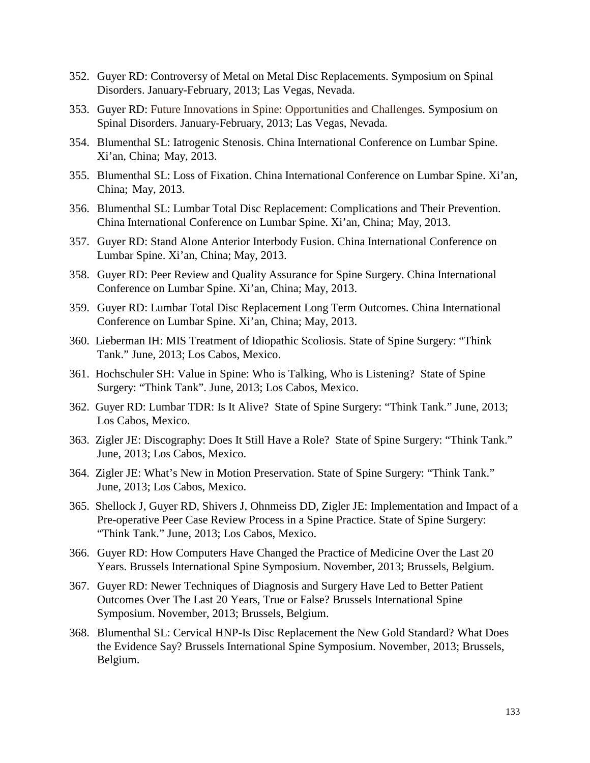- 352. Guyer RD: Controversy of Metal on Metal Disc Replacements. Symposium on Spinal Disorders. January-February, 2013; Las Vegas, Nevada.
- 353. Guyer RD: Future Innovations in Spine: Opportunities and Challenges. Symposium on Spinal Disorders. January-February, 2013; Las Vegas, Nevada.
- 354. Blumenthal SL: Iatrogenic Stenosis. China International Conference on Lumbar Spine. Xi'an, China; May, 2013.
- 355. Blumenthal SL: Loss of Fixation. China International Conference on Lumbar Spine. Xi'an, China; May, 2013.
- 356. Blumenthal SL: Lumbar Total Disc Replacement: Complications and Their Prevention. China International Conference on Lumbar Spine. Xi'an, China; May, 2013.
- 357. Guyer RD: Stand Alone Anterior Interbody Fusion. China International Conference on Lumbar Spine. Xi'an, China; May, 2013.
- 358. Guyer RD: Peer Review and Quality Assurance for Spine Surgery. China International Conference on Lumbar Spine. Xi'an, China; May, 2013.
- 359. Guyer RD: Lumbar Total Disc Replacement Long Term Outcomes. China International Conference on Lumbar Spine. Xi'an, China; May, 2013.
- 360. Lieberman IH: MIS Treatment of Idiopathic Scoliosis. State of Spine Surgery: "Think Tank." June, 2013; Los Cabos, Mexico.
- 361. Hochschuler SH: Value in Spine: Who is Talking, Who is Listening? State of Spine Surgery: "Think Tank". June, 2013; Los Cabos, Mexico.
- 362. Guyer RD: Lumbar TDR: Is It Alive? State of Spine Surgery: "Think Tank." June, 2013; Los Cabos, Mexico.
- 363. Zigler JE: Discography: Does It Still Have a Role? State of Spine Surgery: "Think Tank." June, 2013; Los Cabos, Mexico.
- 364. Zigler JE: What's New in Motion Preservation. State of Spine Surgery: "Think Tank." June, 2013; Los Cabos, Mexico.
- 365. Shellock J, Guyer RD, Shivers J, Ohnmeiss DD, Zigler JE: Implementation and Impact of a Pre-operative Peer Case Review Process in a Spine Practice. State of Spine Surgery: "Think Tank." June, 2013; Los Cabos, Mexico.
- 366. Guyer RD: How Computers Have Changed the Practice of Medicine Over the Last 20 Years. Brussels International Spine Symposium. November, 2013; Brussels, Belgium.
- 367. Guyer RD: Newer Techniques of Diagnosis and Surgery Have Led to Better Patient Outcomes Over The Last 20 Years, True or False? Brussels International Spine Symposium. November, 2013; Brussels, Belgium.
- 368. Blumenthal SL: Cervical HNP-Is Disc Replacement the New Gold Standard? What Does the Evidence Say? Brussels International Spine Symposium. November, 2013; Brussels, Belgium.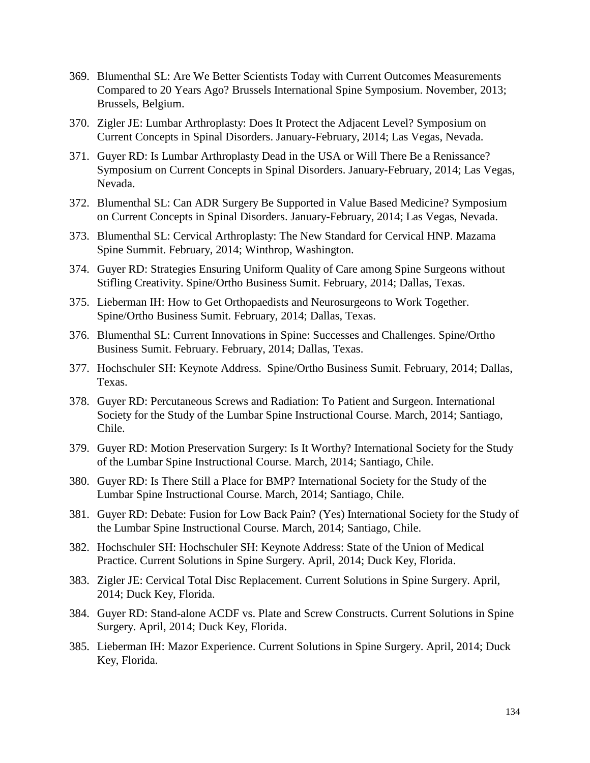- 369. Blumenthal SL: Are We Better Scientists Today with Current Outcomes Measurements Compared to 20 Years Ago? Brussels International Spine Symposium. November, 2013; Brussels, Belgium.
- 370. Zigler JE: Lumbar Arthroplasty: Does It Protect the Adjacent Level? Symposium on Current Concepts in Spinal Disorders. January-February, 2014; Las Vegas, Nevada.
- 371. Guyer RD: Is Lumbar Arthroplasty Dead in the USA or Will There Be a Renissance? Symposium on Current Concepts in Spinal Disorders. January-February, 2014; Las Vegas, Nevada.
- 372. Blumenthal SL: Can ADR Surgery Be Supported in Value Based Medicine? Symposium on Current Concepts in Spinal Disorders. January-February, 2014; Las Vegas, Nevada.
- 373. Blumenthal SL: Cervical Arthroplasty: The New Standard for Cervical HNP. Mazama Spine Summit. February, 2014; Winthrop, Washington.
- 374. Guyer RD: Strategies Ensuring Uniform Quality of Care among Spine Surgeons without Stifling Creativity. Spine/Ortho Business Sumit. February, 2014; Dallas, Texas.
- 375. Lieberman IH: How to Get Orthopaedists and Neurosurgeons to Work Together. Spine/Ortho Business Sumit. February, 2014; Dallas, Texas.
- 376. Blumenthal SL: Current Innovations in Spine: Successes and Challenges. Spine/Ortho Business Sumit. February. February, 2014; Dallas, Texas.
- 377. Hochschuler SH: Keynote Address. Spine/Ortho Business Sumit. February, 2014; Dallas, Texas.
- 378. Guyer RD: Percutaneous Screws and Radiation: To Patient and Surgeon. International Society for the Study of the Lumbar Spine Instructional Course. March, 2014; Santiago, Chile.
- 379. Guyer RD: Motion Preservation Surgery: Is It Worthy? International Society for the Study of the Lumbar Spine Instructional Course. March, 2014; Santiago, Chile.
- 380. Guyer RD: Is There Still a Place for BMP? International Society for the Study of the Lumbar Spine Instructional Course. March, 2014; Santiago, Chile.
- 381. Guyer RD: Debate: Fusion for Low Back Pain? (Yes) International Society for the Study of the Lumbar Spine Instructional Course. March, 2014; Santiago, Chile.
- 382. Hochschuler SH: Hochschuler SH: Keynote Address: State of the Union of Medical Practice. Current Solutions in Spine Surgery. April, 2014; Duck Key, Florida.
- 383. Zigler JE: Cervical Total Disc Replacement. Current Solutions in Spine Surgery. April, 2014; Duck Key, Florida.
- 384. Guyer RD: Stand-alone ACDF vs. Plate and Screw Constructs. Current Solutions in Spine Surgery. April, 2014; Duck Key, Florida.
- 385. Lieberman IH: Mazor Experience. Current Solutions in Spine Surgery. April, 2014; Duck Key, Florida.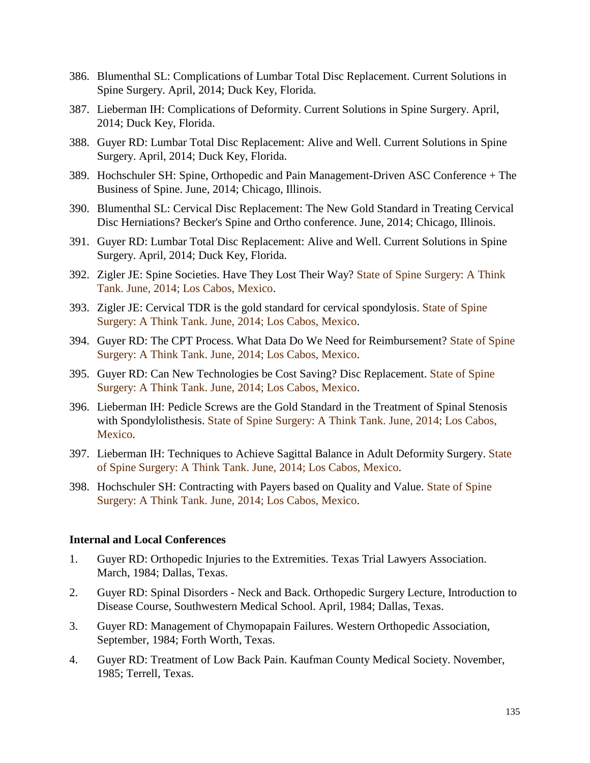- 386. Blumenthal SL: Complications of Lumbar Total Disc Replacement. Current Solutions in Spine Surgery. April, 2014; Duck Key, Florida.
- 387. Lieberman IH: Complications of Deformity. Current Solutions in Spine Surgery. April, 2014; Duck Key, Florida.
- 388. Guyer RD: Lumbar Total Disc Replacement: Alive and Well. Current Solutions in Spine Surgery. April, 2014; Duck Key, Florida.
- 389. Hochschuler SH: Spine, Orthopedic and Pain Management-Driven ASC Conference + The Business of Spine. June, 2014; Chicago, Illinois.
- 390. Blumenthal SL: Cervical Disc Replacement: The New Gold Standard in Treating Cervical Disc Herniations? Becker's Spine and Ortho conference. June, 2014; Chicago, Illinois.
- 391. Guyer RD: Lumbar Total Disc Replacement: Alive and Well. Current Solutions in Spine Surgery. April, 2014; Duck Key, Florida.
- 392. Zigler JE: Spine Societies. Have They Lost Their Way? State of Spine Surgery: A Think Tank. June, 2014; Los Cabos, Mexico.
- 393. Zigler JE: Cervical TDR is the gold standard for cervical spondylosis. State of Spine Surgery: A Think Tank. June, 2014; Los Cabos, Mexico.
- 394. Guyer RD: The CPT Process. What Data Do We Need for Reimbursement? State of Spine Surgery: A Think Tank. June, 2014; Los Cabos, Mexico.
- 395. Guyer RD: Can New Technologies be Cost Saving? Disc Replacement. State of Spine Surgery: A Think Tank. June, 2014; Los Cabos, Mexico.
- 396. Lieberman IH: Pedicle Screws are the Gold Standard in the Treatment of Spinal Stenosis with Spondylolisthesis. State of Spine Surgery: A Think Tank. June, 2014; Los Cabos, Mexico.
- 397. Lieberman IH: Techniques to Achieve Sagittal Balance in Adult Deformity Surgery. State of Spine Surgery: A Think Tank. June, 2014; Los Cabos, Mexico.
- 398. Hochschuler SH: Contracting with Payers based on Quality and Value. State of Spine Surgery: A Think Tank. June, 2014; Los Cabos, Mexico.

## **Internal and Local Conferences**

- 1. Guyer RD: Orthopedic Injuries to the Extremities. Texas Trial Lawyers Association. March, 1984; Dallas, Texas.
- 2. Guyer RD: Spinal Disorders Neck and Back. Orthopedic Surgery Lecture, Introduction to Disease Course, Southwestern Medical School. April, 1984; Dallas, Texas.
- 3. Guyer RD: Management of Chymopapain Failures. Western Orthopedic Association, September, 1984; Forth Worth, Texas.
- 4. Guyer RD: Treatment of Low Back Pain. Kaufman County Medical Society. November, 1985; Terrell, Texas.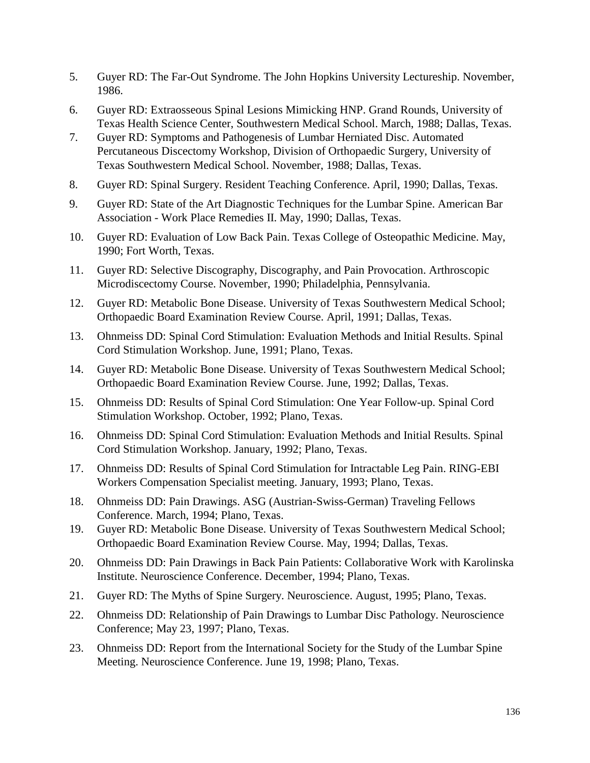- 5. Guyer RD: The Far-Out Syndrome. The John Hopkins University Lectureship. November, 1986.
- 6. Guyer RD: Extraosseous Spinal Lesions Mimicking HNP. Grand Rounds, University of Texas Health Science Center, Southwestern Medical School. March, 1988; Dallas, Texas.
- 7. Guyer RD: Symptoms and Pathogenesis of Lumbar Herniated Disc. Automated Percutaneous Discectomy Workshop, Division of Orthopaedic Surgery, University of Texas Southwestern Medical School. November, 1988; Dallas, Texas.
- 8. Guyer RD: Spinal Surgery. Resident Teaching Conference. April, 1990; Dallas, Texas.
- 9. Guyer RD: State of the Art Diagnostic Techniques for the Lumbar Spine. American Bar Association - Work Place Remedies II. May, 1990; Dallas, Texas.
- 10. Guyer RD: Evaluation of Low Back Pain. Texas College of Osteopathic Medicine. May, 1990; Fort Worth, Texas.
- 11. Guyer RD: Selective Discography, Discography, and Pain Provocation. Arthroscopic Microdiscectomy Course. November, 1990; Philadelphia, Pennsylvania.
- 12. Guyer RD: Metabolic Bone Disease. University of Texas Southwestern Medical School; Orthopaedic Board Examination Review Course. April, 1991; Dallas, Texas.
- 13. Ohnmeiss DD: Spinal Cord Stimulation: Evaluation Methods and Initial Results. Spinal Cord Stimulation Workshop. June, 1991; Plano, Texas.
- 14. Guyer RD: Metabolic Bone Disease. University of Texas Southwestern Medical School; Orthopaedic Board Examination Review Course. June, 1992; Dallas, Texas.
- 15. Ohnmeiss DD: Results of Spinal Cord Stimulation: One Year Follow-up. Spinal Cord Stimulation Workshop. October, 1992; Plano, Texas.
- 16. Ohnmeiss DD: Spinal Cord Stimulation: Evaluation Methods and Initial Results. Spinal Cord Stimulation Workshop. January, 1992; Plano, Texas.
- 17. Ohnmeiss DD: Results of Spinal Cord Stimulation for Intractable Leg Pain. RING-EBI Workers Compensation Specialist meeting. January, 1993; Plano, Texas.
- 18. Ohnmeiss DD: Pain Drawings. ASG (Austrian-Swiss-German) Traveling Fellows Conference. March, 1994; Plano, Texas.
- 19. Guyer RD: Metabolic Bone Disease. University of Texas Southwestern Medical School; Orthopaedic Board Examination Review Course. May, 1994; Dallas, Texas.
- 20. Ohnmeiss DD: Pain Drawings in Back Pain Patients: Collaborative Work with Karolinska Institute. Neuroscience Conference. December, 1994; Plano, Texas.
- 21. Guyer RD: The Myths of Spine Surgery. Neuroscience. August, 1995; Plano, Texas.
- 22. Ohnmeiss DD: Relationship of Pain Drawings to Lumbar Disc Pathology. Neuroscience Conference; May 23, 1997; Plano, Texas.
- 23. Ohnmeiss DD: Report from the International Society for the Study of the Lumbar Spine Meeting. Neuroscience Conference. June 19, 1998; Plano, Texas.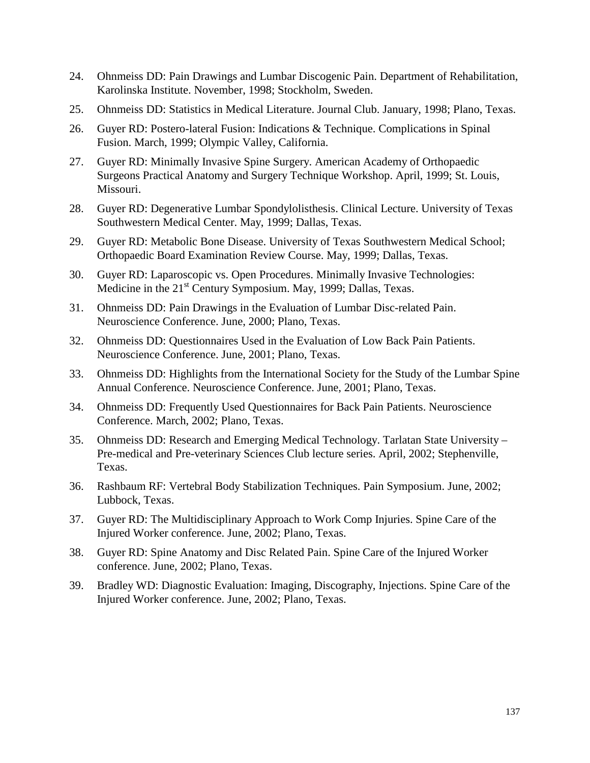- 24. Ohnmeiss DD: Pain Drawings and Lumbar Discogenic Pain. Department of Rehabilitation, Karolinska Institute. November, 1998; Stockholm, Sweden.
- 25. Ohnmeiss DD: Statistics in Medical Literature. Journal Club. January, 1998; Plano, Texas.
- 26. Guyer RD: Postero-lateral Fusion: Indications & Technique. Complications in Spinal Fusion. March, 1999; Olympic Valley, California.
- 27. Guyer RD: Minimally Invasive Spine Surgery. American Academy of Orthopaedic Surgeons Practical Anatomy and Surgery Technique Workshop. April, 1999; St. Louis, Missouri.
- 28. Guyer RD: Degenerative Lumbar Spondylolisthesis. Clinical Lecture. University of Texas Southwestern Medical Center. May, 1999; Dallas, Texas.
- 29. Guyer RD: Metabolic Bone Disease. University of Texas Southwestern Medical School; Orthopaedic Board Examination Review Course. May, 1999; Dallas, Texas.
- 30. Guyer RD: Laparoscopic vs. Open Procedures. Minimally Invasive Technologies: Medicine in the 21<sup>st</sup> Century Symposium. May, 1999; Dallas, Texas.
- 31. Ohnmeiss DD: Pain Drawings in the Evaluation of Lumbar Disc-related Pain. Neuroscience Conference. June, 2000; Plano, Texas.
- 32. Ohnmeiss DD: Questionnaires Used in the Evaluation of Low Back Pain Patients. Neuroscience Conference. June, 2001; Plano, Texas.
- 33. Ohnmeiss DD: Highlights from the International Society for the Study of the Lumbar Spine Annual Conference. Neuroscience Conference. June, 2001; Plano, Texas.
- 34. Ohnmeiss DD: Frequently Used Questionnaires for Back Pain Patients. Neuroscience Conference. March, 2002; Plano, Texas.
- 35. Ohnmeiss DD: Research and Emerging Medical Technology. Tarlatan State University Pre-medical and Pre-veterinary Sciences Club lecture series. April, 2002; Stephenville, Texas.
- 36. Rashbaum RF: Vertebral Body Stabilization Techniques. Pain Symposium. June, 2002; Lubbock, Texas.
- 37. Guyer RD: The Multidisciplinary Approach to Work Comp Injuries. Spine Care of the Injured Worker conference. June, 2002; Plano, Texas.
- 38. Guyer RD: Spine Anatomy and Disc Related Pain. Spine Care of the Injured Worker conference. June, 2002; Plano, Texas.
- 39. Bradley WD: Diagnostic Evaluation: Imaging, Discography, Injections. Spine Care of the Injured Worker conference. June, 2002; Plano, Texas.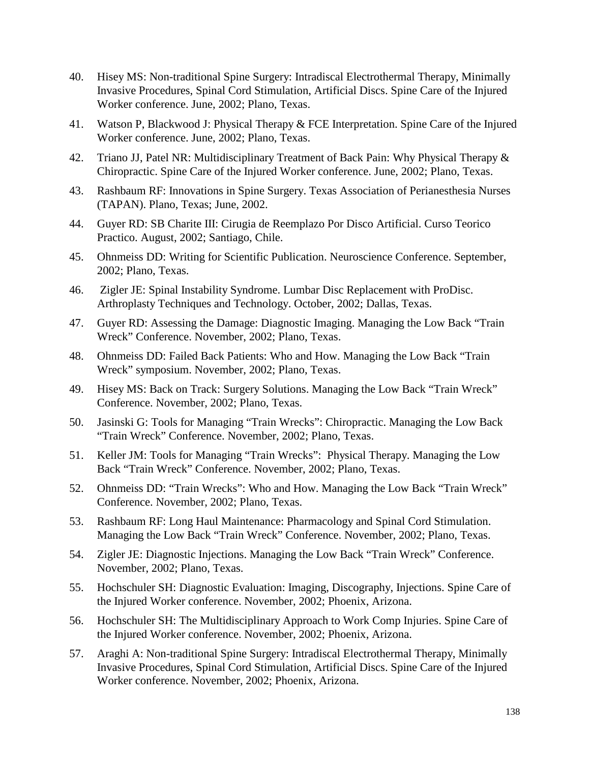- 40. Hisey MS: Non-traditional Spine Surgery: Intradiscal Electrothermal Therapy, Minimally Invasive Procedures, Spinal Cord Stimulation, Artificial Discs. Spine Care of the Injured Worker conference. June, 2002; Plano, Texas.
- 41. Watson P, Blackwood J: Physical Therapy & FCE Interpretation. Spine Care of the Injured Worker conference. June, 2002; Plano, Texas.
- 42. Triano JJ, Patel NR: Multidisciplinary Treatment of Back Pain: Why Physical Therapy & Chiropractic. Spine Care of the Injured Worker conference. June, 2002; Plano, Texas.
- 43. Rashbaum RF: Innovations in Spine Surgery. Texas Association of Perianesthesia Nurses (TAPAN). Plano, Texas; June, 2002.
- 44. Guyer RD: SB Charite III: Cirugia de Reemplazo Por Disco Artificial. Curso Teorico Practico. August, 2002; Santiago, Chile.
- 45. Ohnmeiss DD: Writing for Scientific Publication. Neuroscience Conference. September, 2002; Plano, Texas.
- 46. Zigler JE: Spinal Instability Syndrome. Lumbar Disc Replacement with ProDisc. Arthroplasty Techniques and Technology. October, 2002; Dallas, Texas.
- 47. Guyer RD: Assessing the Damage: Diagnostic Imaging. Managing the Low Back "Train Wreck" Conference. November, 2002; Plano, Texas.
- 48. Ohnmeiss DD: Failed Back Patients: Who and How. Managing the Low Back "Train Wreck" symposium. November, 2002; Plano, Texas.
- 49. Hisey MS: Back on Track: Surgery Solutions. Managing the Low Back "Train Wreck" Conference. November, 2002; Plano, Texas.
- 50. Jasinski G: Tools for Managing "Train Wrecks": Chiropractic. Managing the Low Back "Train Wreck" Conference. November, 2002; Plano, Texas.
- 51. Keller JM: Tools for Managing "Train Wrecks": Physical Therapy. Managing the Low Back "Train Wreck" Conference. November, 2002; Plano, Texas.
- 52. Ohnmeiss DD: "Train Wrecks": Who and How. Managing the Low Back "Train Wreck" Conference. November, 2002; Plano, Texas.
- 53. Rashbaum RF: Long Haul Maintenance: Pharmacology and Spinal Cord Stimulation. Managing the Low Back "Train Wreck" Conference. November, 2002; Plano, Texas.
- 54. Zigler JE: Diagnostic Injections. Managing the Low Back "Train Wreck" Conference. November, 2002; Plano, Texas.
- 55. Hochschuler SH: Diagnostic Evaluation: Imaging, Discography, Injections. Spine Care of the Injured Worker conference. November, 2002; Phoenix, Arizona.
- 56. Hochschuler SH: The Multidisciplinary Approach to Work Comp Injuries. Spine Care of the Injured Worker conference. November, 2002; Phoenix, Arizona.
- 57. Araghi A: Non-traditional Spine Surgery: Intradiscal Electrothermal Therapy, Minimally Invasive Procedures, Spinal Cord Stimulation, Artificial Discs. Spine Care of the Injured Worker conference. November, 2002; Phoenix, Arizona.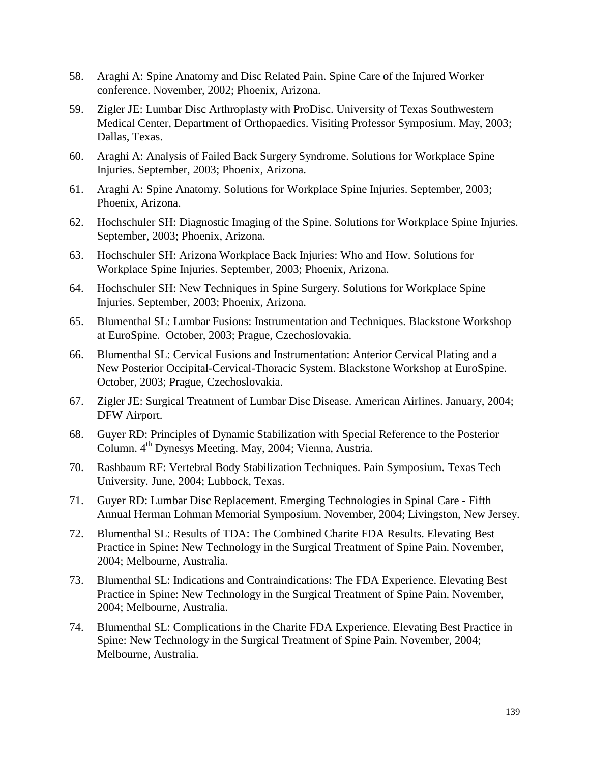- 58. Araghi A: Spine Anatomy and Disc Related Pain. Spine Care of the Injured Worker conference. November, 2002; Phoenix, Arizona.
- 59. Zigler JE: Lumbar Disc Arthroplasty with ProDisc. University of Texas Southwestern Medical Center, Department of Orthopaedics. Visiting Professor Symposium. May, 2003; Dallas, Texas.
- 60. Araghi A: Analysis of Failed Back Surgery Syndrome. Solutions for Workplace Spine Injuries. September, 2003; Phoenix, Arizona.
- 61. Araghi A: Spine Anatomy. Solutions for Workplace Spine Injuries. September, 2003; Phoenix, Arizona.
- 62. Hochschuler SH: Diagnostic Imaging of the Spine. Solutions for Workplace Spine Injuries. September, 2003; Phoenix, Arizona.
- 63. Hochschuler SH: Arizona Workplace Back Injuries: Who and How. Solutions for Workplace Spine Injuries. September, 2003; Phoenix, Arizona.
- 64. Hochschuler SH: New Techniques in Spine Surgery. Solutions for Workplace Spine Injuries. September, 2003; Phoenix, Arizona.
- 65. Blumenthal SL: Lumbar Fusions: Instrumentation and Techniques. Blackstone Workshop at EuroSpine. October, 2003; Prague, Czechoslovakia.
- 66. Blumenthal SL: Cervical Fusions and Instrumentation: Anterior Cervical Plating and a New Posterior Occipital-Cervical-Thoracic System. Blackstone Workshop at EuroSpine. October, 2003; Prague, Czechoslovakia.
- 67. Zigler JE: Surgical Treatment of Lumbar Disc Disease. American Airlines. January, 2004; DFW Airport.
- 68. Guyer RD: Principles of Dynamic Stabilization with Special Reference to the Posterior Column. 4<sup>th</sup> Dynesys Meeting. May, 2004; Vienna, Austria.
- 70. Rashbaum RF: Vertebral Body Stabilization Techniques. Pain Symposium. Texas Tech University. June, 2004; Lubbock, Texas.
- 71. Guyer RD: Lumbar Disc Replacement. Emerging Technologies in Spinal Care Fifth Annual Herman Lohman Memorial Symposium. November, 2004; Livingston, New Jersey.
- 72. Blumenthal SL: Results of TDA: The Combined Charite FDA Results. Elevating Best Practice in Spine: New Technology in the Surgical Treatment of Spine Pain. November, 2004; Melbourne, Australia.
- 73. Blumenthal SL: Indications and Contraindications: The FDA Experience. Elevating Best Practice in Spine: New Technology in the Surgical Treatment of Spine Pain. November, 2004; Melbourne, Australia.
- 74. Blumenthal SL: Complications in the Charite FDA Experience. Elevating Best Practice in Spine: New Technology in the Surgical Treatment of Spine Pain. November, 2004; Melbourne, Australia.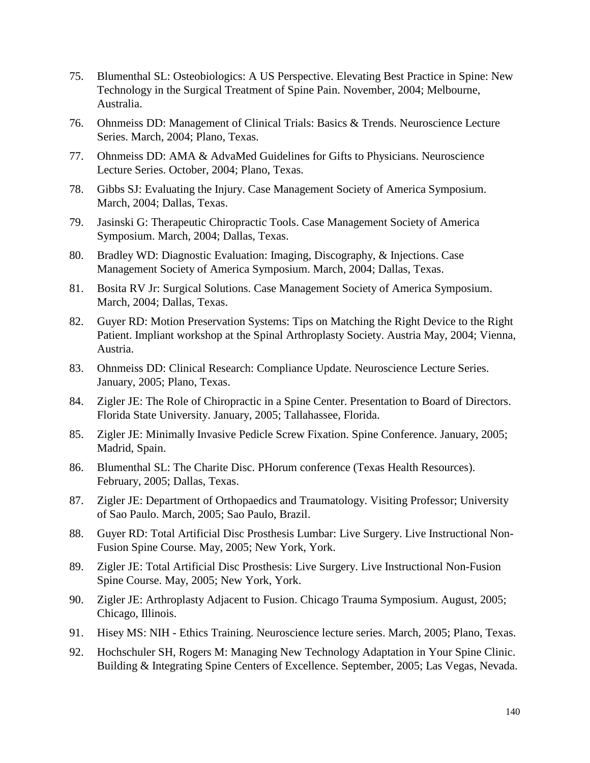- 75. Blumenthal SL: Osteobiologics: A US Perspective. Elevating Best Practice in Spine: New Technology in the Surgical Treatment of Spine Pain. November, 2004; Melbourne, Australia.
- 76. Ohnmeiss DD: Management of Clinical Trials: Basics & Trends. Neuroscience Lecture Series. March, 2004; Plano, Texas.
- 77. Ohnmeiss DD: AMA & AdvaMed Guidelines for Gifts to Physicians. Neuroscience Lecture Series. October, 2004; Plano, Texas.
- 78. Gibbs SJ: Evaluating the Injury. Case Management Society of America Symposium. March, 2004; Dallas, Texas.
- 79. Jasinski G: Therapeutic Chiropractic Tools. Case Management Society of America Symposium. March, 2004; Dallas, Texas.
- 80. Bradley WD: Diagnostic Evaluation: Imaging, Discography, & Injections. Case Management Society of America Symposium. March, 2004; Dallas, Texas.
- 81. Bosita RV Jr: Surgical Solutions. Case Management Society of America Symposium. March, 2004; Dallas, Texas.
- 82. Guyer RD: Motion Preservation Systems: Tips on Matching the Right Device to the Right Patient. Impliant workshop at the Spinal Arthroplasty Society. Austria May, 2004; Vienna, Austria.
- 83. Ohnmeiss DD: Clinical Research: Compliance Update. Neuroscience Lecture Series. January, 2005; Plano, Texas.
- 84. Zigler JE: The Role of Chiropractic in a Spine Center. Presentation to Board of Directors. Florida State University. January, 2005; Tallahassee, Florida.
- 85. Zigler JE: Minimally Invasive Pedicle Screw Fixation. Spine Conference. January, 2005; Madrid, Spain.
- 86. Blumenthal SL: The Charite Disc. PHorum conference (Texas Health Resources). February, 2005; Dallas, Texas.
- 87. Zigler JE: Department of Orthopaedics and Traumatology. Visiting Professor; University of Sao Paulo. March, 2005; Sao Paulo, Brazil.
- 88. Guyer RD: Total Artificial Disc Prosthesis Lumbar: Live Surgery. Live Instructional Non-Fusion Spine Course. May, 2005; New York, York.
- 89. Zigler JE: Total Artificial Disc Prosthesis: Live Surgery. Live Instructional Non-Fusion Spine Course. May, 2005; New York, York.
- 90. Zigler JE: Arthroplasty Adjacent to Fusion. Chicago Trauma Symposium. August, 2005; Chicago, Illinois.
- 91. Hisey MS: NIH Ethics Training. Neuroscience lecture series. March, 2005; Plano, Texas.
- 92. Hochschuler SH, Rogers M: Managing New Technology Adaptation in Your Spine Clinic. Building & Integrating Spine Centers of Excellence. September, 2005; Las Vegas, Nevada.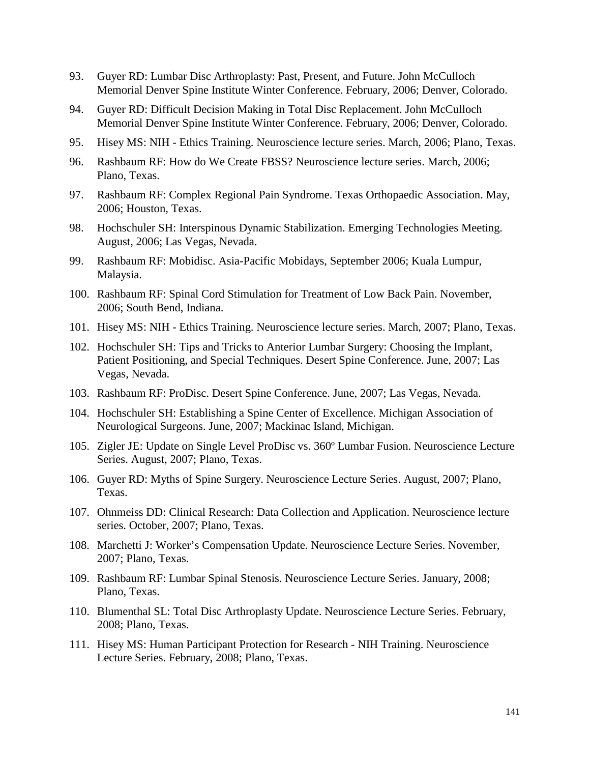- 93. Guyer RD: Lumbar Disc Arthroplasty: Past, Present, and Future. John McCulloch Memorial Denver Spine Institute Winter Conference. February, 2006; Denver, Colorado.
- 94. Guyer RD: Difficult Decision Making in Total Disc Replacement. John McCulloch Memorial Denver Spine Institute Winter Conference. February, 2006; Denver, Colorado.
- 95. Hisey MS: NIH Ethics Training. Neuroscience lecture series. March, 2006; Plano, Texas.
- 96. Rashbaum RF: How do We Create FBSS? Neuroscience lecture series. March, 2006; Plano, Texas.
- 97. Rashbaum RF: Complex Regional Pain Syndrome. Texas Orthopaedic Association. May, 2006; Houston, Texas.
- 98. Hochschuler SH: Interspinous Dynamic Stabilization. Emerging Technologies Meeting. August, 2006; Las Vegas, Nevada.
- 99. Rashbaum RF: Mobidisc. Asia-Pacific Mobidays, September 2006; Kuala Lumpur, Malaysia.
- 100. Rashbaum RF: Spinal Cord Stimulation for Treatment of Low Back Pain. November, 2006; South Bend, Indiana.
- 101. Hisey MS: NIH Ethics Training. Neuroscience lecture series. March, 2007; Plano, Texas.
- 102. Hochschuler SH: Tips and Tricks to Anterior Lumbar Surgery: Choosing the Implant, Patient Positioning, and Special Techniques. Desert Spine Conference. June, 2007; Las Vegas, Nevada.
- 103. Rashbaum RF: ProDisc. Desert Spine Conference. June, 2007; Las Vegas, Nevada.
- 104. Hochschuler SH: Establishing a Spine Center of Excellence. Michigan Association of Neurological Surgeons. June, 2007; Mackinac Island, Michigan.
- 105. Zigler JE: Update on Single Level ProDisc vs. 360º Lumbar Fusion. Neuroscience Lecture Series. August, 2007; Plano, Texas.
- 106. Guyer RD: Myths of Spine Surgery. Neuroscience Lecture Series. August, 2007; Plano, Texas.
- 107. Ohnmeiss DD: Clinical Research: Data Collection and Application. Neuroscience lecture series. October, 2007; Plano, Texas.
- 108. Marchetti J: Worker's Compensation Update. Neuroscience Lecture Series. November, 2007; Plano, Texas.
- 109. Rashbaum RF: Lumbar Spinal Stenosis. Neuroscience Lecture Series. January, 2008; Plano, Texas.
- 110. Blumenthal SL: Total Disc Arthroplasty Update. Neuroscience Lecture Series. February, 2008; Plano, Texas.
- 111. Hisey MS: Human Participant Protection for Research NIH Training. Neuroscience Lecture Series. February, 2008; Plano, Texas.